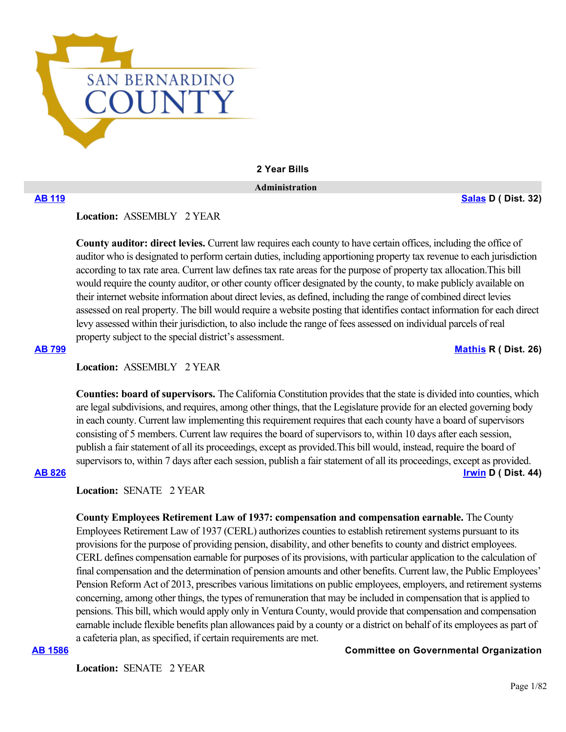

## **2 Year Bills**

 **Administration**

**[AB 119](https://ctweb.capitoltrack.com/public/publishbillinfo.aspx?bi=fAPXJxU4aq5BsT7W06KdmlBzjlTFVPwtgtp1PYeacr0WkfjDU0kHvx%2FFOFZDnsVw) [Salas](https://a32.asmdc.org/) D ( Dist. 32)**

**Location:**  ASSEMBLY 2 YEAR

**County auditor: direct levies.** Current law requires each county to have certain offices, including the office of auditor who is designated to perform certain duties, including apportioning property tax revenue to each jurisdiction according to tax rate area. Current law defines tax rate areas for the purpose of property tax allocation.This bill would require the county auditor, or other county officer designated by the county, to make publicly available on their internet website information about direct levies, as defined, including the range of combined direct levies assessed on real property. The bill would require a website posting that identifies contact information for each direct levy assessed within their jurisdiction, to also include the range of fees assessed on individual parcels of real property subject to the special district's assessment.

**[AB 799](https://ctweb.capitoltrack.com/public/publishbillinfo.aspx?bi=AimjTdY3TZUYcCAnbXQ9Qy%2FS7dPizin5PiLIAwRwf9Vl9CNy%2Bmf7YioRLoSb9ROH) [Mathis](http://ad26.asmrc.org/) R ( Dist. 26)**

**Location:**  ASSEMBLY 2 YEAR

**Counties: board of supervisors.** The California Constitution provides that the state is divided into counties, which are legal subdivisions, and requires, among other things, that the Legislature provide for an elected governing body in each county. Current law implementing this requirement requires that each county have a board of supervisors consisting of 5 members. Current law requires the board of supervisors to, within 10 days after each session, publish a fair statement of all its proceedings, except as provided.This bill would, instead, require the board of supervisors to, within 7 days after each session, publish a fair statement of all its proceedings, except as provided. **[AB 826](https://ctweb.capitoltrack.com/public/publishbillinfo.aspx?bi=%2Bd%2FR9jqxijGKtj2u%2F7e1zBCgWhpt%2FsQl1UEAsSDiQw9xMELbpo%2Bb45u2zVfV2CDE) [Irwin](https://a44.asmdc.org/) D ( Dist. 44)**

Location: **SENATE** 2 YEAR

**County Employees Retirement Law of 1937: compensation and compensation earnable.** The County Employees Retirement Law of 1937 (CERL) authorizes counties to establish retirement systems pursuant to its provisions for the purpose of providing pension, disability, and other benefits to county and district employees. CERL defines compensation earnable for purposes of its provisions, with particular application to the calculation of final compensation and the determination of pension amounts and other benefits. Current law, the Public Employees' Pension Reform Act of 2013, prescribes various limitations on public employees, employers, and retirement systems concerning, among other things, the types of remuneration that may be included in compensation that is applied to pensions. This bill, which would apply only in Ventura County, would provide that compensation and compensation earnable include flexible benefits plan allowances paid by a county or a district on behalf of its employees as part of a cafeteria plan, as specified, if certain requirements are met.

**[AB 1586](https://ctweb.capitoltrack.com/public/publishbillinfo.aspx?bi=fT8l35SLd2dv2JYZ%2F%2B8gwQJvqj43zZrI5h%2FSP17%2FUmviROlGWSLIyNSw5dHUsG8R) Committee on Governmental Organization**

Location: **SENATE 2 YEAR**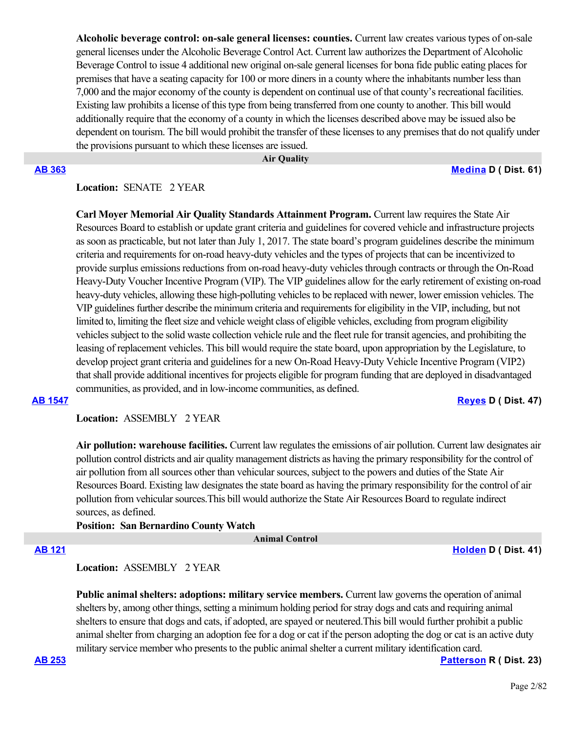**Alcoholic beverage control: on-sale general licenses: counties.** Current law creates various types of on-sale general licenses under the Alcoholic Beverage Control Act. Current law authorizes the Department of Alcoholic Beverage Control to issue 4 additional new original on-sale general licenses for bona fide public eating places for premises that have a seating capacity for 100 or more diners in a county where the inhabitants number less than 7,000 and the major economy of the county is dependent on continual use of that county's recreational facilities. Existing law prohibits a license of this type from being transferred from one county to another. This bill would additionally require that the economy of a county in which the licenses described above may be issued also be dependent on tourism. The bill would prohibit the transfer of these licenses to any premises that do not qualify under the provisions pursuant to which these licenses are issued.

 **Air Quality**

### **[AB 363](https://ctweb.capitoltrack.com/public/publishbillinfo.aspx?bi=2FTqX3ykyzFI3fjYnfYPvNx%2B5TzPwjFH0unSGt1j70FnNwutVs2Q%2FbhGj4n8Ffej) [Medina](https://a61.asmdc.org/) D ( Dist. 61)**

# **Location:**  SENATE 2 YEAR

**Carl Moyer Memorial Air Quality Standards Attainment Program.** Current law requires the State Air Resources Board to establish or update grant criteria and guidelines for covered vehicle and infrastructure projects as soon as practicable, but not later than July 1, 2017. The state board's program guidelines describe the minimum criteria and requirements for on-road heavy-duty vehicles and the types of projects that can be incentivized to provide surplus emissions reductions from on-road heavy-duty vehicles through contracts or through the On-Road Heavy-Duty Voucher Incentive Program (VIP). The VIP guidelines allow for the early retirement of existing on-road heavy-duty vehicles, allowing these high-polluting vehicles to be replaced with newer, lower emission vehicles. The VIP guidelines further describe the minimum criteria and requirements for eligibility in the VIP, including, but not limited to, limiting the fleet size and vehicle weight class of eligible vehicles, excluding from program eligibility vehicles subject to the solid waste collection vehicle rule and the fleet rule for transit agencies, and prohibiting the leasing of replacement vehicles. This bill would require the state board, upon appropriation by the Legislature, to develop project grant criteria and guidelines for a new On-Road Heavy-Duty Vehicle Incentive Program (VIP2) that shall provide additional incentives for projects eligible for program funding that are deployed in disadvantaged communities, as provided, and in low-income communities, as defined.

**[AB 1547](https://ctweb.capitoltrack.com/public/publishbillinfo.aspx?bi=5OaFGvxlKFVLmqcnLtD1ztZ0F3uz2aknlRtyHt2UERQDoV%2BNfefT5eeuTy9aDHeE) [Reyes](https://a47.asmdc.org/) D ( Dist. 47)**

## **Location:**  ASSEMBLY 2 YEAR

**Air pollution: warehouse facilities.** Current law regulates the emissions of air pollution. Current law designates air pollution control districts and air quality management districts as having the primary responsibility for the control of air pollution from all sources other than vehicular sources, subject to the powers and duties of the State Air Resources Board. Existing law designates the state board as having the primary responsibility for the control of air pollution from vehicular sources.This bill would authorize the State Air Resources Board to regulate indirect sources, as defined.

## **Position: San Bernardino County Watch**

 **Animal Control**

**[AB 121](https://ctweb.capitoltrack.com/public/publishbillinfo.aspx?bi=N21ro2mLjZR0YHlmZjSo0nrVBZ0iDdkAkVyneNL9oHr3%2FNKqVZMJe63%2FwFWTfTu9) [Holden](https://a41.asmdc.org/) D ( Dist. 41)**

## **Location:**  ASSEMBLY 2 YEAR

Public animal shelters: adoptions: military service members. Current law governs the operation of animal shelters by, among other things, setting a minimum holding period for stray dogs and cats and requiring animal shelters to ensure that dogs and cats, if adopted, are spayed or neutered.This bill would further prohibit a public animal shelter from charging an adoption fee for a dog or cat if the person adopting the dog or cat is an active duty military service member who presents to the public animal shelter a current military identification card.

**[AB 253](https://ctweb.capitoltrack.com/public/publishbillinfo.aspx?bi=GQCGowHCDHpTna5zSJgoguowHMgxmK2FRRve1q1XJLAw8a6Trlfhtp%2FefAgWjQBQ) [Patterson](https://ad23.asmrc.org/) R ( Dist. 23)**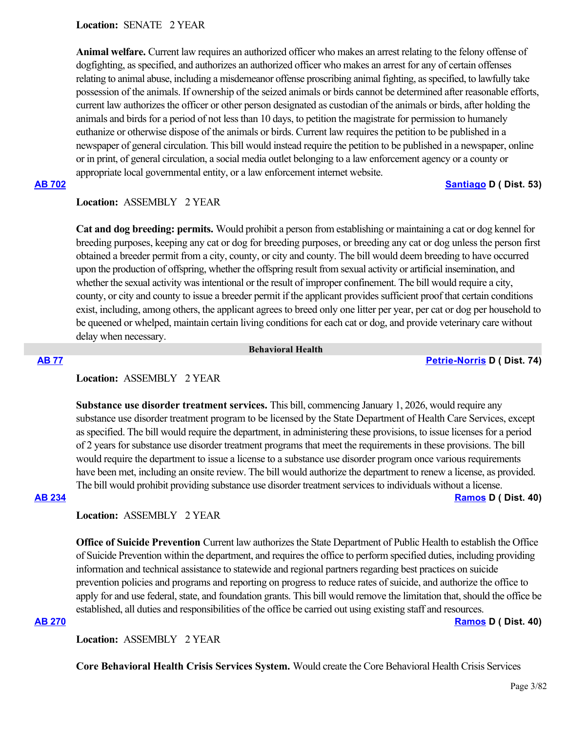**Location:**  SENATE 2 YEAR

**Animal welfare.** Current law requires an authorized officer who makes an arrest relating to the felony offense of dogfighting, as specified, and authorizes an authorized officer who makes an arrest for any of certain offenses relating to animal abuse, including a misdemeanor offense proscribing animal fighting, as specified, to lawfully take possession of the animals. If ownership of the seized animals or birds cannot be determined after reasonable efforts, current law authorizes the officer or other person designated as custodian of the animals or birds, after holding the animals and birds for a period of not less than 10 days, to petition the magistrate for permission to humanely euthanize or otherwise dispose of the animals or birds. Current law requires the petition to be published in a newspaper of general circulation. This bill would instead require the petition to be published in a newspaper, online or in print, of general circulation, a social media outlet belonging to a law enforcement agency or a county or appropriate local governmental entity, or a law enforcement internet website.

## **[AB 702](https://ctweb.capitoltrack.com/public/publishbillinfo.aspx?bi=opnkE%2BPZPSjSP1eoE3L4YYenOC%2Bp9S3ULMZqS8QMblw%2FbZEf6W8IMnj5ig2SzHBw) [Santiago](https://a53.asmdc.org/) D ( Dist. 53)**

### **Location:**  ASSEMBLY 2 YEAR

**Cat and dog breeding: permits.** Would prohibit a person from establishing or maintaining a cat or dog kennel for breeding purposes, keeping any cat or dog for breeding purposes, or breeding any cat or dog unless the person first obtained a breeder permit from a city, county, or city and county. The bill would deem breeding to have occurred upon the production of offspring, whether the offspring result from sexual activity or artificial insemination, and whether the sexual activity was intentional or the result of improper confinement. The bill would require a city, county, or city and county to issue a breeder permit if the applicant provides sufficient proof that certain conditions exist, including, among others, the applicant agrees to breed only one litter per year, per cat or dog per household to be queened or whelped, maintain certain living conditions for each cat or dog, and provide veterinary care without delay when necessary.

#### **Behavioral Health**

### **[AB 77](https://ctweb.capitoltrack.com/public/publishbillinfo.aspx?bi=e2pPIpOds5qIVeqERy4UFz8oEEpo%2B34xcZreY%2FYPiGQSxgD%2BNNkycjoX7Z6TR3UA) [Petrie-Norris](https://a74.asmdc.org/) D ( Dist. 74)**

## **Location:**  ASSEMBLY 2 YEAR

**Substance use disorder treatment services.** This bill, commencing January 1, 2026, would require any substance use disorder treatment program to be licensed by the State Department of Health Care Services, except as specified. The bill would require the department, in administering these provisions, to issue licenses for a period of 2 years for substance use disorder treatment programs that meet the requirements in these provisions. The bill would require the department to issue a license to a substance use disorder program once various requirements have been met, including an onsite review. The bill would authorize the department to renew a license, as provided. The bill would prohibit providing substance use disorder treatment services to individuals without a license. **[AB 234](https://ctweb.capitoltrack.com/public/publishbillinfo.aspx?bi=xvEeHhw0PP9IsqlpzIwCsR7i3HwJls8QrN7sIMuUXJCMNg1DbVZcdOti230bDrCu) [Ramos](https://a40.asmdc.org/) D ( Dist. 40)**

### **Location:**  ASSEMBLY 2 YEAR

**Office of Suicide Prevention** Current law authorizes the State Department of Public Health to establish the Office of Suicide Prevention within the department, and requires the office to perform specified duties, including providing information and technical assistance to statewide and regional partners regarding best practices on suicide prevention policies and programs and reporting on progress to reduce rates of suicide, and authorize the office to apply for and use federal, state, and foundation grants. This bill would remove the limitation that, should the office be established, all duties and responsibilities of the office be carried out using existing staff and resources. **[AB 270](https://ctweb.capitoltrack.com/public/publishbillinfo.aspx?bi=mLKjbsYeP5LueLMSh75HRfkdZssCitbpCgcsyWK%2BRlL0XGgSLfEe35%2B69GCHHIYc) [Ramos](https://a40.asmdc.org/) D ( Dist. 40)**

**Location:**  ASSEMBLY 2 YEAR

**Core Behavioral Health Crisis Services System.** Would create the Core Behavioral Health Crisis Services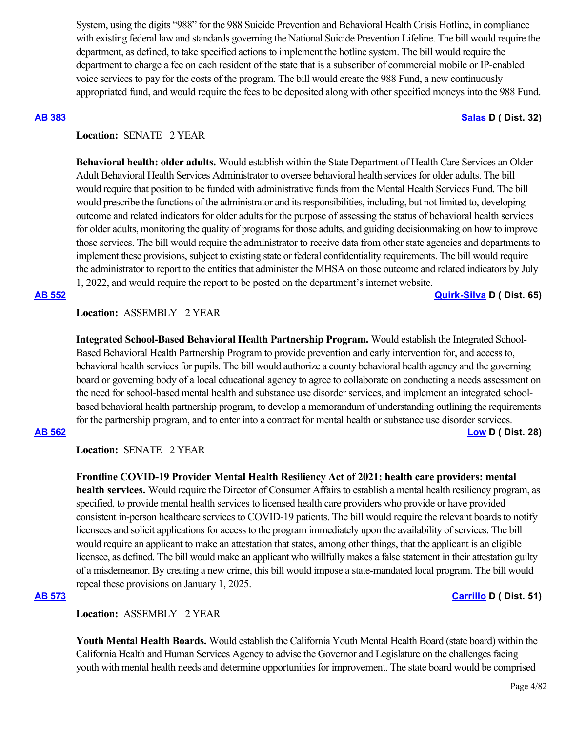System, using the digits "988" for the 988 Suicide Prevention and Behavioral Health Crisis Hotline, in compliance with existing federal law and standards governing the National Suicide Prevention Lifeline. The bill would require the department, as defined, to take specified actions to implement the hotline system. The bill would require the department to charge a fee on each resident of the state that is a subscriber of commercial mobile or IP-enabled voice services to pay for the costs of the program. The bill would create the 988 Fund, a new continuously appropriated fund, and would require the fees to be deposited along with other specified moneys into the 988 Fund.

### **[AB 383](https://ctweb.capitoltrack.com/public/publishbillinfo.aspx?bi=%2FQLVv91rOuc2oS6u4AYdMS0GLT81m945bVBlL2js37uuPmk8i2E1QlOSdoauHW%2BB) [Salas](https://a32.asmdc.org/) D ( Dist. 32)**

## Location: **SENATE** 2 YEAR

**Behavioral health: older adults.** Would establish within the State Department of Health Care Services an Older Adult Behavioral Health Services Administrator to oversee behavioral health services for older adults. The bill would require that position to be funded with administrative funds from the Mental Health Services Fund. The bill would prescribe the functions of the administrator and its responsibilities, including, but not limited to, developing outcome and related indicators for older adults for the purpose of assessing the status of behavioral health services for older adults, monitoring the quality of programs for those adults, and guiding decisionmaking on how to improve those services. The bill would require the administrator to receive data from other state agencies and departments to implement these provisions, subject to existing state or federal confidentiality requirements. The bill would require the administrator to report to the entities that administer the MHSA on those outcome and related indicators by July 1, 2022, and would require the report to be posted on the department's internet website.

**[AB 552](https://ctweb.capitoltrack.com/public/publishbillinfo.aspx?bi=0B1pP8xZSqmT1PDx5eLChQYAYYE5i75lfquaLpGyuniEx%2FusY9NutFnw5eFM16dd) [Quirk-Silva](https://a65.asmdc.org/) D ( Dist. 65)**

## **Location:**  ASSEMBLY 2 YEAR

**Integrated School-Based Behavioral Health Partnership Program.** Would establish the Integrated School-Based Behavioral Health Partnership Program to provide prevention and early intervention for, and access to, behavioral health services for pupils. The bill would authorize a county behavioral health agency and the governing board or governing body of a local educational agency to agree to collaborate on conducting a needs assessment on the need for school-based mental health and substance use disorder services, and implement an integrated schoolbased behavioral health partnership program, to develop a memorandum of understanding outlining the requirements for the partnership program, and to enter into a contract for mental health or substance use disorder services. **[AB 562](https://ctweb.capitoltrack.com/public/publishbillinfo.aspx?bi=0mhpjkHAEcG1jm5Vw8i6jwSxLR%2F%2BNMh0Tavv6YWLyevnje9Nov9EFd1uaN0ONPx4) [Low](https://a28.asmdc.org/) D ( Dist. 28)**

**Location:**  SENATE 2 YEAR

**Frontline COVID-19 Provider Mental Health Resiliency Act of 2021: health care providers: mental health services.** Would require the Director of Consumer Affairs to establish a mental health resiliency program, as specified, to provide mental health services to licensed health care providers who provide or have provided consistent in-person healthcare services to COVID-19 patients. The bill would require the relevant boards to notify licensees and solicit applications for access to the program immediately upon the availability of services. The bill would require an applicant to make an attestation that states, among other things, that the applicant is an eligible licensee, as defined. The bill would make an applicant who willfully makes a false statement in their attestation guilty of a misdemeanor. By creating a new crime, this bill would impose a state-mandated local program. The bill would repeal these provisions on January 1, 2025.

## **[AB 573](https://ctweb.capitoltrack.com/public/publishbillinfo.aspx?bi=b0v26iPuXf73TzCNR7ERxZNCtEC1ZsgRN5lF8%2FbpSqIw8p1%2BLWG%2BX4zEobuqlxcj) [Carrillo](https://a51.asmdc.org/) D ( Dist. 51)**

**Location:**  ASSEMBLY 2 YEAR

**Youth Mental Health Boards.** Would establish the California Youth Mental Health Board (state board) within the California Health and Human Services Agency to advise the Governor and Legislature on the challenges facing youth with mental health needs and determine opportunities for improvement. The state board would be comprised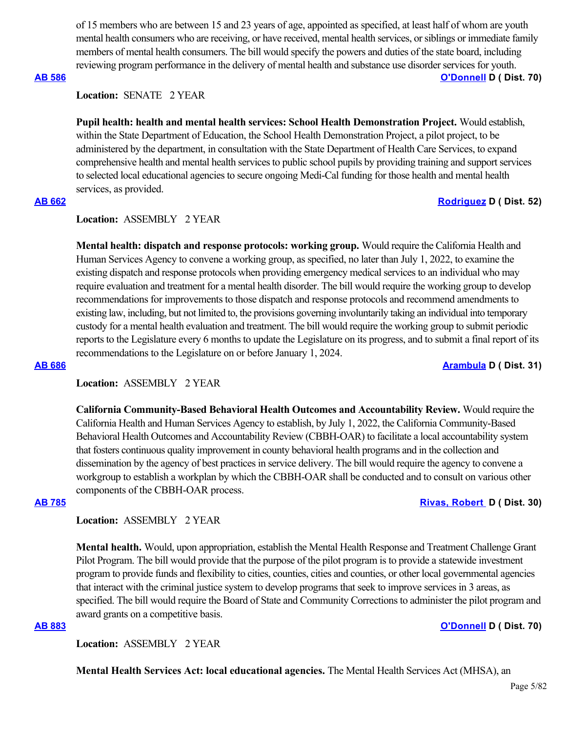of 15 members who are between 15 and 23 years of age, appointed as specified, at least half of whom are youth mental health consumers who are receiving, or have received, mental health services, or siblings or immediate family members of mental health consumers. The bill would specify the powers and duties of the state board, including reviewing program performance in the delivery of mental health and substance use disorder services for youth.

## **[AB 586](https://ctweb.capitoltrack.com/public/publishbillinfo.aspx?bi=SHR6zabaLsjdf%2BzCcgiD53IVIwpRXk6kA78OcVCQKjFBxFFWbCgeQdTfug6tFoq0) [O'Donnell](https://a70.asmdc.org/) D ( Dist. 70)**

**Location:**  SENATE 2 YEAR

**Pupil health: health and mental health services: School Health Demonstration Project.** Would establish, within the State Department of Education, the School Health Demonstration Project, a pilot project, to be administered by the department, in consultation with the State Department of Health Care Services, to expand comprehensive health and mental health services to public school pupils by providing training and support services to selected local educational agencies to secure ongoing Medi-Cal funding for those health and mental health services, as provided.

### **[AB 662](https://ctweb.capitoltrack.com/public/publishbillinfo.aspx?bi=erZ6gMT6w26e4Kk5PP9lLG%2FhPNnZuLja8UX%2FXMqjjoDdiOhjbnCJ4LRDSkVsxH95) [Rodriguez](https://a52.asmdc.org/) D ( Dist. 52)**

# **Location:**  ASSEMBLY 2 YEAR

**Mental health: dispatch and response protocols: working group.** Would require the California Health and Human Services Agency to convene a working group, as specified, no later than July 1, 2022, to examine the existing dispatch and response protocols when providing emergency medical services to an individual who may require evaluation and treatment for a mental health disorder. The bill would require the working group to develop recommendations for improvements to those dispatch and response protocols and recommend amendments to existing law, including, but not limited to, the provisions governing involuntarily taking an individual into temporary custody for a mental health evaluation and treatment. The bill would require the working group to submit periodic reports to the Legislature every 6 months to update the Legislature on its progress, and to submit a final report of its recommendations to the Legislature on or before January 1, 2024.

**[AB 686](https://ctweb.capitoltrack.com/public/publishbillinfo.aspx?bi=45YHIzW3lPOMQIiQcggcbhU7aqpthvGszUsXiahjBnAyeqlc3PMnGqG4qcOfqju2) [Arambula](https://a31.asmdc.org/) D ( Dist. 31)**

# **Location:**  ASSEMBLY 2 YEAR

**California Community-Based Behavioral Health Outcomes and Accountability Review.** Would require the California Health and Human Services Agency to establish, by July 1, 2022, the California Community-Based Behavioral Health Outcomes and Accountability Review (CBBH-OAR) to facilitate a local accountability system that fosters continuous quality improvement in county behavioral health programs and in the collection and dissemination by the agency of best practices in service delivery. The bill would require the agency to convene a workgroup to establish a workplan by which the CBBH-OAR shall be conducted and to consult on various other components of the CBBH-OAR process.

#### **[AB 785](https://ctweb.capitoltrack.com/public/publishbillinfo.aspx?bi=nE4FEohI9Eu4OlsXMSil6vti6wPU6KKTv7pbVWCld4aBVn7eB8aIsnswYcewJ4FJ) [Rivas, Robert](https://a30.asmdc.org/)  D ( Dist. 30)**

## **Location:**  ASSEMBLY 2 YEAR

**Mental health.** Would, upon appropriation, establish the Mental Health Response and Treatment Challenge Grant Pilot Program. The bill would provide that the purpose of the pilot program is to provide a statewide investment program to provide funds and flexibility to cities, counties, cities and counties, or other local governmental agencies that interact with the criminal justice system to develop programs that seek to improve services in 3 areas, as specified. The bill would require the Board of State and Community Corrections to administer the pilot program and award grants on a competitive basis.

## **[AB 883](https://ctweb.capitoltrack.com/public/publishbillinfo.aspx?bi=RPD9f4Nx3yQj52dXqWJSQieaiGxmaRavOTjpYwYDYAONeAbv64e5DkZ6HFFKUlkq) [O'Donnell](https://a70.asmdc.org/) D ( Dist. 70)**

**Location:**  ASSEMBLY 2 YEAR

**Mental Health Services Act: local educational agencies.** The Mental Health Services Act (MHSA), an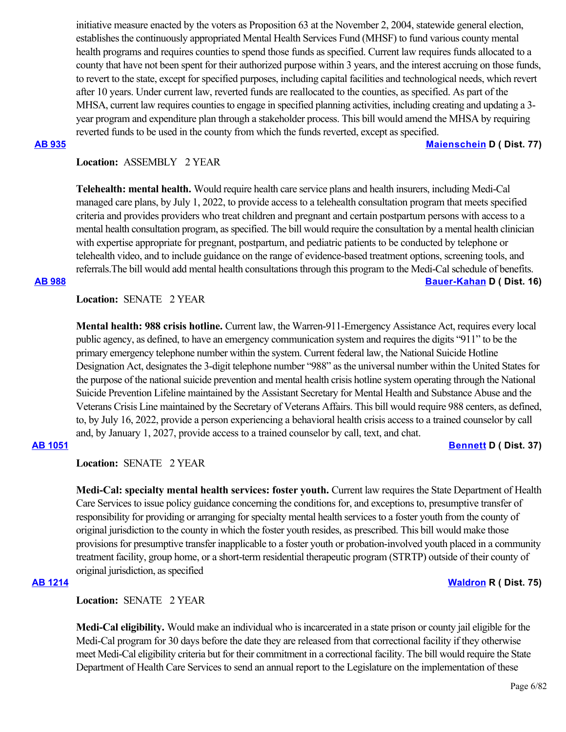initiative measure enacted by the voters as Proposition 63 at the November 2, 2004, statewide general election, establishes the continuously appropriated Mental Health Services Fund (MHSF) to fund various county mental health programs and requires counties to spend those funds as specified. Current law requires funds allocated to a county that have not been spent for their authorized purpose within 3 years, and the interest accruing on those funds, to revert to the state, except for specified purposes, including capital facilities and technological needs, which revert after 10 years. Under current law, reverted funds are reallocated to the counties, as specified. As part of the MHSA, current law requires counties to engage in specified planning activities, including creating and updating a 3 year program and expenditure plan through a stakeholder process. This bill would amend the MHSA by requiring reverted funds to be used in the county from which the funds reverted, except as specified.

**[AB 935](https://ctweb.capitoltrack.com/public/publishbillinfo.aspx?bi=rVb2Nz3L8RHn744jzRc54zFzyq2XUGq1N5Z2dtyAv1jHvxXihHPf6nQlTDvUXTpn) [Maienschein](https://a77.asmdc.org/) D ( Dist. 77)**

# **Location:**  ASSEMBLY 2 YEAR

**Telehealth: mental health.** Would require health care service plans and health insurers, including Medi-Cal managed care plans, by July 1, 2022, to provide access to a telehealth consultation program that meets specified criteria and provides providers who treat children and pregnant and certain postpartum persons with access to a mental health consultation program, as specified. The bill would require the consultation by a mental health clinician with expertise appropriate for pregnant, postpartum, and pediatric patients to be conducted by telephone or telehealth video, and to include guidance on the range of evidence-based treatment options, screening tools, and referrals.The bill would add mental health consultations through this program to the Medi-Cal schedule of benefits. **[AB 988](https://ctweb.capitoltrack.com/public/publishbillinfo.aspx?bi=jPjlAAna2I%2BTXPXFt0nZGgjfP4UQuHD0yMrgtf7cg0IF6eh90GIQOatSW9biM2p8) [Bauer-Kahan](https://a16.asmdc.org/) D ( Dist. 16)**

# **Location:**  SENATE 2 YEAR

**Mental health: 988 crisis hotline.** Current law, the Warren-911-Emergency Assistance Act, requires every local public agency, as defined, to have an emergency communication system and requires the digits "911" to be the primary emergency telephone number within the system. Current federal law, the National Suicide Hotline Designation Act, designates the 3-digit telephone number "988" as the universal number within the United States for the purpose of the national suicide prevention and mental health crisis hotline system operating through the National Suicide Prevention Lifeline maintained by the Assistant Secretary for Mental Health and Substance Abuse and the Veterans Crisis Line maintained by the Secretary of Veterans Affairs. This bill would require 988 centers, as defined, to, by July 16, 2022, provide a person experiencing a behavioral health crisis access to a trained counselor by call and, by January 1, 2027, provide access to a trained counselor by call, text, and chat.

# **[AB 1051](https://ctweb.capitoltrack.com/public/publishbillinfo.aspx?bi=a3w1OkLET76v%2BDCLHEBggLONCLqllIvKabF03mplQ91C6hp%2BtvB%2FWO%2BRGDpYXa3l) [Bennett](https://a37.asmdc.org/) D ( Dist. 37)**

Location: **SENATE** 2 YEAR

**Medi-Cal: specialty mental health services: foster youth.** Current law requires the State Department of Health Care Services to issue policy guidance concerning the conditions for, and exceptions to, presumptive transfer of responsibility for providing or arranging for specialty mental health services to a foster youth from the county of original jurisdiction to the county in which the foster youth resides, as prescribed. This bill would make those provisions for presumptive transfer inapplicable to a foster youth or probation-involved youth placed in a community treatment facility, group home, or a short-term residential therapeutic program (STRTP) outside of their county of original jurisdiction, as specified

**[AB 1214](https://ctweb.capitoltrack.com/public/publishbillinfo.aspx?bi=0GWU1DaW8dN3saNJzw6FAOQHyt32kczPx0t9YjN6S6m0XO2QN10erzhmYUrvmZpD) [Waldron](https://ad75.asmrc.org/) R ( Dist. 75)**

**Location:**  SENATE 2 YEAR

**Medi-Cal eligibility.** Would make an individual who is incarcerated in a state prison or county jail eligible for the Medi-Cal program for 30 days before the date they are released from that correctional facility if they otherwise meet Medi-Cal eligibility criteria but for their commitment in a correctional facility. The bill would require the State Department of Health Care Services to send an annual report to the Legislature on the implementation of these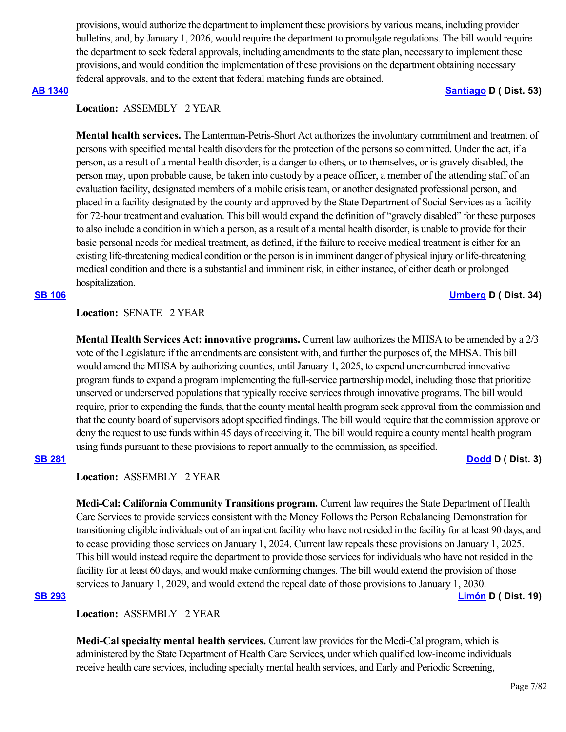provisions, would authorize the department to implement these provisions by various means, including provider bulletins, and, by January 1, 2026, would require the department to promulgate regulations. The bill would require the department to seek federal approvals, including amendments to the state plan, necessary to implement these provisions, and would condition the implementation of these provisions on the department obtaining necessary federal approvals, and to the extent that federal matching funds are obtained.

### **[AB 1340](https://ctweb.capitoltrack.com/public/publishbillinfo.aspx?bi=nVnu9SAJ7JHo%2BQsJQfOFaeZOwwrJxQt4jdBh%2BXRM2F8rEMA3KxmyBk0kvXtoG9vd) [Santiago](https://a53.asmdc.org/) D ( Dist. 53)**

# **Location:**  ASSEMBLY 2 YEAR

**Mental health services.** The Lanterman-Petris-Short Act authorizes the involuntary commitment and treatment of persons with specified mental health disorders for the protection of the persons so committed. Under the act, if a person, as a result of a mental health disorder, is a danger to others, or to themselves, or is gravely disabled, the person may, upon probable cause, be taken into custody by a peace officer, a member of the attending staff of an evaluation facility, designated members of a mobile crisis team, or another designated professional person, and placed in a facility designated by the county and approved by the State Department of Social Services as a facility for 72-hour treatment and evaluation. This bill would expand the definition of "gravely disabled" for these purposes to also include a condition in which a person, as a result of a mental health disorder, is unable to provide for their basic personal needs for medical treatment, as defined, if the failure to receive medical treatment is either for an existing life-threatening medical condition or the person is in imminent danger of physical injury or life-threatening medical condition and there is a substantial and imminent risk, in either instance, of either death or prolonged hospitalization.

### **[SB 106](https://ctweb.capitoltrack.com/public/publishbillinfo.aspx?bi=wkPeTYhRtkd08z1F25a0aGLSu9AEwPVtUmqkPommsjfKXdnNxtozQVdmrlcvDcb5) [Umberg](https://sd34.senate.ca.gov/) D ( Dist. 34)**

## Location: **SENATE 2 YEAR**

**Mental Health Services Act: innovative programs.** Current law authorizes the MHSA to be amended by a 2/3 vote of the Legislature if the amendments are consistent with, and further the purposes of, the MHSA. This bill would amend the MHSA by authorizing counties, until January 1, 2025, to expend unencumbered innovative program funds to expand a program implementing the full-service partnership model, including those that prioritize unserved or underserved populations that typically receive services through innovative programs. The bill would require, prior to expending the funds, that the county mental health program seek approval from the commission and that the county board of supervisors adopt specified findings. The bill would require that the commission approve or deny the request to use funds within 45 days of receiving it. The bill would require a county mental health program using funds pursuant to these provisions to report annually to the commission, as specified.

## **[SB 281](https://ctweb.capitoltrack.com/public/publishbillinfo.aspx?bi=31%2FBAMEQSqkDJ4SnUHjoay1rhX5GkZBGTzju0xqKfdMWTAgIROvrX%2FRV8PwHlfdY) [Dodd](http://sd03.senate.ca.gov/) D ( Dist. 3)**

## **Location:**  ASSEMBLY 2 YEAR

**Medi-Cal: California Community Transitions program.** Current law requires the State Department of Health Care Services to provide services consistent with the Money Follows the Person Rebalancing Demonstration for transitioning eligible individuals out of an inpatient facility who have not resided in the facility for at least 90 days, and to cease providing those services on January 1, 2024. Current law repeals these provisions on January 1, 2025. This bill would instead require the department to provide those services for individuals who have not resided in the facility for at least 60 days, and would make conforming changes. The bill would extend the provision of those services to January 1, 2029, and would extend the repeal date of those provisions to January 1, 2030.

### **[SB 293](https://ctweb.capitoltrack.com/public/publishbillinfo.aspx?bi=mUvfNmpscz%2Fn6%2BS49x%2BVSyD1bPMaRpllCZj7GTDR7ts%2FffO9tJ0wQhEoWSyFW7qH) [Limón](http://sd19.senate.ca.gov/) D ( Dist. 19)**

**Location:**  ASSEMBLY 2 YEAR

**Medi-Cal specialty mental health services.** Current law provides for the Medi-Cal program, which is administered by the State Department of Health Care Services, under which qualified low-income individuals receive health care services, including specialty mental health services, and Early and Periodic Screening,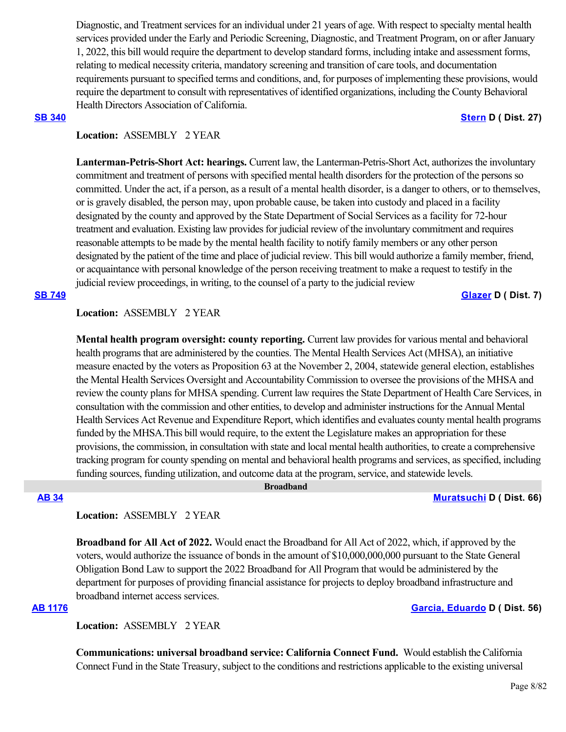Diagnostic, and Treatment services for an individual under 21 years of age. With respect to specialty mental health services provided under the Early and Periodic Screening, Diagnostic, and Treatment Program, on or after January 1, 2022, this bill would require the department to develop standard forms, including intake and assessment forms, relating to medical necessity criteria, mandatory screening and transition of care tools, and documentation requirements pursuant to specified terms and conditions, and, for purposes of implementing these provisions, would require the department to consult with representatives of identified organizations, including the County Behavioral Health Directors Association of California.

### **[SB 340](https://ctweb.capitoltrack.com/public/publishbillinfo.aspx?bi=o7c4xnROQN3yzqqUUsr3HDvHSt5jsU2jMveJJkW5YKoG0bJsOECHrt2wV%2Fr7HQpj) [Stern](http://sd27.senate.ca.gov/) D ( Dist. 27)**

## **Location:**  ASSEMBLY 2 YEAR

**Lanterman-Petris-Short Act: hearings.** Current law, the Lanterman-Petris-Short Act, authorizes the involuntary commitment and treatment of persons with specified mental health disorders for the protection of the persons so committed. Under the act, if a person, as a result of a mental health disorder, is a danger to others, or to themselves, or is gravely disabled, the person may, upon probable cause, be taken into custody and placed in a facility designated by the county and approved by the State Department of Social Services as a facility for 72-hour treatment and evaluation. Existing law provides for judicial review of the involuntary commitment and requires reasonable attempts to be made by the mental health facility to notify family members or any other person designated by the patient of the time and place of judicial review. This bill would authorize a family member, friend, or acquaintance with personal knowledge of the person receiving treatment to make a request to testify in the judicial review proceedings, in writing, to the counsel of a party to the judicial review

**[SB 749](https://ctweb.capitoltrack.com/public/publishbillinfo.aspx?bi=IymgRTJUUIDdyuoG0Z0cGRsj2MTvybinG930ba6Cwf%2BGm%2BSh0spGW5TTrTV6Tlge) [Glazer](http://sd07.senate.ca.gov/) D ( Dist. 7)**

## **Location:**  ASSEMBLY 2 YEAR

**Mental health program oversight: county reporting.** Current law provides for various mental and behavioral health programs that are administered by the counties. The Mental Health Services Act (MHSA), an initiative measure enacted by the voters as Proposition 63 at the November 2, 2004, statewide general election, establishes the Mental Health Services Oversight and Accountability Commission to oversee the provisions of the MHSA and review the county plans for MHSA spending. Current law requires the State Department of Health Care Services, in consultation with the commission and other entities, to develop and administer instructions for the Annual Mental Health Services Act Revenue and Expenditure Report, which identifies and evaluates county mental health programs funded by the MHSA.This bill would require, to the extent the Legislature makes an appropriation for these provisions, the commission, in consultation with state and local mental health authorities, to create a comprehensive tracking program for county spending on mental and behavioral health programs and services, as specified, including funding sources, funding utilization, and outcome data at the program, service, and statewide levels.

 **Broadband**

## **[AB 34](https://ctweb.capitoltrack.com/public/publishbillinfo.aspx?bi=atpUbNizgRkl34qAXHzdpymqxOVmUgmA1CTWjRGZ6wpzo%2FOMpnndLegt5A%2BuQwVl) [Muratsuchi](https://a66.asmdc.org/) D ( Dist. 66)**

## **Location:**  ASSEMBLY 2 YEAR

**Broadband for All Act of 2022.** Would enact the Broadband for All Act of 2022, which, if approved by the voters, would authorize the issuance of bonds in the amount of \$10,000,000,000 pursuant to the State General Obligation Bond Law to support the 2022 Broadband for All Program that would be administered by the department for purposes of providing financial assistance for projects to deploy broadband infrastructure and broadband internet access services.

### **[AB 1176](https://ctweb.capitoltrack.com/public/publishbillinfo.aspx?bi=zFlCMntvHIynDMBtV%2FZMpEvZOI44xgJ4XyctFUIqhswOAwhje1cN%2FOq%2Bx1Ax2gUf) [Garcia, Eduardo](https://a56.asmdc.org/) D ( Dist. 56)**

**Location:**  ASSEMBLY 2 YEAR

**Communications: universal broadband service: California Connect Fund. Would establish the California** Connect Fund in the State Treasury, subject to the conditions and restrictions applicable to the existing universal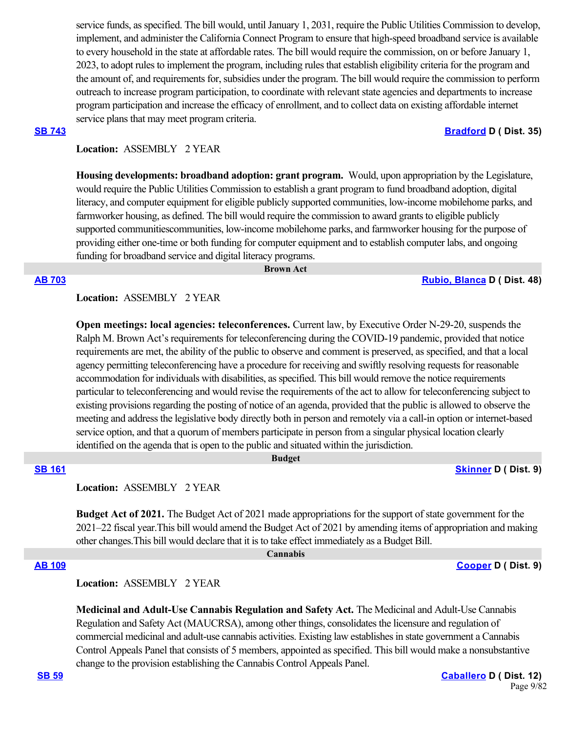service funds, as specified. The bill would, until January 1, 2031, require the Public Utilities Commission to develop, implement, and administer the California Connect Program to ensure that high-speed broadband service is available to every household in the state at affordable rates. The bill would require the commission, on or before January 1, 2023, to adopt rules to implement the program, including rules that establish eligibility criteria for the program and the amount of, and requirements for, subsidies under the program. The bill would require the commission to perform outreach to increase program participation, to coordinate with relevant state agencies and departments to increase program participation and increase the efficacy of enrollment, and to collect data on existing affordable internet service plans that may meet program criteria.

### **[SB 743](https://ctweb.capitoltrack.com/public/publishbillinfo.aspx?bi=7BlsynAWj96xt2uQ%2BjSEcHfrhFZB5GRldZzR9UBh%2BNQd140Q5dnXihta9xv0Ktk6) [Bradford](http://sd35.senate.ca.gov/) D ( Dist. 35)**

## **Location:**  ASSEMBLY 2 YEAR

**Housing developments: broadband adoption: grant program.** Would, upon appropriation by the Legislature, would require the Public Utilities Commission to establish a grant program to fund broadband adoption, digital literacy, and computer equipment for eligible publicly supported communities, low-income mobilehome parks, and farmworker housing, as defined. The bill would require the commission to award grants to eligible publicly supported communitiescommunities, low-income mobilehome parks, and farmworker housing for the purpose of providing either one-time or both funding for computer equipment and to establish computer labs, and ongoing funding for broadband service and digital literacy programs.

 **Brown Act**

#### **[AB 703](https://ctweb.capitoltrack.com/public/publishbillinfo.aspx?bi=5EKD0AgXbjvH2xIdnsvi%2FWX2UQ%2FikamqHqFZTD0E5%2BapWA06z2NVPmzxTCJaolLf) [Rubio, Blanca](https://a48.asmdc.org/) D ( Dist. 48)**

## **Location:**  ASSEMBLY 2 YEAR

**Open meetings: local agencies: teleconferences.** Current law, by Executive Order N-29-20, suspends the Ralph M. Brown Act's requirements for teleconferencing during the COVID-19 pandemic, provided that notice requirements are met, the ability of the public to observe and comment is preserved, as specified, and that a local agency permitting teleconferencing have a procedure for receiving and swiftly resolving requests for reasonable accommodation for individuals with disabilities, as specified. This bill would remove the notice requirements particular to teleconferencing and would revise the requirements of the act to allow for teleconferencing subject to existing provisions regarding the posting of notice of an agenda, provided that the public is allowed to observe the meeting and address the legislative body directly both in person and remotely via a call-in option or internet-based service option, and that a quorum of members participate in person from a singular physical location clearly identified on the agenda that is open to the public and situated within the jurisdiction.

# **[SB 161](https://ctweb.capitoltrack.com/public/publishbillinfo.aspx?bi=KgBWpSKaK1qosaVlb8Ds4L7fexWS0bY09GuuGnPYq5%2B2Y3ONYoHOCCncw5ff6KIG) [Skinner](http://sd09.senate.ca.gov/) D ( Dist. 9)**

**Location:**  ASSEMBLY 2 YEAR

**Budget Act of 2021.** The Budget Act of 2021 made appropriations for the support of state government for the 2021–22 fiscal year.This bill would amend the Budget Act of 2021 by amending items of appropriation and making other changes.This bill would declare that it is to take effect immediately as a Budget Bill.

### **Cannabis**

 **Budget**

**[AB 109](https://ctweb.capitoltrack.com/public/publishbillinfo.aspx?bi=z9hd5Cehi1wAIqwn2wMeYdSQyd5%2B%2BWb4L2YAPCwuq10SE4lfeRIRY%2B8IXBGT%2B8dS) [Cooper](https://a09.asmdc.org/) D ( Dist. 9)**

## **Location:**  ASSEMBLY 2 YEAR

**Medicinal and Adult-Use Cannabis Regulation and Safety Act.** The Medicinal and Adult-Use Cannabis Regulation and Safety Act (MAUCRSA), among other things, consolidates the licensure and regulation of commercial medicinal and adult-use cannabis activities. Existing law establishes in state government a Cannabis Control Appeals Panel that consists of 5 members, appointed as specified. This bill would make a nonsubstantive change to the provision establishing the Cannabis Control Appeals Panel.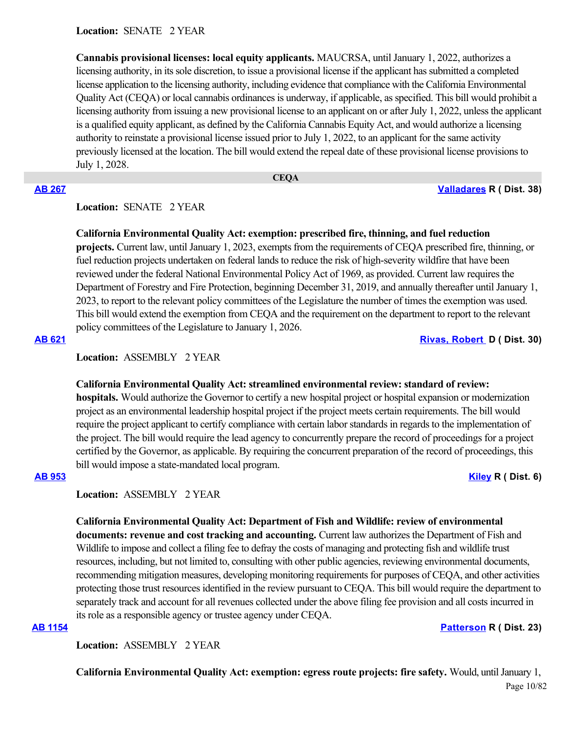**Location:**  SENATE 2 YEAR

**Cannabis provisional licenses: local equity applicants.** MAUCRSA, until January 1, 2022, authorizes a licensing authority, in its sole discretion, to issue a provisional license if the applicant has submitted a completed license application to the licensing authority, including evidence that compliance with the California Environmental Quality Act (CEQA) or local cannabis ordinances is underway, if applicable, as specified. This bill would prohibit a licensing authority from issuing a new provisional license to an applicant on or after July 1, 2022, unless the applicant is a qualified equity applicant, as defined by the California Cannabis Equity Act, and would authorize a licensing authority to reinstate a provisional license issued prior to July 1, 2022, to an applicant for the same activity previously licensed at the location. The bill would extend the repeal date of these provisional license provisions to July 1, 2028.

## **[AB 267](https://ctweb.capitoltrack.com/public/publishbillinfo.aspx?bi=3SE2825yVeoD%2FVeb1naH%2BjNacVwbKBjyd6shO3zqBpjbBxwZfGAepSO1w%2BhXWhOD) [Valladares](https://ad38.asmrc.org/) R ( Dist. 38)**

## **Location:**  SENATE 2 YEAR

## **California Environmental Quality Act: exemption: prescribed fire, thinning, and fuel reduction**

 **CEQA**

**projects.** Current law, until January 1, 2023, exempts from the requirements of CEQA prescribed fire, thinning, or fuel reduction projects undertaken on federal lands to reduce the risk of high-severity wildfire that have been reviewed under the federal National Environmental Policy Act of 1969, as provided. Current law requires the Department of Forestry and Fire Protection, beginning December 31, 2019, and annually thereafter until January 1, 2023, to report to the relevant policy committees of the Legislature the number of times the exemption was used. This bill would extend the exemption from CEQA and the requirement on the department to report to the relevant policy committees of the Legislature to January 1, 2026.

**[AB 621](https://ctweb.capitoltrack.com/public/publishbillinfo.aspx?bi=8RZk9esUnJykDSohQC3QqvGaIoLQuIh16PoIuZR1P9kjFT%2BXDWSr43niTxxtMYsl) [Rivas, Robert](https://a30.asmdc.org/)  D ( Dist. 30)**

**Location:**  ASSEMBLY 2 YEAR

### **California Environmental Quality Act: streamlined environmental review: standard of review:**

**hospitals.** Would authorize the Governor to certify a new hospital project or hospital expansion or modernization project as an environmental leadership hospital project if the project meets certain requirements. The bill would require the project applicant to certify compliance with certain labor standards in regards to the implementation of the project. The bill would require the lead agency to concurrently prepare the record of proceedings for a project certified by the Governor, as applicable. By requiring the concurrent preparation of the record of proceedings, this bill would impose a state-mandated local program.

### **[AB 953](https://ctweb.capitoltrack.com/public/publishbillinfo.aspx?bi=%2F%2FC1epdMBeEl5tr2XHEFoTm%2Fjl9v2hOn9Qu%2B9h9E2yflnS5gHCQ3ojQYBnn5JTX4) [Kiley](https://ad06.asmrc.org/) R ( Dist. 6)**

**Location:**  ASSEMBLY 2 YEAR

**California Environmental Quality Act: Department of Fish and Wildlife: review of environmental documents: revenue and cost tracking and accounting.** Current law authorizes the Department of Fish and Wildlife to impose and collect a filing fee to defray the costs of managing and protecting fish and wildlife trust resources, including, but not limited to, consulting with other public agencies, reviewing environmental documents, recommending mitigation measures, developing monitoring requirements for purposes of CEQA, and other activities protecting those trust resources identified in the review pursuant to CEQA. This bill would require the department to separately track and account for all revenues collected under the above filing fee provision and all costs incurred in its role as a responsible agency or trustee agency under CEQA.

# **[AB 1154](https://ctweb.capitoltrack.com/public/publishbillinfo.aspx?bi=UCyEx1IB6TyfbDhZpEvO4kdry%2FpzQ0Fg%2FzmM4L17MWOAhH1SXcwsAUg8Cy2%2BaOSe) [Patterson](https://ad23.asmrc.org/) R ( Dist. 23)**

**Location:**  ASSEMBLY 2 YEAR

**California Environmental Quality Act: exemption: egress route projects: fire safety.** Would, until January 1,

Page 10/82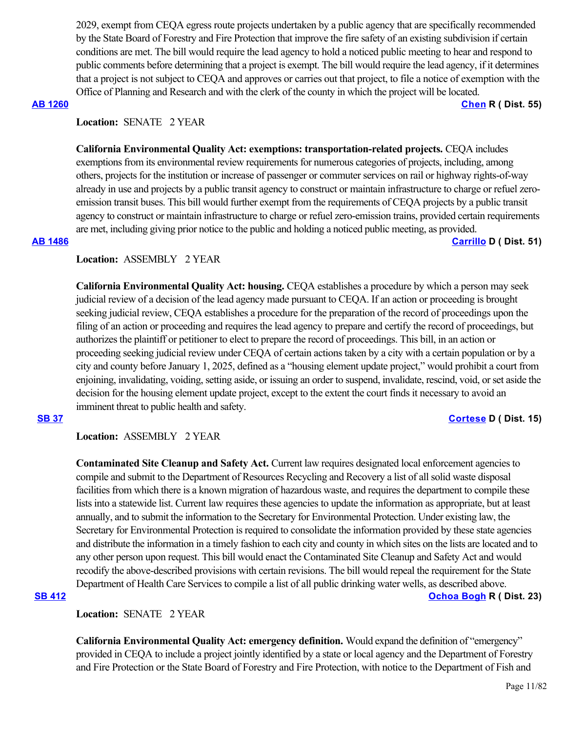2029, exempt from CEQA egress route projects undertaken by a public agency that are specifically recommended by the State Board of Forestry and Fire Protection that improve the fire safety of an existing subdivision if certain conditions are met. The bill would require the lead agency to hold a noticed public meeting to hear and respond to public comments before determining that a project is exempt. The bill would require the lead agency, if it determines that a project is not subject to CEQA and approves or carries out that project, to file a notice of exemption with the Office of Planning and Research and with the clerk of the county in which the project will be located.

**[AB 1260](https://ctweb.capitoltrack.com/public/publishbillinfo.aspx?bi=SRTX5Ak31muoQcxtPr3jql0Ko01jkRJXkViKXJzc7Yqd3%2FPnVEtaZ9HuTiIGk4aa) [Chen](https://ad55.asmrc.org/) R ( Dist. 55)**

# Location: **SENATE** 2 YEAR

**California Environmental Quality Act: exemptions: transportation-related projects.** CEQA includes exemptions from its environmental review requirements for numerous categories of projects, including, among others, projects for the institution or increase of passenger or commuter services on rail or highway rights-of-way already in use and projects by a public transit agency to construct or maintain infrastructure to charge or refuel zeroemission transit buses. This bill would further exempt from the requirements of CEQA projects by a public transit agency to construct or maintain infrastructure to charge or refuel zero-emission trains, provided certain requirements are met, including giving prior notice to the public and holding a noticed public meeting, as provided.

### **[AB 1486](https://ctweb.capitoltrack.com/public/publishbillinfo.aspx?bi=MdnvGyDO9ypd1qm08dJjGNGtiPzmuE3ggJXueVn17Tqk0F%2BImvTcCWLss67UQtyL) [Carrillo](https://a51.asmdc.org/) D ( Dist. 51)**

## **Location:**  ASSEMBLY 2 YEAR

**California Environmental Quality Act: housing.** CEQA establishes a procedure by which a person may seek judicial review of a decision of the lead agency made pursuant to CEQA. If an action or proceeding is brought seeking judicial review, CEQA establishes a procedure for the preparation of the record of proceedings upon the filing of an action or proceeding and requires the lead agency to prepare and certify the record of proceedings, but authorizes the plaintiff or petitioner to elect to prepare the record of proceedings. This bill, in an action or proceeding seeking judicial review under CEQA of certain actions taken by a city with a certain population or by a city and county before January 1, 2025, defined as a "housing element update project," would prohibit a court from enjoining, invalidating, voiding, setting aside, or issuing an order to suspend, invalidate, rescind, void, or set aside the decision for the housing element update project, except to the extent the court finds it necessary to avoid an imminent threat to public health and safety.

### **[SB 37](https://ctweb.capitoltrack.com/public/publishbillinfo.aspx?bi=e6GR7C%2FWKjH9PI%2BKMFfeLfzvWIEVemeF97Sg5XzwtXgHTkr%2BNLxNGc%2BEk%2F%2BKQ9e0) [Cortese](http://sd15.senate.ca.gov/) D ( Dist. 15)**

**Location:**  ASSEMBLY 2 YEAR

**Contaminated Site Cleanup and Safety Act.** Current law requires designated local enforcement agencies to compile and submit to the Department of Resources Recycling and Recovery a list of all solid waste disposal facilities from which there is a known migration of hazardous waste, and requires the department to compile these lists into a statewide list. Current law requires these agencies to update the information as appropriate, but at least annually, and to submit the information to the Secretary for Environmental Protection. Under existing law, the Secretary for Environmental Protection is required to consolidate the information provided by these state agencies and distribute the information in a timely fashion to each city and county in which sites on the lists are located and to any other person upon request. This bill would enact the Contaminated Site Cleanup and Safety Act and would recodify the above-described provisions with certain revisions. The bill would repeal the requirement for the State Department of Health Care Services to compile a list of all public drinking water wells, as described above.

### **[SB 412](https://ctweb.capitoltrack.com/public/publishbillinfo.aspx?bi=%2BEJv9IqldAiMj60ZGuXZNaiY5bPuf8Pfv61NIjVrx3EM0efG4B%2FmCRXkZc55uYX%2F) [Ochoa Bogh](https://ochoa-bogh.cssrc.us/) R ( Dist. 23)**

**Location:**  SENATE 2 YEAR

**California Environmental Quality Act: emergency definition.** Would expand the definition of "emergency" provided in CEQA to include a project jointly identified by a state or local agency and the Department of Forestry and Fire Protection or the State Board of Forestry and Fire Protection, with notice to the Department of Fish and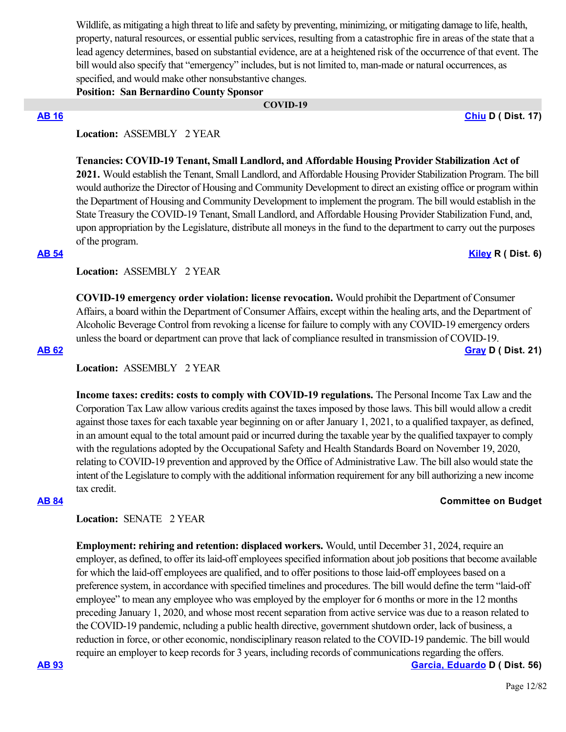Wildlife, as mitigating a high threat to life and safety by preventing, minimizing, or mitigating damage to life, health, property, natural resources, or essential public services, resulting from a catastrophic fire in areas of the state that a lead agency determines, based on substantial evidence, are at a heightened risk of the occurrence of that event. The bill would also specify that "emergency" includes, but is not limited to, man-made or natural occurrences, as specified, and would make other nonsubstantive changes.

**Position: San Bernardino County Sponsor**

 **COVID-19**

**[AB 16](https://ctweb.capitoltrack.com/public/publishbillinfo.aspx?bi=TTxaKr6u1tKTlUPv9M49ePdeIjD2ccoedqLtkjQLAxK%2FwbAGokJqLtni%2BRtjkUBl) [Chiu](https://a17.asmdc.org/) D ( Dist. 17)**

# **Location:**  ASSEMBLY 2 YEAR

**Tenancies: COVID-19 Tenant, Small Landlord, and Affordable Housing Provider Stabilization Act of 2021.** Would establish the Tenant, Small Landlord, and Affordable Housing Provider Stabilization Program. The bill would authorize the Director of Housing and Community Development to direct an existing office or program within the Department of Housing and Community Development to implement the program. The bill would establish in the State Treasury the COVID-19 Tenant, Small Landlord, and Affordable Housing Provider Stabilization Fund, and, upon appropriation by the Legislature, distribute all moneys in the fund to the department to carry out the purposes of the program.

### **[AB 54](https://ctweb.capitoltrack.com/public/publishbillinfo.aspx?bi=9021JKHMtlTxMIObe7amrtFqto5D0p7TzouRVJDvQ%2FLJZlG6rft2i%2BaaEI0Uqviv) [Kiley](https://ad06.asmrc.org/) R ( Dist. 6)**

**Location:**  ASSEMBLY 2 YEAR

**COVID-19 emergency order violation: license revocation.** Would prohibit the Department of Consumer Affairs, a board within the Department of Consumer Affairs, except within the healing arts, and the Department of Alcoholic Beverage Control from revoking a license for failure to comply with any COVID-19 emergency orders unless the board or department can prove that lack of compliance resulted in transmission of COVID-19. **[AB 62](https://ctweb.capitoltrack.com/public/publishbillinfo.aspx?bi=veLfL4P%2F%2FBXtGE1R%2FqH3MsEIey39UEc3e0d6ykwixuMa%2F23V%2BdyQg4Qei%2Bg%2FDJ9T) [Gray](https://a21.asmdc.org/) D ( Dist. 21)**

**Location:**  ASSEMBLY 2 YEAR

**Income taxes: credits: costs to comply with COVID-19 regulations.** The Personal Income Tax Law and the Corporation Tax Law allow various credits against the taxes imposed by those laws. This bill would allow a credit against those taxes for each taxable year beginning on or after January 1, 2021, to a qualified taxpayer, as defined, in an amount equal to the total amount paid or incurred during the taxable year by the qualified taxpayer to comply with the regulations adopted by the Occupational Safety and Health Standards Board on November 19, 2020, relating to COVID-19 prevention and approved by the Office of Administrative Law. The bill also would state the intent of the Legislature to comply with the additional information requirement for any bill authorizing a new income tax credit.

# **[AB 84](https://ctweb.capitoltrack.com/public/publishbillinfo.aspx?bi=B%2FFJylx76BV7l52%2B3XhF6j%2FwR52JBWNxjEXhy3jtbD2GBvwl2cN4wsF%2FNmRfG1Iy) Committee on Budget**

## **Location:**  SENATE 2 YEAR

**Employment: rehiring and retention: displaced workers.** Would, until December 31, 2024, require an employer, as defined, to offer its laid-off employees specified information about job positions that become available for which the laid-off employees are qualified, and to offer positions to those laid-off employees based on a preference system, in accordance with specified timelines and procedures. The bill would define the term "laid-off employee" to mean any employee who was employed by the employer for 6 months or more in the 12 months preceding January 1, 2020, and whose most recent separation from active service was due to a reason related to the COVID-19 pandemic, ncluding a public health directive, government shutdown order, lack of business, a reduction in force, or other economic, nondisciplinary reason related to the COVID-19 pandemic. The bill would require an employer to keep records for 3 years, including records of communications regarding the offers.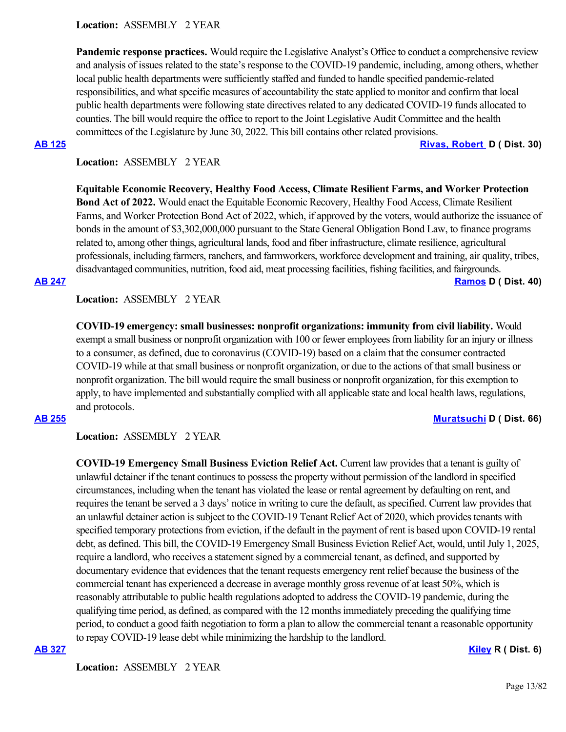**Location:**  ASSEMBLY 2 YEAR

**Pandemic response practices.** Would require the Legislative Analyst's Office to conduct a comprehensive review and analysis of issues related to the state's response to the COVID-19 pandemic, including, among others, whether local public health departments were sufficiently staffed and funded to handle specified pandemic-related responsibilities, and what specific measures of accountability the state applied to monitor and confirm that local public health departments were following state directives related to any dedicated COVID-19 funds allocated to counties. The bill would require the office to report to the Joint Legislative Audit Committee and the health committees of the Legislature by June 30, 2022. This bill contains other related provisions.

**[AB 125](https://ctweb.capitoltrack.com/public/publishbillinfo.aspx?bi=L0n1v1%2BljVvkPcBmA%2BV4TnIwyyzP7Bg5z2kRPfi6DvDHL6JDbnTKEgkFLMuPJFn7) [Rivas, Robert](https://a30.asmdc.org/)  D ( Dist. 30)**

# **Location:**  ASSEMBLY 2 YEAR

**Equitable Economic Recovery, Healthy Food Access, Climate Resilient Farms, and Worker Protection Bond Act of 2022.** Would enact the Equitable Economic Recovery, Healthy Food Access, Climate Resilient Farms, and Worker Protection Bond Act of 2022, which, if approved by the voters, would authorize the issuance of bonds in the amount of \$3,302,000,000 pursuant to the State General Obligation Bond Law, to finance programs related to, among other things, agricultural lands, food and fiber infrastructure, climate resilience, agricultural professionals, including farmers, ranchers, and farmworkers, workforce development and training, air quality, tribes, disadvantaged communities, nutrition, food aid, meat processing facilities, fishing facilities, and fairgrounds.

### **[AB 247](https://ctweb.capitoltrack.com/public/publishbillinfo.aspx?bi=JU6C9noaLfVhdKzzx3PEfr6dGTM2ezfORiXKUJnwS9n6l1dSVmiOokzE4nNdOa7d) [Ramos](https://a40.asmdc.org/) D ( Dist. 40)**

**Location:**  ASSEMBLY 2 YEAR

**COVID-19 emergency: small businesses: nonprofit organizations: immunity from civil liability.** Would exempt a small business or nonprofit organization with 100 or fewer employees from liability for an injury or illness to a consumer, as defined, due to coronavirus (COVID-19) based on a claim that the consumer contracted COVID-19 while at that small business or nonprofit organization, or due to the actions of that small business or nonprofit organization. The bill would require the small business or nonprofit organization, for this exemption to apply, to have implemented and substantially complied with all applicable state and local health laws, regulations, and protocols.

## **[AB 255](https://ctweb.capitoltrack.com/public/publishbillinfo.aspx?bi=YvjKraeUlXOOA253VIoTGZS9W1vHyy101YF4r9MNtUmgANxM0YnI%2BZW0J3Go1iuV) [Muratsuchi](https://a66.asmdc.org/) D ( Dist. 66)**

### **Location:**  ASSEMBLY 2 YEAR

**COVID-19 Emergency Small Business Eviction Relief Act.** Current law provides that a tenant is guilty of unlawful detainer if the tenant continues to possess the property without permission of the landlord in specified circumstances, including when the tenant has violated the lease or rental agreement by defaulting on rent, and requires the tenant be served a 3 days' notice in writing to cure the default, as specified. Current law provides that an unlawful detainer action is subject to the COVID-19 Tenant Relief Act of 2020, which provides tenants with specified temporary protections from eviction, if the default in the payment of rent is based upon COVID-19 rental debt, as defined. This bill, the COVID-19 Emergency Small Business Eviction Relief Act, would, until July 1, 2025, require a landlord, who receives a statement signed by a commercial tenant, as defined, and supported by documentary evidence that evidences that the tenant requests emergency rent relief because the business of the commercial tenant has experienced a decrease in average monthly gross revenue of at least 50%, which is reasonably attributable to public health regulations adopted to address the COVID-19 pandemic, during the qualifying time period, as defined, as compared with the 12 months immediately preceding the qualifying time period, to conduct a good faith negotiation to form a plan to allow the commercial tenant a reasonable opportunity to repay COVID-19 lease debt while minimizing the hardship to the landlord.

## **[AB 327](https://ctweb.capitoltrack.com/public/publishbillinfo.aspx?bi=k0hIKLfZVVm5H%2Ftnkia2tIFnTCvWniKmy%2BKCXs3yvjrm8W7KqWWYSe7Z1BuM4d4s) [Kiley](https://ad06.asmrc.org/) R ( Dist. 6)**

**Location:**  ASSEMBLY 2 YEAR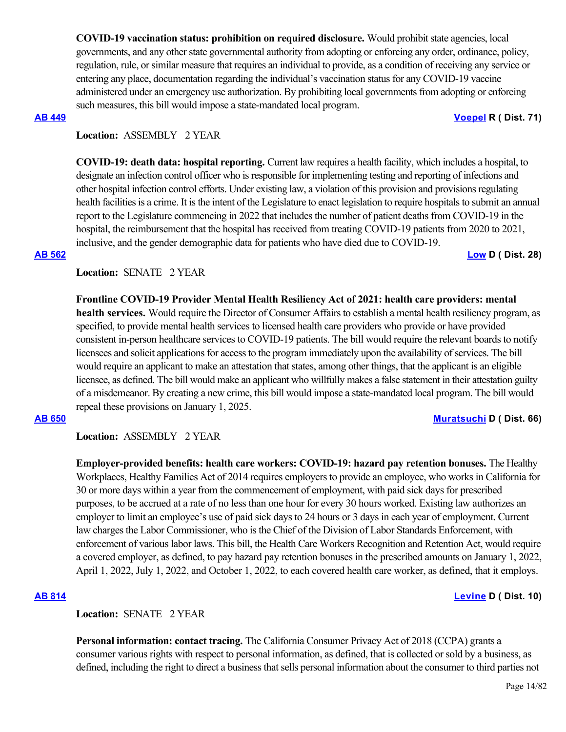**COVID-19 vaccination status: prohibition on required disclosure.** Would prohibit state agencies, local governments, and any other state governmental authority from adopting or enforcing any order, ordinance, policy, regulation, rule, or similar measure that requires an individual to provide, as a condition of receiving any service or entering any place, documentation regarding the individual's vaccination status for any COVID-19 vaccine administered under an emergency use authorization. By prohibiting local governments from adopting or enforcing such measures, this bill would impose a state-mandated local program.

### **[AB 449](https://ctweb.capitoltrack.com/public/publishbillinfo.aspx?bi=DbU3%2FlHWfO9PVwJXbp21eGE3H73nzRF6xGBAB%2BUIH9wJm4crZepCSpWJJlvhpHQc) [Voepel](https://ad71.asmrc.org/) R ( Dist. 71)**

## **Location:**  ASSEMBLY 2 YEAR

**COVID-19: death data: hospital reporting.** Current law requires a health facility, which includes a hospital, to designate an infection control officer who is responsible for implementing testing and reporting of infections and other hospital infection control efforts. Under existing law, a violation of this provision and provisions regulating health facilities is a crime. It is the intent of the Legislature to enact legislation to require hospitals to submit an annual report to the Legislature commencing in 2022 that includes the number of patient deaths from COVID-19 in the hospital, the reimbursement that the hospital has received from treating COVID-19 patients from 2020 to 2021, inclusive, and the gender demographic data for patients who have died due to COVID-19. **[AB 562](https://ctweb.capitoltrack.com/public/publishbillinfo.aspx?bi=0mhpjkHAEcG1jm5Vw8i6jwSxLR%2F%2BNMh0Tavv6YWLyevnje9Nov9EFd1uaN0ONPx4) [Low](https://a28.asmdc.org/) D ( Dist. 28)**

Location: **SENATE** 2 YEAR

**Frontline COVID-19 Provider Mental Health Resiliency Act of 2021: health care providers: mental health services.** Would require the Director of Consumer Affairs to establish a mental health resiliency program, as specified, to provide mental health services to licensed health care providers who provide or have provided consistent in-person healthcare services to COVID-19 patients. The bill would require the relevant boards to notify licensees and solicit applications for access to the program immediately upon the availability of services. The bill would require an applicant to make an attestation that states, among other things, that the applicant is an eligible licensee, as defined. The bill would make an applicant who willfully makes a false statement in their attestation guilty of a misdemeanor. By creating a new crime, this bill would impose a state-mandated local program. The bill would repeal these provisions on January 1, 2025.

# **[AB 650](https://ctweb.capitoltrack.com/public/publishbillinfo.aspx?bi=ZKbqMUO%2BUTsX2iAWItx9ELC8S6PMsIleoV8A%2BYRGoyNg6AL91LQHaHSdpgH64o8k) [Muratsuchi](https://a66.asmdc.org/) D ( Dist. 66)**

**Location:**  ASSEMBLY 2 YEAR

**Location:**  SENATE 2 YEAR

**Employer-provided benefits: health care workers: COVID-19: hazard pay retention bonuses.** The Healthy Workplaces, Healthy Families Act of 2014 requires employers to provide an employee, who works in California for 30 or more days within a year from the commencement of employment, with paid sick days for prescribed purposes, to be accrued at a rate of no less than one hour for every 30 hours worked. Existing law authorizes an employer to limit an employee's use of paid sick days to 24 hours or 3 days in each year of employment. Current law charges the Labor Commissioner, who is the Chief of the Division of Labor Standards Enforcement, with enforcement of various labor laws. This bill, the Health Care Workers Recognition and Retention Act, would require a covered employer, as defined, to pay hazard pay retention bonuses in the prescribed amounts on January 1, 2022, April 1, 2022, July 1, 2022, and October 1, 2022, to each covered health care worker, as defined, that it employs.

# **[AB 814](https://ctweb.capitoltrack.com/public/publishbillinfo.aspx?bi=RnzsWrsse0DSnaOSXa4Kh2CNrwFN%2FNO8Gq6Pi9LVDZqkcFeJE7HApcj87yyTuHGO) [Levine](https://a10.asmdc.org/) D ( Dist. 10)**

**Personal information: contact tracing.** The California Consumer Privacy Act of 2018 (CCPA) grants a consumer various rights with respect to personal information, as defined, that is collected or sold by a business, as defined, including the right to direct a business that sells personal information about the consumer to third parties not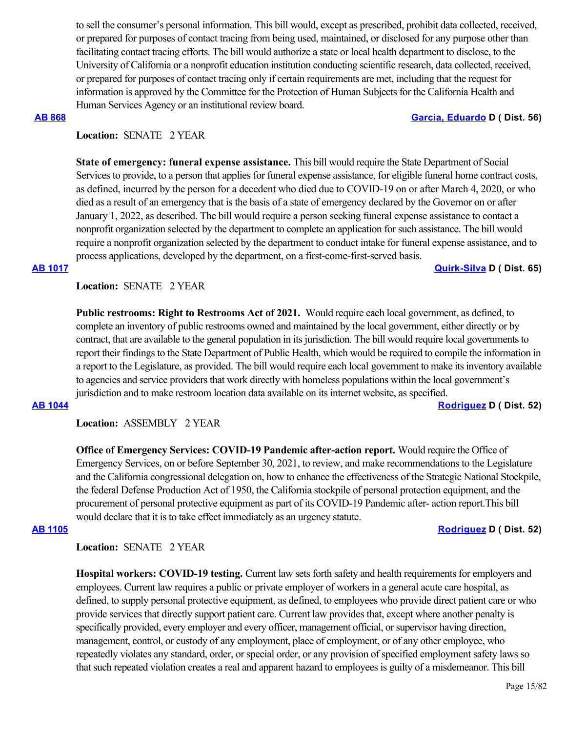to sell the consumer's personal information. This bill would, except as prescribed, prohibit data collected, received, or prepared for purposes of contact tracing from being used, maintained, or disclosed for any purpose other than facilitating contact tracing efforts. The bill would authorize a state or local health department to disclose, to the University of California or a nonprofit education institution conducting scientific research, data collected, received, or prepared for purposes of contact tracing only if certain requirements are met, including that the request for information is approved by the Committee for the Protection of Human Subjects for the California Health and Human Services Agency or an institutional review board.

### **[AB 868](https://ctweb.capitoltrack.com/public/publishbillinfo.aspx?bi=8QmAwJb1BV9eh4AvmBqrTdSnVRBdWnK%2BIjPe8UXKXQLvRsHwgHlSu5jhSWPH3Gcv) [Garcia, Eduardo](https://a56.asmdc.org/) D ( Dist. 56)**

# Location: **SENATE** 2 YEAR

**State of emergency: funeral expense assistance.** This bill would require the State Department of Social Services to provide, to a person that applies for funeral expense assistance, for eligible funeral home contract costs, as defined, incurred by the person for a decedent who died due to COVID-19 on or after March 4, 2020, or who died as a result of an emergency that is the basis of a state of emergency declared by the Governor on or after January 1, 2022, as described. The bill would require a person seeking funeral expense assistance to contact a nonprofit organization selected by the department to complete an application for such assistance. The bill would require a nonprofit organization selected by the department to conduct intake for funeral expense assistance, and to process applications, developed by the department, on a first-come-first-served basis.

### **[AB 1017](https://ctweb.capitoltrack.com/public/publishbillinfo.aspx?bi=JYyt31DOcZMu5clq9Dg25K%2FwlQRmm9Z%2B4UUjhX8nItz1trRK6ZBuw7gaDVRacfEb) [Quirk-Silva](https://a65.asmdc.org/) D ( Dist. 65)**

**Location:**  SENATE 2 YEAR

**Public restrooms: Right to Restrooms Act of 2021.** Would require each local government, as defined, to complete an inventory of public restrooms owned and maintained by the local government, either directly or by contract, that are available to the general population in its jurisdiction. The bill would require local governments to report their findings to the State Department of Public Health, which would be required to compile the information in a report to the Legislature, as provided. The bill would require each local government to make its inventory available to agencies and service providers that work directly with homeless populations within the local government's jurisdiction and to make restroom location data available on its internet website, as specified.

**[AB 1044](https://ctweb.capitoltrack.com/public/publishbillinfo.aspx?bi=4azcB8LG4cSgPewRhayk4Eq8D88B0auTSiWgOFnVA55XZmkkVkLWPu3RNJanuaK1) [Rodriguez](https://a52.asmdc.org/) D ( Dist. 52)**

**Location:**  ASSEMBLY 2 YEAR

**Office of Emergency Services: COVID-19 Pandemic after-action report.** Would require the Office of Emergency Services, on or before September 30, 2021, to review, and make recommendations to the Legislature and the California congressional delegation on, how to enhance the effectiveness of the Strategic National Stockpile, the federal Defense Production Act of 1950, the California stockpile of personal protection equipment, and the procurement of personal protective equipment as part of its COVID-19 Pandemic after- action report.This bill would declare that it is to take effect immediately as an urgency statute.

### **[AB 1105](https://ctweb.capitoltrack.com/public/publishbillinfo.aspx?bi=2Xnp3gCQ3R%2BTr%2F2rMdcDXh44TnBiRcdN2rSBP9FE8Z8ZLIz75E%2Foog7n%2BGhCXw5F) [Rodriguez](https://a52.asmdc.org/) D ( Dist. 52)**

**Location:**  SENATE 2 YEAR

**Hospital workers: COVID-19 testing.** Current law sets forth safety and health requirements for employers and employees. Current law requires a public or private employer of workers in a general acute care hospital, as defined, to supply personal protective equipment, as defined, to employees who provide direct patient care or who provide services that directly support patient care. Current law provides that, except where another penalty is specifically provided, every employer and every officer, management official, or supervisor having direction, management, control, or custody of any employment, place of employment, or of any other employee, who repeatedly violates any standard, order, or special order, or any provision of specified employment safety laws so that such repeated violation creates a real and apparent hazard to employees is guilty of a misdemeanor. This bill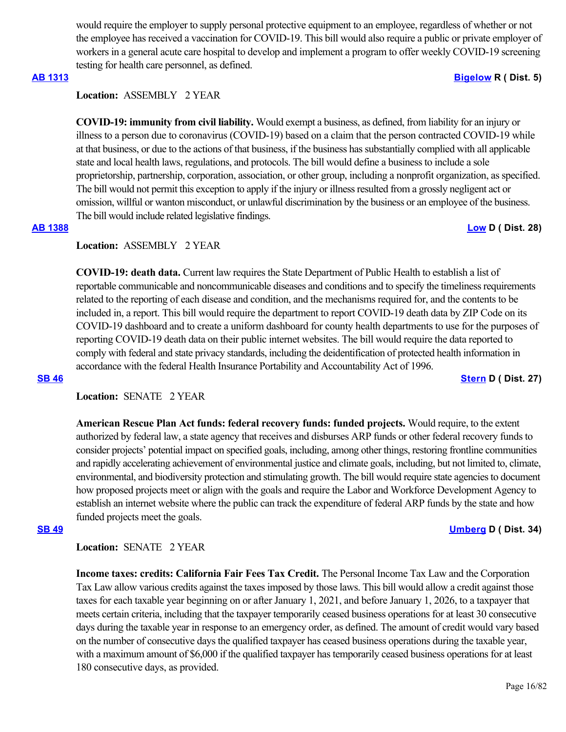would require the employer to supply personal protective equipment to an employee, regardless of whether or not the employee has received a vaccination for COVID-19. This bill would also require a public or private employer of workers in a general acute care hospital to develop and implement a program to offer weekly COVID-19 screening testing for health care personnel, as defined.

## **[AB 1313](https://ctweb.capitoltrack.com/public/publishbillinfo.aspx?bi=2%2FraP3Q%2FMVl4TH8afX0UnkBRrptTHfxfKPScxNbZ2PEMQ5JIbnVWoh4LhHP%2FDvVB) [Bigelow](https://ad05.asmrc.org/) R ( Dist. 5)**

## **Location:**  ASSEMBLY 2 YEAR

**COVID-19: immunity from civil liability.** Would exempt a business, as defined, from liability for an injury or illness to a person due to coronavirus (COVID-19) based on a claim that the person contracted COVID-19 while at that business, or due to the actions of that business, if the business has substantially complied with all applicable state and local health laws, regulations, and protocols. The bill would define a business to include a sole proprietorship, partnership, corporation, association, or other group, including a nonprofit organization, as specified. The bill would not permit this exception to apply if the injury or illness resulted from a grossly negligent act or omission, willful or wanton misconduct, or unlawful discrimination by the business or an employee of the business. The bill would include related legislative findings.

## **[AB 1388](https://ctweb.capitoltrack.com/public/publishbillinfo.aspx?bi=4CzEh%2FG4zjrjnIwLwyyTZCRIkjAByMWUHFXp4U14gObMn93HCHTPg%2BxEFfaTcKvQ) [Low](https://a28.asmdc.org/) D ( Dist. 28)**

# **Location:**  ASSEMBLY 2 YEAR

**COVID-19: death data.** Current law requires the State Department of Public Health to establish a list of reportable communicable and noncommunicable diseases and conditions and to specify the timeliness requirements related to the reporting of each disease and condition, and the mechanisms required for, and the contents to be included in, a report. This bill would require the department to report COVID-19 death data by ZIP Code on its COVID-19 dashboard and to create a uniform dashboard for county health departments to use for the purposes of reporting COVID-19 death data on their public internet websites. The bill would require the data reported to comply with federal and state privacy standards, including the deidentification of protected health information in accordance with the federal Health Insurance Portability and Accountability Act of 1996.

## **[SB 46](https://ctweb.capitoltrack.com/public/publishbillinfo.aspx?bi=BkV6KSfwI6XhTqUe2ryFlCkyyGJ6QJZ1TzbDj7BTO94AouKPiUA4WOHbRexRtEcW) [Stern](http://sd27.senate.ca.gov/) D ( Dist. 27)**

## **Location:**  SENATE 2 YEAR

**American Rescue Plan Act funds: federal recovery funds: funded projects.** Would require, to the extent authorized by federal law, a state agency that receives and disburses ARP funds or other federal recovery funds to consider projects' potential impact on specified goals, including, among other things, restoring frontline communities and rapidly accelerating achievement of environmental justice and climate goals, including, but not limited to, climate, environmental, and biodiversity protection and stimulating growth. The bill would require state agencies to document how proposed projects meet or align with the goals and require the Labor and Workforce Development Agency to establish an internet website where the public can track the expenditure of federal ARP funds by the state and how funded projects meet the goals.

**Location:**  SENATE 2 YEAR

**Income taxes: credits: California Fair Fees Tax Credit.** The Personal Income Tax Law and the Corporation Tax Law allow various credits against the taxes imposed by those laws. This bill would allow a credit against those taxes for each taxable year beginning on or after January 1, 2021, and before January 1, 2026, to a taxpayer that meets certain criteria, including that the taxpayer temporarily ceased business operations for at least 30 consecutive days during the taxable year in response to an emergency order, as defined. The amount of credit would vary based on the number of consecutive days the qualified taxpayer has ceased business operations during the taxable year, with a maximum amount of \$6,000 if the qualified taxpayer has temporarily ceased business operations for at least 180 consecutive days, as provided.

### **[SB 49](https://ctweb.capitoltrack.com/public/publishbillinfo.aspx?bi=LeawU591DHL1YSZO%2BsNmhdeVjWw0K%2FJvFqqITwNu5I86lZCJdIvtneV7Rjwpufoj) [Umberg](https://sd34.senate.ca.gov/) D ( Dist. 34)**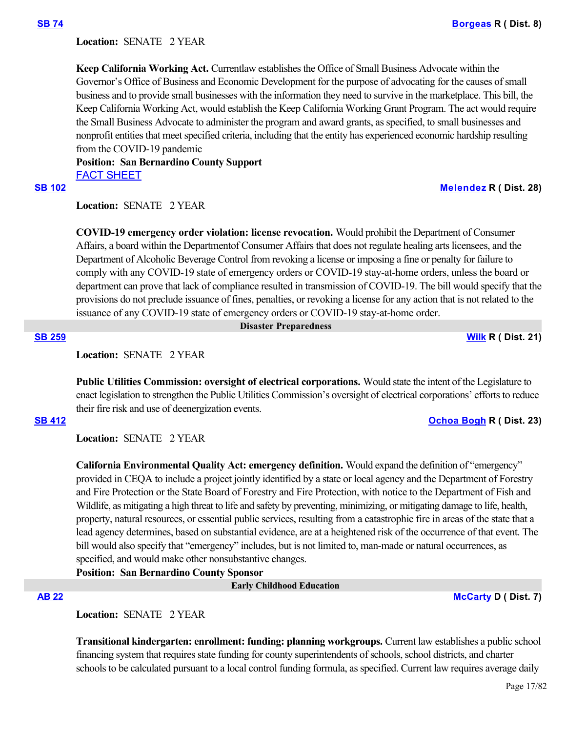Location: **SENATE** 2 YEAR

**Keep California Working Act.** Currentlaw establishes the Office of Small Business Advocate within the Governor's Office of Business and Economic Development for the purpose of advocating for the causes of small business and to provide small businesses with the information they need to survive in the marketplace. This bill, the Keep California Working Act, would establish the Keep California Working Grant Program. The act would require the Small Business Advocate to administer the program and award grants, as specified, to small businesses and nonprofit entities that meet specified criteria, including that the entity has experienced economic hardship resulting from the COVID-19 pandemic

**Position: San Bernardino County Support** [FACT SHEET](https://ctweb.capitoltrack.com/public/publishviewdoc.ashx?di=CoF4r6t49QVQuZOBygZs17UN3Edlai1XH9e%2Ff%2BmfDeg%3D)

**[SB 102](https://ctweb.capitoltrack.com/public/publishbillinfo.aspx?bi=jzQAImRv2m3OF0w%2B%2BDJBc9TeV9Iv0%2B0U1HG5luVclAXPzQSssIIghYEDOaP66Vr5) [Melendez](https://melendez.cssrc.us/) R ( Dist. 28)**

**Location:**  SENATE 2 YEAR

**COVID-19 emergency order violation: license revocation.** Would prohibit the Department of Consumer Affairs, a board within the Departmentof Consumer Affairs that does not regulate healing arts licensees, and the Department of Alcoholic Beverage Control from revoking a license or imposing a fine or penalty for failure to comply with any COVID-19 state of emergency orders or COVID-19 stay-at-home orders, unless the board or department can prove that lack of compliance resulted in transmission of COVID-19. The bill would specify that the provisions do not preclude issuance of fines, penalties, or revoking a license for any action that is not related to the issuance of any COVID-19 state of emergency orders or COVID-19 stay-at-home order.

 **Disaster Preparedness**

**[SB 259](https://ctweb.capitoltrack.com/public/publishbillinfo.aspx?bi=MpAp3wYTY%2FvAbbdwB1nDQ9sw27aTJ69qbiXf2%2F9XQ5cRe%2FoPKKcwNG45%2FCZukFMd) [Wilk](https://wilk.cssrc.us/) R ( Dist. 21)**

**Location:**  SENATE 2 YEAR

**Public Utilities Commission: oversight of electrical corporations.** Would state the intent of the Legislature to enact legislation to strengthen the Public Utilities Commission's oversight of electrical corporations' efforts to reduce their fire risk and use of deenergization events.

**[SB 412](https://ctweb.capitoltrack.com/public/publishbillinfo.aspx?bi=%2BEJv9IqldAiMj60ZGuXZNaiY5bPuf8Pfv61NIjVrx3EM0efG4B%2FmCRXkZc55uYX%2F) [Ochoa Bogh](https://ochoa-bogh.cssrc.us/) R ( Dist. 23)**

**Location:**  SENATE 2 YEAR

**California Environmental Quality Act: emergency definition.** Would expand the definition of "emergency" provided in CEQA to include a project jointly identified by a state or local agency and the Department of Forestry and Fire Protection or the State Board of Forestry and Fire Protection, with notice to the Department of Fish and Wildlife, as mitigating a high threat to life and safety by preventing, minimizing, or mitigating damage to life, health, property, natural resources, or essential public services, resulting from a catastrophic fire in areas of the state that a lead agency determines, based on substantial evidence, are at a heightened risk of the occurrence of that event. The bill would also specify that "emergency" includes, but is not limited to, man-made or natural occurrences, as specified, and would make other nonsubstantive changes.

**Position: San Bernardino County Sponsor**

 **Early Childhood Education**

**[AB 22](https://ctweb.capitoltrack.com/public/publishbillinfo.aspx?bi=wQSdCmcDIfZoiYUfy3sAf5d%2BwMh6ss4wB3L7m6k91poVyzrOjeF4QGrej8GJydem) [McCarty](https://a07.asmdc.org/) D ( Dist. 7)**

**Location:**  SENATE 2 YEAR

**Transitional kindergarten: enrollment: funding: planning workgroups.** Current law establishes a public school financing system that requires state funding for county superintendents of schools, school districts, and charter schools to be calculated pursuant to a local control funding formula, as specified. Current law requires average daily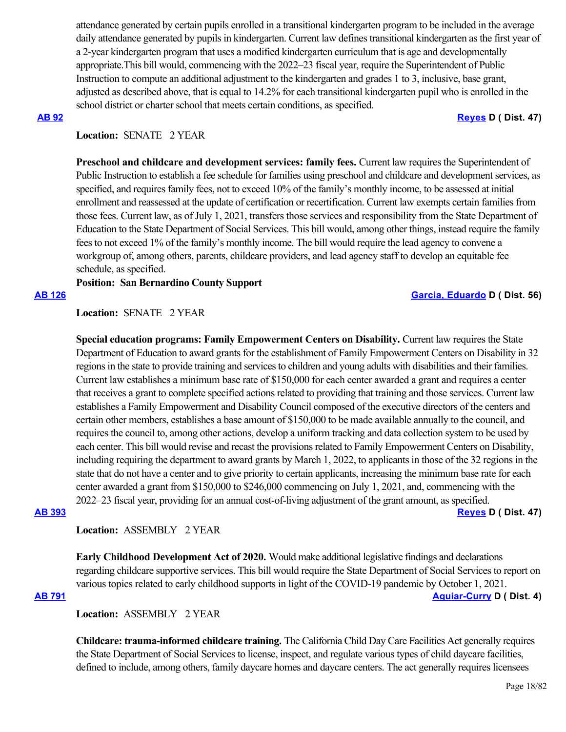attendance generated by certain pupils enrolled in a transitional kindergarten program to be included in the average daily attendance generated by pupils in kindergarten. Current law defines transitional kindergarten as the first year of a 2-year kindergarten program that uses a modified kindergarten curriculum that is age and developmentally appropriate.This bill would, commencing with the 2022–23 fiscal year, require the Superintendent of Public Instruction to compute an additional adjustment to the kindergarten and grades 1 to 3, inclusive, base grant, adjusted as described above, that is equal to 14.2% for each transitional kindergarten pupil who is enrolled in the school district or charter school that meets certain conditions, as specified.

#### **[AB 92](https://ctweb.capitoltrack.com/public/publishbillinfo.aspx?bi=i55u%2Bg%2F1nSmKp3teQk7heGTxplh1jc%2FeBIc3y3hjITJI%2FzqyNTlcGS1vnSFy6BH%2F) [Reyes](https://a47.asmdc.org/) D ( Dist. 47)**

# Location: **SENATE** 2 YEAR

**Preschool and childcare and development services: family fees.** Current law requires the Superintendent of Public Instruction to establish a fee schedule for families using preschool and childcare and development services, as specified, and requires family fees, not to exceed 10% of the family's monthly income, to be assessed at initial enrollment and reassessed at the update of certification or recertification. Current law exempts certain families from those fees. Current law, as of July 1, 2021, transfers those services and responsibility from the State Department of Education to the State Department of Social Services. This bill would, among other things, instead require the family fees to not exceed 1% of the family's monthly income. The bill would require the lead agency to convene a workgroup of, among others, parents, childcare providers, and lead agency staff to develop an equitable fee schedule, as specified.

# **Position: San Bernardino County Support**

**[AB 126](https://ctweb.capitoltrack.com/public/publishbillinfo.aspx?bi=cabNNPfnUEwI3KjZ3ebKiy4waaXjx8oSSUoiKQZJSYxbx%2FHuyi4fZYmng%2BzJXzv6) [Garcia, Eduardo](https://a56.asmdc.org/) D ( Dist. 56)**

**Location:**  SENATE 2 YEAR

**Special education programs: Family Empowerment Centers on Disability.** Current law requires the State Department of Education to award grants for the establishment of Family Empowerment Centers on Disability in 32 regions in the state to provide training and services to children and young adults with disabilities and their families. Current law establishes a minimum base rate of \$150,000 for each center awarded a grant and requires a center that receives a grant to complete specified actions related to providing that training and those services. Current law establishes a Family Empowerment and Disability Council composed of the executive directors of the centers and certain other members, establishes a base amount of \$150,000 to be made available annually to the council, and requires the council to, among other actions, develop a uniform tracking and data collection system to be used by each center. This bill would revise and recast the provisions related to Family Empowerment Centers on Disability, including requiring the department to award grants by March 1, 2022, to applicants in those of the 32 regions in the state that do not have a center and to give priority to certain applicants, increasing the minimum base rate for each center awarded a grant from \$150,000 to \$246,000 commencing on July 1, 2021, and, commencing with the 2022–23 fiscal year, providing for an annual cost-of-living adjustment of the grant amount, as specified. **[AB 393](https://ctweb.capitoltrack.com/public/publishbillinfo.aspx?bi=9m%2FHVU6VzAjrjLVlFvg5NjofCDmTjAPmnii7kNXV%2BJvksk7hTfP6eIV15oe7QUct) [Reyes](https://a47.asmdc.org/) D ( Dist. 47)**

**Location:**  ASSEMBLY 2 YEAR

**Early Childhood Development Act of 2020.** Would make additional legislative findings and declarations regarding childcare supportive services. This bill would require the State Department of Social Services to report on various topics related to early childhood supports in light of the COVID-19 pandemic by October 1, 2021.

## **[AB 791](https://ctweb.capitoltrack.com/public/publishbillinfo.aspx?bi=tQJwX1nEpiUlNZCljWfJKUD4G12MAW2knq8XohBIa7UIqJeT%2F%2F3r46Bbq7gDTn1m) [Aguiar-Curry](https://a04.asmdc.org/) D ( Dist. 4)**

**Location:**  ASSEMBLY 2 YEAR

**Childcare: trauma-informed childcare training.** The California Child Day Care Facilities Act generally requires the State Department of Social Services to license, inspect, and regulate various types of child daycare facilities, defined to include, among others, family daycare homes and daycare centers. The act generally requires licensees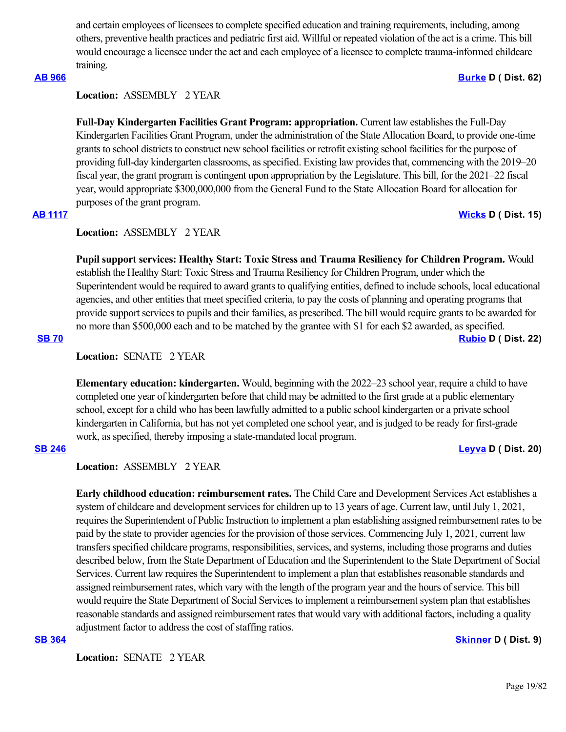and certain employees of licensees to complete specified education and training requirements, including, among others, preventive health practices and pediatric first aid. Willful or repeated violation of the act is a crime. This bill would encourage a licensee under the act and each employee of a licensee to complete trauma-informed childcare training.

## **[AB 966](https://ctweb.capitoltrack.com/public/publishbillinfo.aspx?bi=tOJHo8gl5lgE8BEJqeoE%2FGg6nuxG7eR20DBxbx8RqnQQzidLTj1MdAbpqkiZckZ6) [Burke](https://a62.asmdc.org/) D ( Dist. 62)**

## **Location:**  ASSEMBLY 2 YEAR

**Full-Day Kindergarten Facilities Grant Program: appropriation.** Current law establishes the Full-Day Kindergarten Facilities Grant Program, under the administration of the State Allocation Board, to provide one-time grants to school districts to construct new school facilities or retrofit existing school facilities for the purpose of providing full-day kindergarten classrooms, as specified. Existing law provides that, commencing with the 2019–20 fiscal year, the grant program is contingent upon appropriation by the Legislature. This bill, for the 2021–22 fiscal year, would appropriate \$300,000,000 from the General Fund to the State Allocation Board for allocation for purposes of the grant program.

# **[AB 1117](https://ctweb.capitoltrack.com/public/publishbillinfo.aspx?bi=LNT2jcQ5N7Nuqzv%2B6Z8Xljrm%2BQB3cVuZFOC7z2l%2Bvotz5J4T6LzBtWJtdvEeazNo) [Wicks](https://a15.asmdc.org/) D ( Dist. 15)**

### **Location:**  ASSEMBLY 2 YEAR

**Pupil support services: Healthy Start: Toxic Stress and Trauma Resiliency for Children Program.** Would establish the Healthy Start: Toxic Stress and Trauma Resiliency for Children Program, under which the Superintendent would be required to award grants to qualifying entities, defined to include schools, local educational agencies, and other entities that meet specified criteria, to pay the costs of planning and operating programs that provide support services to pupils and their families, as prescribed. The bill would require grants to be awarded for no more than \$500,000 each and to be matched by the grantee with \$1 for each \$2 awarded, as specified. **[SB 70](https://ctweb.capitoltrack.com/public/publishbillinfo.aspx?bi=y51p%2B%2Bav7%2By2j7KNARv%2FQ65ag6GebJVLhb7tnBcOanuCxmz8ISYhYlV12V5f8M%2FD) [Rubio](http://sd22.senate.ca.gov/) D ( Dist. 22)**

**Location:**  SENATE 2 YEAR

**Elementary education: kindergarten.** Would, beginning with the 2022–23 school year, require a child to have completed one year of kindergarten before that child may be admitted to the first grade at a public elementary school, except for a child who has been lawfully admitted to a public school kindergarten or a private school kindergarten in California, but has not yet completed one school year, and is judged to be ready for first-grade work, as specified, thereby imposing a state-mandated local program.

### **[SB 246](https://ctweb.capitoltrack.com/public/publishbillinfo.aspx?bi=lacCMXDQKxjsfxexm3%2BWQIz5jMLglBCdXbhnz%2F%2BIo7LL4mpPPKWP9MolKBlob9AO) [Leyva](http://sd20.senate.ca.gov/) D ( Dist. 20)**

### **Location:**  ASSEMBLY 2 YEAR

**Early childhood education: reimbursement rates.** The Child Care and Development Services Act establishes a system of childcare and development services for children up to 13 years of age. Current law, until July 1, 2021, requires the Superintendent of Public Instruction to implement a plan establishing assigned reimbursement rates to be paid by the state to provider agencies for the provision of those services. Commencing July 1, 2021, current law transfers specified childcare programs, responsibilities, services, and systems, including those programs and duties described below, from the State Department of Education and the Superintendent to the State Department of Social Services. Current law requires the Superintendent to implement a plan that establishes reasonable standards and assigned reimbursement rates, which vary with the length of the program year and the hours of service. This bill would require the State Department of Social Services to implement a reimbursement system plan that establishes reasonable standards and assigned reimbursement rates that would vary with additional factors, including a quality adjustment factor to address the cost of staffing ratios.

### **[SB 364](https://ctweb.capitoltrack.com/public/publishbillinfo.aspx?bi=0mHb4zDrF90C%2FWHdawzU3%2BolUabuIZVp%2BDCq1FHXHKPWIKqXP9C86BYB5Ga3Jzu5) [Skinner](http://sd09.senate.ca.gov/) D ( Dist. 9)**

Location: **SENATE 2 YEAR**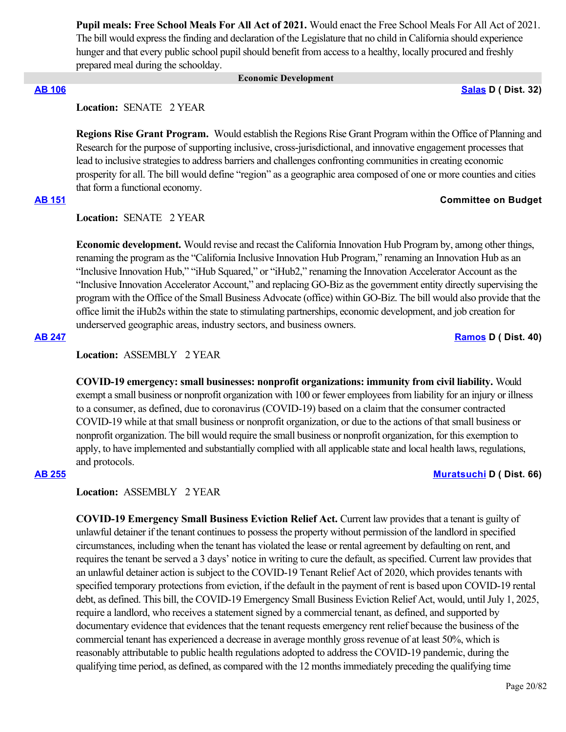**Pupil meals: Free School Meals For All Act of 2021.** Would enact the Free School Meals For All Act of 2021. The bill would express the finding and declaration of the Legislature that no child in California should experience hunger and that every public school pupil should benefit from access to a healthy, locally procured and freshly prepared meal during the schoolday.

### **Economic Development**

## **[AB 106](https://ctweb.capitoltrack.com/public/publishbillinfo.aspx?bi=TSHJENppxbfSG53un6%2BUCngvhXso2lgVZ4pSYQx3GPXcEkM9Nfz4NFNaLhigTmpX) [Salas](https://a32.asmdc.org/) D ( Dist. 32)**

**Location:**  SENATE 2 YEAR

**Regions Rise Grant Program.** Would establish the Regions Rise Grant Program within the Office of Planning and Research for the purpose of supporting inclusive, cross-jurisdictional, and innovative engagement processes that lead to inclusive strategies to address barriers and challenges confronting communities in creating economic prosperity for all. The bill would define "region" as a geographic area composed of one or more counties and cities that form a functional economy.

## **[AB 151](https://ctweb.capitoltrack.com/public/publishbillinfo.aspx?bi=U0qr%2FZVUrLbiyEMHYgcYcJNQ%2FEoPiLKYs8qT3FQRgVS5mO9aZufT%2BPx8NQdMQFn9) Committee on Budget**

**Location:**  SENATE 2 YEAR

**Economic development.** Would revise and recast the California Innovation Hub Program by, among other things, renaming the program as the "California Inclusive Innovation Hub Program," renaming an Innovation Hub as an "Inclusive Innovation Hub," "iHub Squared," or "iHub2," renaming the Innovation Accelerator Account as the "Inclusive Innovation Accelerator Account," and replacing GO-Biz as the government entity directly supervising the program with the Office of the Small Business Advocate (office) within GO-Biz. The bill would also provide that the office limit the iHub2s within the state to stimulating partnerships, economic development, and job creation for underserved geographic areas, industry sectors, and business owners.

**[AB 247](https://ctweb.capitoltrack.com/public/publishbillinfo.aspx?bi=JU6C9noaLfVhdKzzx3PEfr6dGTM2ezfORiXKUJnwS9n6l1dSVmiOokzE4nNdOa7d) [Ramos](https://a40.asmdc.org/) D ( Dist. 40)**

### **Location:**  ASSEMBLY 2 YEAR

**COVID-19 emergency: small businesses: nonprofit organizations: immunity from civil liability.** Would exempt a small business or nonprofit organization with 100 or fewer employees from liability for an injury or illness to a consumer, as defined, due to coronavirus (COVID-19) based on a claim that the consumer contracted COVID-19 while at that small business or nonprofit organization, or due to the actions of that small business or nonprofit organization. The bill would require the small business or nonprofit organization, for this exemption to apply, to have implemented and substantially complied with all applicable state and local health laws, regulations, and protocols.

## **[AB 255](https://ctweb.capitoltrack.com/public/publishbillinfo.aspx?bi=YvjKraeUlXOOA253VIoTGZS9W1vHyy101YF4r9MNtUmgANxM0YnI%2BZW0J3Go1iuV) [Muratsuchi](https://a66.asmdc.org/) D ( Dist. 66)**

**Location:**  ASSEMBLY 2 YEAR

**COVID-19 Emergency Small Business Eviction Relief Act.** Current law provides that a tenant is guilty of unlawful detainer if the tenant continues to possess the property without permission of the landlord in specified circumstances, including when the tenant has violated the lease or rental agreement by defaulting on rent, and requires the tenant be served a 3 days' notice in writing to cure the default, as specified. Current law provides that an unlawful detainer action is subject to the COVID-19 Tenant Relief Act of 2020, which provides tenants with specified temporary protections from eviction, if the default in the payment of rent is based upon COVID-19 rental debt, as defined. This bill, the COVID-19 Emergency Small Business Eviction Relief Act, would, until July 1, 2025, require a landlord, who receives a statement signed by a commercial tenant, as defined, and supported by documentary evidence that evidences that the tenant requests emergency rent relief because the business of the commercial tenant has experienced a decrease in average monthly gross revenue of at least 50%, which is reasonably attributable to public health regulations adopted to address the COVID-19 pandemic, during the qualifying time period, as defined, as compared with the 12 months immediately preceding the qualifying time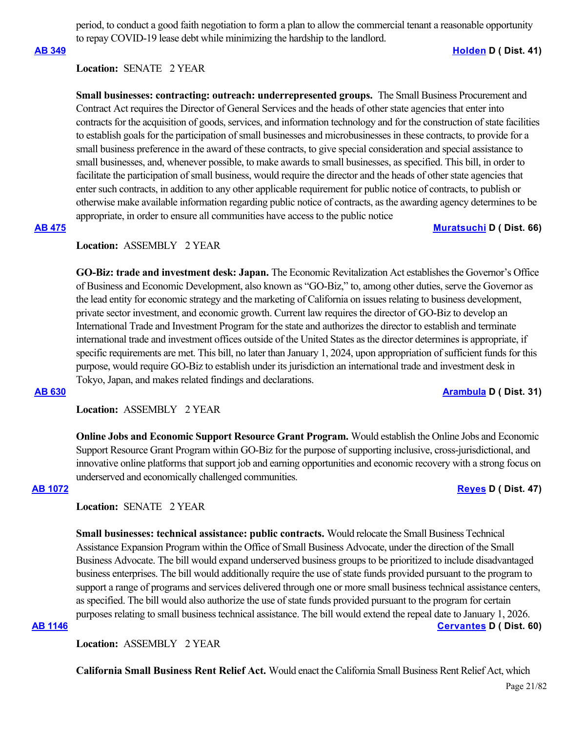period, to conduct a good faith negotiation to form a plan to allow the commercial tenant a reasonable opportunity to repay COVID-19 lease debt while minimizing the hardship to the landlord.

**[AB 349](https://ctweb.capitoltrack.com/public/publishbillinfo.aspx?bi=U8nmvOR631fi48JMAAZe7u%2FsiOgOtxxKCZl6G21Isl4eCS35cRf7Fp%2FbLC21krjt) [Holden](https://a41.asmdc.org/) D ( Dist. 41)**

## **Location:**  SENATE 2 YEAR

**Small businesses: contracting: outreach: underrepresented groups.** The Small Business Procurement and Contract Act requires the Director of General Services and the heads of other state agencies that enter into contracts for the acquisition of goods, services, and information technology and for the construction of state facilities to establish goals for the participation of small businesses and microbusinesses in these contracts, to provide for a small business preference in the award of these contracts, to give special consideration and special assistance to small businesses, and, whenever possible, to make awards to small businesses, as specified. This bill, in order to facilitate the participation of small business, would require the director and the heads of other state agencies that enter such contracts, in addition to any other applicable requirement for public notice of contracts, to publish or otherwise make available information regarding public notice of contracts, as the awarding agency determines to be appropriate, in order to ensure all communities have access to the public notice

### **[AB 475](https://ctweb.capitoltrack.com/public/publishbillinfo.aspx?bi=sC9sURwyoa%2FIh6KhbzDZBcsOM3bo6x%2BEa3TUo5lyZdk1wymUKUjt3LIchRnLQTXT) [Muratsuchi](https://a66.asmdc.org/) D ( Dist. 66)**

### **Location:**  ASSEMBLY 2 YEAR

**GO-Biz: trade and investment desk: Japan.** The Economic Revitalization Act establishes the Governor's Office of Business and Economic Development, also known as "GO-Biz," to, among other duties, serve the Governor as the lead entity for economic strategy and the marketing of California on issues relating to business development, private sector investment, and economic growth. Current law requires the director of GO-Biz to develop an International Trade and Investment Program for the state and authorizes the director to establish and terminate international trade and investment offices outside of the United States as the director determines is appropriate, if specific requirements are met. This bill, no later than January 1, 2024, upon appropriation of sufficient funds for this purpose, would require GO-Biz to establish under its jurisdiction an international trade and investment desk in Tokyo, Japan, and makes related findings and declarations.

### **[AB 630](https://ctweb.capitoltrack.com/public/publishbillinfo.aspx?bi=MGWSuEfMZXh%2B2NTw8bzjI4xEVV%2Bu6%2Foa7td3E1x7%2BfQe2TN4DWvWfljXLr0nymWV) [Arambula](https://a31.asmdc.org/) D ( Dist. 31)**

**Location:**  ASSEMBLY 2 YEAR

**Online Jobs and Economic Support Resource Grant Program.** Would establish the Online Jobs and Economic Support Resource Grant Program within GO-Biz for the purpose of supporting inclusive, cross-jurisdictional, and innovative online platforms that support job and earning opportunities and economic recovery with a strong focus on underserved and economically challenged communities.

### **[AB 1072](https://ctweb.capitoltrack.com/public/publishbillinfo.aspx?bi=%2BmxX%2Fs%2Bw32vV%2FlbWmYi%2FTCYKWQVhgxlVJciVh5jN8KWH8uMHlAf7i2ZogVOnaNbb) [Reyes](https://a47.asmdc.org/) D ( Dist. 47)**

## **Location:**  SENATE 2 YEAR

**Small businesses: technical assistance: public contracts.** Would relocate the Small Business Technical Assistance Expansion Program within the Office of Small Business Advocate, under the direction of the Small Business Advocate. The bill would expand underserved business groups to be prioritized to include disadvantaged business enterprises. The bill would additionally require the use of state funds provided pursuant to the program to support a range of programs and services delivered through one or more small business technical assistance centers, as specified. The bill would also authorize the use of state funds provided pursuant to the program for certain purposes relating to small business technical assistance. The bill would extend the repeal date to January 1, 2026. **[AB 1146](https://ctweb.capitoltrack.com/public/publishbillinfo.aspx?bi=ThcJ5R%2BE5%2BT6ewspBM5gmYroNycR5IRs1VFK7noNLBlKn6%2BfgtZY5fswIbQR8xPG) [Cervantes](https://a60.asmdc.org/) D ( Dist. 60)**

**Location:**  ASSEMBLY 2 YEAR

**California Small Business Rent Relief Act.** Would enact the California Small Business Rent Relief Act, which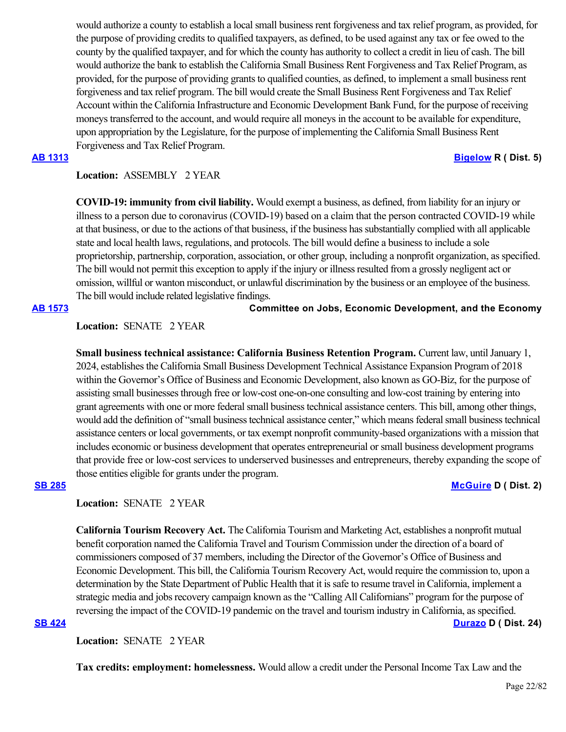would authorize a county to establish a local small business rent forgiveness and tax relief program, as provided, for the purpose of providing credits to qualified taxpayers, as defined, to be used against any tax or fee owed to the county by the qualified taxpayer, and for which the county has authority to collect a credit in lieu of cash. The bill would authorize the bank to establish the California Small Business Rent Forgiveness and Tax Relief Program, as provided, for the purpose of providing grants to qualified counties, as defined, to implement a small business rent forgiveness and tax relief program. The bill would create the Small Business Rent Forgiveness and Tax Relief Account within the California Infrastructure and Economic Development Bank Fund, for the purpose of receiving moneys transferred to the account, and would require all moneys in the account to be available for expenditure, upon appropriation by the Legislature, for the purpose of implementing the California Small Business Rent Forgiveness and Tax Relief Program.

**[AB 1313](https://ctweb.capitoltrack.com/public/publishbillinfo.aspx?bi=2%2FraP3Q%2FMVl4TH8afX0UnkBRrptTHfxfKPScxNbZ2PEMQ5JIbnVWoh4LhHP%2FDvVB) [Bigelow](https://ad05.asmrc.org/) R ( Dist. 5)**

### **Location:**  ASSEMBLY 2 YEAR

**COVID-19: immunity from civil liability.** Would exempt a business, as defined, from liability for an injury or illness to a person due to coronavirus (COVID-19) based on a claim that the person contracted COVID-19 while at that business, or due to the actions of that business, if the business has substantially complied with all applicable state and local health laws, regulations, and protocols. The bill would define a business to include a sole proprietorship, partnership, corporation, association, or other group, including a nonprofit organization, as specified. The bill would not permit this exception to apply if the injury or illness resulted from a grossly negligent act or omission, willful or wanton misconduct, or unlawful discrimination by the business or an employee of the business. The bill would include related legislative findings.

### **[AB 1573](https://ctweb.capitoltrack.com/public/publishbillinfo.aspx?bi=uG4iiSs6cpsdRSxlFFXnkSXLizceI6F6k0IBJ%2FRiu99VjLbV8%2BDACFZsjdZk49B%2F) Committee on Jobs, Economic Development, and the Economy**

## **Location:**  SENATE 2 YEAR

**Small business technical assistance: California Business Retention Program.** Current law, until January 1, 2024, establishes the California Small Business Development Technical Assistance Expansion Program of 2018 within the Governor's Office of Business and Economic Development, also known as GO-Biz, for the purpose of assisting small businesses through free or low-cost one-on-one consulting and low-cost training by entering into grant agreements with one or more federal small business technical assistance centers. This bill, among other things, would add the definition of "small business technical assistance center," which means federal small business technical assistance centers or local governments, or tax exempt nonprofit community-based organizations with a mission that includes economic or business development that operates entrepreneurial or small business development programs that provide free or low-cost services to underserved businesses and entrepreneurs, thereby expanding the scope of those entities eligible for grants under the program.

## **[SB 285](https://ctweb.capitoltrack.com/public/publishbillinfo.aspx?bi=ztCmzb9lMYNSBlHciv6eYOrfg5VehDkMQkEelnZcAmxSp8EsIUfBatzLiKBpdeEO) [McGuire](http://sd02.senate.ca.gov/) D ( Dist. 2)**

## **Location:**  SENATE 2 YEAR

**California Tourism Recovery Act.** The California Tourism and Marketing Act, establishes a nonprofit mutual benefit corporation named the California Travel and Tourism Commission under the direction of a board of commissioners composed of 37 members, including the Director of the Governor's Office of Business and Economic Development. This bill, the California Tourism Recovery Act, would require the commission to, upon a determination by the State Department of Public Health that it is safe to resume travel in California, implement a strategic media and jobs recovery campaign known as the "Calling All Californians" program for the purpose of reversing the impact of the COVID-19 pandemic on the travel and tourism industry in California, as specified. **[SB 424](https://ctweb.capitoltrack.com/public/publishbillinfo.aspx?bi=6gQOf9PLHy7W7z7OrpvoPsaCf6aZr9Xte6V0AUSHuVtHvi4BfpSw5aGk2nrJ4STf) [Durazo](http://sd24.senate.ca.gov/) D ( Dist. 24)**

Location: **SENATE** 2 YEAR

**Tax credits: employment: homelessness.** Would allow a credit under the Personal Income Tax Law and the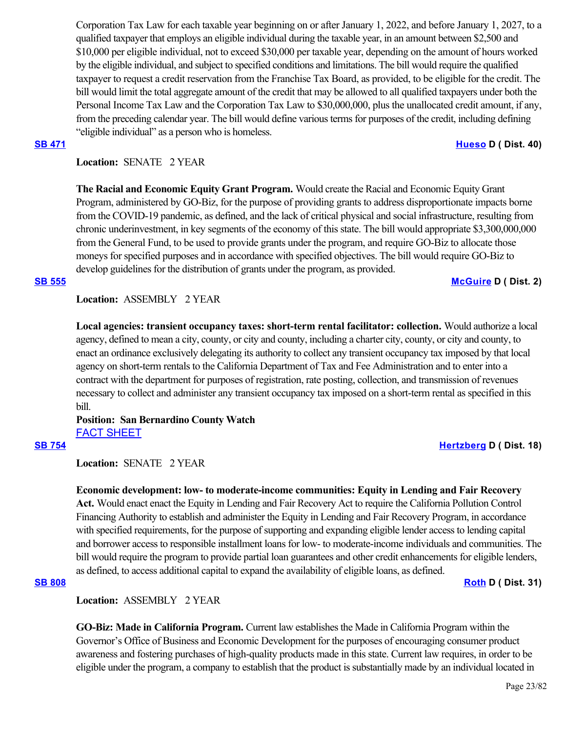Corporation Tax Law for each taxable year beginning on or after January 1, 2022, and before January 1, 2027, to a qualified taxpayer that employs an eligible individual during the taxable year, in an amount between \$2,500 and \$10,000 per eligible individual, not to exceed \$30,000 per taxable year, depending on the amount of hours worked by the eligible individual, and subject to specified conditions and limitations. The bill would require the qualified taxpayer to request a credit reservation from the Franchise Tax Board, as provided, to be eligible for the credit. The bill would limit the total aggregate amount of the credit that may be allowed to all qualified taxpayers under both the Personal Income Tax Law and the Corporation Tax Law to \$30,000,000, plus the unallocated credit amount, if any, from the preceding calendar year. The bill would define various terms for purposes of the credit, including defining "eligible individual" as a person who is homeless.

### **[SB 471](https://ctweb.capitoltrack.com/public/publishbillinfo.aspx?bi=vEu84Yy7oWcMPcUUMs1z4V9at0jwY1QuJR8vFhj5KxMAVnV7yXJB2JZiSPqVUk5l) [Hueso](http://sd40.senate.ca.gov/) D ( Dist. 40)**

# **Location:**  SENATE 2 YEAR

**The Racial and Economic Equity Grant Program.** Would create the Racial and Economic Equity Grant Program, administered by GO-Biz, for the purpose of providing grants to address disproportionate impacts borne from the COVID-19 pandemic, as defined, and the lack of critical physical and social infrastructure, resulting from chronic underinvestment, in key segments of the economy of this state. The bill would appropriate \$3,300,000,000 from the General Fund, to be used to provide grants under the program, and require GO-Biz to allocate those moneys for specified purposes and in accordance with specified objectives. The bill would require GO-Biz to develop guidelines for the distribution of grants under the program, as provided.

### **[SB 555](https://ctweb.capitoltrack.com/public/publishbillinfo.aspx?bi=t8gFkA8BMy0t6f2bRZ8kSp8EPfEC1tXi5Xz2ToWCPSP67Zlb%2FyBWj7cbNkwJuqhB) [McGuire](http://sd02.senate.ca.gov/) D ( Dist. 2)**

## **Location:**  ASSEMBLY 2 YEAR

**Local agencies: transient occupancy taxes: short-term rental facilitator: collection.** Would authorize a local agency, defined to mean a city, county, or city and county, including a charter city, county, or city and county, to enact an ordinance exclusively delegating its authority to collect any transient occupancy tax imposed by that local agency on short-term rentals to the California Department of Tax and Fee Administration and to enter into a contract with the department for purposes of registration, rate posting, collection, and transmission of revenues necessary to collect and administer any transient occupancy tax imposed on a short-term rental as specified in this bill.

# **Position: San Bernardino County Watch** [FACT SHEET](https://ctweb.capitoltrack.com/public/publishviewdoc.ashx?di=i%2BWpOgjBguUiU7ZNORsdINh1Rh8PPysNPwy8Jpu1RVk%3D)

### **[SB 754](https://ctweb.capitoltrack.com/public/publishbillinfo.aspx?bi=PqhtD3E0l7x4ko1S2S4vv7Q02ef%2BotM3ZYkRCVhR8gzAgkxPSRuaSWCuKq5f52BJ) [Hertzberg](https://sd18.senate.ca.gov/) D ( Dist. 18)**

Location: **SENATE** 2 YEAR

**Economic development: low- to moderate-income communities: Equity in Lending and Fair Recovery Act.** Would enact enact the Equity in Lending and Fair Recovery Act to require the California Pollution Control Financing Authority to establish and administer the Equity in Lending and Fair Recovery Program, in accordance with specified requirements, for the purpose of supporting and expanding eligible lender access to lending capital and borrower access to responsible installment loans for low- to moderate-income individuals and communities. The bill would require the program to provide partial loan guarantees and other credit enhancements for eligible lenders, as defined, to access additional capital to expand the availability of eligible loans, as defined.

**[SB 808](https://ctweb.capitoltrack.com/public/publishbillinfo.aspx?bi=3GyKMke5BlTmy5PIltzX9TUa4viu0QUyktofzbF4fgUWcL7zZVt0oHREm%2Bvc3euY) [Roth](http://sd31.senate.ca.gov/)** D ( Dist. 31)

**Location:**  ASSEMBLY 2 YEAR

**GO-Biz: Made in California Program.** Current law establishes the Made in California Program within the Governor's Office of Business and Economic Development for the purposes of encouraging consumer product awareness and fostering purchases of high-quality products made in this state. Current law requires, in order to be eligible under the program, a company to establish that the product is substantially made by an individual located in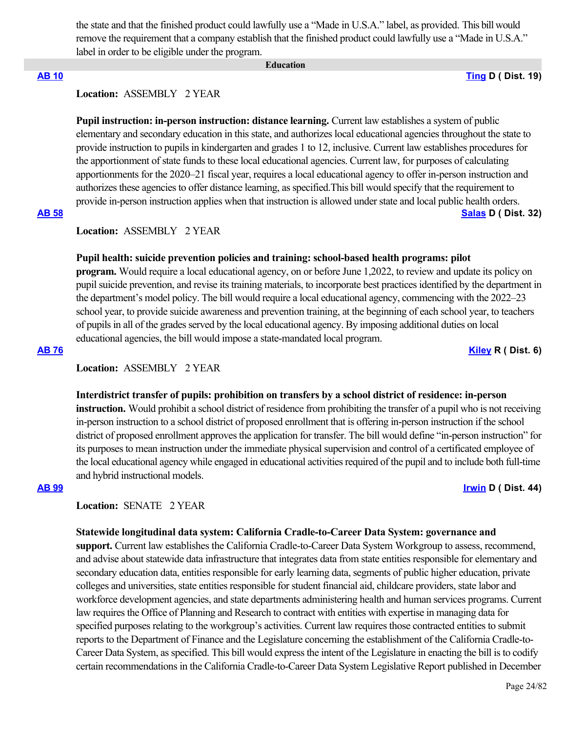the state and that the finished product could lawfully use a "Made in U.S.A." label, as provided. This bill would remove the requirement that a company establish that the finished product could lawfully use a "Made in U.S.A." label in order to be eligible under the program.

#### **Education**

**[AB 10](https://ctweb.capitoltrack.com/public/publishbillinfo.aspx?bi=XTp2oJlkpvDcj707v8GkJiMeguicvKNR3MnF4uEVOwUno%2BnMAmG57hpM4Vk5fZtZ) [Ting](https://a19.asmdc.org/) D ( Dist. 19)**

# **Location:**  ASSEMBLY 2 YEAR

**Pupil instruction: in-person instruction: distance learning.** Current law establishes a system of public elementary and secondary education in this state, and authorizes local educational agencies throughout the state to provide instruction to pupils in kindergarten and grades 1 to 12, inclusive. Current law establishes procedures for the apportionment of state funds to these local educational agencies. Current law, for purposes of calculating apportionments for the 2020–21 fiscal year, requires a local educational agency to offer in-person instruction and authorizes these agencies to offer distance learning, as specified.This bill would specify that the requirement to provide in-person instruction applies when that instruction is allowed under state and local public health orders. **[AB 58](https://ctweb.capitoltrack.com/public/publishbillinfo.aspx?bi=WgrShyLX0MOnEOOovH9DdfcF5bwwiKbfN2AOah4jbt5RSeYbDiX6n8MX0tyiVoj7) [Salas](https://a32.asmdc.org/) D ( Dist. 32)**

## **Location:**  ASSEMBLY 2 YEAR

#### **Pupil health: suicide prevention policies and training: school-based health programs: pilot**

**program.** Would require a local educational agency, on or before June 1,2022, to review and update its policy on pupil suicide prevention, and revise its training materials, to incorporate best practices identified by the department in the department's model policy. The bill would require a local educational agency, commencing with the 2022–23 school year, to provide suicide awareness and prevention training, at the beginning of each school year, to teachers of pupils in all of the grades served by the local educational agency. By imposing additional duties on local educational agencies, the bill would impose a state-mandated local program.

**[AB 76](https://ctweb.capitoltrack.com/public/publishbillinfo.aspx?bi=9G%2BVnW0%2BUtxFigG2R0zSr56FK7XELIcfgfzUK1W8vCitkFZ45KW3goUeyrw4U1LG) [Kiley](https://ad06.asmrc.org/) R ( Dist. 6)**

### **Location:**  ASSEMBLY 2 YEAR

#### **Interdistrict transfer of pupils: prohibition on transfers by a school district of residence: in-person**

**instruction.** Would prohibit a school district of residence from prohibiting the transfer of a pupil who is not receiving in-person instruction to a school district of proposed enrollment that is offering in-person instruction if the school district of proposed enrollment approves the application for transfer. The bill would define "in-person instruction" for its purposes to mean instruction under the immediate physical supervision and control of a certificated employee of the local educational agency while engaged in educational activities required of the pupil and to include both full-time and hybrid instructional models.

# **[AB 99](https://ctweb.capitoltrack.com/public/publishbillinfo.aspx?bi=gm2jgRdveobWf5LybuEXyLjwh4QWhan1fDoAiwXcruBh8Eth5pdMGXsjrNvf1Ffy) [Irwin](https://a44.asmdc.org/) D ( Dist. 44)**

## Location: **SENATE** 2 YEAR

#### **Statewide longitudinal data system: California Cradle-to-Career Data System: governance and**

**support.** Current law establishes the California Cradle-to-Career Data System Workgroup to assess, recommend, and advise about statewide data infrastructure that integrates data from state entities responsible for elementary and secondary education data, entities responsible for early learning data, segments of public higher education, private colleges and universities, state entities responsible for student financial aid, childcare providers, state labor and workforce development agencies, and state departments administering health and human services programs. Current law requires the Office of Planning and Research to contract with entities with expertise in managing data for specified purposes relating to the workgroup's activities. Current law requires those contracted entities to submit reports to the Department of Finance and the Legislature concerning the establishment of the California Cradle-to-Career Data System, as specified. This bill would express the intent of the Legislature in enacting the bill is to codify certain recommendations in the California Cradle-to-Career Data System Legislative Report published in December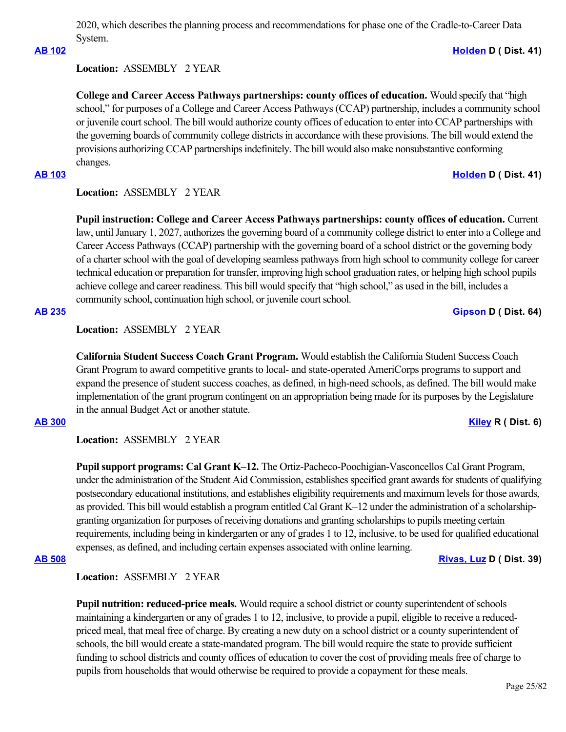2020, which describes the planning process and recommendations for phase one of the Cradle-to-Career Data System.

# **[AB 102](https://ctweb.capitoltrack.com/public/publishbillinfo.aspx?bi=EzRCDedEOHh38kJ0rkoJha3Vgnmie5q7tN3OUA8t3wZye9lIaEPygAZqUv495w9a) [Holden](https://a41.asmdc.org/) D ( Dist. 41)**

# **Location:**  ASSEMBLY 2 YEAR

**College and Career Access Pathways partnerships: county offices of education.** Would specify that "high school," for purposes of a College and Career Access Pathways (CCAP) partnership, includes a community school or juvenile court school. The bill would authorize county offices of education to enter into CCAP partnerships with the governing boards of community college districts in accordance with these provisions. The bill would extend the provisions authorizing CCAP partnerships indefinitely. The bill would also make nonsubstantive conforming changes.

# **[AB 103](https://ctweb.capitoltrack.com/public/publishbillinfo.aspx?bi=pVR4D2pp092ePnzU9CnWnJ6hx4DUrBQWwty86hNvdBYui1xQ5nVHjijJW3hTSuXX) [Holden](https://a41.asmdc.org/) D ( Dist. 41)**

## **Location:**  ASSEMBLY 2 YEAR

**Pupil instruction: College and Career Access Pathways partnerships: county offices of education.** Current law, until January 1, 2027, authorizes the governing board of a community college district to enter into a College and Career Access Pathways (CCAP) partnership with the governing board of a school district or the governing body of a charter school with the goal of developing seamless pathways from high school to community college for career technical education or preparation for transfer, improving high school graduation rates, or helping high school pupils achieve college and career readiness. This bill would specify that "high school," as used in the bill, includes a community school, continuation high school, or juvenile court school.

## **[AB 235](https://ctweb.capitoltrack.com/public/publishbillinfo.aspx?bi=VKTdrOph5lnlEtFWd5JPaZ3yqzUFEVETtwoB%2FndLZv%2BWCQjXFNT00%2BN4opuyCGDC) [Gipson](https://a64.asmdc.org/) D ( Dist. 64)**

## **Location:**  ASSEMBLY 2 YEAR

**California Student Success Coach Grant Program.** Would establish the California Student Success Coach Grant Program to award competitive grants to local- and state-operated AmeriCorps programs to support and expand the presence of student success coaches, as defined, in high-need schools, as defined. The bill would make implementation of the grant program contingent on an appropriation being made for its purposes by the Legislature in the annual Budget Act or another statute.

## **[AB 300](https://ctweb.capitoltrack.com/public/publishbillinfo.aspx?bi=0wu8UbbzlQFEKfCQo9YtKsiEbL6qUpQbbGZsb8RdpX2YTp6yPbexGnsrSHw7loId) [Kiley](https://ad06.asmrc.org/) R ( Dist. 6)**

**Location:**  ASSEMBLY 2 YEAR

**Pupil support programs: Cal Grant K–12.** The Ortiz-Pacheco-Poochigian-Vasconcellos Cal Grant Program, under the administration of the Student Aid Commission, establishes specified grant awards for students of qualifying postsecondary educational institutions, and establishes eligibility requirements and maximum levels for those awards, as provided. This bill would establish a program entitled Cal Grant K–12 under the administration of a scholarshipgranting organization for purposes of receiving donations and granting scholarships to pupils meeting certain requirements, including being in kindergarten or any of grades 1 to 12, inclusive, to be used for qualified educational expenses, as defined, and including certain expenses associated with online learning.

# **[AB 508](https://ctweb.capitoltrack.com/public/publishbillinfo.aspx?bi=i1lr2%2BB4oSei5b1YjN9wlWletx%2FhQgKe43yyFCXhhS3cUmbKhMXsiwKxxq3noxK6) [Rivas, Luz](https://a39.asmdc.org/) D ( Dist. 39)**

## **Location:**  ASSEMBLY 2 YEAR

**Pupil nutrition: reduced-price meals.** Would require a school district or county superintendent of schools maintaining a kindergarten or any of grades 1 to 12, inclusive, to provide a pupil, eligible to receive a reducedpriced meal, that meal free of charge. By creating a new duty on a school district or a county superintendent of schools, the bill would create a state-mandated program. The bill would require the state to provide sufficient funding to school districts and county offices of education to cover the cost of providing meals free of charge to pupils from households that would otherwise be required to provide a copayment for these meals.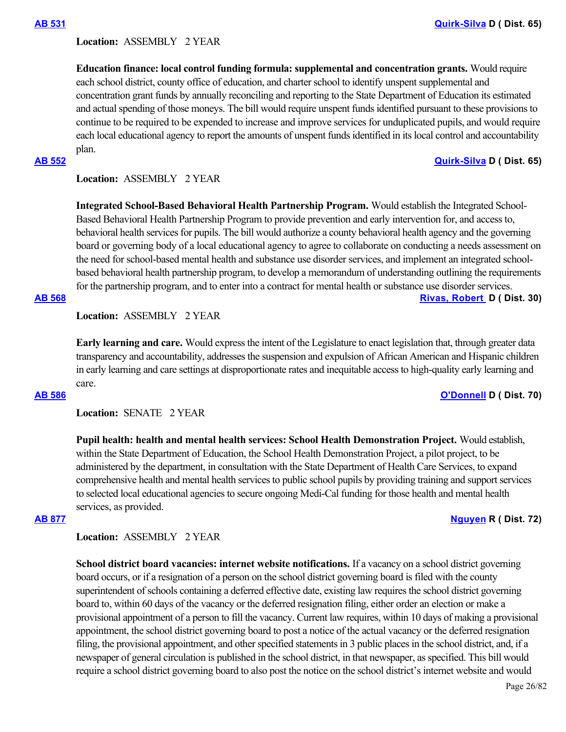### **Location:**  ASSEMBLY 2 YEAR

**Education finance: local control funding formula: supplemental and concentration grants.** Would require each school district, county office of education, and charter school to identify unspent supplemental and concentration grant funds by annually reconciling and reporting to the State Department of Education its estimated and actual spending of those moneys. The bill would require unspent funds identified pursuant to these provisions to continue to be required to be expended to increase and improve services for unduplicated pupils, and would require each local educational agency to report the amounts of unspent funds identified in its local control and accountability plan.

**[AB 552](https://ctweb.capitoltrack.com/public/publishbillinfo.aspx?bi=0B1pP8xZSqmT1PDx5eLChQYAYYE5i75lfquaLpGyuniEx%2FusY9NutFnw5eFM16dd) [Quirk-Silva](https://a65.asmdc.org/) D ( Dist. 65)**

## **Location:**  ASSEMBLY 2 YEAR

**Integrated School-Based Behavioral Health Partnership Program.** Would establish the Integrated School-Based Behavioral Health Partnership Program to provide prevention and early intervention for, and access to, behavioral health services for pupils. The bill would authorize a county behavioral health agency and the governing board or governing body of a local educational agency to agree to collaborate on conducting a needs assessment on the need for school-based mental health and substance use disorder services, and implement an integrated schoolbased behavioral health partnership program, to develop a memorandum of understanding outlining the requirements for the partnership program, and to enter into a contract for mental health or substance use disorder services.

### **[AB 568](https://ctweb.capitoltrack.com/public/publishbillinfo.aspx?bi=sCUxEoYBbxEEzvtPeUCcbzy7H62e%2Fldk4h56rX3BlPdHm%2B9YWFIQ%2BHH3AoJ5TW36) [Rivas, Robert](https://a30.asmdc.org/)  D ( Dist. 30)**

**Location:**  ASSEMBLY 2 YEAR

**Early learning and care.** Would express the intent of the Legislature to enact legislation that, through greater data transparency and accountability, addresses the suspension and expulsion of African American and Hispanic children in early learning and care settings at disproportionate rates and inequitable access to high-quality early learning and care.

### **[AB 586](https://ctweb.capitoltrack.com/public/publishbillinfo.aspx?bi=SHR6zabaLsjdf%2BzCcgiD53IVIwpRXk6kA78OcVCQKjFBxFFWbCgeQdTfug6tFoq0) [O'Donnell](https://a70.asmdc.org/) D ( Dist. 70)**

**Location:**  SENATE 2 YEAR

**Pupil health: health and mental health services: School Health Demonstration Project.** Would establish, within the State Department of Education, the School Health Demonstration Project, a pilot project, to be administered by the department, in consultation with the State Department of Health Care Services, to expand comprehensive health and mental health services to public school pupils by providing training and support services to selected local educational agencies to secure ongoing Medi-Cal funding for those health and mental health services, as provided.

**[AB 877](https://ctweb.capitoltrack.com/public/publishbillinfo.aspx?bi=t8Z%2BU%2FynkRj4b2mbXaQdktl4FfCIc%2F21efXYvi64vput%2BHvE9ztIswzoLMmy9Sag) [Nguyen](https://ad72.asmrc.org/) R ( Dist. 72)**

### **Location:**  ASSEMBLY 2 YEAR

**School district board vacancies: internet website notifications.** If a vacancy on a school district governing board occurs, or if a resignation of a person on the school district governing board is filed with the county superintendent of schools containing a deferred effective date, existing law requires the school district governing board to, within 60 days of the vacancy or the deferred resignation filing, either order an election or make a provisional appointment of a person to fill the vacancy. Current law requires, within 10 days of making a provisional appointment, the school district governing board to post a notice of the actual vacancy or the deferred resignation filing, the provisional appointment, and other specified statements in 3 public places in the school district, and, if a newspaper of general circulation is published in the school district, in that newspaper, as specified. This bill would require a school district governing board to also post the notice on the school district's internet website and would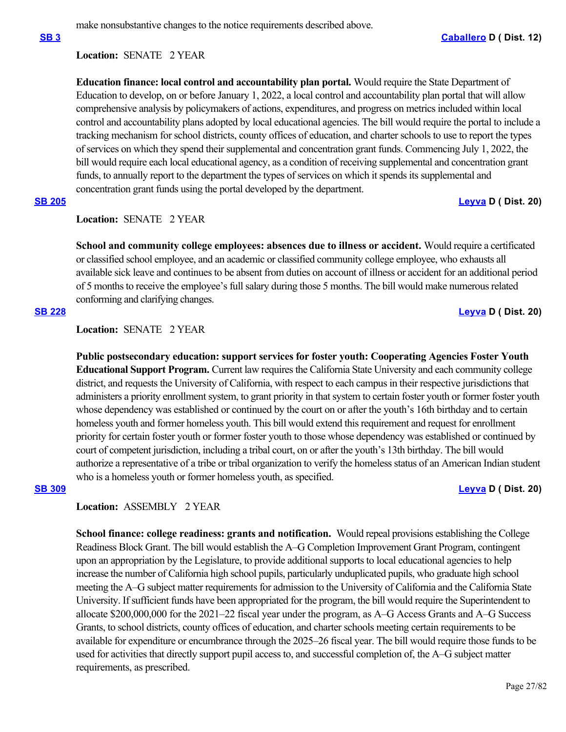make nonsubstantive changes to the notice requirements described above.

## **Location:**  SENATE 2 YEAR

**Education finance: local control and accountability plan portal.** Would require the State Department of Education to develop, on or before January 1, 2022, a local control and accountability plan portal that will allow comprehensive analysis by policymakers of actions, expenditures, and progress on metrics included within local control and accountability plans adopted by local educational agencies. The bill would require the portal to include a tracking mechanism for school districts, county offices of education, and charter schools to use to report the types of services on which they spend their supplemental and concentration grant funds. Commencing July 1, 2022, the bill would require each local educational agency, as a condition of receiving supplemental and concentration grant funds, to annually report to the department the types of services on which it spends its supplemental and concentration grant funds using the portal developed by the department.

# **[SB 205](https://ctweb.capitoltrack.com/public/publishbillinfo.aspx?bi=1xLjqno9pYFABLglEh5lz8pIrpKC9gUrYGf6GuU9EYFWvZi8T4XDPkk%2FgrU9lkqg) [Leyva](http://sd20.senate.ca.gov/) D ( Dist. 20)**

# Location: **SENATE** 2 YEAR

**School and community college employees: absences due to illness or accident.** Would require a certificated or classified school employee, and an academic or classified community college employee, who exhausts all available sick leave and continues to be absent from duties on account of illness or accident for an additional period of 5 months to receive the employee's full salary during those 5 months. The bill would make numerous related conforming and clarifying changes.

# **[SB 228](https://ctweb.capitoltrack.com/public/publishbillinfo.aspx?bi=5W165Yl%2FEXkf%2F4GIJQzdwsadN0wSzVQgVREzoaj3ETZull7RTcUnvLwbhrJ7Ne0R) [Leyva](http://sd20.senate.ca.gov/) D ( Dist. 20)**

**Location:**  SENATE 2 YEAR

**Public postsecondary education: support services for foster youth: Cooperating Agencies Foster Youth Educational Support Program.** Current law requires the California State University and each community college district, and requests the University of California, with respect to each campus in their respective jurisdictions that administers a priority enrollment system, to grant priority in that system to certain foster youth or former foster youth whose dependency was established or continued by the court on or after the youth's 16th birthday and to certain homeless youth and former homeless youth. This bill would extend this requirement and request for enrollment priority for certain foster youth or former foster youth to those whose dependency was established or continued by court of competent jurisdiction, including a tribal court, on or after the youth's 13th birthday. The bill would authorize a representative of a tribe or tribal organization to verify the homeless status of an American Indian student who is a homeless youth or former homeless youth, as specified.

# **[SB 309](https://ctweb.capitoltrack.com/public/publishbillinfo.aspx?bi=rSpanUljIGECicuYY1QxDdrK2c%2BbfD%2FtqWJDtz2lMGdUcQFgsMbVhkXpMqXs2f97) [Leyva](http://sd20.senate.ca.gov/) D ( Dist. 20)**

# **Location:**  ASSEMBLY 2 YEAR

**School finance: college readiness: grants and notification.** Would repeal provisions establishing the College Readiness Block Grant. The bill would establish the A–G Completion Improvement Grant Program, contingent upon an appropriation by the Legislature, to provide additional supports to local educational agencies to help increase the number of California high school pupils, particularly unduplicated pupils, who graduate high school meeting the A–G subject matter requirements for admission to the University of California and the California State University. If sufficient funds have been appropriated for the program, the bill would require the Superintendent to allocate \$200,000,000 for the 2021–22 fiscal year under the program, as A–G Access Grants and A–G Success Grants, to school districts, county offices of education, and charter schools meeting certain requirements to be available for expenditure or encumbrance through the 2025–26 fiscal year. The bill would require those funds to be used for activities that directly support pupil access to, and successful completion of, the A–G subject matter requirements, as prescribed.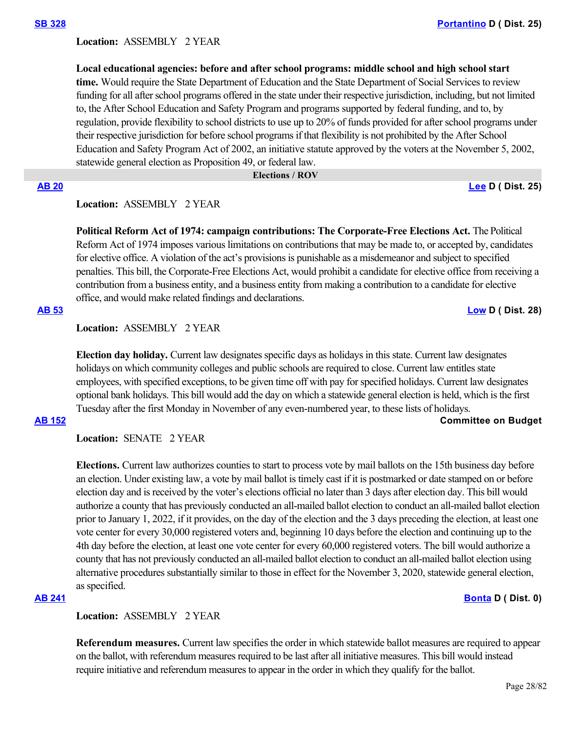### **Location:**  ASSEMBLY 2 YEAR

**Local educational agencies: before and after school programs: middle school and high school start time.** Would require the State Department of Education and the State Department of Social Services to review funding for all after school programs offered in the state under their respective jurisdiction, including, but not limited to, the After School Education and Safety Program and programs supported by federal funding, and to, by regulation, provide flexibility to school districts to use up to 20% of funds provided for after school programs under their respective jurisdiction for before school programs if that flexibility is not prohibited by the After School Education and Safety Program Act of 2002, an initiative statute approved by the voters at the November 5, 2002, statewide general election as Proposition 49, or federal law.

#### **Elections / ROV**

**[AB 20](https://ctweb.capitoltrack.com/public/publishbillinfo.aspx?bi=UiUrH74E%2Fvkdq8KH2XT5jfIHa7Hz34Lv%2Bozka%2BFouEp0JPgm%2F91xV7jg7nq2tLks) [Lee](https://a25.asmdc.org/) D ( Dist. 25)**

# **Location:**  ASSEMBLY 2 YEAR

**Political Reform Act of 1974: campaign contributions: The Corporate-Free Elections Act.** The Political Reform Act of 1974 imposes various limitations on contributions that may be made to, or accepted by, candidates for elective office. A violation of the act's provisions is punishable as a misdemeanor and subject to specified penalties. This bill, the Corporate-Free Elections Act, would prohibit a candidate for elective office from receiving a contribution from a business entity, and a business entity from making a contribution to a candidate for elective office, and would make related findings and declarations.

## **[AB 53](https://ctweb.capitoltrack.com/public/publishbillinfo.aspx?bi=xsccUj3iV6KBz5C8mOOb2d26%2Ba88eJ9R2G99qZ3sRCmScI8HXWX%2FTtOM87UHZEVj) [Low](https://a28.asmdc.org/) D ( Dist. 28)**

## **Location:**  ASSEMBLY 2 YEAR

**Election day holiday.** Current law designates specific days as holidays in this state. Current law designates holidays on which community colleges and public schools are required to close. Current law entitles state employees, with specified exceptions, to be given time off with pay for specified holidays. Current law designates optional bank holidays. This bill would add the day on which a statewide general election is held, which is the first Tuesday after the first Monday in November of any even-numbered year, to these lists of holidays.

## **[AB 152](https://ctweb.capitoltrack.com/public/publishbillinfo.aspx?bi=gRkmMj%2FzHvu7wFu4ZMnzvWacZsqtDpaWT2RGWHEpK2%2Bq8%2FZd2ARoNYqWSZGN2CFo) Committee on Budget**

**Location:**  SENATE 2 YEAR

**Elections.** Current law authorizes counties to start to process vote by mail ballots on the 15th business day before an election. Under existing law, a vote by mail ballot is timely cast if it is postmarked or date stamped on or before election day and is received by the voter's elections official no later than 3 days after election day. This bill would authorize a county that has previously conducted an all-mailed ballot election to conduct an all-mailed ballot election prior to January 1, 2022, if it provides, on the day of the election and the 3 days preceding the election, at least one vote center for every 30,000 registered voters and, beginning 10 days before the election and continuing up to the 4th day before the election, at least one vote center for every 60,000 registered voters. The bill would authorize a county that has not previously conducted an all-mailed ballot election to conduct an all-mailed ballot election using alternative procedures substantially similar to those in effect for the November 3, 2020, statewide general election, as specified.

### **[AB 241](https://ctweb.capitoltrack.com/public/publishbillinfo.aspx?bi=5MCC489LHVV6s1V8Eu7YZlK8MAMNftr%2Fakr4Hi1Ad9PAznYL7Xv1YrA3S17PYqnz) [Bonta](https://a18.asmdc.org/) D ( Dist. 0)**

**Location:**  ASSEMBLY 2 YEAR

**Referendum measures.** Current law specifies the order in which statewide ballot measures are required to appear on the ballot, with referendum measures required to be last after all initiative measures. This bill would instead require initiative and referendum measures to appear in the order in which they qualify for the ballot.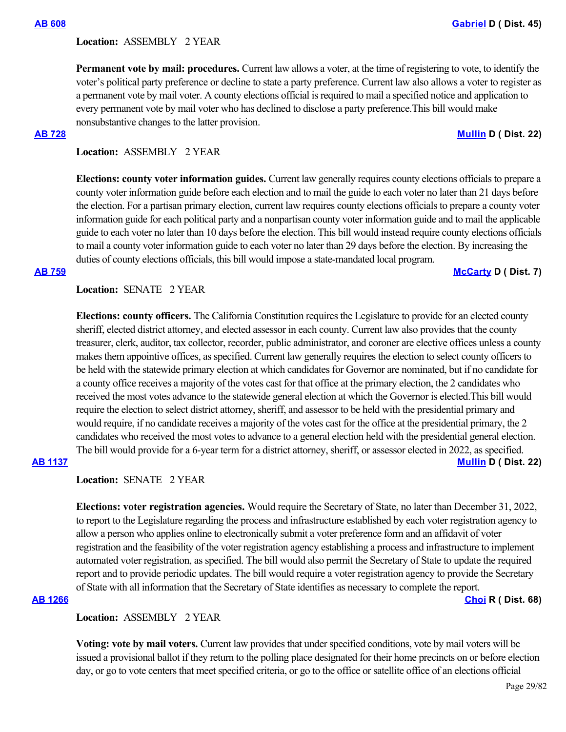### **Location:**  ASSEMBLY 2 YEAR

**Permanent vote by mail: procedures.** Current law allows a voter, at the time of registering to vote, to identify the voter's political party preference or decline to state a party preference. Current law also allows a voter to register as a permanent vote by mail voter. A county elections official is required to mail a specified notice and application to every permanent vote by mail voter who has declined to disclose a party preference.This bill would make nonsubstantive changes to the latter provision.

### **[AB 728](https://ctweb.capitoltrack.com/public/publishbillinfo.aspx?bi=GoLdG72TnQpQRL%2FQqdaoJpijfzmnjdze%2FXbrlBbHxQRMo8Y4%2BWujUX%2BVNVv2s0c5) [Mullin](https://a22.asmdc.org/) D ( Dist. 22)**

# **Location:**  ASSEMBLY 2 YEAR

**Elections: county voter information guides.** Current law generally requires county elections officials to prepare a county voter information guide before each election and to mail the guide to each voter no later than 21 days before the election. For a partisan primary election, current law requires county elections officials to prepare a county voter information guide for each political party and a nonpartisan county voter information guide and to mail the applicable guide to each voter no later than 10 days before the election. This bill would instead require county elections officials to mail a county voter information guide to each voter no later than 29 days before the election. By increasing the duties of county elections officials, this bill would impose a state-mandated local program.

#### **[AB 759](https://ctweb.capitoltrack.com/public/publishbillinfo.aspx?bi=aA90vtH319PBAz%2F6mP7iVn2Ey3W0AKYdpxz2PkqCtbyOJWw7OfERY4Hh%2BfKZUBFv) [McCarty](https://a07.asmdc.org/) D ( Dist. 7)**

# **Location:**  SENATE 2 YEAR

**Elections: county officers.** The California Constitution requires the Legislature to provide for an elected county sheriff, elected district attorney, and elected assessor in each county. Current law also provides that the county treasurer, clerk, auditor, tax collector, recorder, public administrator, and coroner are elective offices unless a county makes them appointive offices, as specified. Current law generally requires the election to select county officers to be held with the statewide primary election at which candidates for Governor are nominated, but if no candidate for a county office receives a majority of the votes cast for that office at the primary election, the 2 candidates who received the most votes advance to the statewide general election at which the Governor is elected.This bill would require the election to select district attorney, sheriff, and assessor to be held with the presidential primary and would require, if no candidate receives a majority of the votes cast for the office at the presidential primary, the 2 candidates who received the most votes to advance to a general election held with the presidential general election. The bill would provide for a 6-year term for a district attorney, sheriff, or assessor elected in 2022, as specified.

# **[AB 1137](https://ctweb.capitoltrack.com/public/publishbillinfo.aspx?bi=PQ2UN9IAlNJFxjb5YT%2FgJ4bkxE9aiGC7PaIOD9LbqXyIHNXL3yT0suFLISgX8PWM) [Mullin](https://a22.asmdc.org/) D ( Dist. 22)**

### **Location:**  SENATE 2 YEAR

**Elections: voter registration agencies.** Would require the Secretary of State, no later than December 31, 2022, to report to the Legislature regarding the process and infrastructure established by each voter registration agency to allow a person who applies online to electronically submit a voter preference form and an affidavit of voter registration and the feasibility of the voter registration agency establishing a process and infrastructure to implement automated voter registration, as specified. The bill would also permit the Secretary of State to update the required report and to provide periodic updates. The bill would require a voter registration agency to provide the Secretary of State with all information that the Secretary of State identifies as necessary to complete the report.

**[AB 1266](https://ctweb.capitoltrack.com/public/publishbillinfo.aspx?bi=BQV%2BONIUAraY4XflsJmo7Kmva3JGjQG6LFIsb9ahbbLjexWsLtdu8vCn2GrQSeBV) [Choi](https://ad68.asmrc.org/) R ( Dist. 68)**

## **Location:**  ASSEMBLY 2 YEAR

**Voting: vote by mail voters.** Current law provides that under specified conditions, vote by mail voters will be issued a provisional ballot if they return to the polling place designated for their home precincts on or before election day, or go to vote centers that meet specified criteria, or go to the office or satellite office of an elections official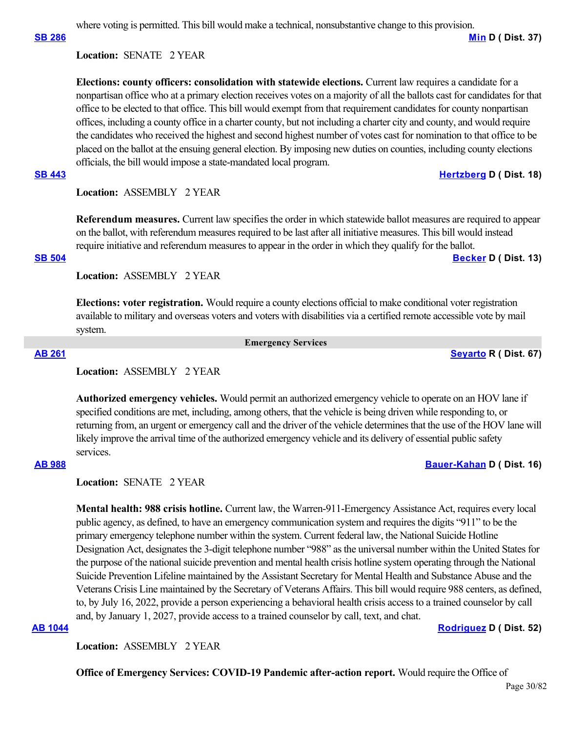where voting is permitted. This bill would make a technical, nonsubstantive change to this provision.

**[SB 286](https://ctweb.capitoltrack.com/public/publishbillinfo.aspx?bi=mZYdmgB2U%2FJLK7XiwhXy8TBexYt4%2Br3nvRDl25P32AH0ys%2BLCkBFgKYSWe5zAja0) [Min](https://sd37.senate.ca.gov/) D ( Dist. 37)**

### **Location:**  SENATE 2 YEAR

**Elections: county officers: consolidation with statewide elections.** Current law requires a candidate for a nonpartisan office who at a primary election receives votes on a majority of all the ballots cast for candidates for that office to be elected to that office. This bill would exempt from that requirement candidates for county nonpartisan offices, including a county office in a charter county, but not including a charter city and county, and would require the candidates who received the highest and second highest number of votes cast for nomination to that office to be placed on the ballot at the ensuing general election. By imposing new duties on counties, including county elections officials, the bill would impose a state-mandated local program.

### **[SB 443](https://ctweb.capitoltrack.com/public/publishbillinfo.aspx?bi=HIojWqTdpascDXzdrowFDmZfMBn6ikUpCG3ceZICtuNK6Drr9Vz38JPGnn2sEp40) [Hertzberg](https://sd18.senate.ca.gov/) D ( Dist. 18)**

## **Location:**  ASSEMBLY 2 YEAR

**Referendum measures.** Current law specifies the order in which statewide ballot measures are required to appear on the ballot, with referendum measures required to be last after all initiative measures. This bill would instead require initiative and referendum measures to appear in the order in which they qualify for the ballot.

# **[SB 504](https://ctweb.capitoltrack.com/public/publishbillinfo.aspx?bi=VK5PXElFKMX63ipoeDnRaJ0FG9klpyiyj9cPSVnLp242P%2Fpeg9GnjaCHyM5zmkgx) [Becker](http://sd13.senate.ca.gov/) D ( Dist. 13)**

**Location:**  ASSEMBLY 2 YEAR

**Elections: voter registration.** Would require a county elections official to make conditional voter registration available to military and overseas voters and voters with disabilities via a certified remote accessible vote by mail system.

 **Emergency Services**

**[AB 261](https://ctweb.capitoltrack.com/public/publishbillinfo.aspx?bi=oEt9A6a5HVAxZ4pUsnesUibV5o%2BjNL6w4GyV1Rg2AwN4mJG8sSe%2FBCiFHrt6dKWG) [Seyarto](https://ad67.asmrc.org/) R ( Dist. 67)**

### **Location:**  ASSEMBLY 2 YEAR

**Authorized emergency vehicles.** Would permit an authorized emergency vehicle to operate on an HOV lane if specified conditions are met, including, among others, that the vehicle is being driven while responding to, or returning from, an urgent or emergency call and the driver of the vehicle determines that the use of the HOV lane will likely improve the arrival time of the authorized emergency vehicle and its delivery of essential public safety services.

**[AB 988](https://ctweb.capitoltrack.com/public/publishbillinfo.aspx?bi=jPjlAAna2I%2BTXPXFt0nZGgjfP4UQuHD0yMrgtf7cg0IF6eh90GIQOatSW9biM2p8) [Bauer-Kahan](https://a16.asmdc.org/) D ( Dist. 16)**

**Location:**  SENATE 2 YEAR

**Mental health: 988 crisis hotline.** Current law, the Warren-911-Emergency Assistance Act, requires every local public agency, as defined, to have an emergency communication system and requires the digits "911" to be the primary emergency telephone number within the system. Current federal law, the National Suicide Hotline Designation Act, designates the 3-digit telephone number "988" as the universal number within the United States for the purpose of the national suicide prevention and mental health crisis hotline system operating through the National Suicide Prevention Lifeline maintained by the Assistant Secretary for Mental Health and Substance Abuse and the Veterans Crisis Line maintained by the Secretary of Veterans Affairs. This bill would require 988 centers, as defined, to, by July 16, 2022, provide a person experiencing a behavioral health crisis access to a trained counselor by call and, by January 1, 2027, provide access to a trained counselor by call, text, and chat.

## **[AB 1044](https://ctweb.capitoltrack.com/public/publishbillinfo.aspx?bi=4azcB8LG4cSgPewRhayk4Eq8D88B0auTSiWgOFnVA55XZmkkVkLWPu3RNJanuaK1) [Rodriguez](https://a52.asmdc.org/) D ( Dist. 52)**

**Location:**  ASSEMBLY 2 YEAR

**Office of Emergency Services: COVID-19 Pandemic after-action report.** Would require the Office of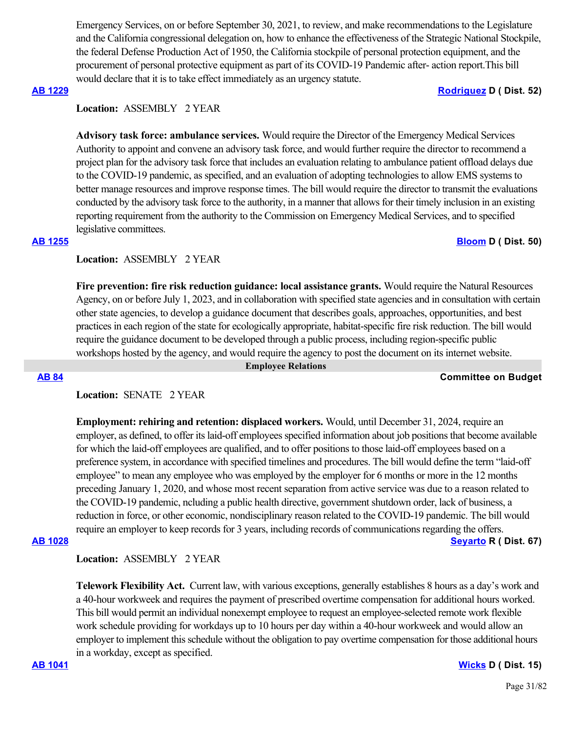Emergency Services, on or before September 30, 2021, to review, and make recommendations to the Legislature and the California congressional delegation on, how to enhance the effectiveness of the Strategic National Stockpile, the federal Defense Production Act of 1950, the California stockpile of personal protection equipment, and the procurement of personal protective equipment as part of its COVID-19 Pandemic after- action report.This bill would declare that it is to take effect immediately as an urgency statute.

### **[AB 1229](https://ctweb.capitoltrack.com/public/publishbillinfo.aspx?bi=qPRxf4gfKcSLLBG7C1mbeEOiGQHMHT10lx0lcVDKuAdodH%2FJSQl4p%2ByBoUfGpbk9) [Rodriguez](https://a52.asmdc.org/) D ( Dist. 52)**

# **Location:**  ASSEMBLY 2 YEAR

**Advisory task force: ambulance services.** Would require the Director of the Emergency Medical Services Authority to appoint and convene an advisory task force, and would further require the director to recommend a project plan for the advisory task force that includes an evaluation relating to ambulance patient offload delays due to the COVID-19 pandemic, as specified, and an evaluation of adopting technologies to allow EMS systems to better manage resources and improve response times. The bill would require the director to transmit the evaluations conducted by the advisory task force to the authority, in a manner that allows for their timely inclusion in an existing reporting requirement from the authority to the Commission on Emergency Medical Services, and to specified legislative committees.

# **[AB 1255](https://ctweb.capitoltrack.com/public/publishbillinfo.aspx?bi=wqst0eph%2Fa3vYkaKworTKFsn3jjZ2XfbgMGo4RJaXhsJZf%2B4cbxaKNlIDOGR7qXW) [Bloom](https://a50.asmdc.org/) D ( Dist. 50)**

# **Location:**  ASSEMBLY 2 YEAR

**Fire prevention: fire risk reduction guidance: local assistance grants.** Would require the Natural Resources Agency, on or before July 1, 2023, and in collaboration with specified state agencies and in consultation with certain other state agencies, to develop a guidance document that describes goals, approaches, opportunities, and best practices in each region of the state for ecologically appropriate, habitat-specific fire risk reduction. The bill would require the guidance document to be developed through a public process, including region-specific public workshops hosted by the agency, and would require the agency to post the document on its internet website.

 **Employee Relations**

### **[AB 84](https://ctweb.capitoltrack.com/public/publishbillinfo.aspx?bi=B%2FFJylx76BV7l52%2B3XhF6j%2FwR52JBWNxjEXhy3jtbD2GBvwl2cN4wsF%2FNmRfG1Iy) Committee on Budget**

# **Location:**  SENATE 2 YEAR

**Employment: rehiring and retention: displaced workers.** Would, until December 31, 2024, require an employer, as defined, to offer its laid-off employees specified information about job positions that become available for which the laid-off employees are qualified, and to offer positions to those laid-off employees based on a preference system, in accordance with specified timelines and procedures. The bill would define the term "laid-off employee" to mean any employee who was employed by the employer for 6 months or more in the 12 months preceding January 1, 2020, and whose most recent separation from active service was due to a reason related to the COVID-19 pandemic, ncluding a public health directive, government shutdown order, lack of business, a reduction in force, or other economic, nondisciplinary reason related to the COVID-19 pandemic. The bill would require an employer to keep records for 3 years, including records of communications regarding the offers.

### **[AB 1028](https://ctweb.capitoltrack.com/public/publishbillinfo.aspx?bi=4P1fdDoYnd6n6f7NWKnor3F0KKowPe153vq%2F0cH%2FmGc09uQQCyJ7rMYesb2w%2BpXi) [Seyarto](https://ad67.asmrc.org/) R ( Dist. 67)**

**Location:**  ASSEMBLY 2 YEAR

**Telework Flexibility Act.** Current law, with various exceptions, generally establishes 8 hours as a day's work and a 40-hour workweek and requires the payment of prescribed overtime compensation for additional hours worked. This bill would permit an individual nonexempt employee to request an employee-selected remote work flexible work schedule providing for workdays up to 10 hours per day within a 40-hour workweek and would allow an employer to implement this schedule without the obligation to pay overtime compensation for those additional hours in a workday, except as specified.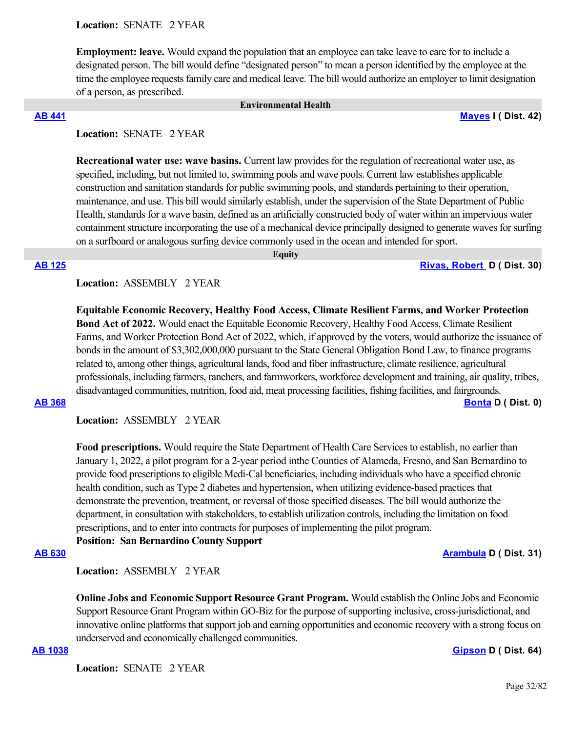**Employment: leave.** Would expand the population that an employee can take leave to care for to include a designated person. The bill would define "designated person" to mean a person identified by the employee at the time the employee requests family care and medical leave. The bill would authorize an employer to limit designation of a person, as prescribed.

 **Environmental Health**

**[AB 441](https://ctweb.capitoltrack.com/public/publishbillinfo.aspx?bi=oqyp6GJ0p0sy9WvFZ2GTH%2FYL4lTm5%2B6CBmHGWmTfS%2FGDq1drB5MKBjVuoTtcFywR) [Mayes](https://www.assembly.ca.gov/assemblymemberchadmayes) I ( Dist. 42)**

# **Location:**  SENATE 2 YEAR

**Recreational water use: wave basins.** Current law provides for the regulation of recreational water use, as specified, including, but not limited to, swimming pools and wave pools. Current law establishes applicable construction and sanitation standards for public swimming pools, and standards pertaining to their operation, maintenance, and use. This bill would similarly establish, under the supervision of the State Department of Public Health, standards for a wave basin, defined as an artificially constructed body of water within an impervious water containment structure incorporating the use of a mechanical device principally designed to generate waves for surfing on a surfboard or analogous surfing device commonly used in the ocean and intended for sport.

 **Equity**

**[AB 125](https://ctweb.capitoltrack.com/public/publishbillinfo.aspx?bi=L0n1v1%2BljVvkPcBmA%2BV4TnIwyyzP7Bg5z2kRPfi6DvDHL6JDbnTKEgkFLMuPJFn7) [Rivas, Robert](https://a30.asmdc.org/)  D ( Dist. 30)**

## **Location:**  ASSEMBLY 2 YEAR

**Equitable Economic Recovery, Healthy Food Access, Climate Resilient Farms, and Worker Protection Bond Act of 2022.** Would enact the Equitable Economic Recovery, Healthy Food Access, Climate Resilient Farms, and Worker Protection Bond Act of 2022, which, if approved by the voters, would authorize the issuance of bonds in the amount of \$3,302,000,000 pursuant to the State General Obligation Bond Law, to finance programs related to, among other things, agricultural lands, food and fiber infrastructure, climate resilience, agricultural professionals, including farmers, ranchers, and farmworkers, workforce development and training, air quality, tribes, disadvantaged communities, nutrition, food aid, meat processing facilities, fishing facilities, and fairgrounds.

**[AB 368](https://ctweb.capitoltrack.com/public/publishbillinfo.aspx?bi=gEn20x98Ixgnc379JS4yBAgSCs%2BKTSATxaaRM7SPL1uIkdFDsqelN6DK1xhXa4kC) [Bonta](https://a18.asmdc.org/) D ( Dist. 0)**

**Location:**  ASSEMBLY 2 YEAR

**Food prescriptions.** Would require the State Department of Health Care Services to establish, no earlier than January 1, 2022, a pilot program for a 2-year period inthe Counties of Alameda, Fresno, and San Bernardino to provide food prescriptions to eligible Medi-Cal beneficiaries, including individuals who have a specified chronic health condition, such as Type 2 diabetes and hypertension, when utilizing evidence-based practices that demonstrate the prevention, treatment, or reversal of those specified diseases. The bill would authorize the department, in consultation with stakeholders, to establish utilization controls, including the limitation on food prescriptions, and to enter into contracts for purposes of implementing the pilot program.

**Position: San Bernardino County Support**

### **[AB 630](https://ctweb.capitoltrack.com/public/publishbillinfo.aspx?bi=MGWSuEfMZXh%2B2NTw8bzjI4xEVV%2Bu6%2Foa7td3E1x7%2BfQe2TN4DWvWfljXLr0nymWV) [Arambula](https://a31.asmdc.org/) D ( Dist. 31)**

**Location:**  ASSEMBLY 2 YEAR

**Online Jobs and Economic Support Resource Grant Program.** Would establish the Online Jobs and Economic Support Resource Grant Program within GO-Biz for the purpose of supporting inclusive, cross-jurisdictional, and innovative online platforms that support job and earning opportunities and economic recovery with a strong focus on underserved and economically challenged communities.

**[AB 1038](https://ctweb.capitoltrack.com/public/publishbillinfo.aspx?bi=IoY8rQUCyOZF5Yc9dfaGuYjz9MtGrCcOJ%2FAMaQRm%2BvFhHTupuZNOKklpgRMr0YdL) [Gipson](https://a64.asmdc.org/) D ( Dist. 64)**

Location: **SENATE 2 YEAR**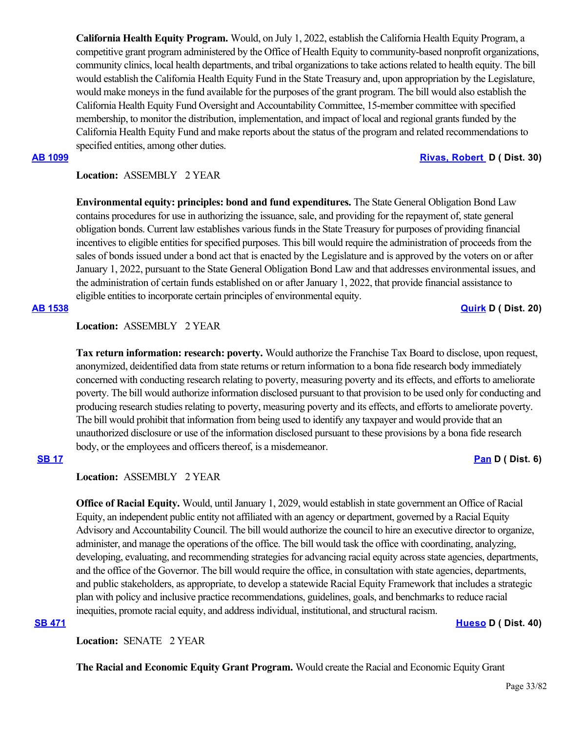**California Health Equity Program.** Would, on July 1, 2022, establish the California Health Equity Program, a competitive grant program administered by the Office of Health Equity to community-based nonprofit organizations, community clinics, local health departments, and tribal organizations to take actions related to health equity. The bill would establish the California Health Equity Fund in the State Treasury and, upon appropriation by the Legislature, would make moneys in the fund available for the purposes of the grant program. The bill would also establish the California Health Equity Fund Oversight and Accountability Committee, 15-member committee with specified membership, to monitor the distribution, implementation, and impact of local and regional grants funded by the California Health Equity Fund and make reports about the status of the program and related recommendations to specified entities, among other duties.

## **[AB 1099](https://ctweb.capitoltrack.com/public/publishbillinfo.aspx?bi=wapPKi0gUzCOlsqCbVTda0na4RFlmhQ%2Fttjz2WSfwTJ8bBEcSA81hP6VGJ8wh3Cu) [Rivas, Robert](https://a30.asmdc.org/)  D ( Dist. 30)**

# **Location:**  ASSEMBLY 2 YEAR

**Environmental equity: principles: bond and fund expenditures.** The State General Obligation Bond Law contains procedures for use in authorizing the issuance, sale, and providing for the repayment of, state general obligation bonds. Current law establishes various funds in the State Treasury for purposes of providing financial incentives to eligible entities for specified purposes. This bill would require the administration of proceeds from the sales of bonds issued under a bond act that is enacted by the Legislature and is approved by the voters on or after January 1, 2022, pursuant to the State General Obligation Bond Law and that addresses environmental issues, and the administration of certain funds established on or after January 1, 2022, that provide financial assistance to eligible entities to incorporate certain principles of environmental equity.

## **[AB 1538](https://ctweb.capitoltrack.com/public/publishbillinfo.aspx?bi=5ouoWAYcHeiCej9dPFU4zbFHnqUWwDbZjeaY3sNq4pnOis4Rx40yAuj6Kw5CXln3) [Quirk](https://a20.asmdc.org/) D ( Dist. 20)**

# **Location:**  ASSEMBLY 2 YEAR

**Tax return information: research: poverty.** Would authorize the Franchise Tax Board to disclose, upon request, anonymized, deidentified data from state returns or return information to a bona fide research body immediately concerned with conducting research relating to poverty, measuring poverty and its effects, and efforts to ameliorate poverty. The bill would authorize information disclosed pursuant to that provision to be used only for conducting and producing research studies relating to poverty, measuring poverty and its effects, and efforts to ameliorate poverty. The bill would prohibit that information from being used to identify any taxpayer and would provide that an unauthorized disclosure or use of the information disclosed pursuant to these provisions by a bona fide research body, or the employees and officers thereof, is a misdemeanor.

# **[SB 17](https://ctweb.capitoltrack.com/public/publishbillinfo.aspx?bi=%2BE4NoDKMLnuTFxzoM1Xo99BcuN4ryD73nF0rJQY%2ByFcnjPHcHP1MVGB5QCwtLcFz) [Pan](http://sd06.senate.ca.gov/) D ( Dist. 6)**

## **Location:**  ASSEMBLY 2 YEAR

**Office of Racial Equity.** Would, until January 1, 2029, would establish in state government an Office of Racial Equity, an independent public entity not affiliated with an agency or department, governed by a Racial Equity Advisory and Accountability Council. The bill would authorize the council to hire an executive director to organize, administer, and manage the operations of the office. The bill would task the office with coordinating, analyzing, developing, evaluating, and recommending strategies for advancing racial equity across state agencies, departments, and the office of the Governor. The bill would require the office, in consultation with state agencies, departments, and public stakeholders, as appropriate, to develop a statewide Racial Equity Framework that includes a strategic plan with policy and inclusive practice recommendations, guidelines, goals, and benchmarks to reduce racial inequities, promote racial equity, and address individual, institutional, and structural racism.

## **[SB 471](https://ctweb.capitoltrack.com/public/publishbillinfo.aspx?bi=vEu84Yy7oWcMPcUUMs1z4V9at0jwY1QuJR8vFhj5KxMAVnV7yXJB2JZiSPqVUk5l) [Hueso](http://sd40.senate.ca.gov/) D ( Dist. 40)**

Location: **SENATE** 2 YEAR

**The Racial and Economic Equity Grant Program.** Would create the Racial and Economic Equity Grant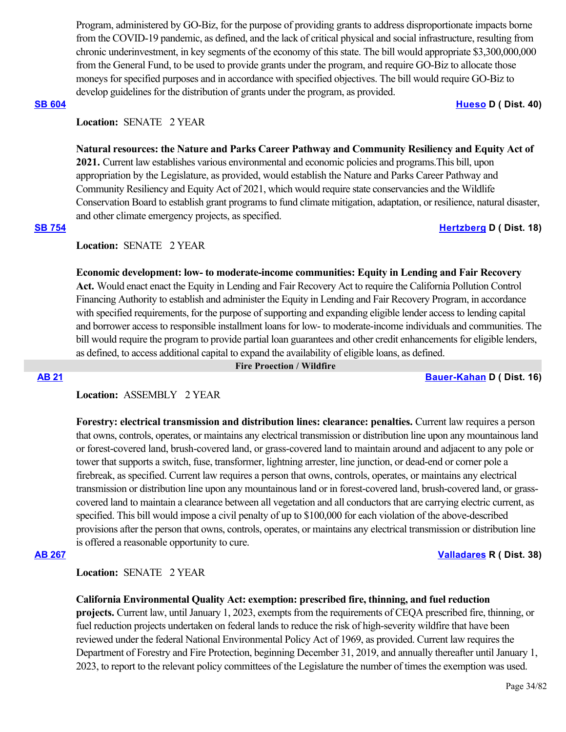Program, administered by GO-Biz, for the purpose of providing grants to address disproportionate impacts borne from the COVID-19 pandemic, as defined, and the lack of critical physical and social infrastructure, resulting from chronic underinvestment, in key segments of the economy of this state. The bill would appropriate \$3,300,000,000 from the General Fund, to be used to provide grants under the program, and require GO-Biz to allocate those moneys for specified purposes and in accordance with specified objectives. The bill would require GO-Biz to develop guidelines for the distribution of grants under the program, as provided.

### **[SB 604](https://ctweb.capitoltrack.com/public/publishbillinfo.aspx?bi=y9TvbFkTbWT3GrwLD8hQj%2BhrTM5s3yfhc3Rm9u2vbgW7MDGggtNpbofypp5hU5wY) [Hueso](http://sd40.senate.ca.gov/) D ( Dist. 40)**

# **Location:**  SENATE 2 YEAR

**Natural resources: the Nature and Parks Career Pathway and Community Resiliency and Equity Act of 2021.** Current law establishes various environmental and economic policies and programs.This bill, upon appropriation by the Legislature, as provided, would establish the Nature and Parks Career Pathway and Community Resiliency and Equity Act of 2021, which would require state conservancies and the Wildlife Conservation Board to establish grant programs to fund climate mitigation, adaptation, or resilience, natural disaster, and other climate emergency projects, as specified.

**[SB 754](https://ctweb.capitoltrack.com/public/publishbillinfo.aspx?bi=PqhtD3E0l7x4ko1S2S4vv7Q02ef%2BotM3ZYkRCVhR8gzAgkxPSRuaSWCuKq5f52BJ) [Hertzberg](https://sd18.senate.ca.gov/) D ( Dist. 18)**

## **Location:**  SENATE 2 YEAR

**Economic development: low- to moderate-income communities: Equity in Lending and Fair Recovery Act.** Would enact enact the Equity in Lending and Fair Recovery Act to require the California Pollution Control Financing Authority to establish and administer the Equity in Lending and Fair Recovery Program, in accordance with specified requirements, for the purpose of supporting and expanding eligible lender access to lending capital and borrower access to responsible installment loans for low- to moderate-income individuals and communities. The bill would require the program to provide partial loan guarantees and other credit enhancements for eligible lenders, as defined, to access additional capital to expand the availability of eligible loans, as defined.

 **Fire Proection / Wildfire**

**[AB 21](https://ctweb.capitoltrack.com/public/publishbillinfo.aspx?bi=O0%2BwFGKfpCxDXCSwf2F4bllmgFxJpFauEq2u9rx3q3XP0GEkxFU326oUQICOZkSe) [Bauer-Kahan](https://a16.asmdc.org/) D ( Dist. 16)**

## **Location:**  ASSEMBLY 2 YEAR

**Forestry: electrical transmission and distribution lines: clearance: penalties.** Current law requires a person that owns, controls, operates, or maintains any electrical transmission or distribution line upon any mountainous land or forest-covered land, brush-covered land, or grass-covered land to maintain around and adjacent to any pole or tower that supports a switch, fuse, transformer, lightning arrester, line junction, or dead-end or corner pole a firebreak, as specified. Current law requires a person that owns, controls, operates, or maintains any electrical transmission or distribution line upon any mountainous land or in forest-covered land, brush-covered land, or grasscovered land to maintain a clearance between all vegetation and all conductors that are carrying electric current, as specified. This bill would impose a civil penalty of up to \$100,000 for each violation of the above-described provisions after the person that owns, controls, operates, or maintains any electrical transmission or distribution line is offered a reasonable opportunity to cure.

# **[AB 267](https://ctweb.capitoltrack.com/public/publishbillinfo.aspx?bi=3SE2825yVeoD%2FVeb1naH%2BjNacVwbKBjyd6shO3zqBpjbBxwZfGAepSO1w%2BhXWhOD) [Valladares](https://ad38.asmrc.org/) R ( Dist. 38)**

## **Location:**  SENATE 2 YEAR

### **California Environmental Quality Act: exemption: prescribed fire, thinning, and fuel reduction**

**projects.** Current law, until January 1, 2023, exempts from the requirements of CEQA prescribed fire, thinning, or fuel reduction projects undertaken on federal lands to reduce the risk of high-severity wildfire that have been reviewed under the federal National Environmental Policy Act of 1969, as provided. Current law requires the Department of Forestry and Fire Protection, beginning December 31, 2019, and annually thereafter until January 1, 2023, to report to the relevant policy committees of the Legislature the number of times the exemption was used.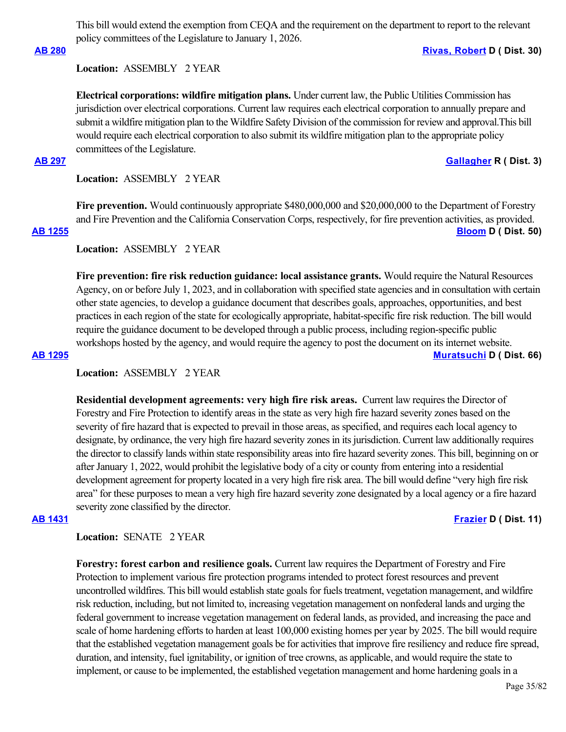This bill would extend the exemption from CEQA and the requirement on the department to report to the relevant policy committees of the Legislature to January 1, 2026.

## **[AB 280](https://ctweb.capitoltrack.com/public/publishbillinfo.aspx?bi=CF3aBg%2F5EW%2B%2BoUS9%2FCgN63FeABGCYxGMfzZDQu7kxdpFsoEbA6JTjlmbDBt%2BrgoU) [Rivas, Robert](https://a30.asmdc.org/) D ( Dist. 30)**

### **Location:**  ASSEMBLY 2 YEAR

**Electrical corporations: wildfire mitigation plans.** Under current law, the Public Utilities Commission has jurisdiction over electrical corporations. Current law requires each electrical corporation to annually prepare and submit a wildfire mitigation plan to the Wildfire Safety Division of the commission for review and approval.This bill would require each electrical corporation to also submit its wildfire mitigation plan to the appropriate policy committees of the Legislature.

#### **[AB 297](https://ctweb.capitoltrack.com/public/publishbillinfo.aspx?bi=dHK4yo0OOLAcJ2%2B%2FZoLsD36LA4EhFMHAuvLNlMa3vNG7tp6oXUC%2FYZ62kGaCPo4I) [Gallagher](http://ad03.asmrc.org/) R ( Dist. 3)**

**Location:**  ASSEMBLY 2 YEAR

**Fire prevention.** Would continuously appropriate \$480,000,000 and \$20,000,000 to the Department of Forestry and Fire Prevention and the California Conservation Corps, respectively, for fire prevention activities, as provided. **[AB 1255](https://ctweb.capitoltrack.com/public/publishbillinfo.aspx?bi=wqst0eph%2Fa3vYkaKworTKFsn3jjZ2XfbgMGo4RJaXhsJZf%2B4cbxaKNlIDOGR7qXW) [Bloom](https://a50.asmdc.org/) D ( Dist. 50)**

**Location:**  ASSEMBLY 2 YEAR

**Fire prevention: fire risk reduction guidance: local assistance grants.** Would require the Natural Resources Agency, on or before July 1, 2023, and in collaboration with specified state agencies and in consultation with certain other state agencies, to develop a guidance document that describes goals, approaches, opportunities, and best practices in each region of the state for ecologically appropriate, habitat-specific fire risk reduction. The bill would require the guidance document to be developed through a public process, including region-specific public workshops hosted by the agency, and would require the agency to post the document on its internet website.

### **[AB 1295](https://ctweb.capitoltrack.com/public/publishbillinfo.aspx?bi=ehuZoxqc4eBFZarwmn8kuIk8sl%2F0HLhkOFQhmFgO2rN2%2BfO%2BjG%2B69iP1bTHF7wMS) [Muratsuchi](https://a66.asmdc.org/) D ( Dist. 66)**

### **Location:**  ASSEMBLY 2 YEAR

**Residential development agreements: very high fire risk areas.** Current law requires the Director of Forestry and Fire Protection to identify areas in the state as very high fire hazard severity zones based on the severity of fire hazard that is expected to prevail in those areas, as specified, and requires each local agency to designate, by ordinance, the very high fire hazard severity zones in its jurisdiction. Current law additionally requires the director to classify lands within state responsibility areas into fire hazard severity zones. This bill, beginning on or after January 1, 2022, would prohibit the legislative body of a city or county from entering into a residential development agreement for property located in a very high fire risk area. The bill would define "very high fire risk area" for these purposes to mean a very high fire hazard severity zone designated by a local agency or a fire hazard severity zone classified by the director.

**[AB 1431](https://ctweb.capitoltrack.com/public/publishbillinfo.aspx?bi=Yq6ghj%2Ftr2poYSBQbPIhqVyClNmo475qyX3stugPUKTdL%2BjDeAT%2FEGG%2B9VwQRGtc) [Frazier](https://a11.asmdc.org/) D ( Dist. 11)**

#### **Location:**  SENATE 2 YEAR

**Forestry: forest carbon and resilience goals.** Current law requires the Department of Forestry and Fire Protection to implement various fire protection programs intended to protect forest resources and prevent uncontrolled wildfires. This bill would establish state goals for fuels treatment, vegetation management, and wildfire risk reduction, including, but not limited to, increasing vegetation management on nonfederal lands and urging the federal government to increase vegetation management on federal lands, as provided, and increasing the pace and scale of home hardening efforts to harden at least 100,000 existing homes per year by 2025. The bill would require that the established vegetation management goals be for activities that improve fire resiliency and reduce fire spread, duration, and intensity, fuel ignitability, or ignition of tree crowns, as applicable, and would require the state to implement, or cause to be implemented, the established vegetation management and home hardening goals in a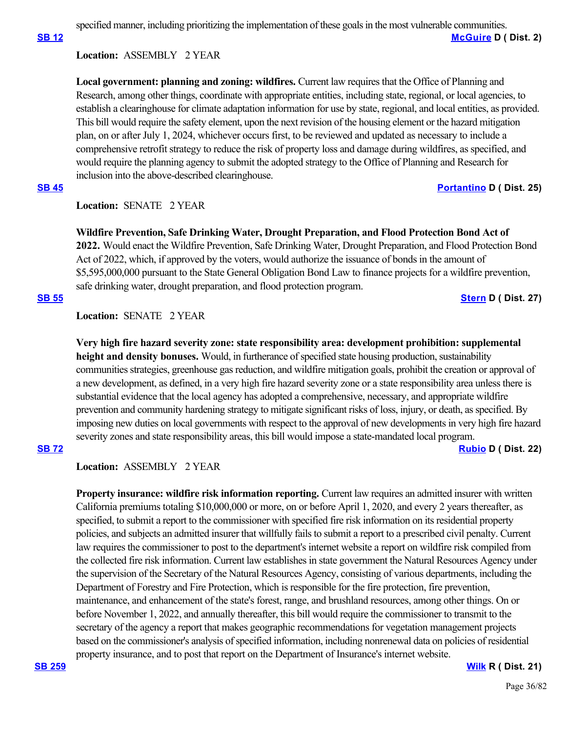specified manner, including prioritizing the implementation of these goals in the most vulnerable communities.

**[SB 12](https://ctweb.capitoltrack.com/public/publishbillinfo.aspx?bi=iH%2F%2FFgFB5uNEO9mn6EmBkyuBjJw94E72dmogINjFfiA5CHBEKXu6y51VY2VvDZAR) [McGuire](http://sd02.senate.ca.gov/) D ( Dist. 2)**

# **Location:**  ASSEMBLY 2 YEAR

**Local government: planning and zoning: wildfires.** Current law requires that the Office of Planning and Research, among other things, coordinate with appropriate entities, including state, regional, or local agencies, to establish a clearinghouse for climate adaptation information for use by state, regional, and local entities, as provided. This bill would require the safety element, upon the next revision of the housing element or the hazard mitigation plan, on or after July 1, 2024, whichever occurs first, to be reviewed and updated as necessary to include a comprehensive retrofit strategy to reduce the risk of property loss and damage during wildfires, as specified, and would require the planning agency to submit the adopted strategy to the Office of Planning and Research for inclusion into the above-described clearinghouse.

# **[SB 45](https://ctweb.capitoltrack.com/public/publishbillinfo.aspx?bi=XDzDifgqVMy0XBOqonq3NDw2YsdmIpuQ1JXO6HXO%2B7sRhXSzmAlyf%2B4AVVWujK32) [Portantino](http://sd25.senate.ca.gov/) D ( Dist. 25)**

# **Location:**  SENATE 2 YEAR

**Wildfire Prevention, Safe Drinking Water, Drought Preparation, and Flood Protection Bond Act of 2022.** Would enact the Wildfire Prevention, Safe Drinking Water, Drought Preparation, and Flood Protection Bond Act of 2022, which, if approved by the voters, would authorize the issuance of bonds in the amount of \$5,595,000,000 pursuant to the State General Obligation Bond Law to finance projects for a wildfire prevention, safe drinking water, drought preparation, and flood protection program.

## **[SB 55](https://ctweb.capitoltrack.com/public/publishbillinfo.aspx?bi=1q0m27JJtkX2fJpt8KZPAlXeBrxgWxQfivTQSfBQDUt7kFffJeAOi7ghohAv%2Fsy%2B) [Stern](http://sd27.senate.ca.gov/) D ( Dist. 27)**

## **Location:**  SENATE 2 YEAR

**Very high fire hazard severity zone: state responsibility area: development prohibition: supplemental height and density bonuses.** Would, in furtherance of specified state housing production, sustainability communities strategies, greenhouse gas reduction, and wildfire mitigation goals, prohibit the creation or approval of a new development, as defined, in a very high fire hazard severity zone or a state responsibility area unless there is substantial evidence that the local agency has adopted a comprehensive, necessary, and appropriate wildfire prevention and community hardening strategy to mitigate significant risks of loss, injury, or death, as specified. By imposing new duties on local governments with respect to the approval of new developments in very high fire hazard severity zones and state responsibility areas, this bill would impose a state-mandated local program.

# **[SB 72](https://ctweb.capitoltrack.com/public/publishbillinfo.aspx?bi=RwmJMe9s2JscBqpxkWuTdtwYUdb4HESgyWyHFmzT%2BLH1Gr8o%2FKmFWJbTi94SjK%2B8) [Rubio](http://sd22.senate.ca.gov/) D ( Dist. 22)**

# **Location:**  ASSEMBLY 2 YEAR

**Property insurance: wildfire risk information reporting.** Current law requires an admitted insurer with written California premiums totaling \$10,000,000 or more, on or before April 1, 2020, and every 2 years thereafter, as specified, to submit a report to the commissioner with specified fire risk information on its residential property policies, and subjects an admitted insurer that willfully fails to submit a report to a prescribed civil penalty. Current law requires the commissioner to post to the department's internet website a report on wildfire risk compiled from the collected fire risk information. Current law establishes in state government the Natural Resources Agency under the supervision of the Secretary of the Natural Resources Agency, consisting of various departments, including the Department of Forestry and Fire Protection, which is responsible for the fire protection, fire prevention, maintenance, and enhancement of the state's forest, range, and brushland resources, among other things. On or before November 1, 2022, and annually thereafter, this bill would require the commissioner to transmit to the secretary of the agency a report that makes geographic recommendations for vegetation management projects based on the commissioner's analysis of specified information, including nonrenewal data on policies of residential property insurance, and to post that report on the Department of Insurance's internet website.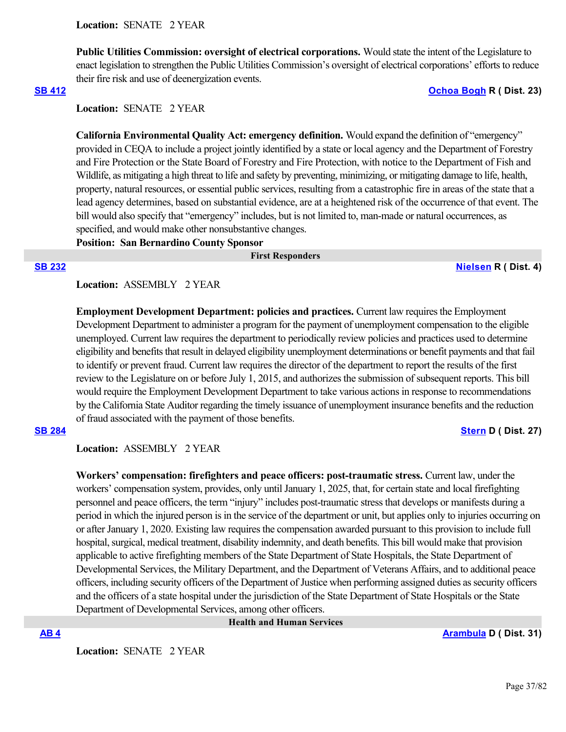**Public Utilities Commission: oversight of electrical corporations.** Would state the intent of the Legislature to enact legislation to strengthen the Public Utilities Commission's oversight of electrical corporations' efforts to reduce their fire risk and use of deenergization events.

### **[SB 412](https://ctweb.capitoltrack.com/public/publishbillinfo.aspx?bi=%2BEJv9IqldAiMj60ZGuXZNaiY5bPuf8Pfv61NIjVrx3EM0efG4B%2FmCRXkZc55uYX%2F) [Ochoa Bogh](https://ochoa-bogh.cssrc.us/) R ( Dist. 23)**

**Location:**  SENATE 2 YEAR

**California Environmental Quality Act: emergency definition.** Would expand the definition of "emergency" provided in CEQA to include a project jointly identified by a state or local agency and the Department of Forestry and Fire Protection or the State Board of Forestry and Fire Protection, with notice to the Department of Fish and Wildlife, as mitigating a high threat to life and safety by preventing, minimizing, or mitigating damage to life, health, property, natural resources, or essential public services, resulting from a catastrophic fire in areas of the state that a lead agency determines, based on substantial evidence, are at a heightened risk of the occurrence of that event. The bill would also specify that "emergency" includes, but is not limited to, man-made or natural occurrences, as specified, and would make other nonsubstantive changes.

**Position: San Bernardino County Sponsor**

### **First Responders**

**[SB 232](https://ctweb.capitoltrack.com/public/publishbillinfo.aspx?bi=HuMeyuzGJk2mqEyG9IeWvXXbdtW4WugJveLkG%2FL2%2BCbfM5Xhex5kekJKG6Vt4LtW) [Nielsen](http://nielsen.cssrc.us/) R ( Dist. 4)**

# **Location:**  ASSEMBLY 2 YEAR

**Employment Development Department: policies and practices.** Current law requires the Employment Development Department to administer a program for the payment of unemployment compensation to the eligible unemployed. Current law requires the department to periodically review policies and practices used to determine eligibility and benefits that result in delayed eligibility unemployment determinations or benefit payments and that fail to identify or prevent fraud. Current law requires the director of the department to report the results of the first review to the Legislature on or before July 1, 2015, and authorizes the submission of subsequent reports. This bill would require the Employment Development Department to take various actions in response to recommendations by the California State Auditor regarding the timely issuance of unemployment insurance benefits and the reduction of fraud associated with the payment of those benefits.

### **[SB 284](https://ctweb.capitoltrack.com/public/publishbillinfo.aspx?bi=pfo59AaC5CcBlbAG1B14p2QyzY9s%2Fy6%2F4GGrAzrDy118E94jS7x9jr06vKUaTB3e) [Stern](http://sd27.senate.ca.gov/) D ( Dist. 27)**

**Location:**  ASSEMBLY 2 YEAR

**Workers' compensation: firefighters and peace officers: post-traumatic stress.** Current law, under the workers' compensation system, provides, only until January 1, 2025, that, for certain state and local firefighting personnel and peace officers, the term "injury" includes post-traumatic stress that develops or manifests during a period in which the injured person is in the service of the department or unit, but applies only to injuries occurring on or after January 1, 2020. Existing law requires the compensation awarded pursuant to this provision to include full hospital, surgical, medical treatment, disability indemnity, and death benefits. This bill would make that provision applicable to active firefighting members of the State Department of State Hospitals, the State Department of Developmental Services, the Military Department, and the Department of Veterans Affairs, and to additional peace officers, including security officers of the Department of Justice when performing assigned duties as security officers and the officers of a state hospital under the jurisdiction of the State Department of State Hospitals or the State Department of Developmental Services, among other officers.

 **Health and Human Services**

**[AB 4](https://ctweb.capitoltrack.com/public/publishbillinfo.aspx?bi=gy7%2B%2F%2FSworWr53yrsQv%2FCEbi4rGhUc9NFdyQ7AMZKsgTYO48XJIEaRFlvfOy8LnY) [Arambula](https://a31.asmdc.org/) D ( Dist. 31)**

Location: **SENATE 2 YEAR**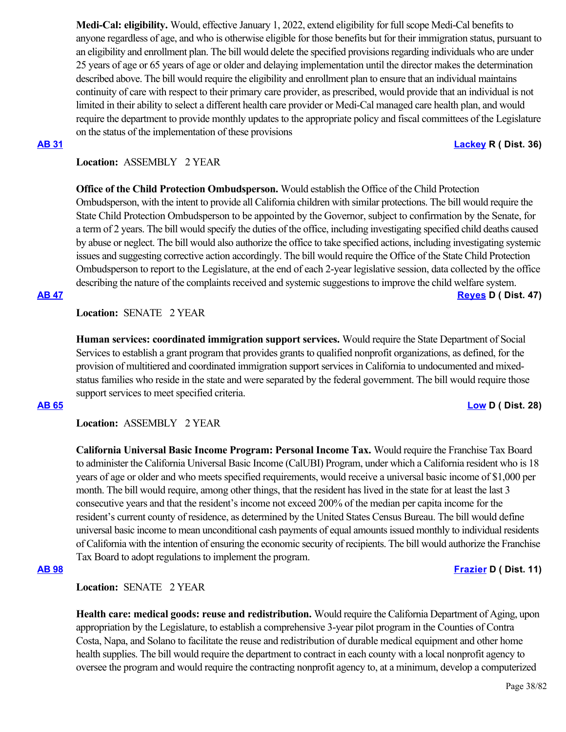**Medi-Cal: eligibility.** Would, effective January 1, 2022, extend eligibility for full scope Medi-Cal benefits to anyone regardless of age, and who is otherwise eligible for those benefits but for their immigration status, pursuant to an eligibility and enrollment plan. The bill would delete the specified provisions regarding individuals who are under 25 years of age or 65 years of age or older and delaying implementation until the director makes the determination described above. The bill would require the eligibility and enrollment plan to ensure that an individual maintains continuity of care with respect to their primary care provider, as prescribed, would provide that an individual is not limited in their ability to select a different health care provider or Medi-Cal managed care health plan, and would require the department to provide monthly updates to the appropriate policy and fiscal committees of the Legislature on the status of the implementation of these provisions

### **[AB 31](https://ctweb.capitoltrack.com/public/publishbillinfo.aspx?bi=4G9AAycz6X9VqK85Cw%2FvMOZotNwdxyFyPeXiWo54mNtEn%2BJJxvAf%2FPGdNYwPcnf1) [Lackey](https://ad36.asmrc.org/) R ( Dist. 36)**

# **Location:**  ASSEMBLY 2 YEAR

**Office of the Child Protection Ombudsperson.** Would establish the Office of the Child Protection Ombudsperson, with the intent to provide all California children with similar protections. The bill would require the State Child Protection Ombudsperson to be appointed by the Governor, subject to confirmation by the Senate, for a term of 2 years. The bill would specify the duties of the office, including investigating specified child deaths caused by abuse or neglect. The bill would also authorize the office to take specified actions, including investigating systemic issues and suggesting corrective action accordingly. The bill would require the Office of the State Child Protection Ombudsperson to report to the Legislature, at the end of each 2-year legislative session, data collected by the office describing the nature of the complaints received and systemic suggestions to improve the child welfare system.

# **[AB 47](https://ctweb.capitoltrack.com/public/publishbillinfo.aspx?bi=%2Fa0YW4RU81u0tfnzXer%2FrpfqAKX00ohuxXYd5d4bDFGEID0ZI8r0U%2BhEEQBazghF) [Reyes](https://a47.asmdc.org/) D ( Dist. 47)**

**Location:**  SENATE 2 YEAR

**Human services: coordinated immigration support services.** Would require the State Department of Social Services to establish a grant program that provides grants to qualified nonprofit organizations, as defined, for the provision of multitiered and coordinated immigration support services in California to undocumented and mixedstatus families who reside in the state and were separated by the federal government. The bill would require those support services to meet specified criteria.

### **[AB 65](https://ctweb.capitoltrack.com/public/publishbillinfo.aspx?bi=gQp1x9kJGNK%2BKP2H8yuZLagzBAomgmdYm9QlhTybI0wHq2uHgOnnnXaNU0QYUWCP) [Low](https://a28.asmdc.org/) D ( Dist. 28)**

**Location:**  ASSEMBLY 2 YEAR

**California Universal Basic Income Program: Personal Income Tax.** Would require the Franchise Tax Board to administer the California Universal Basic Income (CalUBI) Program, under which a California resident who is 18 years of age or older and who meets specified requirements, would receive a universal basic income of \$1,000 per month. The bill would require, among other things, that the resident has lived in the state for at least the last 3 consecutive years and that the resident's income not exceed 200% of the median per capita income for the resident's current county of residence, as determined by the United States Census Bureau. The bill would define universal basic income to mean unconditional cash payments of equal amounts issued monthly to individual residents of California with the intention of ensuring the economic security of recipients. The bill would authorize the Franchise Tax Board to adopt regulations to implement the program.

# **[AB 98](https://ctweb.capitoltrack.com/public/publishbillinfo.aspx?bi=2AP7Z%2BSfWPwTjY7pLpJnVvICIB0PB6RxMicaXIQV4NUvKm9S7g60uYAHDWRfPpxF) [Frazier](https://a11.asmdc.org/) D ( Dist. 11)**

**Location:**  SENATE 2 YEAR

**Health care: medical goods: reuse and redistribution.** Would require the California Department of Aging, upon appropriation by the Legislature, to establish a comprehensive 3-year pilot program in the Counties of Contra Costa, Napa, and Solano to facilitate the reuse and redistribution of durable medical equipment and other home health supplies. The bill would require the department to contract in each county with a local nonprofit agency to oversee the program and would require the contracting nonprofit agency to, at a minimum, develop a computerized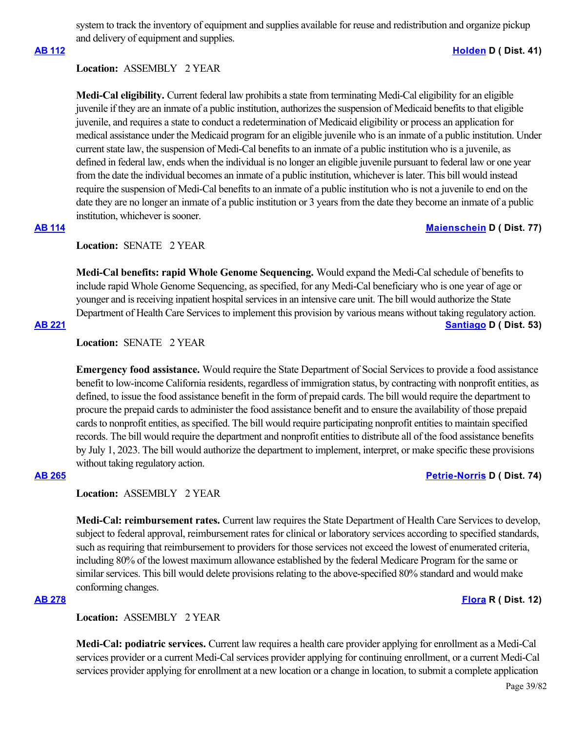system to track the inventory of equipment and supplies available for reuse and redistribution and organize pickup and delivery of equipment and supplies.

### **[AB 112](https://ctweb.capitoltrack.com/public/publishbillinfo.aspx?bi=7bpkj9QnoEJsnmL4gGqn8sme%2FyIoi8Iy9bIpouUpAspOkKittVkQzWs%2BLH%2BYygks) [Holden](https://a41.asmdc.org/) D ( Dist. 41)**

# **Location:**  ASSEMBLY 2 YEAR

**Medi-Cal eligibility.** Current federal law prohibits a state from terminating Medi-Cal eligibility for an eligible juvenile if they are an inmate of a public institution, authorizes the suspension of Medicaid benefits to that eligible juvenile, and requires a state to conduct a redetermination of Medicaid eligibility or process an application for medical assistance under the Medicaid program for an eligible juvenile who is an inmate of a public institution. Under current state law, the suspension of Medi-Cal benefits to an inmate of a public institution who is a juvenile, as defined in federal law, ends when the individual is no longer an eligible juvenile pursuant to federal law or one year from the date the individual becomes an inmate of a public institution, whichever is later. This bill would instead require the suspension of Medi-Cal benefits to an inmate of a public institution who is not a juvenile to end on the date they are no longer an inmate of a public institution or 3 years from the date they become an inmate of a public institution, whichever is sooner.

# **Location:**  SENATE 2 YEAR

**Medi-Cal benefits: rapid Whole Genome Sequencing.** Would expand the Medi-Cal schedule of benefits to include rapid Whole Genome Sequencing, as specified, for any Medi-Cal beneficiary who is one year of age or younger and is receiving inpatient hospital services in an intensive care unit. The bill would authorize the State Department of Health Care Services to implement this provision by various means without taking regulatory action.

# **[AB 221](https://ctweb.capitoltrack.com/public/publishbillinfo.aspx?bi=nUrcgqgFqZ8B1P14cntIk6aXgDF0M7Lp6G4c5Cm30ZOmPImvKDQolwe9YTH%2FLx%2Fb) [Santiago](https://a53.asmdc.org/) D ( Dist. 53)**

# **Location:**  SENATE 2 YEAR

**Emergency food assistance.** Would require the State Department of Social Services to provide a food assistance benefit to low-income California residents, regardless of immigration status, by contracting with nonprofit entities, as defined, to issue the food assistance benefit in the form of prepaid cards. The bill would require the department to procure the prepaid cards to administer the food assistance benefit and to ensure the availability of those prepaid cards to nonprofit entities, as specified. The bill would require participating nonprofit entities to maintain specified records. The bill would require the department and nonprofit entities to distribute all of the food assistance benefits by July 1, 2023. The bill would authorize the department to implement, interpret, or make specific these provisions without taking regulatory action.

# **[AB 265](https://ctweb.capitoltrack.com/public/publishbillinfo.aspx?bi=F8IQCAHGBMgekSOcRE%2BWX9HhLRBbuxYIeEvvZx5wMIUTpy49TnlAXQCmHAp40grF) [Petrie-Norris](https://a74.asmdc.org/) D ( Dist. 74)**

### **Location:**  ASSEMBLY 2 YEAR

**Medi-Cal: reimbursement rates.** Current law requires the State Department of Health Care Services to develop, subject to federal approval, reimbursement rates for clinical or laboratory services according to specified standards, such as requiring that reimbursement to providers for those services not exceed the lowest of enumerated criteria, including 80% of the lowest maximum allowance established by the federal Medicare Program for the same or similar services. This bill would delete provisions relating to the above-specified 80% standard and would make conforming changes.

# **Location:**  ASSEMBLY 2 YEAR

**Medi-Cal: podiatric services.** Current law requires a health care provider applying for enrollment as a Medi-Cal services provider or a current Medi-Cal services provider applying for continuing enrollment, or a current Medi-Cal services provider applying for enrollment at a new location or a change in location, to submit a complete application

# **[AB 114](https://ctweb.capitoltrack.com/public/publishbillinfo.aspx?bi=BKUuzEt%2Fxonhdg%2Bi2T8KyDCF6bz%2BIDuv834ghq13Zdn4cLjhKDnmQtDrecEqAQaS) [Maienschein](https://a77.asmdc.org/) D ( Dist. 77)**

**[AB 278](https://ctweb.capitoltrack.com/public/publishbillinfo.aspx?bi=Lm0aFg3C0gvsoQRQiygm8CDEU5GHvUgeLWMRBbwvWeXn9RHw%2BhsQNiXfLy5ftoAb) [Flora](https://ad12.asmrc.org/) R ( Dist. 12)**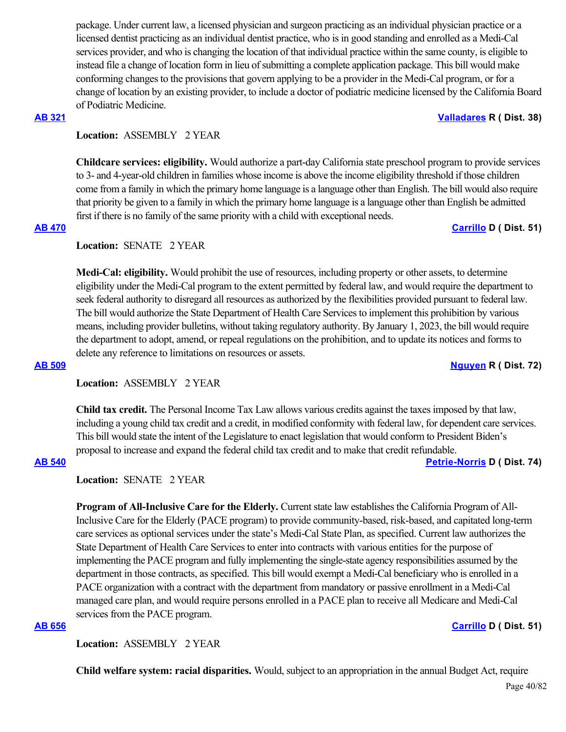package. Under current law, a licensed physician and surgeon practicing as an individual physician practice or a licensed dentist practicing as an individual dentist practice, who is in good standing and enrolled as a Medi-Cal services provider, and who is changing the location of that individual practice within the same county, is eligible to instead file a change of location form in lieu of submitting a complete application package. This bill would make conforming changes to the provisions that govern applying to be a provider in the Medi-Cal program, or for a change of location by an existing provider, to include a doctor of podiatric medicine licensed by the California Board of Podiatric Medicine.

# **Location:**  ASSEMBLY 2 YEAR

**Childcare services: eligibility.** Would authorize a part-day California state preschool program to provide services to 3- and 4-year-old children in families whose income is above the income eligibility threshold if those children come from a family in which the primary home language is a language other than English. The bill would also require that priority be given to a family in which the primary home language is a language other than English be admitted first if there is no family of the same priority with a child with exceptional needs.

**Location:**  SENATE 2 YEAR

**Medi-Cal: eligibility.** Would prohibit the use of resources, including property or other assets, to determine eligibility under the Medi-Cal program to the extent permitted by federal law, and would require the department to seek federal authority to disregard all resources as authorized by the flexibilities provided pursuant to federal law. The bill would authorize the State Department of Health Care Services to implement this prohibition by various means, including provider bulletins, without taking regulatory authority. By January 1, 2023, the bill would require the department to adopt, amend, or repeal regulations on the prohibition, and to update its notices and forms to delete any reference to limitations on resources or assets.

**Location:**  ASSEMBLY 2 YEAR

**Child tax credit.** The Personal Income Tax Law allows various credits against the taxes imposed by that law, including a young child tax credit and a credit, in modified conformity with federal law, for dependent care services. This bill would state the intent of the Legislature to enact legislation that would conform to President Biden's proposal to increase and expand the federal child tax credit and to make that credit refundable.

**[AB 540](https://ctweb.capitoltrack.com/public/publishbillinfo.aspx?bi=AVUJH1BvfBKsx4maUnrxiuqXofDhe1Gp4CX0BmqWXHhCebw395JUgNQ%2FF8Dr7yhH) [Petrie-Norris](https://a74.asmdc.org/) D ( Dist. 74)**

**Location:**  SENATE 2 YEAR

**Program of All-Inclusive Care for the Elderly.** Current state law establishes the California Program of All-Inclusive Care for the Elderly (PACE program) to provide community-based, risk-based, and capitated long-term care services as optional services under the state's Medi-Cal State Plan, as specified. Current law authorizes the State Department of Health Care Services to enter into contracts with various entities for the purpose of implementing the PACE program and fully implementing the single-state agency responsibilities assumed by the department in those contracts, as specified. This bill would exempt a Medi-Cal beneficiary who is enrolled in a PACE organization with a contract with the department from mandatory or passive enrollment in a Medi-Cal managed care plan, and would require persons enrolled in a PACE plan to receive all Medicare and Medi-Cal services from the PACE program.

# **[AB 656](https://ctweb.capitoltrack.com/public/publishbillinfo.aspx?bi=QxBezHDGw7ZSaHMTESEsmw72ZtIRl9z33Lcc2MWB4pzS7ek45ZvlUOwTJUvQab7W) [Carrillo](https://a51.asmdc.org/) D ( Dist. 51)**

**Location:**  ASSEMBLY 2 YEAR

**Child welfare system: racial disparities.** Would, subject to an appropriation in the annual Budget Act, require

# **[AB 321](https://ctweb.capitoltrack.com/public/publishbillinfo.aspx?bi=uxa3GWxRxvJ5orgS27LvFoThnCGCxPyMaWHCZgBo2NVKiGebABGx7cGjx2UQ8GcF) [Valladares](https://ad38.asmrc.org/) R ( Dist. 38)**

**[AB 509](https://ctweb.capitoltrack.com/public/publishbillinfo.aspx?bi=S0E3RdzaBgkeTrLWjVF9BbUvuMY8Mdg5s%2BEcp9yv8MWE6wXFUvaD06ireeDSxnuH) [Nguyen](https://ad72.asmrc.org/) R ( Dist. 72)**

**[AB 470](https://ctweb.capitoltrack.com/public/publishbillinfo.aspx?bi=OEB%2BQhJxARTG49Y5UEsB3vTfYxvcZWAWPRt3OtGUebE%2BpiAXSw248LcoHVxeVTDv) [Carrillo](https://a51.asmdc.org/) D ( Dist. 51)**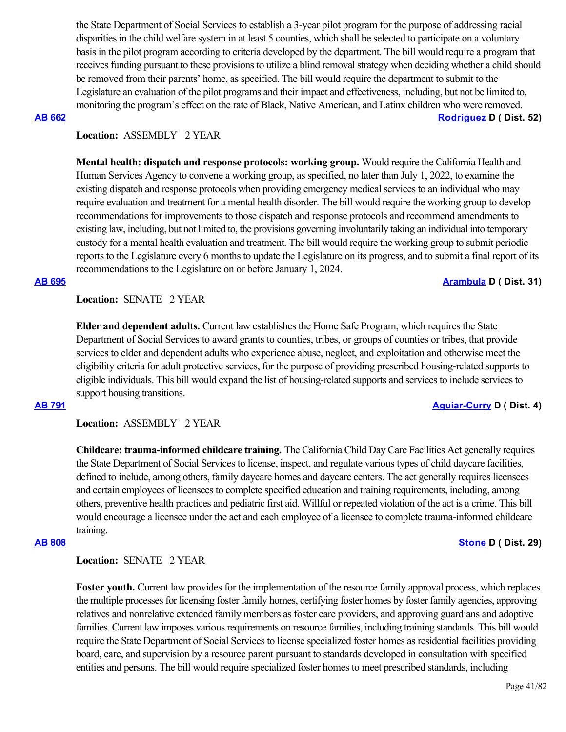the State Department of Social Services to establish a 3-year pilot program for the purpose of addressing racial disparities in the child welfare system in at least 5 counties, which shall be selected to participate on a voluntary basis in the pilot program according to criteria developed by the department. The bill would require a program that receives funding pursuant to these provisions to utilize a blind removal strategy when deciding whether a child should be removed from their parents' home, as specified. The bill would require the department to submit to the Legislature an evaluation of the pilot programs and their impact and effectiveness, including, but not be limited to, monitoring the program's effect on the rate of Black, Native American, and Latinx children who were removed. **[AB 662](https://ctweb.capitoltrack.com/public/publishbillinfo.aspx?bi=erZ6gMT6w26e4Kk5PP9lLG%2FhPNnZuLja8UX%2FXMqjjoDdiOhjbnCJ4LRDSkVsxH95) [Rodriguez](https://a52.asmdc.org/) D ( Dist. 52)**

### **Location:**  ASSEMBLY 2 YEAR

**Mental health: dispatch and response protocols: working group.** Would require the California Health and Human Services Agency to convene a working group, as specified, no later than July 1, 2022, to examine the existing dispatch and response protocols when providing emergency medical services to an individual who may require evaluation and treatment for a mental health disorder. The bill would require the working group to develop recommendations for improvements to those dispatch and response protocols and recommend amendments to existing law, including, but not limited to, the provisions governing involuntarily taking an individual into temporary custody for a mental health evaluation and treatment. The bill would require the working group to submit periodic reports to the Legislature every 6 months to update the Legislature on its progress, and to submit a final report of its recommendations to the Legislature on or before January 1, 2024.

### **[AB 695](https://ctweb.capitoltrack.com/public/publishbillinfo.aspx?bi=a5quxfjYfupuC5UCqqqyg4MBUjRXp3iLFBvDwOfvCJ02lUZTnHFGw211CHA0r28F) [Arambula](https://a31.asmdc.org/) D ( Dist. 31)**

**Location:**  SENATE 2 YEAR

**Elder and dependent adults.** Current law establishes the Home Safe Program, which requires the State Department of Social Services to award grants to counties, tribes, or groups of counties or tribes, that provide services to elder and dependent adults who experience abuse, neglect, and exploitation and otherwise meet the eligibility criteria for adult protective services, for the purpose of providing prescribed housing-related supports to eligible individuals. This bill would expand the list of housing-related supports and services to include services to support housing transitions.

### **[AB 791](https://ctweb.capitoltrack.com/public/publishbillinfo.aspx?bi=tQJwX1nEpiUlNZCljWfJKUD4G12MAW2knq8XohBIa7UIqJeT%2F%2F3r46Bbq7gDTn1m) [Aguiar-Curry](https://a04.asmdc.org/) D ( Dist. 4)**

**Location:**  ASSEMBLY 2 YEAR

**Childcare: trauma-informed childcare training.** The California Child Day Care Facilities Act generally requires the State Department of Social Services to license, inspect, and regulate various types of child daycare facilities, defined to include, among others, family daycare homes and daycare centers. The act generally requires licensees and certain employees of licensees to complete specified education and training requirements, including, among others, preventive health practices and pediatric first aid. Willful or repeated violation of the act is a crime. This bill would encourage a licensee under the act and each employee of a licensee to complete trauma-informed childcare training.

### **Location:**  SENATE 2 YEAR

**Foster youth.** Current law provides for the implementation of the resource family approval process, which replaces the multiple processes for licensing foster family homes, certifying foster homes by foster family agencies, approving relatives and nonrelative extended family members as foster care providers, and approving guardians and adoptive families. Current law imposes various requirements on resource families, including training standards. This bill would require the State Department of Social Services to license specialized foster homes as residential facilities providing board, care, and supervision by a resource parent pursuant to standards developed in consultation with specified entities and persons. The bill would require specialized foster homes to meet prescribed standards, including

### **[AB 808](https://ctweb.capitoltrack.com/public/publishbillinfo.aspx?bi=O4vhqmRfMZ0IxGSDGH%2BhTK0ZEJDFzR4NtgjcE2JbEGFIajvbN4xuym6HsFRi9Ar1) [Stone](https://a29.asmdc.org/) D ( Dist. 29)**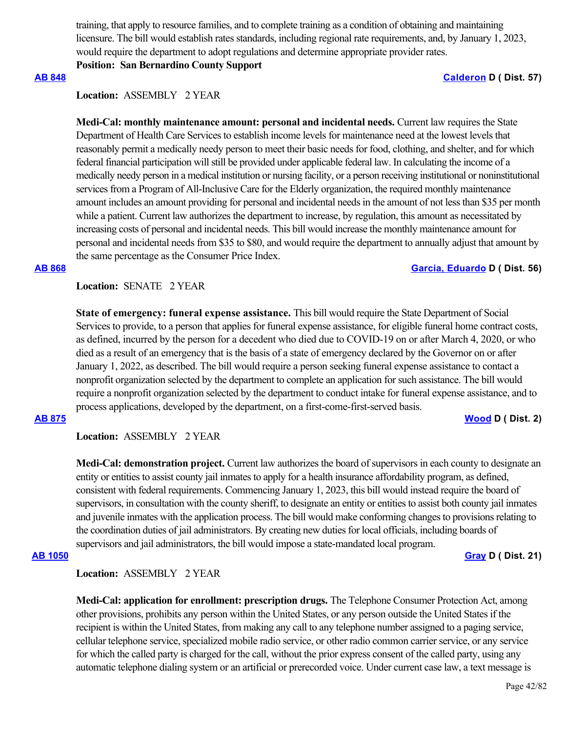training, that apply to resource families, and to complete training as a condition of obtaining and maintaining licensure. The bill would establish rates standards, including regional rate requirements, and, by January 1, 2023, would require the department to adopt regulations and determine appropriate provider rates.

**Position: San Bernardino County Support**

### **[AB 848](https://ctweb.capitoltrack.com/public/publishbillinfo.aspx?bi=9oWgEGo6oJtr7pz6RLug9VKTw%2BooHnDIVUja5pdEMfj%2B5%2FNJiN2xuDwU7MLXJ1ai) [Calderon](https://a57.asmdc.org/) D ( Dist. 57)**

### **Location:**  ASSEMBLY 2 YEAR

**Medi-Cal: monthly maintenance amount: personal and incidental needs.** Current law requires the State Department of Health Care Services to establish income levels for maintenance need at the lowest levels that reasonably permit a medically needy person to meet their basic needs for food, clothing, and shelter, and for which federal financial participation will still be provided under applicable federal law. In calculating the income of a medically needy person in a medical institution or nursing facility, or a person receiving institutional or noninstitutional services from a Program of All-Inclusive Care for the Elderly organization, the required monthly maintenance amount includes an amount providing for personal and incidental needs in the amount of not less than \$35 per month while a patient. Current law authorizes the department to increase, by regulation, this amount as necessitated by increasing costs of personal and incidental needs. This bill would increase the monthly maintenance amount for personal and incidental needs from \$35 to \$80, and would require the department to annually adjust that amount by the same percentage as the Consumer Price Index.

# **[AB 868](https://ctweb.capitoltrack.com/public/publishbillinfo.aspx?bi=8QmAwJb1BV9eh4AvmBqrTdSnVRBdWnK%2BIjPe8UXKXQLvRsHwgHlSu5jhSWPH3Gcv) [Garcia, Eduardo](https://a56.asmdc.org/) D ( Dist. 56)**

**Location:**  SENATE 2 YEAR

**State of emergency: funeral expense assistance.** This bill would require the State Department of Social Services to provide, to a person that applies for funeral expense assistance, for eligible funeral home contract costs, as defined, incurred by the person for a decedent who died due to COVID-19 on or after March 4, 2020, or who died as a result of an emergency that is the basis of a state of emergency declared by the Governor on or after January 1, 2022, as described. The bill would require a person seeking funeral expense assistance to contact a nonprofit organization selected by the department to complete an application for such assistance. The bill would require a nonprofit organization selected by the department to conduct intake for funeral expense assistance, and to process applications, developed by the department, on a first-come-first-served basis.

### **[AB 875](https://ctweb.capitoltrack.com/public/publishbillinfo.aspx?bi=qlWILwXBnqcVBiM09dSeT%2Bkh16bxuBc6YpOUA4A%2FbTOc5jugTNBMLucYEYVYd%2Ft9) [Wood](https://a02.asmdc.org/) D ( Dist. 2)**

**Location:**  ASSEMBLY 2 YEAR

**Medi-Cal: demonstration project.** Current law authorizes the board of supervisors in each county to designate an entity or entities to assist county jail inmates to apply for a health insurance affordability program, as defined, consistent with federal requirements. Commencing January 1, 2023, this bill would instead require the board of supervisors, in consultation with the county sheriff, to designate an entity or entities to assist both county jail inmates and juvenile inmates with the application process. The bill would make conforming changes to provisions relating to the coordination duties of jail administrators. By creating new duties for local officials, including boards of supervisors and jail administrators, the bill would impose a state-mandated local program.

**[AB 1050](https://ctweb.capitoltrack.com/public/publishbillinfo.aspx?bi=y%2BOPh6EtL1TQq%2FDOOLIOgiPyKy71knhCYj1tv28Vx1e5e9ZU98vYbmp7JH6HEyX7) [Gray](https://a21.asmdc.org/) D ( Dist. 21)**

### **Location:**  ASSEMBLY 2 YEAR

**Medi-Cal: application for enrollment: prescription drugs.** The Telephone Consumer Protection Act, among other provisions, prohibits any person within the United States, or any person outside the United States if the recipient is within the United States, from making any call to any telephone number assigned to a paging service, cellular telephone service, specialized mobile radio service, or other radio common carrier service, or any service for which the called party is charged for the call, without the prior express consent of the called party, using any automatic telephone dialing system or an artificial or prerecorded voice. Under current case law, a text message is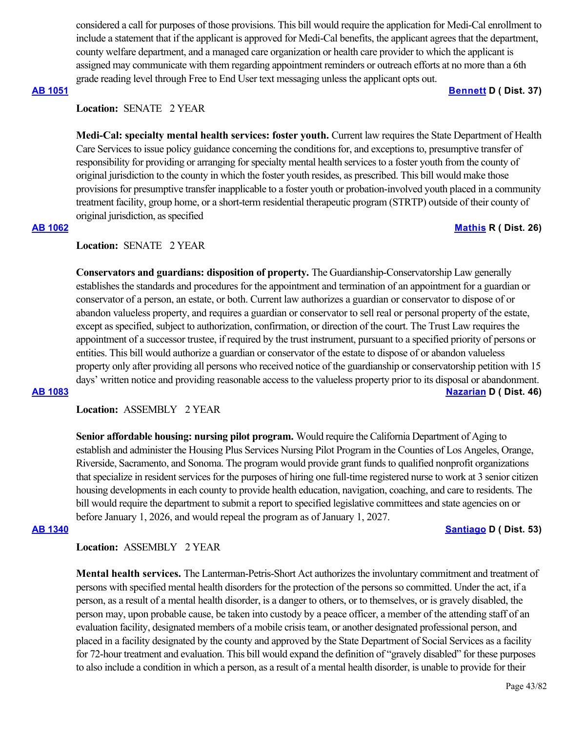considered a call for purposes of those provisions. This bill would require the application for Medi-Cal enrollment to include a statement that if the applicant is approved for Medi-Cal benefits, the applicant agrees that the department, county welfare department, and a managed care organization or health care provider to which the applicant is assigned may communicate with them regarding appointment reminders or outreach efforts at no more than a 6th grade reading level through Free to End User text messaging unless the applicant opts out.

### **[AB 1051](https://ctweb.capitoltrack.com/public/publishbillinfo.aspx?bi=a3w1OkLET76v%2BDCLHEBggLONCLqllIvKabF03mplQ91C6hp%2BtvB%2FWO%2BRGDpYXa3l) [Bennett](https://a37.asmdc.org/) D ( Dist. 37)**

# **Location:**  SENATE 2 YEAR

**Medi-Cal: specialty mental health services: foster youth.** Current law requires the State Department of Health Care Services to issue policy guidance concerning the conditions for, and exceptions to, presumptive transfer of responsibility for providing or arranging for specialty mental health services to a foster youth from the county of original jurisdiction to the county in which the foster youth resides, as prescribed. This bill would make those provisions for presumptive transfer inapplicable to a foster youth or probation-involved youth placed in a community treatment facility, group home, or a short-term residential therapeutic program (STRTP) outside of their county of original jurisdiction, as specified

# **[AB 1062](https://ctweb.capitoltrack.com/public/publishbillinfo.aspx?bi=XuquM%2FvdgMAAi6ING5NRI22vA2vP80IW2jLhdIc1%2F%2FLgRyx%2FFNvOcZYVIWoiRiAK) [Mathis](http://ad26.asmrc.org/) R ( Dist. 26)**

### **Location:**  SENATE 2 YEAR

**Conservators and guardians: disposition of property.** The Guardianship-Conservatorship Law generally establishes the standards and procedures for the appointment and termination of an appointment for a guardian or conservator of a person, an estate, or both. Current law authorizes a guardian or conservator to dispose of or abandon valueless property, and requires a guardian or conservator to sell real or personal property of the estate, except as specified, subject to authorization, confirmation, or direction of the court. The Trust Law requires the appointment of a successor trustee, if required by the trust instrument, pursuant to a specified priority of persons or entities. This bill would authorize a guardian or conservator of the estate to dispose of or abandon valueless property only after providing all persons who received notice of the guardianship or conservatorship petition with 15 days' written notice and providing reasonable access to the valueless property prior to its disposal or abandonment. **[AB 1083](https://ctweb.capitoltrack.com/public/publishbillinfo.aspx?bi=Eb97Khze44FhfnCJmIA%2FxrbWX7XXZA%2FRPNUXwKs6jyvDgrLQc1CuBV57t8hJQ3Z%2F) [Nazarian](https://a46.asmdc.org/) D ( Dist. 46)**

**Location:**  ASSEMBLY 2 YEAR

**Senior affordable housing: nursing pilot program.** Would require the California Department of Aging to establish and administer the Housing Plus Services Nursing Pilot Program in the Counties of Los Angeles, Orange, Riverside, Sacramento, and Sonoma. The program would provide grant funds to qualified nonprofit organizations that specialize in resident services for the purposes of hiring one full-time registered nurse to work at 3 senior citizen housing developments in each county to provide health education, navigation, coaching, and care to residents. The bill would require the department to submit a report to specified legislative committees and state agencies on or before January 1, 2026, and would repeal the program as of January 1, 2027.

### **[AB 1340](https://ctweb.capitoltrack.com/public/publishbillinfo.aspx?bi=nVnu9SAJ7JHo%2BQsJQfOFaeZOwwrJxQt4jdBh%2BXRM2F8rEMA3KxmyBk0kvXtoG9vd) [Santiago](https://a53.asmdc.org/) D ( Dist. 53)**

### **Location:**  ASSEMBLY 2 YEAR

**Mental health services.** The Lanterman-Petris-Short Act authorizes the involuntary commitment and treatment of persons with specified mental health disorders for the protection of the persons so committed. Under the act, if a person, as a result of a mental health disorder, is a danger to others, or to themselves, or is gravely disabled, the person may, upon probable cause, be taken into custody by a peace officer, a member of the attending staff of an evaluation facility, designated members of a mobile crisis team, or another designated professional person, and placed in a facility designated by the county and approved by the State Department of Social Services as a facility for 72-hour treatment and evaluation. This bill would expand the definition of "gravely disabled" for these purposes to also include a condition in which a person, as a result of a mental health disorder, is unable to provide for their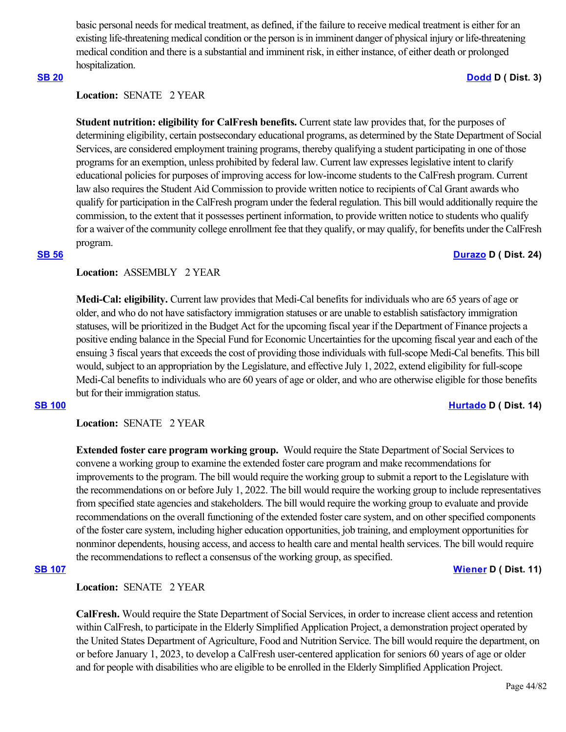basic personal needs for medical treatment, as defined, if the failure to receive medical treatment is either for an existing life-threatening medical condition or the person is in imminent danger of physical injury or life-threatening medical condition and there is a substantial and imminent risk, in either instance, of either death or prolonged hospitalization. **[SB 20](https://ctweb.capitoltrack.com/public/publishbillinfo.aspx?bi=w6X2XeD0mlhhWOsoJxAMz%2FNGms6QgRnRS3qt79AKkaPD81tS23UU65L9cuQrp4p%2B) [Dodd](http://sd03.senate.ca.gov/) D ( Dist. 3)**

### **Location:**  SENATE 2 YEAR

**Student nutrition: eligibility for CalFresh benefits.** Current state law provides that, for the purposes of determining eligibility, certain postsecondary educational programs, as determined by the State Department of Social Services, are considered employment training programs, thereby qualifying a student participating in one of those programs for an exemption, unless prohibited by federal law. Current law expresses legislative intent to clarify educational policies for purposes of improving access for low-income students to the CalFresh program. Current law also requires the Student Aid Commission to provide written notice to recipients of Cal Grant awards who qualify for participation in the CalFresh program under the federal regulation. This bill would additionally require the commission, to the extent that it possesses pertinent information, to provide written notice to students who qualify for a waiver of the community college enrollment fee that they qualify, or may qualify, for benefits under the CalFresh program.

### **[SB 56](https://ctweb.capitoltrack.com/public/publishbillinfo.aspx?bi=V8F%2FN1%2B6be8PTuO0KRgcYcIKP34nEPutT%2BarvGaPQQihj9UBp%2FaVZ2u2Hs6RyYwt) [Durazo](http://sd24.senate.ca.gov/) D ( Dist. 24)**

### **Location:**  ASSEMBLY 2 YEAR

**Medi-Cal: eligibility.** Current law provides that Medi-Cal benefits for individuals who are 65 years of age or older, and who do not have satisfactory immigration statuses or are unable to establish satisfactory immigration statuses, will be prioritized in the Budget Act for the upcoming fiscal year if the Department of Finance projects a positive ending balance in the Special Fund for Economic Uncertainties for the upcoming fiscal year and each of the ensuing 3 fiscal years that exceeds the cost of providing those individuals with full-scope Medi-Cal benefits. This bill would, subject to an appropriation by the Legislature, and effective July 1, 2022, extend eligibility for full-scope Medi-Cal benefits to individuals who are 60 years of age or older, and who are otherwise eligible for those benefits but for their immigration status.

### **[SB 100](https://ctweb.capitoltrack.com/public/publishbillinfo.aspx?bi=1A%2BMpF%2FrAmXEVj5EDpvdnNjfPwYaiRz8%2Fnt4FR%2FuhK8poczNgxO5izI4ftB2YkM8) [Hurtado](https://sd14.senate.ca.gov/) D ( Dist. 14)**

**Location:**  SENATE 2 YEAR

**Extended foster care program working group.** Would require the State Department of Social Services to convene a working group to examine the extended foster care program and make recommendations for improvements to the program. The bill would require the working group to submit a report to the Legislature with the recommendations on or before July 1, 2022. The bill would require the working group to include representatives from specified state agencies and stakeholders. The bill would require the working group to evaluate and provide recommendations on the overall functioning of the extended foster care system, and on other specified components of the foster care system, including higher education opportunities, job training, and employment opportunities for nonminor dependents, housing access, and access to health care and mental health services. The bill would require the recommendations to reflect a consensus of the working group, as specified.

# **[SB 107](https://ctweb.capitoltrack.com/public/publishbillinfo.aspx?bi=eLh66gkgqpf43PmQSyrj6NOg1h3XBxBWX0Ecxr6qH00uvdBTQ5lcwvrD70HbfSYg) [Wiener](http://sd11.senate.ca.gov/) D ( Dist. 11)**

**Location:**  SENATE 2 YEAR

**CalFresh.** Would require the State Department of Social Services, in order to increase client access and retention within CalFresh, to participate in the Elderly Simplified Application Project, a demonstration project operated by the United States Department of Agriculture, Food and Nutrition Service. The bill would require the department, on or before January 1, 2023, to develop a CalFresh user-centered application for seniors 60 years of age or older and for people with disabilities who are eligible to be enrolled in the Elderly Simplified Application Project.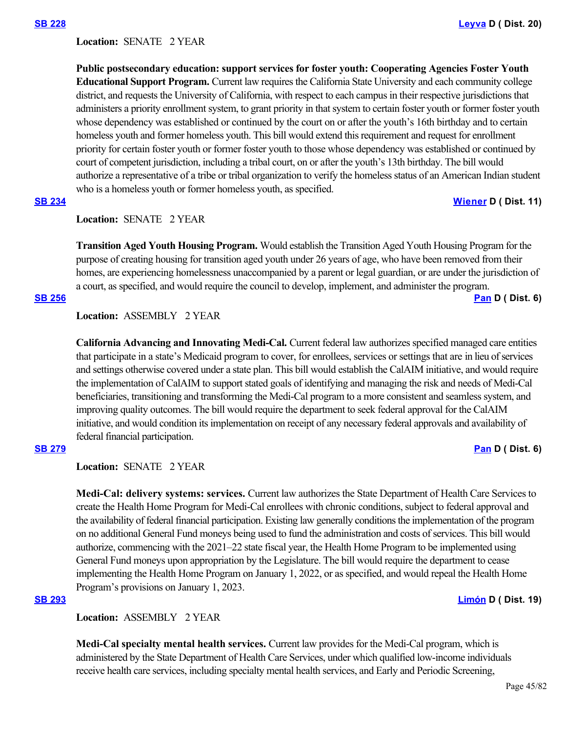Location: **SENATE 2 YEAR** 

**Public postsecondary education: support services for foster youth: Cooperating Agencies Foster Youth Educational Support Program.** Current law requires the California State University and each community college district, and requests the University of California, with respect to each campus in their respective jurisdictions that administers a priority enrollment system, to grant priority in that system to certain foster youth or former foster youth whose dependency was established or continued by the court on or after the youth's 16th birthday and to certain homeless youth and former homeless youth. This bill would extend this requirement and request for enrollment priority for certain foster youth or former foster youth to those whose dependency was established or continued by court of competent jurisdiction, including a tribal court, on or after the youth's 13th birthday. The bill would authorize a representative of a tribe or tribal organization to verify the homeless status of an American Indian student who is a homeless youth or former homeless youth, as specified.

**[SB 234](https://ctweb.capitoltrack.com/public/publishbillinfo.aspx?bi=iEkzZBxvcq1lPQq6DiwmfTIdgclzo2RsnhcsI5AJEKTbdMMKPgS168uGlpL40dJT) [Wiener](http://sd11.senate.ca.gov/) D ( Dist. 11)**

**Location:**  SENATE 2 YEAR

**Transition Aged Youth Housing Program.** Would establish the Transition Aged Youth Housing Program for the purpose of creating housing for transition aged youth under 26 years of age, who have been removed from their homes, are experiencing homelessness unaccompanied by a parent or legal guardian, or are under the jurisdiction of a court, as specified, and would require the council to develop, implement, and administer the program.

### **[SB 256](https://ctweb.capitoltrack.com/public/publishbillinfo.aspx?bi=2NjuuTY%2FCz%2BbV2FCivdwDMFSxte4UkHC0Sg%2Ff9bEvzncgiyT9rOHHRBgcgsXYEkm) [Pan](http://sd06.senate.ca.gov/) D ( Dist. 6)**

# **Location:**  ASSEMBLY 2 YEAR

**California Advancing and Innovating Medi-Cal.** Current federal law authorizes specified managed care entities that participate in a state's Medicaid program to cover, for enrollees, services or settings that are in lieu of services and settings otherwise covered under a state plan. This bill would establish the CalAIM initiative, and would require the implementation of CalAIM to support stated goals of identifying and managing the risk and needs of Medi-Cal beneficiaries, transitioning and transforming the Medi-Cal program to a more consistent and seamless system, and improving quality outcomes. The bill would require the department to seek federal approval for the CalAIM initiative, and would condition its implementation on receipt of any necessary federal approvals and availability of federal financial participation. **[SB 279](https://ctweb.capitoltrack.com/public/publishbillinfo.aspx?bi=ckqO%2FCNgJK4xI3earS4%2Bdgw4dSN%2BokbMmAgR8EMlBat3IRZiicgq35wsSNaMnIkp) [Pan](http://sd06.senate.ca.gov/) D ( Dist. 6)**

**Location:**  SENATE 2 YEAR

**Medi-Cal: delivery systems: services.** Current law authorizes the State Department of Health Care Services to create the Health Home Program for Medi-Cal enrollees with chronic conditions, subject to federal approval and the availability of federal financial participation. Existing law generally conditions the implementation of the program on no additional General Fund moneys being used to fund the administration and costs of services. This bill would authorize, commencing with the 2021–22 state fiscal year, the Health Home Program to be implemented using General Fund moneys upon appropriation by the Legislature. The bill would require the department to cease implementing the Health Home Program on January 1, 2022, or as specified, and would repeal the Health Home Program's provisions on January 1, 2023.

### **[SB 293](https://ctweb.capitoltrack.com/public/publishbillinfo.aspx?bi=mUvfNmpscz%2Fn6%2BS49x%2BVSyD1bPMaRpllCZj7GTDR7ts%2FffO9tJ0wQhEoWSyFW7qH) [Limón](http://sd19.senate.ca.gov/) D ( Dist. 19)**

**Location:**  ASSEMBLY 2 YEAR

**Medi-Cal specialty mental health services.** Current law provides for the Medi-Cal program, which is administered by the State Department of Health Care Services, under which qualified low-income individuals receive health care services, including specialty mental health services, and Early and Periodic Screening,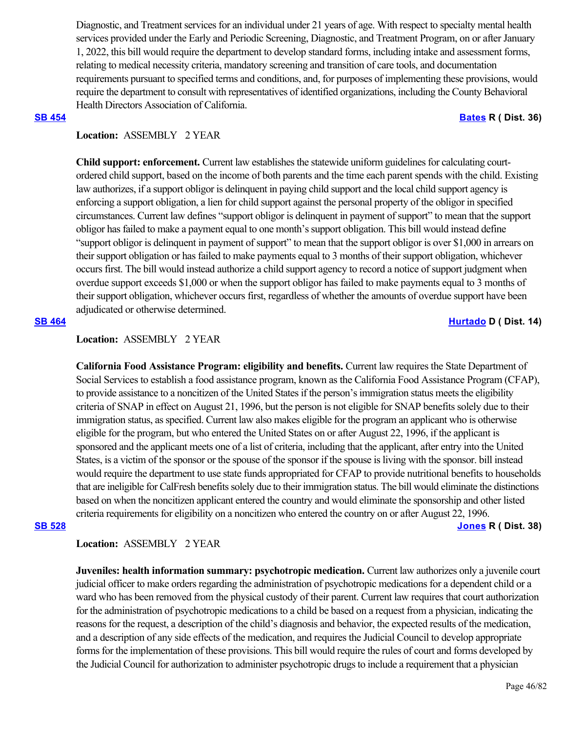Diagnostic, and Treatment services for an individual under 21 years of age. With respect to specialty mental health services provided under the Early and Periodic Screening, Diagnostic, and Treatment Program, on or after January 1, 2022, this bill would require the department to develop standard forms, including intake and assessment forms, relating to medical necessity criteria, mandatory screening and transition of care tools, and documentation requirements pursuant to specified terms and conditions, and, for purposes of implementing these provisions, would require the department to consult with representatives of identified organizations, including the County Behavioral Health Directors Association of California.

### **[SB 454](https://ctweb.capitoltrack.com/public/publishbillinfo.aspx?bi=LV4hR08vJbc%2FajGYXibzZEKGCVI19pgx8urI1YY0aYCP%2BgaFGh%2FC1qBBHbUelDLS) [Bates](https://bates.cssrc.us/) R ( Dist. 36)**

# **Location:**  ASSEMBLY 2 YEAR

**Child support: enforcement.** Current law establishes the statewide uniform guidelines for calculating courtordered child support, based on the income of both parents and the time each parent spends with the child. Existing law authorizes, if a support obligor is delinquent in paying child support and the local child support agency is enforcing a support obligation, a lien for child support against the personal property of the obligor in specified circumstances. Current law defines "support obligor is delinquent in payment of support" to mean that the support obligor has failed to make a payment equal to one month's support obligation. This bill would instead define "support obligor is delinquent in payment of support" to mean that the support obligor is over \$1,000 in arrears on their support obligation or has failed to make payments equal to 3 months of their support obligation, whichever occurs first. The bill would instead authorize a child support agency to record a notice of support judgment when overdue support exceeds \$1,000 or when the support obligor has failed to make payments equal to 3 months of their support obligation, whichever occurs first, regardless of whether the amounts of overdue support have been adjudicated or otherwise determined.

### **[SB 464](https://ctweb.capitoltrack.com/public/publishbillinfo.aspx?bi=YeR2vPSL4pj%2FERBmUjmPXEt83s3oO%2BkrrlLILGYWFZOtrQE4ceP1lB9wg5IltNYo) [Hurtado](https://sd14.senate.ca.gov/) D ( Dist. 14)**

### **Location:**  ASSEMBLY 2 YEAR

**California Food Assistance Program: eligibility and benefits.** Current law requires the State Department of Social Services to establish a food assistance program, known as the California Food Assistance Program (CFAP), to provide assistance to a noncitizen of the United States if the person's immigration status meets the eligibility criteria of SNAP in effect on August 21, 1996, but the person is not eligible for SNAP benefits solely due to their immigration status, as specified. Current law also makes eligible for the program an applicant who is otherwise eligible for the program, but who entered the United States on or after August 22, 1996, if the applicant is sponsored and the applicant meets one of a list of criteria, including that the applicant, after entry into the United States, is a victim of the sponsor or the spouse of the sponsor if the spouse is living with the sponsor. bill instead would require the department to use state funds appropriated for CFAP to provide nutritional benefits to households that are ineligible for CalFresh benefits solely due to their immigration status. The bill would eliminate the distinctions based on when the noncitizen applicant entered the country and would eliminate the sponsorship and other listed criteria requirements for eligibility on a noncitizen who entered the country on or after August 22, 1996.

**[SB 528](https://ctweb.capitoltrack.com/public/publishbillinfo.aspx?bi=%2Bp1SVv8r%2B8m4BUvQhxIFJFUgY7rQ%2Fn1ZUHgdvToxqarY%2BNVzaNCc5waobYT6SzgJ) [Jones](https://jones.cssrc.us/) R ( Dist. 38)**

### **Location:**  ASSEMBLY 2 YEAR

**Juveniles: health information summary: psychotropic medication.** Current law authorizes only a juvenile court judicial officer to make orders regarding the administration of psychotropic medications for a dependent child or a ward who has been removed from the physical custody of their parent. Current law requires that court authorization for the administration of psychotropic medications to a child be based on a request from a physician, indicating the reasons for the request, a description of the child's diagnosis and behavior, the expected results of the medication, and a description of any side effects of the medication, and requires the Judicial Council to develop appropriate forms for the implementation of these provisions. This bill would require the rules of court and forms developed by the Judicial Council for authorization to administer psychotropic drugs to include a requirement that a physician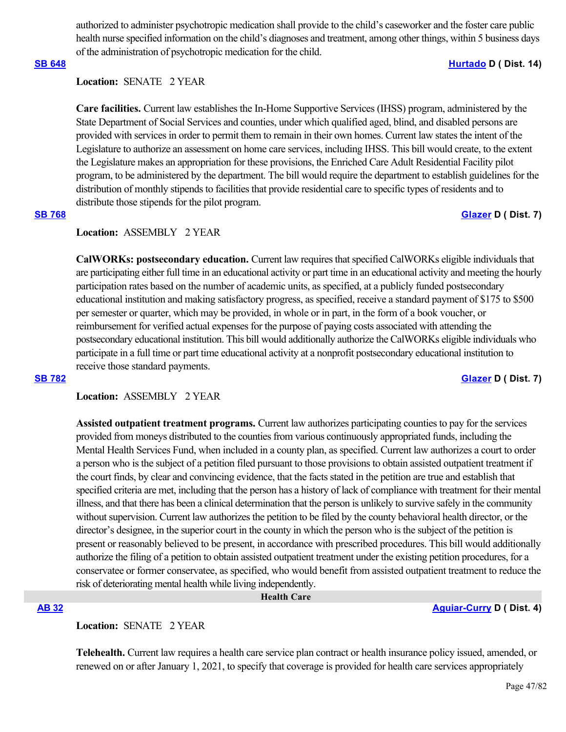authorized to administer psychotropic medication shall provide to the child's caseworker and the foster care public health nurse specified information on the child's diagnoses and treatment, among other things, within 5 business days of the administration of psychotropic medication for the child.

# **Location:**  SENATE 2 YEAR

**Care facilities.** Current law establishes the In-Home Supportive Services (IHSS) program, administered by the State Department of Social Services and counties, under which qualified aged, blind, and disabled persons are provided with services in order to permit them to remain in their own homes. Current law states the intent of the Legislature to authorize an assessment on home care services, including IHSS. This bill would create, to the extent the Legislature makes an appropriation for these provisions, the Enriched Care Adult Residential Facility pilot program, to be administered by the department. The bill would require the department to establish guidelines for the distribution of monthly stipends to facilities that provide residential care to specific types of residents and to distribute those stipends for the pilot program.

# **[SB 768](https://ctweb.capitoltrack.com/public/publishbillinfo.aspx?bi=HRunm91TsMFrrfgX1inq%2BJ4Cb89gFa4MbLfxSDQyaDuO6SKluR5%2Be%2FCnwDfiWnKI) [Glazer](http://sd07.senate.ca.gov/) D ( Dist. 7)**

### **Location:**  ASSEMBLY 2 YEAR

**CalWORKs: postsecondary education.** Current law requires that specified CalWORKs eligible individuals that are participating either full time in an educational activity or part time in an educational activity and meeting the hourly participation rates based on the number of academic units, as specified, at a publicly funded postsecondary educational institution and making satisfactory progress, as specified, receive a standard payment of \$175 to \$500 per semester or quarter, which may be provided, in whole or in part, in the form of a book voucher, or reimbursement for verified actual expenses for the purpose of paying costs associated with attending the postsecondary educational institution. This bill would additionally authorize the CalWORKs eligible individuals who participate in a full time or part time educational activity at a nonprofit postsecondary educational institution to receive those standard payments.

# **Location:**  ASSEMBLY 2 YEAR

**Assisted outpatient treatment programs.** Current law authorizes participating counties to pay for the services provided from moneys distributed to the counties from various continuously appropriated funds, including the Mental Health Services Fund, when included in a county plan, as specified. Current law authorizes a court to order a person who is the subject of a petition filed pursuant to those provisions to obtain assisted outpatient treatment if the court finds, by clear and convincing evidence, that the facts stated in the petition are true and establish that specified criteria are met, including that the person has a history of lack of compliance with treatment for their mental illness, and that there has been a clinical determination that the person is unlikely to survive safely in the community without supervision. Current law authorizes the petition to be filed by the county behavioral health director, or the director's designee, in the superior court in the county in which the person who is the subject of the petition is present or reasonably believed to be present, in accordance with prescribed procedures. This bill would additionally authorize the filing of a petition to obtain assisted outpatient treatment under the existing petition procedures, for a conservatee or former conservatee, as specified, who would benefit from assisted outpatient treatment to reduce the risk of deteriorating mental health while living independently.

 **Health Care**

### **[AB 32](https://ctweb.capitoltrack.com/public/publishbillinfo.aspx?bi=Grhe2F064fXyGGwz2gvvUqCmKwNRB0mErpFgshYyJBq6G%2BlG8lMKS%2FZOlSAKYGj4) [Aguiar-Curry](https://a04.asmdc.org/) D ( Dist. 4)**

# **Location:**  SENATE 2 YEAR

**Telehealth.** Current law requires a health care service plan contract or health insurance policy issued, amended, or renewed on or after January 1, 2021, to specify that coverage is provided for health care services appropriately

# **[SB 648](https://ctweb.capitoltrack.com/public/publishbillinfo.aspx?bi=O4Fp0S6bZuPyE%2Bymi0S%2BTFhR3cosZM4vY6ELCNgMoJaMaLpyTFlBEumxSxS4V0ED) [Hurtado](https://sd14.senate.ca.gov/) D ( Dist. 14)**

**[SB 782](https://ctweb.capitoltrack.com/public/publishbillinfo.aspx?bi=9YH1KYQFgvchoVPb0ttHwMSeA5o5URmXbLoIPFrg%2FeY7%2BY%2Fhb2VkTffiVSLF5N0P) [Glazer](http://sd07.senate.ca.gov/) D ( Dist. 7)**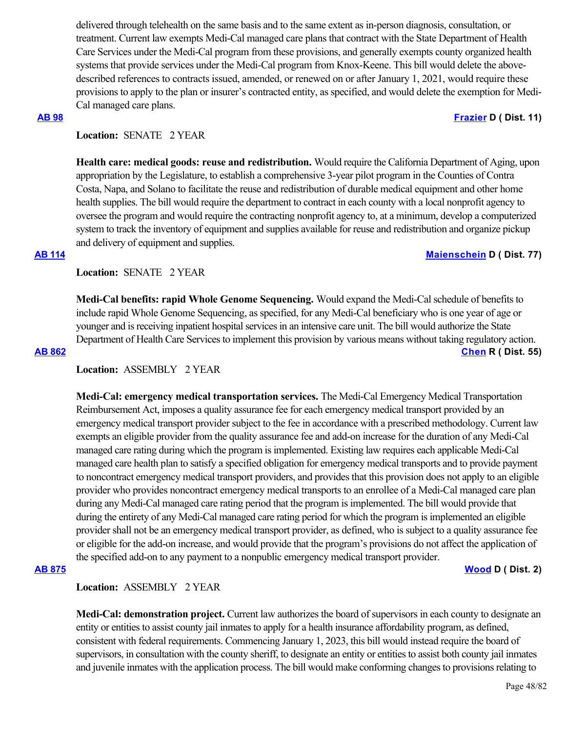delivered through telehealth on the same basis and to the same extent as in-person diagnosis, consultation, or treatment. Current law exempts Medi-Cal managed care plans that contract with the State Department of Health Care Services under the Medi-Cal program from these provisions, and generally exempts county organized health systems that provide services under the Medi-Cal program from Knox-Keene. This bill would delete the abovedescribed references to contracts issued, amended, or renewed on or after January 1, 2021, would require these provisions to apply to the plan or insurer's contracted entity, as specified, and would delete the exemption for Medi-Cal managed care plans.

### **[AB 98](https://ctweb.capitoltrack.com/public/publishbillinfo.aspx?bi=2AP7Z%2BSfWPwTjY7pLpJnVvICIB0PB6RxMicaXIQV4NUvKm9S7g60uYAHDWRfPpxF) [Frazier](https://a11.asmdc.org/) D ( Dist. 11)**

# Location: **SENATE** 2 YEAR

**Health care: medical goods: reuse and redistribution.** Would require the California Department of Aging, upon appropriation by the Legislature, to establish a comprehensive 3-year pilot program in the Counties of Contra Costa, Napa, and Solano to facilitate the reuse and redistribution of durable medical equipment and other home health supplies. The bill would require the department to contract in each county with a local nonprofit agency to oversee the program and would require the contracting nonprofit agency to, at a minimum, develop a computerized system to track the inventory of equipment and supplies available for reuse and redistribution and organize pickup and delivery of equipment and supplies.

### **[AB 114](https://ctweb.capitoltrack.com/public/publishbillinfo.aspx?bi=BKUuzEt%2Fxonhdg%2Bi2T8KyDCF6bz%2BIDuv834ghq13Zdn4cLjhKDnmQtDrecEqAQaS) [Maienschein](https://a77.asmdc.org/) D ( Dist. 77)**

Location: **SENATE** 2 YEAR

**Medi-Cal benefits: rapid Whole Genome Sequencing.** Would expand the Medi-Cal schedule of benefits to include rapid Whole Genome Sequencing, as specified, for any Medi-Cal beneficiary who is one year of age or younger and is receiving inpatient hospital services in an intensive care unit. The bill would authorize the State Department of Health Care Services to implement this provision by various means without taking regulatory action. **[AB 862](https://ctweb.capitoltrack.com/public/publishbillinfo.aspx?bi=lsZKlxoaC%2F0NqJjiyWnyVHabJmkNPsWR1o9rUtxBHpX%2BOuikvifdV7SuzV4jHJri) [Chen](https://ad55.asmrc.org/) R ( Dist. 55)**

**Location:**  ASSEMBLY 2 YEAR

**Medi-Cal: emergency medical transportation services.** The Medi-Cal Emergency Medical Transportation Reimbursement Act, imposes a quality assurance fee for each emergency medical transport provided by an emergency medical transport provider subject to the fee in accordance with a prescribed methodology. Current law exempts an eligible provider from the quality assurance fee and add-on increase for the duration of any Medi-Cal managed care rating during which the program is implemented. Existing law requires each applicable Medi-Cal managed care health plan to satisfy a specified obligation for emergency medical transports and to provide payment to noncontract emergency medical transport providers, and provides that this provision does not apply to an eligible provider who provides noncontract emergency medical transports to an enrollee of a Medi-Cal managed care plan during any Medi-Cal managed care rating period that the program is implemented. The bill would provide that during the entirety of any Medi-Cal managed care rating period for which the program is implemented an eligible provider shall not be an emergency medical transport provider, as defined, who is subject to a quality assurance fee or eligible for the add-on increase, and would provide that the program's provisions do not affect the application of the specified add-on to any payment to a nonpublic emergency medical transport provider.

**[AB 875](https://ctweb.capitoltrack.com/public/publishbillinfo.aspx?bi=qlWILwXBnqcVBiM09dSeT%2Bkh16bxuBc6YpOUA4A%2FbTOc5jugTNBMLucYEYVYd%2Ft9) [Wood](https://a02.asmdc.org/) D ( Dist. 2)**

# **Location:**  ASSEMBLY 2 YEAR

**Medi-Cal: demonstration project.** Current law authorizes the board of supervisors in each county to designate an entity or entities to assist county jail inmates to apply for a health insurance affordability program, as defined, consistent with federal requirements. Commencing January 1, 2023, this bill would instead require the board of supervisors, in consultation with the county sheriff, to designate an entity or entities to assist both county jail inmates and juvenile inmates with the application process. The bill would make conforming changes to provisions relating to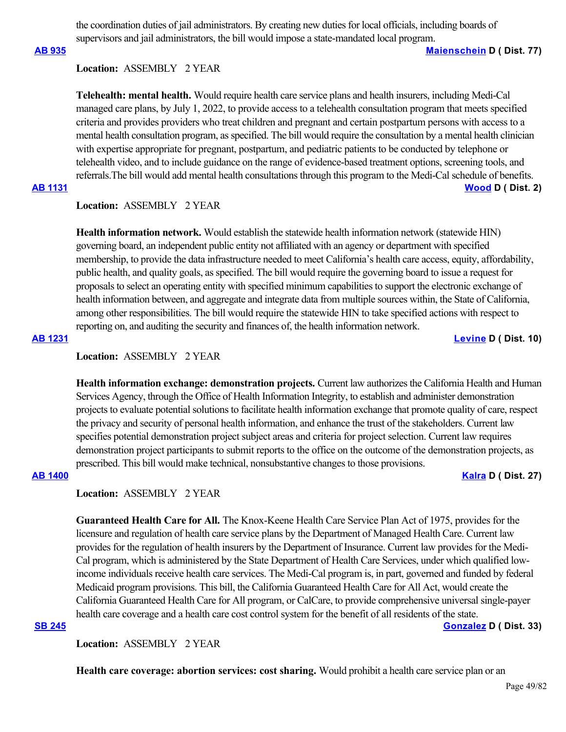the coordination duties of jail administrators. By creating new duties for local officials, including boards of supervisors and jail administrators, the bill would impose a state-mandated local program.

**[AB 935](https://ctweb.capitoltrack.com/public/publishbillinfo.aspx?bi=rVb2Nz3L8RHn744jzRc54zFzyq2XUGq1N5Z2dtyAv1jHvxXihHPf6nQlTDvUXTpn) [Maienschein](https://a77.asmdc.org/) D ( Dist. 77)**

### **Location:**  ASSEMBLY 2 YEAR

**Telehealth: mental health.** Would require health care service plans and health insurers, including Medi-Cal managed care plans, by July 1, 2022, to provide access to a telehealth consultation program that meets specified criteria and provides providers who treat children and pregnant and certain postpartum persons with access to a mental health consultation program, as specified. The bill would require the consultation by a mental health clinician with expertise appropriate for pregnant, postpartum, and pediatric patients to be conducted by telephone or telehealth video, and to include guidance on the range of evidence-based treatment options, screening tools, and referrals.The bill would add mental health consultations through this program to the Medi-Cal schedule of benefits.

# **[AB 1131](https://ctweb.capitoltrack.com/public/publishbillinfo.aspx?bi=EcKB0XH%2B6e8WZ2C7u4AdRJUy1X69wkO8dwdMQMpektXc95Z33dqK2sO2sVAmY619) [Wood](https://a02.asmdc.org/) D ( Dist. 2)**

# **Location:**  ASSEMBLY 2 YEAR

**Health information network.** Would establish the statewide health information network (statewide HIN) governing board, an independent public entity not affiliated with an agency or department with specified membership, to provide the data infrastructure needed to meet California's health care access, equity, affordability, public health, and quality goals, as specified. The bill would require the governing board to issue a request for proposals to select an operating entity with specified minimum capabilities to support the electronic exchange of health information between, and aggregate and integrate data from multiple sources within, the State of California, among other responsibilities. The bill would require the statewide HIN to take specified actions with respect to reporting on, and auditing the security and finances of, the health information network.

### **[AB 1231](https://ctweb.capitoltrack.com/public/publishbillinfo.aspx?bi=qLKdM1zXvuGlwu1KdiWmXSB4UjodRokdH9xn%2FaZD2hbzbHBMMk%2Ffc7I6OD%2Fjpqq7) [Levine](https://a10.asmdc.org/) D ( Dist. 10)**

# **Location:**  ASSEMBLY 2 YEAR

**Health information exchange: demonstration projects.** Current law authorizes the California Health and Human Services Agency, through the Office of Health Information Integrity, to establish and administer demonstration projects to evaluate potential solutions to facilitate health information exchange that promote quality of care, respect the privacy and security of personal health information, and enhance the trust of the stakeholders. Current law specifies potential demonstration project subject areas and criteria for project selection. Current law requires demonstration project participants to submit reports to the office on the outcome of the demonstration projects, as prescribed. This bill would make technical, nonsubstantive changes to those provisions.

### **[AB 1400](https://ctweb.capitoltrack.com/public/publishbillinfo.aspx?bi=AzCo%2BhpxX30I9j%2BM7vz4PPNUsTUsWO9Z23YhB3zmIxqvstAphIb1NQEDc3KNyACk) [Kalra](https://a27.asmdc.org/) D ( Dist. 27)**

**Location:**  ASSEMBLY 2 YEAR

**Guaranteed Health Care for All.** The Knox-Keene Health Care Service Plan Act of 1975, provides for the licensure and regulation of health care service plans by the Department of Managed Health Care. Current law provides for the regulation of health insurers by the Department of Insurance. Current law provides for the Medi-Cal program, which is administered by the State Department of Health Care Services, under which qualified lowincome individuals receive health care services. The Medi-Cal program is, in part, governed and funded by federal Medicaid program provisions. This bill, the California Guaranteed Health Care for All Act, would create the California Guaranteed Health Care for All program, or CalCare, to provide comprehensive universal single-payer health care coverage and a health care cost control system for the benefit of all residents of the state.

**[SB 245](https://ctweb.capitoltrack.com/public/publishbillinfo.aspx?bi=QNtPH5SYxPee8Q29vEv2RScAoZBhmrgRNzQrcsX%2FbDAjwz1eOzrD3F%2F9DElX71LF) [Gonzalez](https://sd33.senate.ca.gov/) D ( Dist. 33)**

**Location:**  ASSEMBLY 2 YEAR

**Health care coverage: abortion services: cost sharing.** Would prohibit a health care service plan or an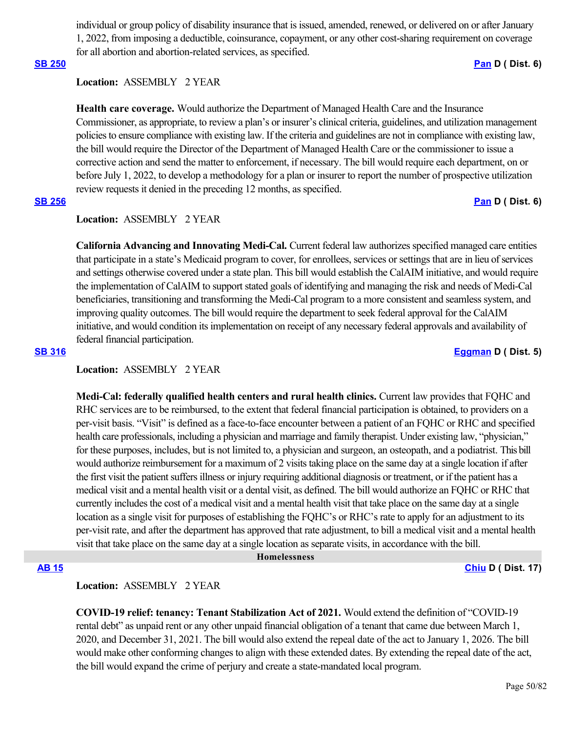individual or group policy of disability insurance that is issued, amended, renewed, or delivered on or after January 1, 2022, from imposing a deductible, coinsurance, copayment, or any other cost-sharing requirement on coverage for all abortion and abortion-related services, as specified.

### **[SB 250](https://ctweb.capitoltrack.com/public/publishbillinfo.aspx?bi=BnCOzpopID6GQoWegGodJxrjMNzo%2BJ3uJ5si6TG77rD6s%2Fx6go67dI1SJw5%2FDCTF) [Pan](http://sd06.senate.ca.gov/) D ( Dist. 6)**

# **Location:**  ASSEMBLY 2 YEAR

**Health care coverage.** Would authorize the Department of Managed Health Care and the Insurance Commissioner, as appropriate, to review a plan's or insurer's clinical criteria, guidelines, and utilization management policies to ensure compliance with existing law. If the criteria and guidelines are not in compliance with existing law, the bill would require the Director of the Department of Managed Health Care or the commissioner to issue a corrective action and send the matter to enforcement, if necessary. The bill would require each department, on or before July 1, 2022, to develop a methodology for a plan or insurer to report the number of prospective utilization review requests it denied in the preceding 12 months, as specified.

### **[SB 256](https://ctweb.capitoltrack.com/public/publishbillinfo.aspx?bi=2NjuuTY%2FCz%2BbV2FCivdwDMFSxte4UkHC0Sg%2Ff9bEvzncgiyT9rOHHRBgcgsXYEkm) [Pan](http://sd06.senate.ca.gov/) D ( Dist. 6)**

# **Location:**  ASSEMBLY 2 YEAR

**California Advancing and Innovating Medi-Cal.** Current federal law authorizes specified managed care entities that participate in a state's Medicaid program to cover, for enrollees, services or settings that are in lieu of services and settings otherwise covered under a state plan. This bill would establish the CalAIM initiative, and would require the implementation of CalAIM to support stated goals of identifying and managing the risk and needs of Medi-Cal beneficiaries, transitioning and transforming the Medi-Cal program to a more consistent and seamless system, and improving quality outcomes. The bill would require the department to seek federal approval for the CalAIM initiative, and would condition its implementation on receipt of any necessary federal approvals and availability of federal financial participation.

### **[SB 316](https://ctweb.capitoltrack.com/public/publishbillinfo.aspx?bi=TlXUrHHOYi53LsvO2HDsX7Wwg%2FygtobVGtTVLua3BEE46gwBtIf4%2BI1KaNI8CMr0) [Eggman](http://sd05.senate.ca.gov/) D ( Dist. 5)**

### **Location:**  ASSEMBLY 2 YEAR

**Medi-Cal: federally qualified health centers and rural health clinics.** Current law provides that FQHC and RHC services are to be reimbursed, to the extent that federal financial participation is obtained, to providers on a per-visit basis. "Visit" is defined as a face-to-face encounter between a patient of an FQHC or RHC and specified health care professionals, including a physician and marriage and family therapist. Under existing law, "physician," for these purposes, includes, but is not limited to, a physician and surgeon, an osteopath, and a podiatrist. This bill would authorize reimbursement for a maximum of 2 visits taking place on the same day at a single location if after the first visit the patient suffers illness or injury requiring additional diagnosis or treatment, or if the patient has a medical visit and a mental health visit or a dental visit, as defined. The bill would authorize an FQHC or RHC that currently includes the cost of a medical visit and a mental health visit that take place on the same day at a single location as a single visit for purposes of establishing the FQHC's or RHC's rate to apply for an adjustment to its per-visit rate, and after the department has approved that rate adjustment, to bill a medical visit and a mental health visit that take place on the same day at a single location as separate visits, in accordance with the bill.

### **Homelessness**

### **[AB 15](https://ctweb.capitoltrack.com/public/publishbillinfo.aspx?bi=IgPbJFOpLHK2wJ6KjIZfvxQpPWExdikqFibWs%2FQrJyvl8dkUCmF%2BXGUVeoFAM2NJ) [Chiu](https://a17.asmdc.org/) D ( Dist. 17)**

### **Location:**  ASSEMBLY 2 YEAR

**COVID-19 relief: tenancy: Tenant Stabilization Act of 2021.** Would extend the definition of "COVID-19 rental debt" as unpaid rent or any other unpaid financial obligation of a tenant that came due between March 1, 2020, and December 31, 2021. The bill would also extend the repeal date of the act to January 1, 2026. The bill would make other conforming changes to align with these extended dates. By extending the repeal date of the act, the bill would expand the crime of perjury and create a state-mandated local program.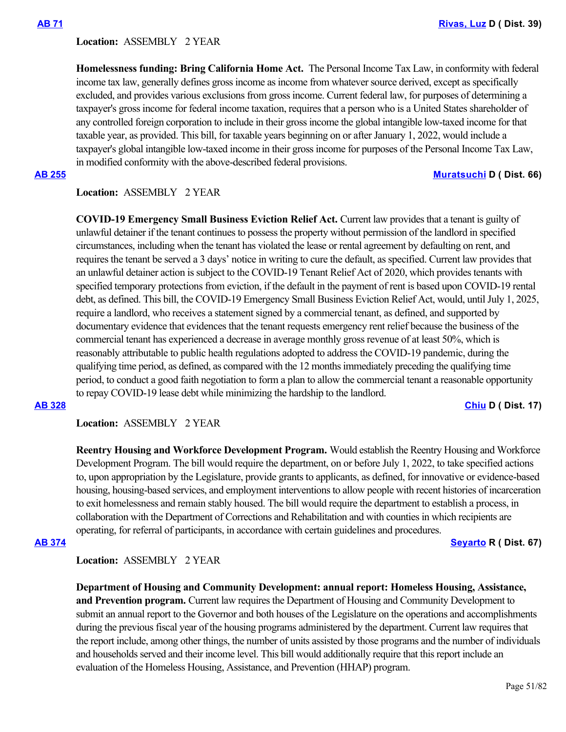### **Location:**  ASSEMBLY 2 YEAR

**Homelessness funding: Bring California Home Act.**  The Personal Income Tax Law, in conformity with federal income tax law, generally defines gross income as income from whatever source derived, except as specifically excluded, and provides various exclusions from gross income. Current federal law, for purposes of determining a taxpayer's gross income for federal income taxation, requires that a person who is a United States shareholder of any controlled foreign corporation to include in their gross income the global intangible low-taxed income for that taxable year, as provided. This bill, for taxable years beginning on or after January 1, 2022, would include a taxpayer's global intangible low-taxed income in their gross income for purposes of the Personal Income Tax Law, in modified conformity with the above-described federal provisions.

**[AB 255](https://ctweb.capitoltrack.com/public/publishbillinfo.aspx?bi=YvjKraeUlXOOA253VIoTGZS9W1vHyy101YF4r9MNtUmgANxM0YnI%2BZW0J3Go1iuV) [Muratsuchi](https://a66.asmdc.org/) D ( Dist. 66)**

# **Location:**  ASSEMBLY 2 YEAR

**COVID-19 Emergency Small Business Eviction Relief Act.** Current law provides that a tenant is guilty of unlawful detainer if the tenant continues to possess the property without permission of the landlord in specified circumstances, including when the tenant has violated the lease or rental agreement by defaulting on rent, and requires the tenant be served a 3 days' notice in writing to cure the default, as specified. Current law provides that an unlawful detainer action is subject to the COVID-19 Tenant Relief Act of 2020, which provides tenants with specified temporary protections from eviction, if the default in the payment of rent is based upon COVID-19 rental debt, as defined. This bill, the COVID-19 Emergency Small Business Eviction Relief Act, would, until July 1, 2025, require a landlord, who receives a statement signed by a commercial tenant, as defined, and supported by documentary evidence that evidences that the tenant requests emergency rent relief because the business of the commercial tenant has experienced a decrease in average monthly gross revenue of at least 50%, which is reasonably attributable to public health regulations adopted to address the COVID-19 pandemic, during the qualifying time period, as defined, as compared with the 12 months immediately preceding the qualifying time period, to conduct a good faith negotiation to form a plan to allow the commercial tenant a reasonable opportunity to repay COVID-19 lease debt while minimizing the hardship to the landlord.

**[AB 328](https://ctweb.capitoltrack.com/public/publishbillinfo.aspx?bi=dev45Q0D1b32CnaaG3bZDkEi%2FMpy5E2Xx8Zu%2FEBULJFmgG%2Fo37d2xCmh9zhXhvZX) [Chiu](https://a17.asmdc.org/) D ( Dist. 17)**

**Location:**  ASSEMBLY 2 YEAR

**Reentry Housing and Workforce Development Program.** Would establish the Reentry Housing and Workforce Development Program. The bill would require the department, on or before July 1, 2022, to take specified actions to, upon appropriation by the Legislature, provide grants to applicants, as defined, for innovative or evidence-based housing, housing-based services, and employment interventions to allow people with recent histories of incarceration to exit homelessness and remain stably housed. The bill would require the department to establish a process, in collaboration with the Department of Corrections and Rehabilitation and with counties in which recipients are operating, for referral of participants, in accordance with certain guidelines and procedures.

**[AB 374](https://ctweb.capitoltrack.com/public/publishbillinfo.aspx?bi=PgPmEp3s1MmutZHRNiX8w%2BrsNi6B0u4hFbByINVy0RVCwGBmTBbPacgDLGFG6hyx) [Seyarto](https://ad67.asmrc.org/) R ( Dist. 67)**

### **Location:**  ASSEMBLY 2 YEAR

**Department of Housing and Community Development: annual report: Homeless Housing, Assistance, and Prevention program.** Current law requires the Department of Housing and Community Development to submit an annual report to the Governor and both houses of the Legislature on the operations and accomplishments during the previous fiscal year of the housing programs administered by the department. Current law requires that the report include, among other things, the number of units assisted by those programs and the number of individuals and households served and their income level. This bill would additionally require that this report include an evaluation of the Homeless Housing, Assistance, and Prevention (HHAP) program.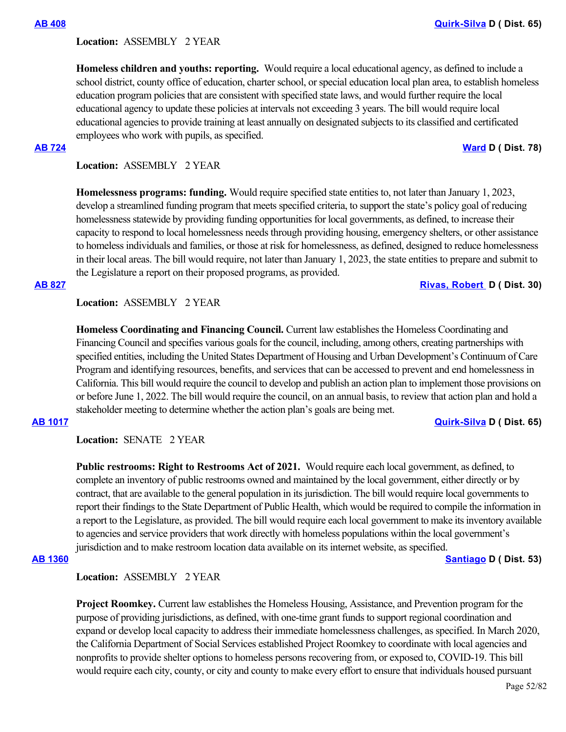### **Location:**  ASSEMBLY 2 YEAR

**Homeless children and youths: reporting.** Would require a local educational agency, as defined to include a school district, county office of education, charter school, or special education local plan area, to establish homeless education program policies that are consistent with specified state laws, and would further require the local educational agency to update these policies at intervals not exceeding 3 years. The bill would require local educational agencies to provide training at least annually on designated subjects to its classified and certificated employees who work with pupils, as specified.

### **[AB 724](https://ctweb.capitoltrack.com/public/publishbillinfo.aspx?bi=LMOdUoa32hAxSp26qrnJOm5JO1hhU0Q5REeL1vNDXHFDTAzyQvaDYDTxRTZWL6o2) [Ward](https://a78.asmdc.org/) D ( Dist. 78)**

**Location:**  ASSEMBLY 2 YEAR

**Homelessness programs: funding.** Would require specified state entities to, not later than January 1, 2023, develop a streamlined funding program that meets specified criteria, to support the state's policy goal of reducing homelessness statewide by providing funding opportunities for local governments, as defined, to increase their capacity to respond to local homelessness needs through providing housing, emergency shelters, or other assistance to homeless individuals and families, or those at risk for homelessness, as defined, designed to reduce homelessness in their local areas. The bill would require, not later than January 1, 2023, the state entities to prepare and submit to the Legislature a report on their proposed programs, as provided.

### **[AB 827](https://ctweb.capitoltrack.com/public/publishbillinfo.aspx?bi=FmXuM1OtvJWWfClC1Ag5DlEDhtgmF2NeSu0U7A7V2bA60cOYODk4pevYkoBGxpUN) [Rivas, Robert](https://a30.asmdc.org/)  D ( Dist. 30)**

**Location:**  ASSEMBLY 2 YEAR

**Homeless Coordinating and Financing Council.** Current law establishes the Homeless Coordinating and Financing Council and specifies various goals for the council, including, among others, creating partnerships with specified entities, including the United States Department of Housing and Urban Development's Continuum of Care Program and identifying resources, benefits, and services that can be accessed to prevent and end homelessness in California. This bill would require the council to develop and publish an action plan to implement those provisions on or before June 1, 2022. The bill would require the council, on an annual basis, to review that action plan and hold a stakeholder meeting to determine whether the action plan's goals are being met.

### **[AB 1017](https://ctweb.capitoltrack.com/public/publishbillinfo.aspx?bi=JYyt31DOcZMu5clq9Dg25K%2FwlQRmm9Z%2B4UUjhX8nItz1trRK6ZBuw7gaDVRacfEb) [Quirk-Silva](https://a65.asmdc.org/) D ( Dist. 65)**

**Location:**  SENATE 2 YEAR

**Public restrooms: Right to Restrooms Act of 2021.** Would require each local government, as defined, to complete an inventory of public restrooms owned and maintained by the local government, either directly or by contract, that are available to the general population in its jurisdiction. The bill would require local governments to report their findings to the State Department of Public Health, which would be required to compile the information in a report to the Legislature, as provided. The bill would require each local government to make its inventory available to agencies and service providers that work directly with homeless populations within the local government's jurisdiction and to make restroom location data available on its internet website, as specified.

**[AB 1360](https://ctweb.capitoltrack.com/public/publishbillinfo.aspx?bi=vI8z1V1Ep8FiEQ0AaaZTSYb8I27XCgI4u8VBhCf3H2oalVkNsspgpQQEb5POIBOU) [Santiago](https://a53.asmdc.org/) D ( Dist. 53)**

**Location:**  ASSEMBLY 2 YEAR

**Project Roomkey.** Current law establishes the Homeless Housing, Assistance, and Prevention program for the purpose of providing jurisdictions, as defined, with one-time grant funds to support regional coordination and expand or develop local capacity to address their immediate homelessness challenges, as specified. In March 2020, the California Department of Social Services established Project Roomkey to coordinate with local agencies and nonprofits to provide shelter options to homeless persons recovering from, or exposed to, COVID-19. This bill would require each city, county, or city and county to make every effort to ensure that individuals housed pursuant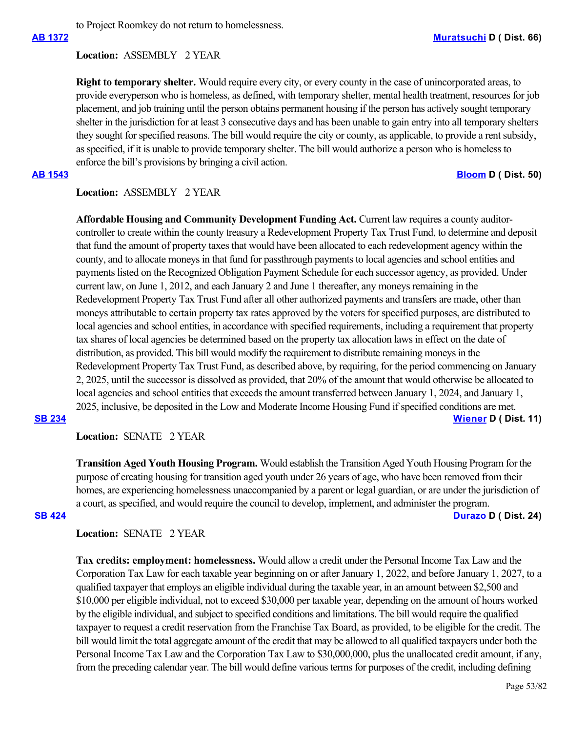to Project Roomkey do not return to homelessness.

### **Location:**  ASSEMBLY 2 YEAR

**Right to temporary shelter.** Would require every city, or every county in the case of unincorporated areas, to provide everyperson who is homeless, as defined, with temporary shelter, mental health treatment, resources for job placement, and job training until the person obtains permanent housing if the person has actively sought temporary shelter in the jurisdiction for at least 3 consecutive days and has been unable to gain entry into all temporary shelters they sought for specified reasons. The bill would require the city or county, as applicable, to provide a rent subsidy, as specified, if it is unable to provide temporary shelter. The bill would authorize a person who is homeless to enforce the bill's provisions by bringing a civil action.

**[AB 1543](https://ctweb.capitoltrack.com/public/publishbillinfo.aspx?bi=z9KyMbCQNworq90IEjL9gtqiF5GMF05PBFofDglkknwKp3R6I9A%2FJfWuQdRf4UTj) [Bloom](https://a50.asmdc.org/) D ( Dist. 50)**

### **Location:**  ASSEMBLY 2 YEAR

**Affordable Housing and Community Development Funding Act.** Current law requires a county auditorcontroller to create within the county treasury a Redevelopment Property Tax Trust Fund, to determine and deposit that fund the amount of property taxes that would have been allocated to each redevelopment agency within the county, and to allocate moneys in that fund for passthrough payments to local agencies and school entities and payments listed on the Recognized Obligation Payment Schedule for each successor agency, as provided. Under current law, on June 1, 2012, and each January 2 and June 1 thereafter, any moneys remaining in the Redevelopment Property Tax Trust Fund after all other authorized payments and transfers are made, other than moneys attributable to certain property tax rates approved by the voters for specified purposes, are distributed to local agencies and school entities, in accordance with specified requirements, including a requirement that property tax shares of local agencies be determined based on the property tax allocation laws in effect on the date of distribution, as provided. This bill would modify the requirement to distribute remaining moneys in the Redevelopment Property Tax Trust Fund, as described above, by requiring, for the period commencing on January 2, 2025, until the successor is dissolved as provided, that 20% of the amount that would otherwise be allocated to local agencies and school entities that exceeds the amount transferred between January 1, 2024, and January 1, 2025, inclusive, be deposited in the Low and Moderate Income Housing Fund if specified conditions are met.

### **[SB 234](https://ctweb.capitoltrack.com/public/publishbillinfo.aspx?bi=iEkzZBxvcq1lPQq6DiwmfTIdgclzo2RsnhcsI5AJEKTbdMMKPgS168uGlpL40dJT) [Wiener](http://sd11.senate.ca.gov/) D ( Dist. 11)**

**Location:**  SENATE 2 YEAR

**Transition Aged Youth Housing Program.** Would establish the Transition Aged Youth Housing Program for the purpose of creating housing for transition aged youth under 26 years of age, who have been removed from their homes, are experiencing homelessness unaccompanied by a parent or legal guardian, or are under the jurisdiction of a court, as specified, and would require the council to develop, implement, and administer the program. **[SB 424](https://ctweb.capitoltrack.com/public/publishbillinfo.aspx?bi=6gQOf9PLHy7W7z7OrpvoPsaCf6aZr9Xte6V0AUSHuVtHvi4BfpSw5aGk2nrJ4STf) [Durazo](http://sd24.senate.ca.gov/) D ( Dist. 24)**

**Location:**  SENATE 2 YEAR

**Tax credits: employment: homelessness.** Would allow a credit under the Personal Income Tax Law and the Corporation Tax Law for each taxable year beginning on or after January 1, 2022, and before January 1, 2027, to a qualified taxpayer that employs an eligible individual during the taxable year, in an amount between \$2,500 and \$10,000 per eligible individual, not to exceed \$30,000 per taxable year, depending on the amount of hours worked by the eligible individual, and subject to specified conditions and limitations. The bill would require the qualified taxpayer to request a credit reservation from the Franchise Tax Board, as provided, to be eligible for the credit. The bill would limit the total aggregate amount of the credit that may be allowed to all qualified taxpayers under both the Personal Income Tax Law and the Corporation Tax Law to \$30,000,000, plus the unallocated credit amount, if any, from the preceding calendar year. The bill would define various terms for purposes of the credit, including defining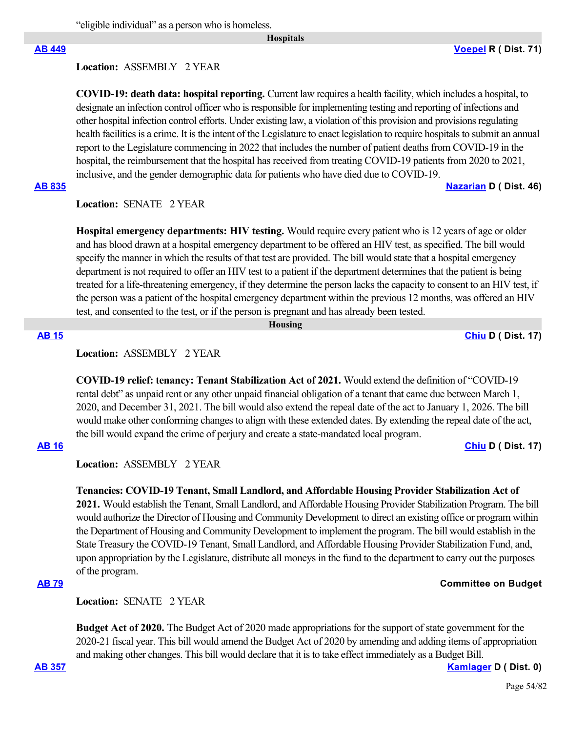"eligible individual" as a person who is homeless.

 **Hospitals**

### **Location:**  ASSEMBLY 2 YEAR

**COVID-19: death data: hospital reporting.** Current law requires a health facility, which includes a hospital, to designate an infection control officer who is responsible for implementing testing and reporting of infections and other hospital infection control efforts. Under existing law, a violation of this provision and provisions regulating health facilities is a crime. It is the intent of the Legislature to enact legislation to require hospitals to submit an annual report to the Legislature commencing in 2022 that includes the number of patient deaths from COVID-19 in the hospital, the reimbursement that the hospital has received from treating COVID-19 patients from 2020 to 2021, inclusive, and the gender demographic data for patients who have died due to COVID-19.

### **[AB 835](https://ctweb.capitoltrack.com/public/publishbillinfo.aspx?bi=2aCiLjbhCP3GuNjWxI7nne8Ypa3W1fu5QHCJohjB9tlXBiqOqjdKFj4o2ETqWh%2BE) [Nazarian](https://a46.asmdc.org/) D ( Dist. 46)**

**Location:**  SENATE 2 YEAR

**Hospital emergency departments: HIV testing.** Would require every patient who is 12 years of age or older and has blood drawn at a hospital emergency department to be offered an HIV test, as specified. The bill would specify the manner in which the results of that test are provided. The bill would state that a hospital emergency department is not required to offer an HIV test to a patient if the department determines that the patient is being treated for a life-threatening emergency, if they determine the person lacks the capacity to consent to an HIV test, if the person was a patient of the hospital emergency department within the previous 12 months, was offered an HIV test, and consented to the test, or if the person is pregnant and has already been tested.

 **Housing**

### **[AB 15](https://ctweb.capitoltrack.com/public/publishbillinfo.aspx?bi=IgPbJFOpLHK2wJ6KjIZfvxQpPWExdikqFibWs%2FQrJyvl8dkUCmF%2BXGUVeoFAM2NJ) [Chiu](https://a17.asmdc.org/) D ( Dist. 17)**

# **Location:**  ASSEMBLY 2 YEAR

**COVID-19 relief: tenancy: Tenant Stabilization Act of 2021.** Would extend the definition of "COVID-19 rental debt" as unpaid rent or any other unpaid financial obligation of a tenant that came due between March 1, 2020, and December 31, 2021. The bill would also extend the repeal date of the act to January 1, 2026. The bill would make other conforming changes to align with these extended dates. By extending the repeal date of the act, the bill would expand the crime of perjury and create a state-mandated local program.

### **[AB 16](https://ctweb.capitoltrack.com/public/publishbillinfo.aspx?bi=TTxaKr6u1tKTlUPv9M49ePdeIjD2ccoedqLtkjQLAxK%2FwbAGokJqLtni%2BRtjkUBl) [Chiu](https://a17.asmdc.org/) D ( Dist. 17)**

**Location:**  ASSEMBLY 2 YEAR

# **Tenancies: COVID-19 Tenant, Small Landlord, and Affordable Housing Provider Stabilization Act of**

**2021.** Would establish the Tenant, Small Landlord, and Affordable Housing Provider Stabilization Program. The bill would authorize the Director of Housing and Community Development to direct an existing office or program within the Department of Housing and Community Development to implement the program. The bill would establish in the State Treasury the COVID-19 Tenant, Small Landlord, and Affordable Housing Provider Stabilization Fund, and, upon appropriation by the Legislature, distribute all moneys in the fund to the department to carry out the purposes of the program.

### **[AB 79](https://ctweb.capitoltrack.com/public/publishbillinfo.aspx?bi=Vq6wUtKCzSJGuRANgm4zTNCM2soxCjkxuajlmV2OgA98nRW4AY0xVXiDJWRmXaB2) Committee on Budget**

# Location: **SENATE 2 YEAR**

**Budget Act of 2020.** The Budget Act of 2020 made appropriations for the support of state government for the 2020-21 fiscal year. This bill would amend the Budget Act of 2020 by amending and adding items of appropriation and making other changes. This bill would declare that it is to take effect immediately as a Budget Bill.

**[AB 357](https://ctweb.capitoltrack.com/public/publishbillinfo.aspx?bi=z5s4GWLbpi0UYNMS2WanHr7cQoP7Ndc42xKl2ndfzn7qChNg0S4fqECPg%2BN90fTB) [Kamlager](https://a54.asmdc.org/) D ( Dist. 0)**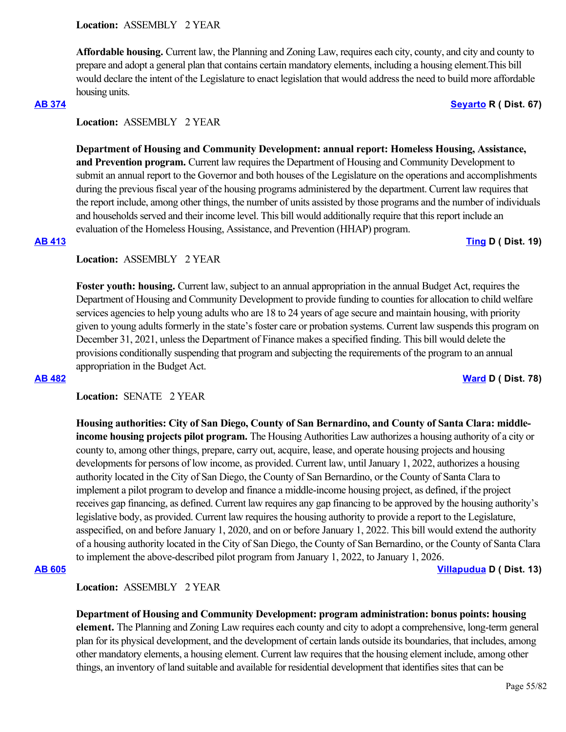**Affordable housing.** Current law, the Planning and Zoning Law, requires each city, county, and city and county to prepare and adopt a general plan that contains certain mandatory elements, including a housing element.This bill would declare the intent of the Legislature to enact legislation that would address the need to build more affordable housing units.

### **[AB 374](https://ctweb.capitoltrack.com/public/publishbillinfo.aspx?bi=PgPmEp3s1MmutZHRNiX8w%2BrsNi6B0u4hFbByINVy0RVCwGBmTBbPacgDLGFG6hyx) [Seyarto](https://ad67.asmrc.org/) R ( Dist. 67)**

# **Location:**  ASSEMBLY 2 YEAR

**Department of Housing and Community Development: annual report: Homeless Housing, Assistance, and Prevention program.** Current law requires the Department of Housing and Community Development to submit an annual report to the Governor and both houses of the Legislature on the operations and accomplishments during the previous fiscal year of the housing programs administered by the department. Current law requires that the report include, among other things, the number of units assisted by those programs and the number of individuals and households served and their income level. This bill would additionally require that this report include an evaluation of the Homeless Housing, Assistance, and Prevention (HHAP) program.

### **[AB 413](https://ctweb.capitoltrack.com/public/publishbillinfo.aspx?bi=slc5M04Azqc5c%2F2VFhRoNu%2FoYfuYjLLSVqnRW%2FvUeGQ3duFf8wGm8mjjMx0m29of) [Ting](https://a19.asmdc.org/) D ( Dist. 19)**

# **Location:**  ASSEMBLY 2 YEAR

**Foster youth: housing.** Current law, subject to an annual appropriation in the annual Budget Act, requires the Department of Housing and Community Development to provide funding to counties for allocation to child welfare services agencies to help young adults who are 18 to 24 years of age secure and maintain housing, with priority given to young adults formerly in the state's foster care or probation systems. Current law suspends this program on December 31, 2021, unless the Department of Finance makes a specified finding. This bill would delete the provisions conditionally suspending that program and subjecting the requirements of the program to an annual appropriation in the Budget Act.

**[AB 482](https://ctweb.capitoltrack.com/public/publishbillinfo.aspx?bi=hF5AUnwqQNk4L4pilnUpeCZoJtb7LrZN%2BWtN0rtmYyFzXQZ0gm%2Frs56xCQ9J%2BNE4) [Ward](https://a78.asmdc.org/) D ( Dist. 78)**

# **Location:**  SENATE 2 YEAR

**Housing authorities: City of San Diego, County of San Bernardino, and County of Santa Clara: middleincome housing projects pilot program.** The Housing Authorities Law authorizes a housing authority of a city or county to, among other things, prepare, carry out, acquire, lease, and operate housing projects and housing developments for persons of low income, as provided. Current law, until January 1, 2022, authorizes a housing authority located in the City of San Diego, the County of San Bernardino, or the County of Santa Clara to implement a pilot program to develop and finance a middle-income housing project, as defined, if the project receives gap financing, as defined. Current law requires any gap financing to be approved by the housing authority's legislative body, as provided. Current law requires the housing authority to provide a report to the Legislature, asspecified, on and before January 1, 2020, and on or before January 1, 2022. This bill would extend the authority of a housing authority located in the City of San Diego, the County of San Bernardino, or the County of Santa Clara to implement the above-described pilot program from January 1, 2022, to January 1, 2026.

**[AB 605](https://ctweb.capitoltrack.com/public/publishbillinfo.aspx?bi=3tMxVgvvh2wYpKvMDa40g6A11FwtgIiS4qqm7odvRVxBxxxv9O4RALyxITy6SPdW) [Villapudua](https://a13.asmdc.org/) D ( Dist. 13)**

# **Location:**  ASSEMBLY 2 YEAR

**Department of Housing and Community Development: program administration: bonus points: housing element.** The Planning and Zoning Law requires each county and city to adopt a comprehensive, long-term general plan for its physical development, and the development of certain lands outside its boundaries, that includes, among other mandatory elements, a housing element. Current law requires that the housing element include, among other things, an inventory of land suitable and available for residential development that identifies sites that can be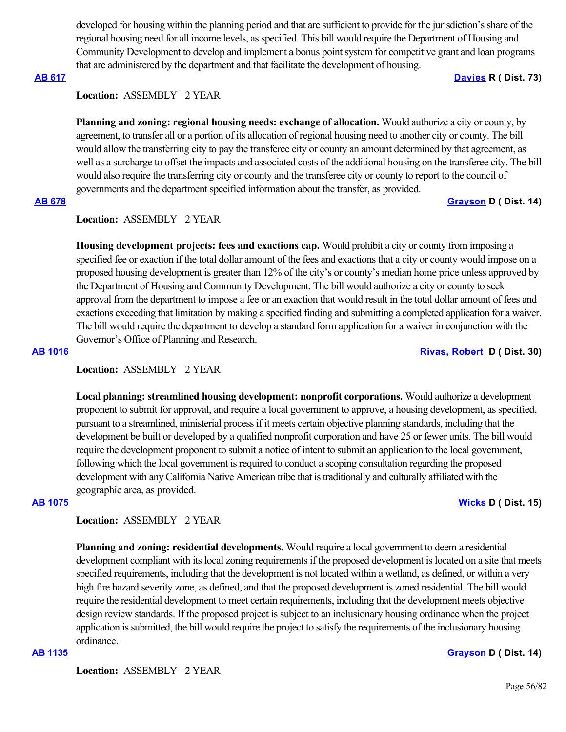developed for housing within the planning period and that are sufficient to provide for the jurisdiction's share of the regional housing need for all income levels, as specified. This bill would require the Department of Housing and Community Development to develop and implement a bonus point system for competitive grant and loan programs that are administered by the department and that facilitate the development of housing.

**[AB 617](https://ctweb.capitoltrack.com/public/publishbillinfo.aspx?bi=vq6AyMyHEYx40EWOyDxbtUSdMQH9ZQaafaRtNAl6SeMPRF1yze4Xm36yD%2BhshsgI) [Davies](http://ad73.asmrc.org/) R ( Dist. 73)**

### **Location:**  ASSEMBLY 2 YEAR

**Planning and zoning: regional housing needs: exchange of allocation.** Would authorize a city or county, by agreement, to transfer all or a portion of its allocation of regional housing need to another city or county. The bill would allow the transferring city to pay the transferee city or county an amount determined by that agreement, as well as a surcharge to offset the impacts and associated costs of the additional housing on the transferee city. The bill would also require the transferring city or county and the transferee city or county to report to the council of governments and the department specified information about the transfer, as provided.

### **[AB 678](https://ctweb.capitoltrack.com/public/publishbillinfo.aspx?bi=9QCoYDOpnw%2F8wvgx5C7idegKwsczraIvMqmazJkhzFPklp2A1qyCEGYRDlVJTgGh) [Grayson](https://a14.asmdc.org/) D ( Dist. 14)**

# **Location:**  ASSEMBLY 2 YEAR

**Housing development projects: fees and exactions cap.** Would prohibit a city or county from imposing a specified fee or exaction if the total dollar amount of the fees and exactions that a city or county would impose on a proposed housing development is greater than 12% of the city's or county's median home price unless approved by the Department of Housing and Community Development. The bill would authorize a city or county to seek approval from the department to impose a fee or an exaction that would result in the total dollar amount of fees and exactions exceeding that limitation by making a specified finding and submitting a completed application for a waiver. The bill would require the department to develop a standard form application for a waiver in conjunction with the Governor's Office of Planning and Research.

**[AB 1016](https://ctweb.capitoltrack.com/public/publishbillinfo.aspx?bi=kut%2BLlUVwDHZ7AWWnVsf%2Fcxm5MwwMZ86kjrJEQfVWhiH46zrNhsD3YXBGZ9gSgd0) [Rivas, Robert](https://a30.asmdc.org/)  D ( Dist. 30)**

### **Location:**  ASSEMBLY 2 YEAR

**Local planning: streamlined housing development: nonprofit corporations.** Would authorize a development proponent to submit for approval, and require a local government to approve, a housing development, as specified, pursuant to a streamlined, ministerial process if it meets certain objective planning standards, including that the development be built or developed by a qualified nonprofit corporation and have 25 or fewer units. The bill would require the development proponent to submit a notice of intent to submit an application to the local government, following which the local government is required to conduct a scoping consultation regarding the proposed development with any California Native American tribe that is traditionally and culturally affiliated with the geographic area, as provided.

# **[AB 1075](https://ctweb.capitoltrack.com/public/publishbillinfo.aspx?bi=45JTLNJQa6udvnVSGHge64FGaPVpzxZjv%2FlI9yvKtb3w9Bt0nJdWk25aAiV7LugA) [Wicks](https://a15.asmdc.org/) D ( Dist. 15)**

### **Location:**  ASSEMBLY 2 YEAR

**Planning and zoning: residential developments.** Would require a local government to deem a residential development compliant with its local zoning requirements if the proposed development is located on a site that meets specified requirements, including that the development is not located within a wetland, as defined, or within a very high fire hazard severity zone, as defined, and that the proposed development is zoned residential. The bill would require the residential development to meet certain requirements, including that the development meets objective design review standards. If the proposed project is subject to an inclusionary housing ordinance when the project application is submitted, the bill would require the project to satisfy the requirements of the inclusionary housing ordinance.

**[AB 1135](https://ctweb.capitoltrack.com/public/publishbillinfo.aspx?bi=nMntNeQopI9wkzMhzo18WQ3Apws1j5V3vRjhG5bU3nsF0XtdJhoPg%2FLGpcM13hY7) [Grayson](https://a14.asmdc.org/) D ( Dist. 14)**

**Location:**  ASSEMBLY 2 YEAR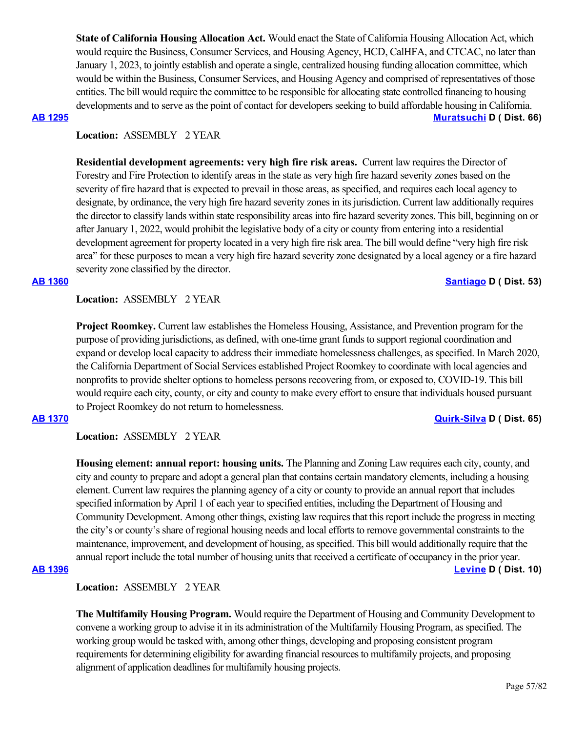**State of California Housing Allocation Act.** Would enact the State of California Housing Allocation Act, which would require the Business, Consumer Services, and Housing Agency, HCD, CalHFA, and CTCAC, no later than January 1, 2023, to jointly establish and operate a single, centralized housing funding allocation committee, which would be within the Business, Consumer Services, and Housing Agency and comprised of representatives of those entities. The bill would require the committee to be responsible for allocating state controlled financing to housing developments and to serve as the point of contact for developers seeking to build affordable housing in California. **[AB 1295](https://ctweb.capitoltrack.com/public/publishbillinfo.aspx?bi=ehuZoxqc4eBFZarwmn8kuIk8sl%2F0HLhkOFQhmFgO2rN2%2BfO%2BjG%2B69iP1bTHF7wMS) [Muratsuchi](https://a66.asmdc.org/) D ( Dist. 66)**

### **Location:**  ASSEMBLY 2 YEAR

**Residential development agreements: very high fire risk areas.** Current law requires the Director of Forestry and Fire Protection to identify areas in the state as very high fire hazard severity zones based on the severity of fire hazard that is expected to prevail in those areas, as specified, and requires each local agency to designate, by ordinance, the very high fire hazard severity zones in its jurisdiction. Current law additionally requires the director to classify lands within state responsibility areas into fire hazard severity zones. This bill, beginning on or after January 1, 2022, would prohibit the legislative body of a city or county from entering into a residential development agreement for property located in a very high fire risk area. The bill would define "very high fire risk area" for these purposes to mean a very high fire hazard severity zone designated by a local agency or a fire hazard severity zone classified by the director.

### **[AB 1360](https://ctweb.capitoltrack.com/public/publishbillinfo.aspx?bi=vI8z1V1Ep8FiEQ0AaaZTSYb8I27XCgI4u8VBhCf3H2oalVkNsspgpQQEb5POIBOU) [Santiago](https://a53.asmdc.org/) D ( Dist. 53)**

**Location:**  ASSEMBLY 2 YEAR

**Project Roomkey.** Current law establishes the Homeless Housing, Assistance, and Prevention program for the purpose of providing jurisdictions, as defined, with one-time grant funds to support regional coordination and expand or develop local capacity to address their immediate homelessness challenges, as specified. In March 2020, the California Department of Social Services established Project Roomkey to coordinate with local agencies and nonprofits to provide shelter options to homeless persons recovering from, or exposed to, COVID-19. This bill would require each city, county, or city and county to make every effort to ensure that individuals housed pursuant to Project Roomkey do not return to homelessness.

### **[AB 1370](https://ctweb.capitoltrack.com/public/publishbillinfo.aspx?bi=OVCIIuN1HMebxRqNoHGmzhphCi9TxA4R7K%2FMTB1sPxhX8Fz4ltFFhAC9p4e5YARw) [Quirk-Silva](https://a65.asmdc.org/) D ( Dist. 65)**

### **Location:**  ASSEMBLY 2 YEAR

**Housing element: annual report: housing units.** The Planning and Zoning Law requires each city, county, and city and county to prepare and adopt a general plan that contains certain mandatory elements, including a housing element. Current law requires the planning agency of a city or county to provide an annual report that includes specified information by April 1 of each year to specified entities, including the Department of Housing and Community Development. Among other things, existing law requires that this report include the progress in meeting the city's or county's share of regional housing needs and local efforts to remove governmental constraints to the maintenance, improvement, and development of housing, as specified. This bill would additionally require that the annual report include the total number of housing units that received a certificate of occupancy in the prior year.

# **[AB 1396](https://ctweb.capitoltrack.com/public/publishbillinfo.aspx?bi=kqwb8c3hhvOZWLSR6gljD2hVXB4hQrnZqIpXMeWOM8XLL5sF%2FeizZJJ92PEimjqC) [Levine](https://a10.asmdc.org/) D ( Dist. 10)**

# **Location:**  ASSEMBLY 2 YEAR

**The Multifamily Housing Program.** Would require the Department of Housing and Community Development to convene a working group to advise it in its administration of the Multifamily Housing Program, as specified. The working group would be tasked with, among other things, developing and proposing consistent program requirements for determining eligibility for awarding financial resources to multifamily projects, and proposing alignment of application deadlines for multifamily housing projects.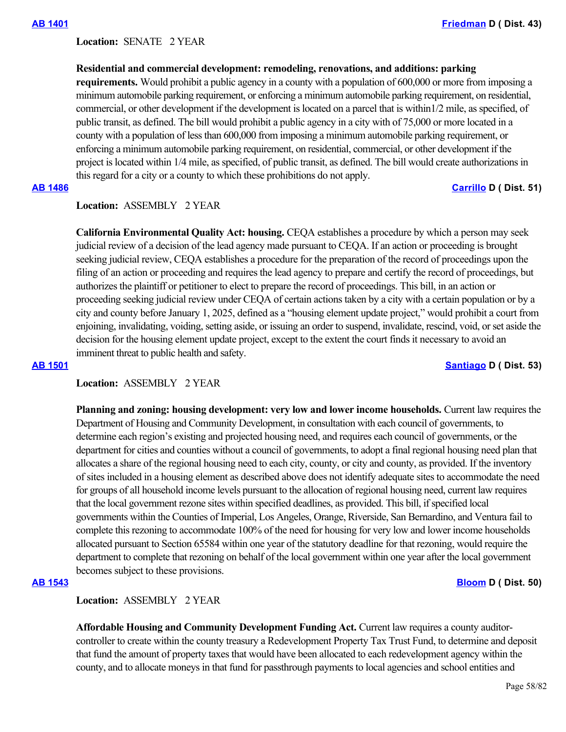### Location: **SENATE 2 YEAR**

### **Residential and commercial development: remodeling, renovations, and additions: parking**

**requirements.** Would prohibit a public agency in a county with a population of 600,000 or more from imposing a minimum automobile parking requirement, or enforcing a minimum automobile parking requirement, on residential, commercial, or other development if the development is located on a parcel that is within1/2 mile, as specified, of public transit, as defined. The bill would prohibit a public agency in a city with of 75,000 or more located in a county with a population of less than 600,000 from imposing a minimum automobile parking requirement, or enforcing a minimum automobile parking requirement, on residential, commercial, or other development if the project is located within 1/4 mile, as specified, of public transit, as defined. The bill would create authorizations in this regard for a city or a county to which these prohibitions do not apply.

### **[AB 1486](https://ctweb.capitoltrack.com/public/publishbillinfo.aspx?bi=MdnvGyDO9ypd1qm08dJjGNGtiPzmuE3ggJXueVn17Tqk0F%2BImvTcCWLss67UQtyL) [Carrillo](https://a51.asmdc.org/) D ( Dist. 51)**

# **Location:**  ASSEMBLY 2 YEAR

**California Environmental Quality Act: housing.** CEQA establishes a procedure by which a person may seek judicial review of a decision of the lead agency made pursuant to CEQA. If an action or proceeding is brought seeking judicial review, CEQA establishes a procedure for the preparation of the record of proceedings upon the filing of an action or proceeding and requires the lead agency to prepare and certify the record of proceedings, but authorizes the plaintiff or petitioner to elect to prepare the record of proceedings. This bill, in an action or proceeding seeking judicial review under CEQA of certain actions taken by a city with a certain population or by a city and county before January 1, 2025, defined as a "housing element update project," would prohibit a court from enjoining, invalidating, voiding, setting aside, or issuing an order to suspend, invalidate, rescind, void, or set aside the decision for the housing element update project, except to the extent the court finds it necessary to avoid an imminent threat to public health and safety.

### **[AB 1501](https://ctweb.capitoltrack.com/public/publishbillinfo.aspx?bi=ITPri85RfE5zFNfS87qn1uPrykuzD9fxsP1M1XtAD3p7Qt61J%2FVOr0L7JEwnbKHc) [Santiago](https://a53.asmdc.org/) D ( Dist. 53)**

### **Location:**  ASSEMBLY 2 YEAR

**Planning and zoning: housing development: very low and lower income households.** Current law requires the Department of Housing and Community Development, in consultation with each council of governments, to determine each region's existing and projected housing need, and requires each council of governments, or the department for cities and counties without a council of governments, to adopt a final regional housing need plan that allocates a share of the regional housing need to each city, county, or city and county, as provided. If the inventory of sites included in a housing element as described above does not identify adequate sites to accommodate the need for groups of all household income levels pursuant to the allocation of regional housing need, current law requires that the local government rezone sites within specified deadlines, as provided. This bill, if specified local governments within the Counties of Imperial, Los Angeles, Orange, Riverside, San Bernardino, and Ventura fail to complete this rezoning to accommodate 100% of the need for housing for very low and lower income households allocated pursuant to Section 65584 within one year of the statutory deadline for that rezoning, would require the department to complete that rezoning on behalf of the local government within one year after the local government becomes subject to these provisions.

### **[AB 1543](https://ctweb.capitoltrack.com/public/publishbillinfo.aspx?bi=z9KyMbCQNworq90IEjL9gtqiF5GMF05PBFofDglkknwKp3R6I9A%2FJfWuQdRf4UTj) [Bloom](https://a50.asmdc.org/) D ( Dist. 50)**

# **Location:**  ASSEMBLY 2 YEAR

**Affordable Housing and Community Development Funding Act.** Current law requires a county auditorcontroller to create within the county treasury a Redevelopment Property Tax Trust Fund, to determine and deposit that fund the amount of property taxes that would have been allocated to each redevelopment agency within the county, and to allocate moneys in that fund for passthrough payments to local agencies and school entities and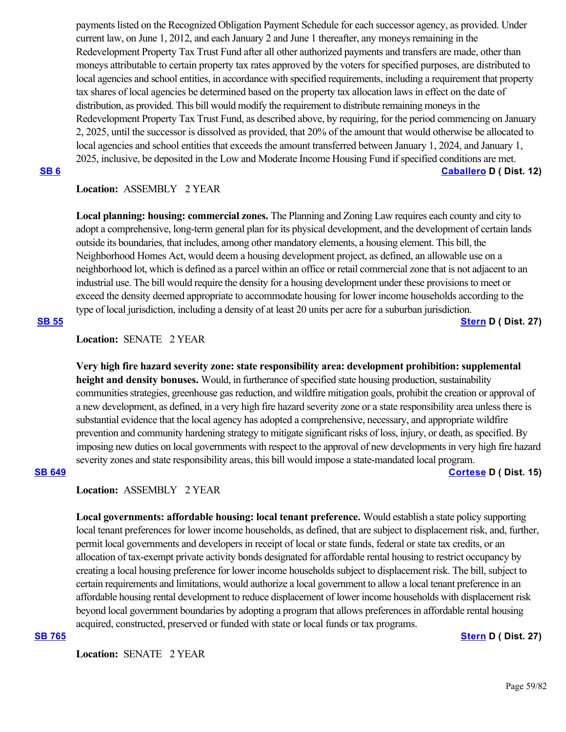payments listed on the Recognized Obligation Payment Schedule for each successor agency, as provided. Under current law, on June 1, 2012, and each January 2 and June 1 thereafter, any moneys remaining in the Redevelopment Property Tax Trust Fund after all other authorized payments and transfers are made, other than moneys attributable to certain property tax rates approved by the voters for specified purposes, are distributed to local agencies and school entities, in accordance with specified requirements, including a requirement that property tax shares of local agencies be determined based on the property tax allocation laws in effect on the date of distribution, as provided. This bill would modify the requirement to distribute remaining moneys in the Redevelopment Property Tax Trust Fund, as described above, by requiring, for the period commencing on January 2, 2025, until the successor is dissolved as provided, that 20% of the amount that would otherwise be allocated to local agencies and school entities that exceeds the amount transferred between January 1, 2024, and January 1, 2025, inclusive, be deposited in the Low and Moderate Income Housing Fund if specified conditions are met.

**[SB 6](https://ctweb.capitoltrack.com/public/publishbillinfo.aspx?bi=oXSFwTOkDelqHhcTo%2B6z6m20UF3xamGd0AcFGP8968UI8lDQe47eNKPzSta6KQu4) [Caballero](https://sd12.senate.ca.gov/) D ( Dist. 12)**

# **Location:**  ASSEMBLY 2 YEAR

**Local planning: housing: commercial zones.** The Planning and Zoning Law requires each county and city to adopt a comprehensive, long-term general plan for its physical development, and the development of certain lands outside its boundaries, that includes, among other mandatory elements, a housing element. This bill, the Neighborhood Homes Act, would deem a housing development project, as defined, an allowable use on a neighborhood lot, which is defined as a parcel within an office or retail commercial zone that is not adjacent to an industrial use. The bill would require the density for a housing development under these provisions to meet or exceed the density deemed appropriate to accommodate housing for lower income households according to the type of local jurisdiction, including a density of at least 20 units per acre for a suburban jurisdiction.

**[SB 55](https://ctweb.capitoltrack.com/public/publishbillinfo.aspx?bi=1q0m27JJtkX2fJpt8KZPAlXeBrxgWxQfivTQSfBQDUt7kFffJeAOi7ghohAv%2Fsy%2B) [Stern](http://sd27.senate.ca.gov/) D ( Dist. 27)**

### **Location:**  SENATE 2 YEAR

**Very high fire hazard severity zone: state responsibility area: development prohibition: supplemental height and density bonuses.** Would, in furtherance of specified state housing production, sustainability communities strategies, greenhouse gas reduction, and wildfire mitigation goals, prohibit the creation or approval of a new development, as defined, in a very high fire hazard severity zone or a state responsibility area unless there is substantial evidence that the local agency has adopted a comprehensive, necessary, and appropriate wildfire prevention and community hardening strategy to mitigate significant risks of loss, injury, or death, as specified. By imposing new duties on local governments with respect to the approval of new developments in very high fire hazard severity zones and state responsibility areas, this bill would impose a state-mandated local program. **[SB 649](https://ctweb.capitoltrack.com/public/publishbillinfo.aspx?bi=%2BbMisuO7rcKbxyWy6iCU8kGnPmfE8KcbemItEMkMnr9tkx0ANrW0qejb0qECcGJH) [Cortese](http://sd15.senate.ca.gov/) D ( Dist. 15)**

# **Location:**  ASSEMBLY 2 YEAR

**Local governments: affordable housing: local tenant preference.** Would establish a state policy supporting local tenant preferences for lower income households, as defined, that are subject to displacement risk, and, further, permit local governments and developers in receipt of local or state funds, federal or state tax credits, or an allocation of tax-exempt private activity bonds designated for affordable rental housing to restrict occupancy by creating a local housing preference for lower income households subject to displacement risk. The bill, subject to certain requirements and limitations, would authorize a local government to allow a local tenant preference in an affordable housing rental development to reduce displacement of lower income households with displacement risk beyond local government boundaries by adopting a program that allows preferences in affordable rental housing acquired, constructed, preserved or funded with state or local funds or tax programs.

**Location:**  SENATE 2 YEAR

### **[SB 765](https://ctweb.capitoltrack.com/public/publishbillinfo.aspx?bi=eGZBs5ig%2Fz5ZJvzfTHvZh5HtMnSSkELm1e1EcMuT2XpBqH%2BWCyrIaR1Td4F28lmT) [Stern](http://sd27.senate.ca.gov/) D ( Dist. 27)**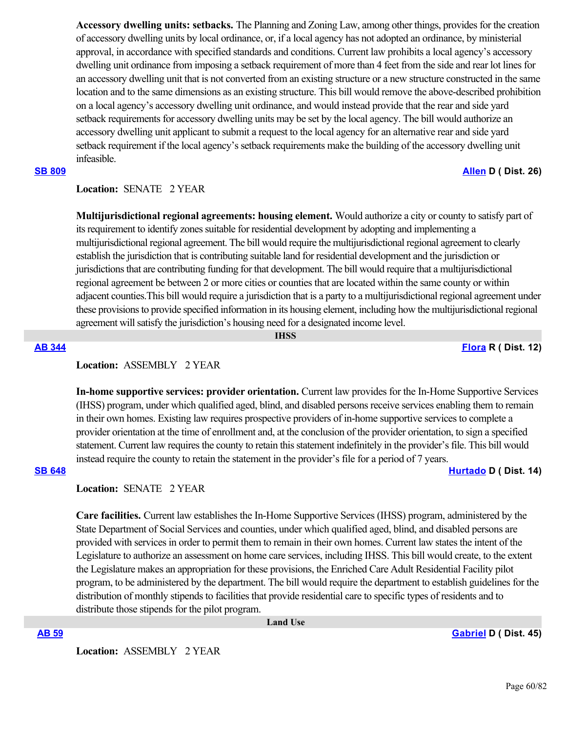**Accessory dwelling units: setbacks.** The Planning and Zoning Law, among other things, provides for the creation of accessory dwelling units by local ordinance, or, if a local agency has not adopted an ordinance, by ministerial approval, in accordance with specified standards and conditions. Current law prohibits a local agency's accessory dwelling unit ordinance from imposing a setback requirement of more than 4 feet from the side and rear lot lines for an accessory dwelling unit that is not converted from an existing structure or a new structure constructed in the same location and to the same dimensions as an existing structure. This bill would remove the above-described prohibition on a local agency's accessory dwelling unit ordinance, and would instead provide that the rear and side yard setback requirements for accessory dwelling units may be set by the local agency. The bill would authorize an accessory dwelling unit applicant to submit a request to the local agency for an alternative rear and side yard setback requirement if the local agency's setback requirements make the building of the accessory dwelling unit infeasible.

# **Location:**  SENATE 2 YEAR

**Multijurisdictional regional agreements: housing element.** Would authorize a city or county to satisfy part of its requirement to identify zones suitable for residential development by adopting and implementing a multijurisdictional regional agreement. The bill would require the multijurisdictional regional agreement to clearly establish the jurisdiction that is contributing suitable land for residential development and the jurisdiction or jurisdictions that are contributing funding for that development. The bill would require that a multijurisdictional regional agreement be between 2 or more cities or counties that are located within the same county or within adjacent counties.This bill would require a jurisdiction that is a party to a multijurisdictional regional agreement under these provisions to provide specified information in its housing element, including how the multijurisdictional regional agreement will satisfy the jurisdiction's housing need for a designated income level.

 **IHSS**

### **[AB 344](https://ctweb.capitoltrack.com/public/publishbillinfo.aspx?bi=tyXO7YAVCHZQM0%2Bi%2FfP2TVzGsStZUvHkoTmvofAYBkQJQhmgmZOpF%2Ffur1ivK2OO) [Flora](https://ad12.asmrc.org/) R ( Dist. 12)**

# **Location:**  ASSEMBLY 2 YEAR

**In-home supportive services: provider orientation.** Current law provides for the In-Home Supportive Services (IHSS) program, under which qualified aged, blind, and disabled persons receive services enabling them to remain in their own homes. Existing law requires prospective providers of in-home supportive services to complete a provider orientation at the time of enrollment and, at the conclusion of the provider orientation, to sign a specified statement. Current law requires the county to retain this statement indefinitely in the provider's file. This bill would instead require the county to retain the statement in the provider's file for a period of 7 years.

### **[SB 648](https://ctweb.capitoltrack.com/public/publishbillinfo.aspx?bi=O4Fp0S6bZuPyE%2Bymi0S%2BTFhR3cosZM4vY6ELCNgMoJaMaLpyTFlBEumxSxS4V0ED) [Hurtado](https://sd14.senate.ca.gov/) D ( Dist. 14)**

**Location:**  SENATE 2 YEAR

**Care facilities.** Current law establishes the In-Home Supportive Services (IHSS) program, administered by the State Department of Social Services and counties, under which qualified aged, blind, and disabled persons are provided with services in order to permit them to remain in their own homes. Current law states the intent of the Legislature to authorize an assessment on home care services, including IHSS. This bill would create, to the extent the Legislature makes an appropriation for these provisions, the Enriched Care Adult Residential Facility pilot program, to be administered by the department. The bill would require the department to establish guidelines for the distribution of monthly stipends to facilities that provide residential care to specific types of residents and to distribute those stipends for the pilot program.

 **Land Use**

**[AB 59](https://ctweb.capitoltrack.com/public/publishbillinfo.aspx?bi=8tOOzv0BDmFHA146Yd4momI2sIbZlUBI6mV04NbzXe931uO%2FXLgnBzCx7JvCUB4z) [Gabriel](https://a45.asmdc.org/) D ( Dist. 45)**

**Location:**  ASSEMBLY 2 YEAR

# **[SB 809](https://ctweb.capitoltrack.com/public/publishbillinfo.aspx?bi=TUS0xG5vY9lcjDtAXFKihGz%2FSlCF45oDOBT8CLEz1JkDEIb4vtACtqSy857axRB0) [Allen](http://sd26.senate.ca.gov/) D ( Dist. 26)**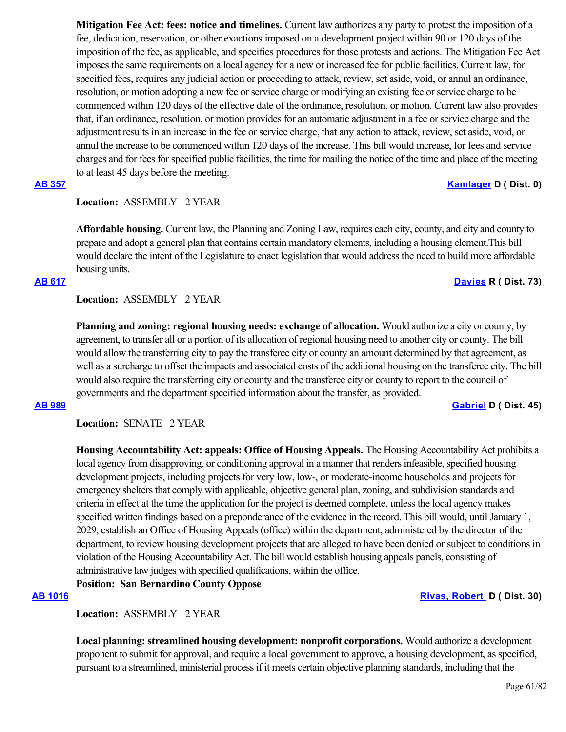**Mitigation Fee Act: fees: notice and timelines.** Current law authorizes any party to protest the imposition of a fee, dedication, reservation, or other exactions imposed on a development project within 90 or 120 days of the imposition of the fee, as applicable, and specifies procedures for those protests and actions. The Mitigation Fee Act imposes the same requirements on a local agency for a new or increased fee for public facilities. Current law, for specified fees, requires any judicial action or proceeding to attack, review, set aside, void, or annul an ordinance, resolution, or motion adopting a new fee or service charge or modifying an existing fee or service charge to be commenced within 120 days of the effective date of the ordinance, resolution, or motion. Current law also provides that, if an ordinance, resolution, or motion provides for an automatic adjustment in a fee or service charge and the adjustment results in an increase in the fee or service charge, that any action to attack, review, set aside, void, or annul the increase to be commenced within 120 days of the increase. This bill would increase, for fees and service charges and for fees for specified public facilities, the time for mailing the notice of the time and place of the meeting to at least 45 days before the meeting.

# **[AB 357](https://ctweb.capitoltrack.com/public/publishbillinfo.aspx?bi=z5s4GWLbpi0UYNMS2WanHr7cQoP7Ndc42xKl2ndfzn7qChNg0S4fqECPg%2BN90fTB) [Kamlager](https://a54.asmdc.org/) D ( Dist. 0)**

### **Location:**  ASSEMBLY 2 YEAR

**Affordable housing.** Current law, the Planning and Zoning Law, requires each city, county, and city and county to prepare and adopt a general plan that contains certain mandatory elements, including a housing element.This bill would declare the intent of the Legislature to enact legislation that would address the need to build more affordable housing units.

### **[AB 617](https://ctweb.capitoltrack.com/public/publishbillinfo.aspx?bi=vq6AyMyHEYx40EWOyDxbtUSdMQH9ZQaafaRtNAl6SeMPRF1yze4Xm36yD%2BhshsgI) [Davies](http://ad73.asmrc.org/) R ( Dist. 73)**

### **Location:**  ASSEMBLY 2 YEAR

**Planning and zoning: regional housing needs: exchange of allocation.** Would authorize a city or county, by agreement, to transfer all or a portion of its allocation of regional housing need to another city or county. The bill would allow the transferring city to pay the transferee city or county an amount determined by that agreement, as well as a surcharge to offset the impacts and associated costs of the additional housing on the transferee city. The bill would also require the transferring city or county and the transferee city or county to report to the council of governments and the department specified information about the transfer, as provided.

### **[AB 989](https://ctweb.capitoltrack.com/public/publishbillinfo.aspx?bi=L84rubdAYJyYAzLAqceJr%2B2%2B2K3ZEc07FjG%2B5pA3sZuYbmqke7buNzumwxqUgUpc) [Gabriel](https://a45.asmdc.org/) D ( Dist. 45)**

**Location:**  SENATE 2 YEAR

**Housing Accountability Act: appeals: Office of Housing Appeals.** The Housing Accountability Act prohibits a local agency from disapproving, or conditioning approval in a manner that renders infeasible, specified housing development projects, including projects for very low, low-, or moderate-income households and projects for emergency shelters that comply with applicable, objective general plan, zoning, and subdivision standards and criteria in effect at the time the application for the project is deemed complete, unless the local agency makes specified written findings based on a preponderance of the evidence in the record. This bill would, until January 1, 2029, establish an Office of Housing Appeals (office) within the department, administered by the director of the department, to review housing development projects that are alleged to have been denied or subject to conditions in violation of the Housing Accountability Act. The bill would establish housing appeals panels, consisting of administrative law judges with specified qualifications, within the office.

# **Position: San Bernardino County Oppose**

# **[AB 1016](https://ctweb.capitoltrack.com/public/publishbillinfo.aspx?bi=kut%2BLlUVwDHZ7AWWnVsf%2Fcxm5MwwMZ86kjrJEQfVWhiH46zrNhsD3YXBGZ9gSgd0) [Rivas, Robert](https://a30.asmdc.org/)  D ( Dist. 30)**

**Location:**  ASSEMBLY 2 YEAR

**Local planning: streamlined housing development: nonprofit corporations.** Would authorize a development proponent to submit for approval, and require a local government to approve, a housing development, as specified, pursuant to a streamlined, ministerial process if it meets certain objective planning standards, including that the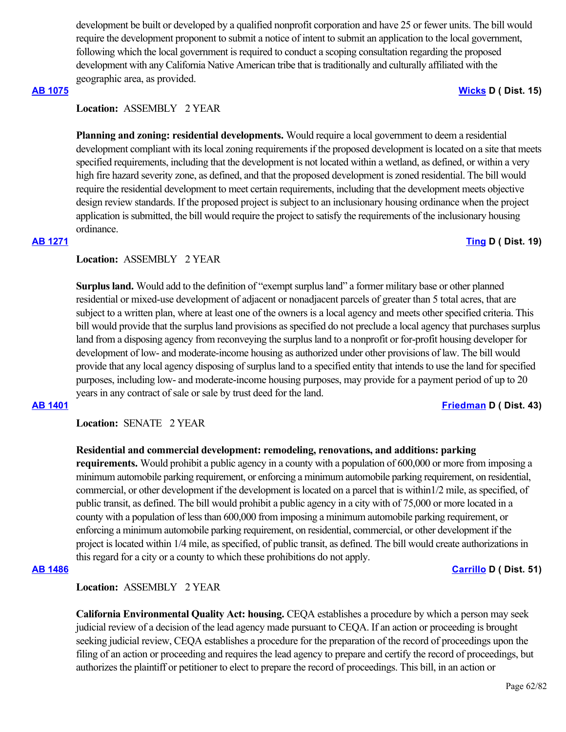development be built or developed by a qualified nonprofit corporation and have 25 or fewer units. The bill would require the development proponent to submit a notice of intent to submit an application to the local government, following which the local government is required to conduct a scoping consultation regarding the proposed development with any California Native American tribe that is traditionally and culturally affiliated with the geographic area, as provided.

# **Location:**  ASSEMBLY 2 YEAR

**Planning and zoning: residential developments.** Would require a local government to deem a residential development compliant with its local zoning requirements if the proposed development is located on a site that meets specified requirements, including that the development is not located within a wetland, as defined, or within a very high fire hazard severity zone, as defined, and that the proposed development is zoned residential. The bill would require the residential development to meet certain requirements, including that the development meets objective design review standards. If the proposed project is subject to an inclusionary housing ordinance when the project application is submitted, the bill would require the project to satisfy the requirements of the inclusionary housing ordinance.

### **[AB 1271](https://ctweb.capitoltrack.com/public/publishbillinfo.aspx?bi=SSY5dxJpwkoYH%2F7ieJ1CI7ZIXfCDI0GVkKhj6cFJ6bPS3doD%2Bnjpq6sOdewTRbpP) [Ting](https://a19.asmdc.org/) D ( Dist. 19)**

# **Location:**  ASSEMBLY 2 YEAR

**Surplus land.** Would add to the definition of "exempt surplus land" a former military base or other planned residential or mixed-use development of adjacent or nonadjacent parcels of greater than 5 total acres, that are subject to a written plan, where at least one of the owners is a local agency and meets other specified criteria. This bill would provide that the surplus land provisions as specified do not preclude a local agency that purchases surplus land from a disposing agency from reconveying the surplus land to a nonprofit or for-profit housing developer for development of low- and moderate-income housing as authorized under other provisions of law. The bill would provide that any local agency disposing of surplus land to a specified entity that intends to use the land for specified purposes, including low- and moderate-income housing purposes, may provide for a payment period of up to 20 years in any contract of sale or sale by trust deed for the land.

**Location:**  SENATE 2 YEAR

### **Residential and commercial development: remodeling, renovations, and additions: parking**

**requirements.** Would prohibit a public agency in a county with a population of 600,000 or more from imposing a minimum automobile parking requirement, or enforcing a minimum automobile parking requirement, on residential, commercial, or other development if the development is located on a parcel that is within1/2 mile, as specified, of public transit, as defined. The bill would prohibit a public agency in a city with of 75,000 or more located in a county with a population of less than 600,000 from imposing a minimum automobile parking requirement, or enforcing a minimum automobile parking requirement, on residential, commercial, or other development if the project is located within 1/4 mile, as specified, of public transit, as defined. The bill would create authorizations in this regard for a city or a county to which these prohibitions do not apply.

# **Location:**  ASSEMBLY 2 YEAR

**California Environmental Quality Act: housing.** CEQA establishes a procedure by which a person may seek judicial review of a decision of the lead agency made pursuant to CEQA. If an action or proceeding is brought seeking judicial review, CEQA establishes a procedure for the preparation of the record of proceedings upon the filing of an action or proceeding and requires the lead agency to prepare and certify the record of proceedings, but authorizes the plaintiff or petitioner to elect to prepare the record of proceedings. This bill, in an action or

### **[AB 1075](https://ctweb.capitoltrack.com/public/publishbillinfo.aspx?bi=45JTLNJQa6udvnVSGHge64FGaPVpzxZjv%2FlI9yvKtb3w9Bt0nJdWk25aAiV7LugA) [Wicks](https://a15.asmdc.org/) D ( Dist. 15)**

# **[AB 1401](https://ctweb.capitoltrack.com/public/publishbillinfo.aspx?bi=fQ56FfKqG7a6sZSjOVyOjXlJ95OI%2FLKyiBiPvRiGpmvkWVikUcdun8b73Dk0GSDa) [Friedman](https://a43.asmdc.org/) D ( Dist. 43)**

**[AB 1486](https://ctweb.capitoltrack.com/public/publishbillinfo.aspx?bi=MdnvGyDO9ypd1qm08dJjGNGtiPzmuE3ggJXueVn17Tqk0F%2BImvTcCWLss67UQtyL) [Carrillo](https://a51.asmdc.org/) D ( Dist. 51)**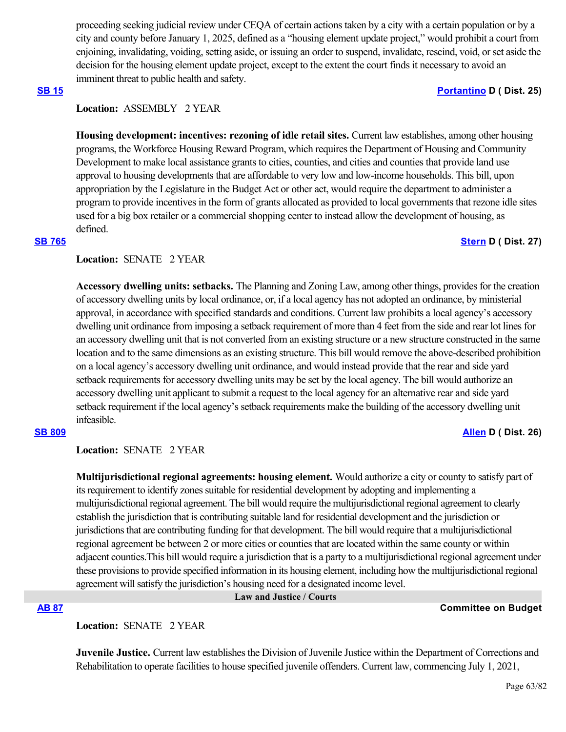proceeding seeking judicial review under CEQA of certain actions taken by a city with a certain population or by a city and county before January 1, 2025, defined as a "housing element update project," would prohibit a court from enjoining, invalidating, voiding, setting aside, or issuing an order to suspend, invalidate, rescind, void, or set aside the decision for the housing element update project, except to the extent the court finds it necessary to avoid an imminent threat to public health and safety.

### **[SB 15](https://ctweb.capitoltrack.com/public/publishbillinfo.aspx?bi=CzBvxEQUwfWMqsZui6iOWnHXa36JrXVg%2FfGJIsWZytbLXyWuIdEN0oJ9SruHYrcW) [Portantino](http://sd25.senate.ca.gov/) D ( Dist. 25)**

# **Location:**  ASSEMBLY 2 YEAR

**Housing development: incentives: rezoning of idle retail sites.** Current law establishes, among other housing programs, the Workforce Housing Reward Program, which requires the Department of Housing and Community Development to make local assistance grants to cities, counties, and cities and counties that provide land use approval to housing developments that are affordable to very low and low-income households. This bill, upon appropriation by the Legislature in the Budget Act or other act, would require the department to administer a program to provide incentives in the form of grants allocated as provided to local governments that rezone idle sites used for a big box retailer or a commercial shopping center to instead allow the development of housing, as defined.

### **[SB 765](https://ctweb.capitoltrack.com/public/publishbillinfo.aspx?bi=eGZBs5ig%2Fz5ZJvzfTHvZh5HtMnSSkELm1e1EcMuT2XpBqH%2BWCyrIaR1Td4F28lmT) [Stern](http://sd27.senate.ca.gov/) D ( Dist. 27)**

### **Location:**  SENATE 2 YEAR

**Accessory dwelling units: setbacks.** The Planning and Zoning Law, among other things, provides for the creation of accessory dwelling units by local ordinance, or, if a local agency has not adopted an ordinance, by ministerial approval, in accordance with specified standards and conditions. Current law prohibits a local agency's accessory dwelling unit ordinance from imposing a setback requirement of more than 4 feet from the side and rear lot lines for an accessory dwelling unit that is not converted from an existing structure or a new structure constructed in the same location and to the same dimensions as an existing structure. This bill would remove the above-described prohibition on a local agency's accessory dwelling unit ordinance, and would instead provide that the rear and side yard setback requirements for accessory dwelling units may be set by the local agency. The bill would authorize an accessory dwelling unit applicant to submit a request to the local agency for an alternative rear and side yard setback requirement if the local agency's setback requirements make the building of the accessory dwelling unit infeasible.

**[SB 809](https://ctweb.capitoltrack.com/public/publishbillinfo.aspx?bi=TUS0xG5vY9lcjDtAXFKihGz%2FSlCF45oDOBT8CLEz1JkDEIb4vtACtqSy857axRB0) [Allen](http://sd26.senate.ca.gov/) D ( Dist. 26)**

**Location:**  SENATE 2 YEAR

**Multijurisdictional regional agreements: housing element.** Would authorize a city or county to satisfy part of its requirement to identify zones suitable for residential development by adopting and implementing a multijurisdictional regional agreement. The bill would require the multijurisdictional regional agreement to clearly establish the jurisdiction that is contributing suitable land for residential development and the jurisdiction or jurisdictions that are contributing funding for that development. The bill would require that a multijurisdictional regional agreement be between 2 or more cities or counties that are located within the same county or within adjacent counties.This bill would require a jurisdiction that is a party to a multijurisdictional regional agreement under these provisions to provide specified information in its housing element, including how the multijurisdictional regional agreement will satisfy the jurisdiction's housing need for a designated income level.

 **Law and Justice / Courts**

### **[AB 87](https://ctweb.capitoltrack.com/public/publishbillinfo.aspx?bi=aP6tBr0AiMKGFAYx2CsdLBAC6h8IlxwJmhePJG5%2BQYnibqIKe%2FksE37RChPbnT8a) Committee on Budget**

**Location:**  SENATE 2 YEAR

**Juvenile Justice.** Current law establishes the Division of Juvenile Justice within the Department of Corrections and Rehabilitation to operate facilities to house specified juvenile offenders. Current law, commencing July 1, 2021,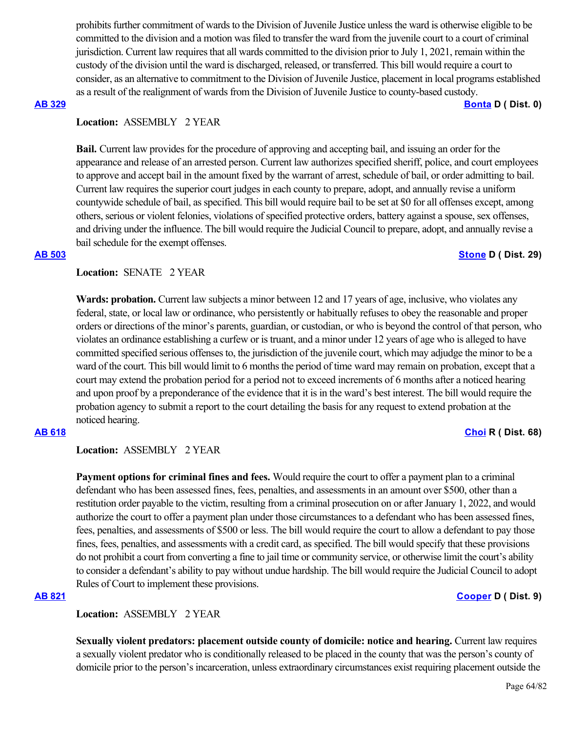prohibits further commitment of wards to the Division of Juvenile Justice unless the ward is otherwise eligible to be committed to the division and a motion was filed to transfer the ward from the juvenile court to a court of criminal jurisdiction. Current law requires that all wards committed to the division prior to July 1, 2021, remain within the custody of the division until the ward is discharged, released, or transferred. This bill would require a court to consider, as an alternative to commitment to the Division of Juvenile Justice, placement in local programs established as a result of the realignment of wards from the Division of Juvenile Justice to county-based custody.

### **[AB 329](https://ctweb.capitoltrack.com/public/publishbillinfo.aspx?bi=G4UTpNFi2VoAhP9jrLh7RwYbDpkmN%2F52wbRAjo0DUEpbMRTxI4NuLlgn1gHQc7UG) [Bonta](https://a18.asmdc.org/) D ( Dist. 0)**

### **Location:**  ASSEMBLY 2 YEAR

**Bail.** Current law provides for the procedure of approving and accepting bail, and issuing an order for the appearance and release of an arrested person. Current law authorizes specified sheriff, police, and court employees to approve and accept bail in the amount fixed by the warrant of arrest, schedule of bail, or order admitting to bail. Current law requires the superior court judges in each county to prepare, adopt, and annually revise a uniform countywide schedule of bail, as specified. This bill would require bail to be set at \$0 for all offenses except, among others, serious or violent felonies, violations of specified protective orders, battery against a spouse, sex offenses, and driving under the influence. The bill would require the Judicial Council to prepare, adopt, and annually revise a bail schedule for the exempt offenses.

### **[AB 503](https://ctweb.capitoltrack.com/public/publishbillinfo.aspx?bi=9q%2Fh7eCb8Mkl5tOrz9wE9YTwaIA0n%2FISK6GlkgeZnKpOvmEJDEoEx89yT8FKoQcn) [Stone](https://a29.asmdc.org/) D ( Dist. 29)**

### Location: **SENATE 2 YEAR**

Wards: probation. Current law subjects a minor between 12 and 17 years of age, inclusive, who violates any federal, state, or local law or ordinance, who persistently or habitually refuses to obey the reasonable and proper orders or directions of the minor's parents, guardian, or custodian, or who is beyond the control of that person, who violates an ordinance establishing a curfew or is truant, and a minor under 12 years of age who is alleged to have committed specified serious offenses to, the jurisdiction of the juvenile court, which may adjudge the minor to be a ward of the court. This bill would limit to 6 months the period of time ward may remain on probation, except that a court may extend the probation period for a period not to exceed increments of 6 months after a noticed hearing and upon proof by a preponderance of the evidence that it is in the ward's best interest. The bill would require the probation agency to submit a report to the court detailing the basis for any request to extend probation at the noticed hearing.

# **[AB 618](https://ctweb.capitoltrack.com/public/publishbillinfo.aspx?bi=DI79FjpZZFMDZiARrnp1iwzk%2FzcAXSqnPotX91tI4w9lypOEm14hCkU6FCpw%2F0nn) [Choi](https://ad68.asmrc.org/) R ( Dist. 68)**

# **Location:**  ASSEMBLY 2 YEAR

**Payment options for criminal fines and fees.** Would require the court to offer a payment plan to a criminal defendant who has been assessed fines, fees, penalties, and assessments in an amount over \$500, other than a restitution order payable to the victim, resulting from a criminal prosecution on or after January 1, 2022, and would authorize the court to offer a payment plan under those circumstances to a defendant who has been assessed fines, fees, penalties, and assessments of \$500 or less. The bill would require the court to allow a defendant to pay those fines, fees, penalties, and assessments with a credit card, as specified. The bill would specify that these provisions do not prohibit a court from converting a fine to jail time or community service, or otherwise limit the court's ability to consider a defendant's ability to pay without undue hardship. The bill would require the Judicial Council to adopt Rules of Court to implement these provisions.

# **[AB 821](https://ctweb.capitoltrack.com/public/publishbillinfo.aspx?bi=TCW%2FEwp5XVIGq%2BhRWtP7HAupcoynUtV4ELeFrws7szKU93neeroKrXkLz6eZYH5Z) [Cooper](https://a09.asmdc.org/) D ( Dist. 9)**

# **Location:**  ASSEMBLY 2 YEAR

**Sexually violent predators: placement outside county of domicile: notice and hearing. Current law requires** a sexually violent predator who is conditionally released to be placed in the county that was the person's county of domicile prior to the person's incarceration, unless extraordinary circumstances exist requiring placement outside the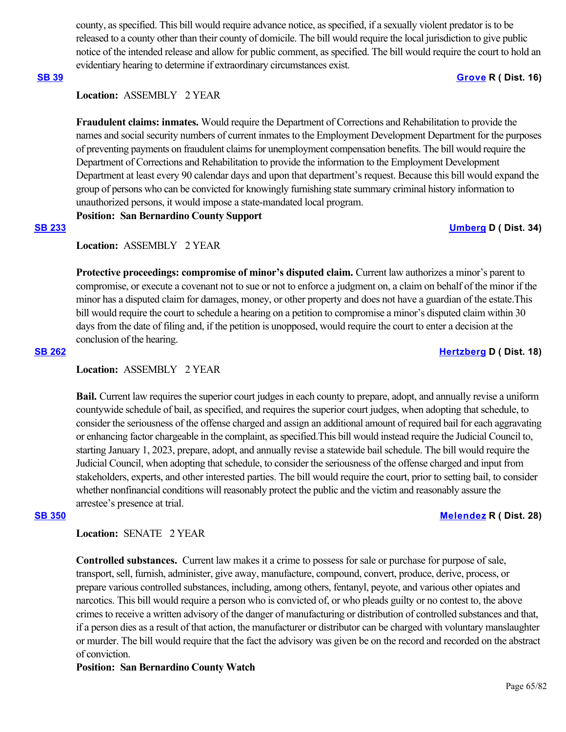county, as specified. This bill would require advance notice, as specified, if a sexually violent predator is to be released to a county other than their county of domicile. The bill would require the local jurisdiction to give public notice of the intended release and allow for public comment, as specified. The bill would require the court to hold an evidentiary hearing to determine if extraordinary circumstances exist.

### **[SB 39](https://ctweb.capitoltrack.com/public/publishbillinfo.aspx?bi=sUKRFgAc2NMvgSBTS%2F1GGVbYKlZ1ETu1WiOud04YN1dK%2BSF7%2BA6eNuD7QMFsqQbv) [Grove](https://grove.cssrc.us/) R ( Dist. 16)**

### **Location:**  ASSEMBLY 2 YEAR

**Fraudulent claims: inmates.** Would require the Department of Corrections and Rehabilitation to provide the names and social security numbers of current inmates to the Employment Development Department for the purposes of preventing payments on fraudulent claims for unemployment compensation benefits. The bill would require the Department of Corrections and Rehabilitation to provide the information to the Employment Development Department at least every 90 calendar days and upon that department's request. Because this bill would expand the group of persons who can be convicted for knowingly furnishing state summary criminal history information to unauthorized persons, it would impose a state-mandated local program.

# **Position: San Bernardino County Support**

**[SB 233](https://ctweb.capitoltrack.com/public/publishbillinfo.aspx?bi=CWBdqm8ay5B25yfeKleer40p3DiOHCQ7El%2BakyFlnYYvTqqJ6C8nkOwv2Y0gyHoF) [Umberg](https://sd34.senate.ca.gov/) D ( Dist. 34)**

# **Location:**  ASSEMBLY 2 YEAR

**Protective proceedings: compromise of minor's disputed claim.** Current law authorizes a minor's parent to compromise, or execute a covenant not to sue or not to enforce a judgment on, a claim on behalf of the minor if the minor has a disputed claim for damages, money, or other property and does not have a guardian of the estate.This bill would require the court to schedule a hearing on a petition to compromise a minor's disputed claim within 30 days from the date of filing and, if the petition is unopposed, would require the court to enter a decision at the conclusion of the hearing.

**[SB 262](https://ctweb.capitoltrack.com/public/publishbillinfo.aspx?bi=Cq2hWoghhvqRl0KBFyLuemjOq0b%2FadyPHaxumjgw5gy2WMntLlC%2FLNLUjv%2BIY%2BY6) [Hertzberg](https://sd18.senate.ca.gov/) D ( Dist. 18)**

### **Location:**  ASSEMBLY 2 YEAR

**Bail.** Current law requires the superior court judges in each county to prepare, adopt, and annually revise a uniform countywide schedule of bail, as specified, and requires the superior court judges, when adopting that schedule, to consider the seriousness of the offense charged and assign an additional amount of required bail for each aggravating or enhancing factor chargeable in the complaint, as specified.This bill would instead require the Judicial Council to, starting January 1, 2023, prepare, adopt, and annually revise a statewide bail schedule. The bill would require the Judicial Council, when adopting that schedule, to consider the seriousness of the offense charged and input from stakeholders, experts, and other interested parties. The bill would require the court, prior to setting bail, to consider whether nonfinancial conditions will reasonably protect the public and the victim and reasonably assure the arrestee's presence at trial.

### **[SB 350](https://ctweb.capitoltrack.com/public/publishbillinfo.aspx?bi=LV8UTl7sqCxQyqSkjln784aEvFmB9BUuuJaIEca4Y%2ByzUcbFBChB5pom43%2Baarjd) [Melendez](https://melendez.cssrc.us/) R ( Dist. 28)**

### **Location:**  SENATE 2 YEAR

**Controlled substances.** Current law makes it a crime to possess for sale or purchase for purpose of sale, transport, sell, furnish, administer, give away, manufacture, compound, convert, produce, derive, process, or prepare various controlled substances, including, among others, fentanyl, peyote, and various other opiates and narcotics. This bill would require a person who is convicted of, or who pleads guilty or no contest to, the above crimes to receive a written advisory of the danger of manufacturing or distribution of controlled substances and that, if a person dies as a result of that action, the manufacturer or distributor can be charged with voluntary manslaughter or murder. The bill would require that the fact the advisory was given be on the record and recorded on the abstract of conviction.

### **Position: San Bernardino County Watch**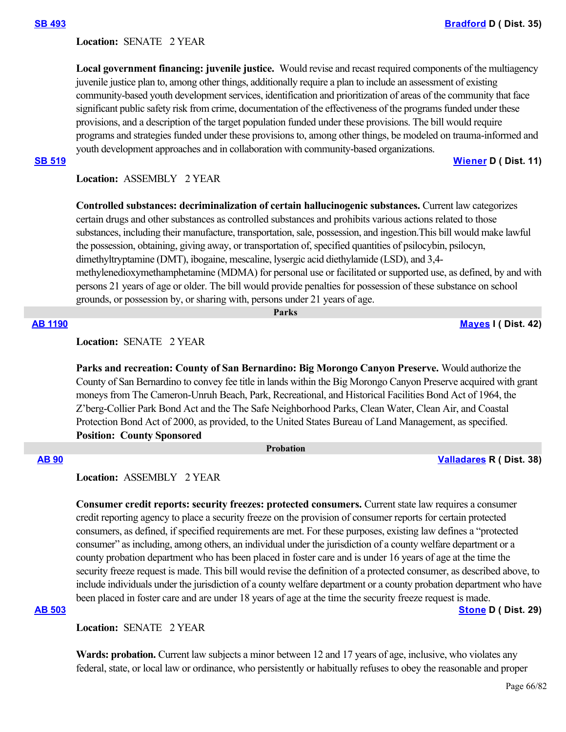### Location: **SENATE 2 YEAR**

**Local government financing: juvenile justice.** Would revise and recast required components of the multiagency juvenile justice plan to, among other things, additionally require a plan to include an assessment of existing community-based youth development services, identification and prioritization of areas of the community that face significant public safety risk from crime, documentation of the effectiveness of the programs funded under these provisions, and a description of the target population funded under these provisions. The bill would require programs and strategies funded under these provisions to, among other things, be modeled on trauma-informed and youth development approaches and in collaboration with community-based organizations.

**[SB 519](https://ctweb.capitoltrack.com/public/publishbillinfo.aspx?bi=S%2Fqdy5QJb97AZhOUGFEgrrOu2893hHPADL3SNrgXeTRpxLo6I80R%2BXvamzjzl7KU) [Wiener](http://sd11.senate.ca.gov/) D ( Dist. 11)**

### **Location:**  ASSEMBLY 2 YEAR

**Controlled substances: decriminalization of certain hallucinogenic substances.** Current law categorizes certain drugs and other substances as controlled substances and prohibits various actions related to those substances, including their manufacture, transportation, sale, possession, and ingestion.This bill would make lawful the possession, obtaining, giving away, or transportation of, specified quantities of psilocybin, psilocyn, dimethyltryptamine (DMT), ibogaine, mescaline, lysergic acid diethylamide (LSD), and 3,4 methylenedioxymethamphetamine (MDMA) for personal use or facilitated or supported use, as defined, by and with persons 21 years of age or older. The bill would provide penalties for possession of these substance on school grounds, or possession by, or sharing with, persons under 21 years of age.

 **Parks**

**[AB 1190](https://ctweb.capitoltrack.com/public/publishbillinfo.aspx?bi=LyTfYYySsuFojf4ZmZJI%2B6dKv0i1XCakYBpGFoDDkutPcKgMru5fZIJE3cRJGZdS) [Mayes](https://www.assembly.ca.gov/assemblymemberchadmayes) I ( Dist. 42)**

**Location:**  SENATE 2 YEAR

**Parks and recreation: County of San Bernardino: Big Morongo Canyon Preserve.** Would authorize the County of San Bernardino to convey fee title in lands within the Big Morongo Canyon Preserve acquired with grant moneys from The Cameron-Unruh Beach, Park, Recreational, and Historical Facilities Bond Act of 1964, the Z'berg-Collier Park Bond Act and the The Safe Neighborhood Parks, Clean Water, Clean Air, and Coastal Protection Bond Act of 2000, as provided, to the United States Bureau of Land Management, as specified. **Position: County Sponsored**

### **Probation**

### **[AB 90](https://ctweb.capitoltrack.com/public/publishbillinfo.aspx?bi=bXiS0Vn2YfjWikuB1GXKVHO2AxEjeUKszBddyCz5%2FQZN0xPmLMQBZ0bz5lLsLDdJ) [Valladares](https://ad38.asmrc.org/) R ( Dist. 38)**

**Location:**  ASSEMBLY 2 YEAR

**Consumer credit reports: security freezes: protected consumers.** Current state law requires a consumer credit reporting agency to place a security freeze on the provision of consumer reports for certain protected consumers, as defined, if specified requirements are met. For these purposes, existing law defines a "protected consumer" as including, among others, an individual under the jurisdiction of a county welfare department or a county probation department who has been placed in foster care and is under 16 years of age at the time the security freeze request is made. This bill would revise the definition of a protected consumer, as described above, to include individuals under the jurisdiction of a county welfare department or a county probation department who have been placed in foster care and are under 18 years of age at the time the security freeze request is made.

### **[AB 503](https://ctweb.capitoltrack.com/public/publishbillinfo.aspx?bi=9q%2Fh7eCb8Mkl5tOrz9wE9YTwaIA0n%2FISK6GlkgeZnKpOvmEJDEoEx89yT8FKoQcn) [Stone](https://a29.asmdc.org/) D ( Dist. 29)**

**Location:**  SENATE 2 YEAR

Wards: probation. Current law subjects a minor between 12 and 17 years of age, inclusive, who violates any federal, state, or local law or ordinance, who persistently or habitually refuses to obey the reasonable and proper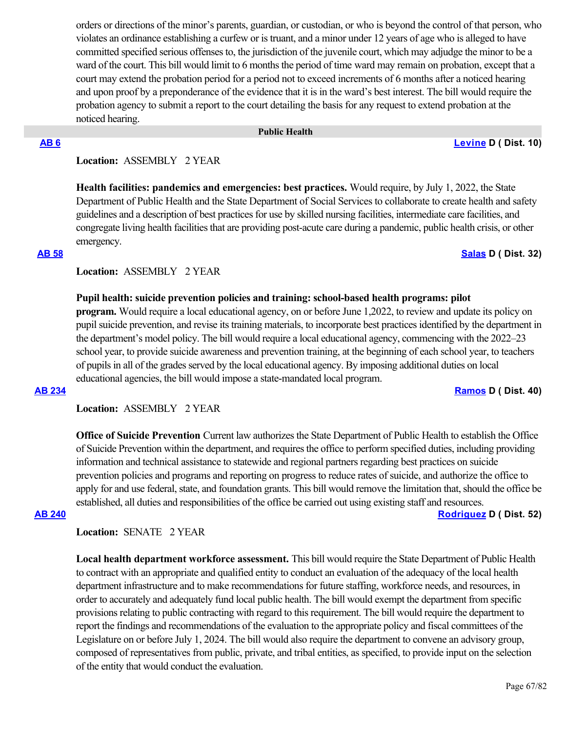orders or directions of the minor's parents, guardian, or custodian, or who is beyond the control of that person, who violates an ordinance establishing a curfew or is truant, and a minor under 12 years of age who is alleged to have committed specified serious offenses to, the jurisdiction of the juvenile court, which may adjudge the minor to be a ward of the court. This bill would limit to 6 months the period of time ward may remain on probation, except that a court may extend the probation period for a period not to exceed increments of 6 months after a noticed hearing and upon proof by a preponderance of the evidence that it is in the ward's best interest. The bill would require the probation agency to submit a report to the court detailing the basis for any request to extend probation at the noticed hearing.

### **Public Health**

**[AB 6](https://ctweb.capitoltrack.com/public/publishbillinfo.aspx?bi=e9VJBaXeZr5GaFo3s%2BL%2F32PwHK0v42cRsPQc0wqK%2FfCP9Lf95vW7nWL0Mo2M6iO%2F) [Levine](https://a10.asmdc.org/) D ( Dist. 10)**

# **Location:**  ASSEMBLY 2 YEAR

**Health facilities: pandemics and emergencies: best practices.** Would require, by July 1, 2022, the State Department of Public Health and the State Department of Social Services to collaborate to create health and safety guidelines and a description of best practices for use by skilled nursing facilities, intermediate care facilities, and congregate living health facilities that are providing post-acute care during a pandemic, public health crisis, or other emergency.

### **[AB 58](https://ctweb.capitoltrack.com/public/publishbillinfo.aspx?bi=WgrShyLX0MOnEOOovH9DdfcF5bwwiKbfN2AOah4jbt5RSeYbDiX6n8MX0tyiVoj7) [Salas](https://a32.asmdc.org/) D ( Dist. 32)**

### **Location:**  ASSEMBLY 2 YEAR

### **Pupil health: suicide prevention policies and training: school-based health programs: pilot**

**program.** Would require a local educational agency, on or before June 1,2022, to review and update its policy on pupil suicide prevention, and revise its training materials, to incorporate best practices identified by the department in the department's model policy. The bill would require a local educational agency, commencing with the 2022–23 school year, to provide suicide awareness and prevention training, at the beginning of each school year, to teachers of pupils in all of the grades served by the local educational agency. By imposing additional duties on local educational agencies, the bill would impose a state-mandated local program.

### **[AB 234](https://ctweb.capitoltrack.com/public/publishbillinfo.aspx?bi=xvEeHhw0PP9IsqlpzIwCsR7i3HwJls8QrN7sIMuUXJCMNg1DbVZcdOti230bDrCu) [Ramos](https://a40.asmdc.org/) D ( Dist. 40)**

**Location:**  ASSEMBLY 2 YEAR

**Office of Suicide Prevention** Current law authorizes the State Department of Public Health to establish the Office of Suicide Prevention within the department, and requires the office to perform specified duties, including providing information and technical assistance to statewide and regional partners regarding best practices on suicide prevention policies and programs and reporting on progress to reduce rates of suicide, and authorize the office to apply for and use federal, state, and foundation grants. This bill would remove the limitation that, should the office be established, all duties and responsibilities of the office be carried out using existing staff and resources.

**[AB 240](https://ctweb.capitoltrack.com/public/publishbillinfo.aspx?bi=34k50L13At79nUHUwlOPcRPd8koc9n7B4WWvbeedGXktY%2BNkrNYRxMRLiKQ3Ql9y) [Rodriguez](https://a52.asmdc.org/) D ( Dist. 52)**

### **Location:**  SENATE 2 YEAR

**Local health department workforce assessment.** This bill would require the State Department of Public Health to contract with an appropriate and qualified entity to conduct an evaluation of the adequacy of the local health department infrastructure and to make recommendations for future staffing, workforce needs, and resources, in order to accurately and adequately fund local public health. The bill would exempt the department from specific provisions relating to public contracting with regard to this requirement. The bill would require the department to report the findings and recommendations of the evaluation to the appropriate policy and fiscal committees of the Legislature on or before July 1, 2024. The bill would also require the department to convene an advisory group, composed of representatives from public, private, and tribal entities, as specified, to provide input on the selection of the entity that would conduct the evaluation.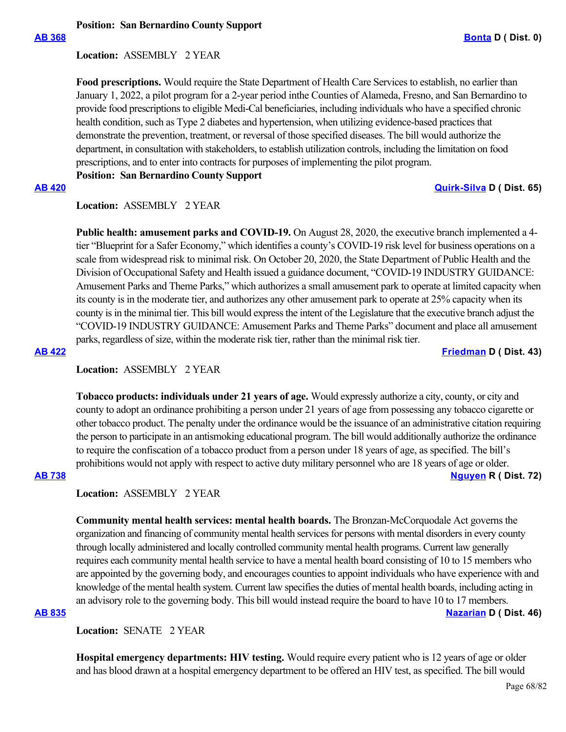# **Position: San Bernardino County Support**

### **Location:**  ASSEMBLY 2 YEAR

**Food prescriptions.** Would require the State Department of Health Care Services to establish, no earlier than January 1, 2022, a pilot program for a 2-year period inthe Counties of Alameda, Fresno, and San Bernardino to provide food prescriptions to eligible Medi-Cal beneficiaries, including individuals who have a specified chronic health condition, such as Type 2 diabetes and hypertension, when utilizing evidence-based practices that demonstrate the prevention, treatment, or reversal of those specified diseases. The bill would authorize the department, in consultation with stakeholders, to establish utilization controls, including the limitation on food prescriptions, and to enter into contracts for purposes of implementing the pilot program.

**Position: San Bernardino County Support**

### **[AB 420](https://ctweb.capitoltrack.com/public/publishbillinfo.aspx?bi=KTCD9cdnFRMLT5ibUT9cYjlLwOohhLWsKVqfinUvEJQictS%2BnSrGrHBsdrmd0Jap) [Quirk-Silva](https://a65.asmdc.org/) D ( Dist. 65)**

# **Location:**  ASSEMBLY 2 YEAR

**Public health: amusement parks and COVID-19.** On August 28, 2020, the executive branch implemented a 4 tier "Blueprint for a Safer Economy," which identifies a county's COVID-19 risk level for business operations on a scale from widespread risk to minimal risk. On October 20, 2020, the State Department of Public Health and the Division of Occupational Safety and Health issued a guidance document, "COVID-19 INDUSTRY GUIDANCE: Amusement Parks and Theme Parks," which authorizes a small amusement park to operate at limited capacity when its county is in the moderate tier, and authorizes any other amusement park to operate at 25% capacity when its county is in the minimal tier. This bill would express the intent of the Legislature that the executive branch adjust the "COVID-19 INDUSTRY GUIDANCE: Amusement Parks and Theme Parks" document and place all amusement parks, regardless of size, within the moderate risk tier, rather than the minimal risk tier.

**[AB 422](https://ctweb.capitoltrack.com/public/publishbillinfo.aspx?bi=IoqIZmjRJZHZ2uaXSci4Icd2kfwv4TvSiXGj3%2FawC%2FnyxTNKZ%2BZX4vqw5tL%2FEpri) [Friedman](https://a43.asmdc.org/) D ( Dist. 43)**

# **Location:**  ASSEMBLY 2 YEAR

**Tobacco products: individuals under 21 years of age.** Would expressly authorize a city, county, or city and county to adopt an ordinance prohibiting a person under 21 years of age from possessing any tobacco cigarette or other tobacco product. The penalty under the ordinance would be the issuance of an administrative citation requiring the person to participate in an antismoking educational program. The bill would additionally authorize the ordinance to require the confiscation of a tobacco product from a person under 18 years of age, as specified. The bill's prohibitions would not apply with respect to active duty military personnel who are 18 years of age or older.

### **[AB 738](https://ctweb.capitoltrack.com/public/publishbillinfo.aspx?bi=F3lx9WErQEm3KL1VPAPxdSJrbizxQUh3reTgFEKrlGytkpaSKVXfgAWcuaZ%2FH5pz) [Nguyen](https://ad72.asmrc.org/) R ( Dist. 72)**

# **Location:**  ASSEMBLY 2 YEAR

**Community mental health services: mental health boards.** The Bronzan-McCorquodale Act governs the organization and financing of community mental health services for persons with mental disorders in every county through locally administered and locally controlled community mental health programs. Current law generally requires each community mental health service to have a mental health board consisting of 10 to 15 members who are appointed by the governing body, and encourages counties to appoint individuals who have experience with and knowledge of the mental health system. Current law specifies the duties of mental health boards, including acting in an advisory role to the governing body. This bill would instead require the board to have 10 to 17 members.

# **[AB 835](https://ctweb.capitoltrack.com/public/publishbillinfo.aspx?bi=2aCiLjbhCP3GuNjWxI7nne8Ypa3W1fu5QHCJohjB9tlXBiqOqjdKFj4o2ETqWh%2BE) [Nazarian](https://a46.asmdc.org/) D ( Dist. 46)**

**Location:**  SENATE 2 YEAR

**Hospital emergency departments: HIV testing.** Would require every patient who is 12 years of age or older and has blood drawn at a hospital emergency department to be offered an HIV test, as specified. The bill would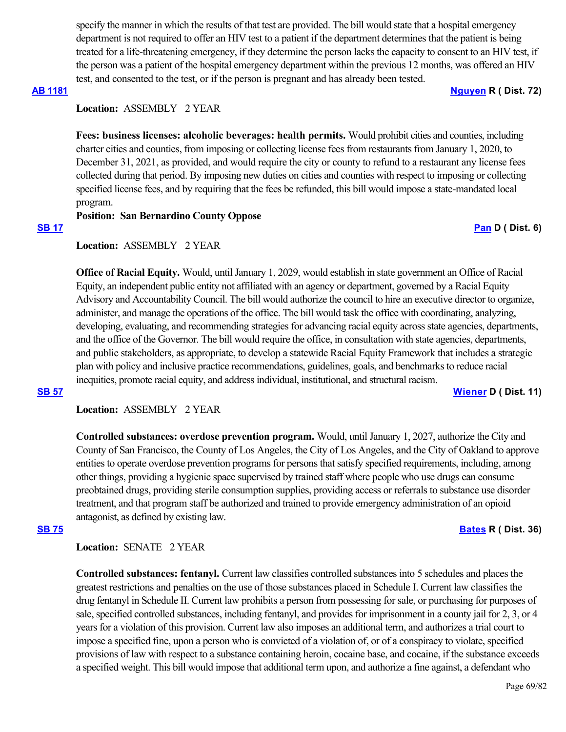specify the manner in which the results of that test are provided. The bill would state that a hospital emergency department is not required to offer an HIV test to a patient if the department determines that the patient is being treated for a life-threatening emergency, if they determine the person lacks the capacity to consent to an HIV test, if the person was a patient of the hospital emergency department within the previous 12 months, was offered an HIV test, and consented to the test, or if the person is pregnant and has already been tested.

### **[AB 1181](https://ctweb.capitoltrack.com/public/publishbillinfo.aspx?bi=hJLE75G3rYLpZOZ66EURhAyhQc5b%2FSFHaG%2BKPR1vE4V8NuSnGsuJlzRYBqYoGhOm) [Nguyen](https://ad72.asmrc.org/) R ( Dist. 72)**

# **Location:**  ASSEMBLY 2 YEAR

**Fees: business licenses: alcoholic beverages: health permits.** Would prohibit cities and counties, including charter cities and counties, from imposing or collecting license fees from restaurants from January 1, 2020, to December 31, 2021, as provided, and would require the city or county to refund to a restaurant any license fees collected during that period. By imposing new duties on cities and counties with respect to imposing or collecting specified license fees, and by requiring that the fees be refunded, this bill would impose a state-mandated local program.

# **Position: San Bernardino County Oppose**

### **[SB 17](https://ctweb.capitoltrack.com/public/publishbillinfo.aspx?bi=%2BE4NoDKMLnuTFxzoM1Xo99BcuN4ryD73nF0rJQY%2ByFcnjPHcHP1MVGB5QCwtLcFz) [Pan](http://sd06.senate.ca.gov/) D ( Dist. 6)**

# **Location:**  ASSEMBLY 2 YEAR

**Office of Racial Equity.** Would, until January 1, 2029, would establish in state government an Office of Racial Equity, an independent public entity not affiliated with an agency or department, governed by a Racial Equity Advisory and Accountability Council. The bill would authorize the council to hire an executive director to organize, administer, and manage the operations of the office. The bill would task the office with coordinating, analyzing, developing, evaluating, and recommending strategies for advancing racial equity across state agencies, departments, and the office of the Governor. The bill would require the office, in consultation with state agencies, departments, and public stakeholders, as appropriate, to develop a statewide Racial Equity Framework that includes a strategic plan with policy and inclusive practice recommendations, guidelines, goals, and benchmarks to reduce racial inequities, promote racial equity, and address individual, institutional, and structural racism. **[SB 57](https://ctweb.capitoltrack.com/public/publishbillinfo.aspx?bi=Lv7Elqqc41mLJLH2Zgldd2ENbBe%2F2AACEFAp57qr3o%2FEEJPqJsnF7dAV%2BDMNNJpC) [Wiener](http://sd11.senate.ca.gov/) D ( Dist. 11)**

**Location:**  ASSEMBLY 2 YEAR

**Controlled substances: overdose prevention program.** Would, until January 1, 2027, authorize the City and County of San Francisco, the County of Los Angeles, the City of Los Angeles, and the City of Oakland to approve entities to operate overdose prevention programs for persons that satisfy specified requirements, including, among other things, providing a hygienic space supervised by trained staff where people who use drugs can consume preobtained drugs, providing sterile consumption supplies, providing access or referrals to substance use disorder treatment, and that program staff be authorized and trained to provide emergency administration of an opioid antagonist, as defined by existing law.

### **[SB 75](https://ctweb.capitoltrack.com/public/publishbillinfo.aspx?bi=lySpRCXAtWFK79Ah5HnT6EfvkUIe6Ys1ulxaYkMnUGFbho%2BbidnpRvhJjodKv2PX) [Bates](https://bates.cssrc.us/) R ( Dist. 36)**

Location: **SENATE** 2 YEAR

**Controlled substances: fentanyl.** Current law classifies controlled substances into 5 schedules and places the greatest restrictions and penalties on the use of those substances placed in Schedule I. Current law classifies the drug fentanyl in Schedule II. Current law prohibits a person from possessing for sale, or purchasing for purposes of sale, specified controlled substances, including fentanyl, and provides for imprisonment in a county jail for 2, 3, or 4 years for a violation of this provision. Current law also imposes an additional term, and authorizes a trial court to impose a specified fine, upon a person who is convicted of a violation of, or of a conspiracy to violate, specified provisions of law with respect to a substance containing heroin, cocaine base, and cocaine, if the substance exceeds a specified weight. This bill would impose that additional term upon, and authorize a fine against, a defendant who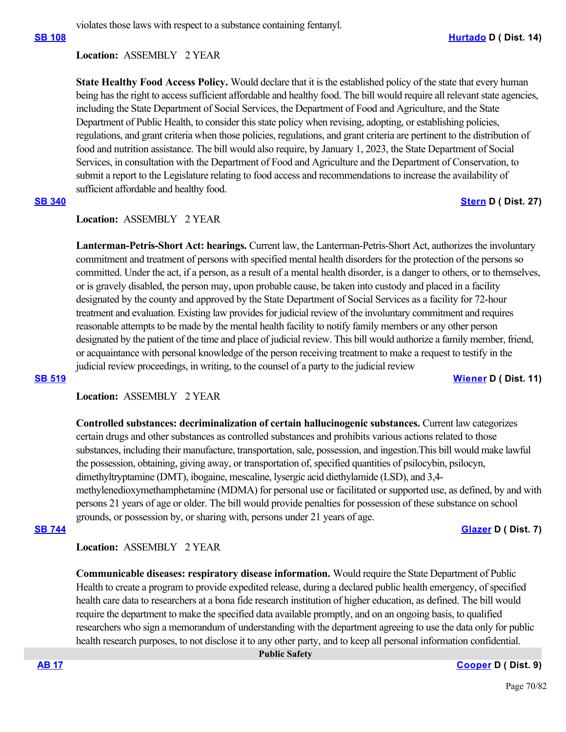violates those laws with respect to a substance containing fentanyl.

# **Location:**  ASSEMBLY 2 YEAR

**State Healthy Food Access Policy.** Would declare that it is the established policy of the state that every human being has the right to access sufficient affordable and healthy food. The bill would require all relevant state agencies, including the State Department of Social Services, the Department of Food and Agriculture, and the State Department of Public Health, to consider this state policy when revising, adopting, or establishing policies, regulations, and grant criteria when those policies, regulations, and grant criteria are pertinent to the distribution of food and nutrition assistance. The bill would also require, by January 1, 2023, the State Department of Social Services, in consultation with the Department of Food and Agriculture and the Department of Conservation, to submit a report to the Legislature relating to food access and recommendations to increase the availability of sufficient affordable and healthy food.

### **[SB 340](https://ctweb.capitoltrack.com/public/publishbillinfo.aspx?bi=o7c4xnROQN3yzqqUUsr3HDvHSt5jsU2jMveJJkW5YKoG0bJsOECHrt2wV%2Fr7HQpj) [Stern](http://sd27.senate.ca.gov/) D ( Dist. 27)**

# **Location:**  ASSEMBLY 2 YEAR

**Lanterman-Petris-Short Act: hearings.** Current law, the Lanterman-Petris-Short Act, authorizes the involuntary commitment and treatment of persons with specified mental health disorders for the protection of the persons so committed. Under the act, if a person, as a result of a mental health disorder, is a danger to others, or to themselves, or is gravely disabled, the person may, upon probable cause, be taken into custody and placed in a facility designated by the county and approved by the State Department of Social Services as a facility for 72-hour treatment and evaluation. Existing law provides for judicial review of the involuntary commitment and requires reasonable attempts to be made by the mental health facility to notify family members or any other person designated by the patient of the time and place of judicial review. This bill would authorize a family member, friend, or acquaintance with personal knowledge of the person receiving treatment to make a request to testify in the judicial review proceedings, in writing, to the counsel of a party to the judicial review

**[SB 519](https://ctweb.capitoltrack.com/public/publishbillinfo.aspx?bi=S%2Fqdy5QJb97AZhOUGFEgrrOu2893hHPADL3SNrgXeTRpxLo6I80R%2BXvamzjzl7KU) [Wiener](http://sd11.senate.ca.gov/) D ( Dist. 11)**

# **Location:**  ASSEMBLY 2 YEAR

**Controlled substances: decriminalization of certain hallucinogenic substances.** Current law categorizes certain drugs and other substances as controlled substances and prohibits various actions related to those substances, including their manufacture, transportation, sale, possession, and ingestion.This bill would make lawful the possession, obtaining, giving away, or transportation of, specified quantities of psilocybin, psilocyn, dimethyltryptamine (DMT), ibogaine, mescaline, lysergic acid diethylamide (LSD), and 3,4 methylenedioxymethamphetamine (MDMA) for personal use or facilitated or supported use, as defined, by and with persons 21 years of age or older. The bill would provide penalties for possession of these substance on school grounds, or possession by, or sharing with, persons under 21 years of age.

# **[SB 744](https://ctweb.capitoltrack.com/public/publishbillinfo.aspx?bi=JIZZ3Wleqhe2Afu8aSlx2KX18JyZA8Rq1KFFiRORfqV64KqI99E5CRWoF%2Fb%2B7Mzo) [Glazer](http://sd07.senate.ca.gov/) D ( Dist. 7)**

**Location:**  ASSEMBLY 2 YEAR

**Communicable diseases: respiratory disease information.** Would require the State Department of Public Health to create a program to provide expedited release, during a declared public health emergency, of specified health care data to researchers at a bona fide research institution of higher education, as defined. The bill would require the department to make the specified data available promptly, and on an ongoing basis, to qualified researchers who sign a memorandum of understanding with the department agreeing to use the data only for public health research purposes, to not disclose it to any other party, and to keep all personal information confidential.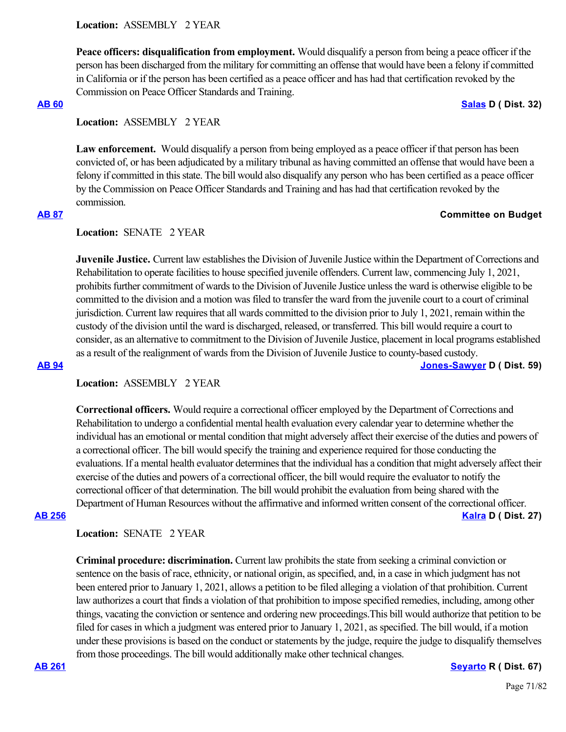**Peace officers: disqualification from employment.** Would disqualify a person from being a peace officer if the person has been discharged from the military for committing an offense that would have been a felony if committed in California or if the person has been certified as a peace officer and has had that certification revoked by the Commission on Peace Officer Standards and Training.

**[AB 60](https://ctweb.capitoltrack.com/public/publishbillinfo.aspx?bi=Ie8%2FaD5%2FWnu20zg3cNaRtvjSwwgEj6ev14ojqYd5pyBgDeKMxWrRdsqhEtdW1oZA) [Salas](https://a32.asmdc.org/) D ( Dist. 32)**

# **Location:**  ASSEMBLY 2 YEAR

Law enforcement. Would disqualify a person from being employed as a peace officer if that person has been convicted of, or has been adjudicated by a military tribunal as having committed an offense that would have been a felony if committed in this state. The bill would also disqualify any person who has been certified as a peace officer by the Commission on Peace Officer Standards and Training and has had that certification revoked by the commission.

# **[AB 87](https://ctweb.capitoltrack.com/public/publishbillinfo.aspx?bi=aP6tBr0AiMKGFAYx2CsdLBAC6h8IlxwJmhePJG5%2BQYnibqIKe%2FksE37RChPbnT8a) Committee on Budget**

# Location: **SENATE** 2 YEAR

**Juvenile Justice.** Current law establishes the Division of Juvenile Justice within the Department of Corrections and Rehabilitation to operate facilities to house specified juvenile offenders. Current law, commencing July 1, 2021, prohibits further commitment of wards to the Division of Juvenile Justice unless the ward is otherwise eligible to be committed to the division and a motion was filed to transfer the ward from the juvenile court to a court of criminal jurisdiction. Current law requires that all wards committed to the division prior to July 1, 2021, remain within the custody of the division until the ward is discharged, released, or transferred. This bill would require a court to consider, as an alternative to commitment to the Division of Juvenile Justice, placement in local programs established as a result of the realignment of wards from the Division of Juvenile Justice to county-based custody.

**[AB 94](https://ctweb.capitoltrack.com/public/publishbillinfo.aspx?bi=EAd9bw1m8WG3H4Hrr6E5EmLOiqmJxLfi0KpO4uLIFBhTEwKO9HTY42g%2BwS1BIrez) [Jones-Sawyer](https://a59.asmdc.org/) D ( Dist. 59)**

# **Location:**  ASSEMBLY 2 YEAR

**Correctional officers.** Would require a correctional officer employed by the Department of Corrections and Rehabilitation to undergo a confidential mental health evaluation every calendar year to determine whether the individual has an emotional or mental condition that might adversely affect their exercise of the duties and powers of a correctional officer. The bill would specify the training and experience required for those conducting the evaluations. If a mental health evaluator determines that the individual has a condition that might adversely affect their exercise of the duties and powers of a correctional officer, the bill would require the evaluator to notify the correctional officer of that determination. The bill would prohibit the evaluation from being shared with the Department of Human Resources without the affirmative and informed written consent of the correctional officer. **[AB 256](https://ctweb.capitoltrack.com/public/publishbillinfo.aspx?bi=rQtYJcf4dXrzHn9e1RwZjOpgoG8pIdmaYjYZUZRFGTfIJrIITioAhm9HEAySE%2FU5) [Kalra](https://a27.asmdc.org/) D ( Dist. 27)**

# **Location:**  SENATE 2 YEAR

**Criminal procedure: discrimination.** Current law prohibits the state from seeking a criminal conviction or sentence on the basis of race, ethnicity, or national origin, as specified, and, in a case in which judgment has not been entered prior to January 1, 2021, allows a petition to be filed alleging a violation of that prohibition. Current law authorizes a court that finds a violation of that prohibition to impose specified remedies, including, among other things, vacating the conviction or sentence and ordering new proceedings.This bill would authorize that petition to be filed for cases in which a judgment was entered prior to January 1, 2021, as specified. The bill would, if a motion under these provisions is based on the conduct or statements by the judge, require the judge to disqualify themselves from those proceedings. The bill would additionally make other technical changes.

### **[AB 261](https://ctweb.capitoltrack.com/public/publishbillinfo.aspx?bi=oEt9A6a5HVAxZ4pUsnesUibV5o%2BjNL6w4GyV1Rg2AwN4mJG8sSe%2FBCiFHrt6dKWG) [Seyarto](https://ad67.asmrc.org/) R ( Dist. 67)**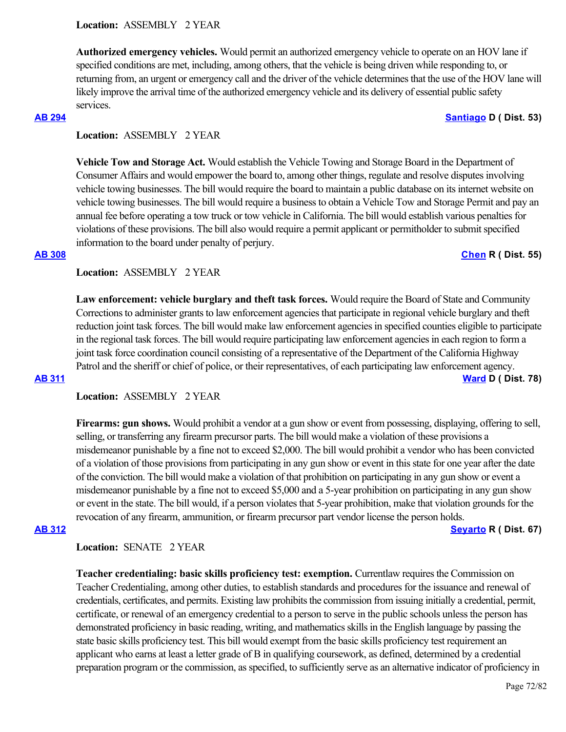**Authorized emergency vehicles.** Would permit an authorized emergency vehicle to operate on an HOV lane if specified conditions are met, including, among others, that the vehicle is being driven while responding to, or returning from, an urgent or emergency call and the driver of the vehicle determines that the use of the HOV lane will likely improve the arrival time of the authorized emergency vehicle and its delivery of essential public safety services.

# **[AB 294](https://ctweb.capitoltrack.com/public/publishbillinfo.aspx?bi=KYUofjSOiZMf9EQhyVwipmENINZp7aEdlaKda8uJjCr3J0fQXbKZFVX0p3tFD3Hr) [Santiago](https://a53.asmdc.org/) D ( Dist. 53)**

# **Location:**  ASSEMBLY 2 YEAR

**Vehicle Tow and Storage Act.** Would establish the Vehicle Towing and Storage Board in the Department of Consumer Affairs and would empower the board to, among other things, regulate and resolve disputes involving vehicle towing businesses. The bill would require the board to maintain a public database on its internet website on vehicle towing businesses. The bill would require a business to obtain a Vehicle Tow and Storage Permit and pay an annual fee before operating a tow truck or tow vehicle in California. The bill would establish various penalties for violations of these provisions. The bill also would require a permit applicant or permitholder to submit specified information to the board under penalty of perjury.

### **[AB 308](https://ctweb.capitoltrack.com/public/publishbillinfo.aspx?bi=WNoFuOCI55uRSKQHjmHz0DBzqjpLZf8CGlKBbd47uDZ4XtbuO%2BNbEwUPh810Arhe) [Chen](https://ad55.asmrc.org/) R ( Dist. 55)**

# **Location:**  ASSEMBLY 2 YEAR

**Law enforcement: vehicle burglary and theft task forces.** Would require the Board of State and Community Corrections to administer grants to law enforcement agencies that participate in regional vehicle burglary and theft reduction joint task forces. The bill would make law enforcement agencies in specified counties eligible to participate in the regional task forces. The bill would require participating law enforcement agencies in each region to form a joint task force coordination council consisting of a representative of the Department of the California Highway Patrol and the sheriff or chief of police, or their representatives, of each participating law enforcement agency. **[AB 311](https://ctweb.capitoltrack.com/public/publishbillinfo.aspx?bi=SNO%2BHariG%2BkgeEhTD4fCLqvFFjZwhpQz8nJXYw5wFDTg2yoIh%2B2U3yJWRZX1AMx%2B) [Ward](https://a78.asmdc.org/) D ( Dist. 78)**

# **Location:**  ASSEMBLY 2 YEAR

**Firearms: gun shows.** Would prohibit a vendor at a gun show or event from possessing, displaying, offering to sell, selling, or transferring any firearm precursor parts. The bill would make a violation of these provisions a misdemeanor punishable by a fine not to exceed \$2,000. The bill would prohibit a vendor who has been convicted of a violation of those provisions from participating in any gun show or event in this state for one year after the date of the conviction. The bill would make a violation of that prohibition on participating in any gun show or event a misdemeanor punishable by a fine not to exceed \$5,000 and a 5-year prohibition on participating in any gun show or event in the state. The bill would, if a person violates that 5-year prohibition, make that violation grounds for the revocation of any firearm, ammunition, or firearm precursor part vendor license the person holds. **[AB 312](https://ctweb.capitoltrack.com/public/publishbillinfo.aspx?bi=FjKfgcY2mt3SCkTyoI4d1HrD7k2BCbgXSe6glqFxCKT8Np9N41GlfHYkFpdL%2BXFi) [Seyarto](https://ad67.asmrc.org/) R ( Dist. 67)**

**Location:**  SENATE 2 YEAR

**Teacher credentialing: basic skills proficiency test: exemption.** Currentlaw requires the Commission on Teacher Credentialing, among other duties, to establish standards and procedures for the issuance and renewal of credentials, certificates, and permits. Existing law prohibits the commission from issuing initially a credential, permit, certificate, or renewal of an emergency credential to a person to serve in the public schools unless the person has demonstrated proficiency in basic reading, writing, and mathematics skills in the English language by passing the state basic skills proficiency test. This bill would exempt from the basic skills proficiency test requirement an applicant who earns at least a letter grade of B in qualifying coursework, as defined, determined by a credential preparation program or the commission, as specified, to sufficiently serve as an alternative indicator of proficiency in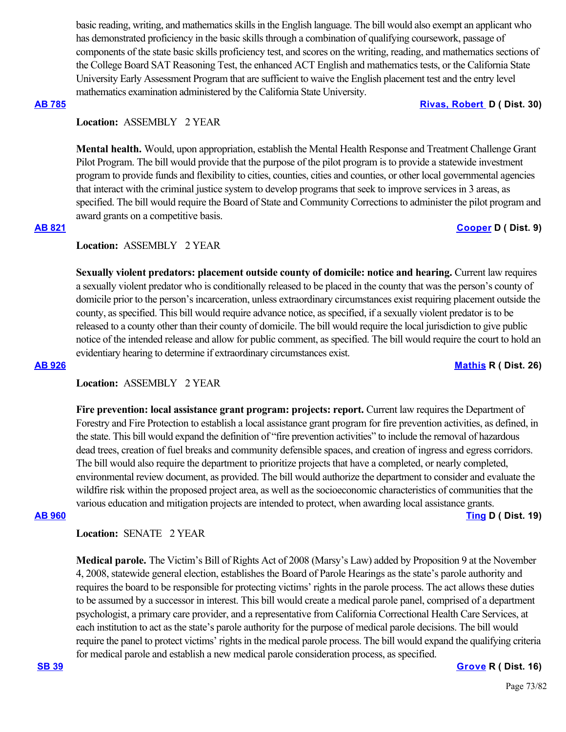basic reading, writing, and mathematics skills in the English language. The bill would also exempt an applicant who has demonstrated proficiency in the basic skills through a combination of qualifying coursework, passage of components of the state basic skills proficiency test, and scores on the writing, reading, and mathematics sections of the College Board SAT Reasoning Test, the enhanced ACT English and mathematics tests, or the California State University Early Assessment Program that are sufficient to waive the English placement test and the entry level mathematics examination administered by the California State University.

### **[AB 785](https://ctweb.capitoltrack.com/public/publishbillinfo.aspx?bi=nE4FEohI9Eu4OlsXMSil6vti6wPU6KKTv7pbVWCld4aBVn7eB8aIsnswYcewJ4FJ) [Rivas, Robert](https://a30.asmdc.org/)  D ( Dist. 30)**

# **Location:**  ASSEMBLY 2 YEAR

**Mental health.** Would, upon appropriation, establish the Mental Health Response and Treatment Challenge Grant Pilot Program. The bill would provide that the purpose of the pilot program is to provide a statewide investment program to provide funds and flexibility to cities, counties, cities and counties, or other local governmental agencies that interact with the criminal justice system to develop programs that seek to improve services in 3 areas, as specified. The bill would require the Board of State and Community Corrections to administer the pilot program and award grants on a competitive basis.

# **[AB 821](https://ctweb.capitoltrack.com/public/publishbillinfo.aspx?bi=TCW%2FEwp5XVIGq%2BhRWtP7HAupcoynUtV4ELeFrws7szKU93neeroKrXkLz6eZYH5Z) [Cooper](https://a09.asmdc.org/) D ( Dist. 9)**

### **Location:**  ASSEMBLY 2 YEAR

**Sexually violent predators: placement outside county of domicile: notice and hearing. Current law requires** a sexually violent predator who is conditionally released to be placed in the county that was the person's county of domicile prior to the person's incarceration, unless extraordinary circumstances exist requiring placement outside the county, as specified. This bill would require advance notice, as specified, if a sexually violent predator is to be released to a county other than their county of domicile. The bill would require the local jurisdiction to give public notice of the intended release and allow for public comment, as specified. The bill would require the court to hold an evidentiary hearing to determine if extraordinary circumstances exist.

**[AB 926](https://ctweb.capitoltrack.com/public/publishbillinfo.aspx?bi=Th0uX5vCkxdBKDneFaOrCN5M161%2Bayhvf56xEMJmANMzKcX9QOwihTYO%2F%2FpKS2WA) [Mathis](http://ad26.asmrc.org/) R ( Dist. 26)**

# **Location:**  ASSEMBLY 2 YEAR

**Fire prevention: local assistance grant program: projects: report.** Current law requires the Department of Forestry and Fire Protection to establish a local assistance grant program for fire prevention activities, as defined, in the state. This bill would expand the definition of "fire prevention activities" to include the removal of hazardous dead trees, creation of fuel breaks and community defensible spaces, and creation of ingress and egress corridors. The bill would also require the department to prioritize projects that have a completed, or nearly completed, environmental review document, as provided. The bill would authorize the department to consider and evaluate the wildfire risk within the proposed project area, as well as the socioeconomic characteristics of communities that the various education and mitigation projects are intended to protect, when awarding local assistance grants. **[AB 960](https://ctweb.capitoltrack.com/public/publishbillinfo.aspx?bi=nPmUazv3CfGl4xs3NkwU9nY63ELfjp3XK9ko1a9L7kUQUkufO7KEB3%2FCGttkDq5y) [Ting](https://a19.asmdc.org/) D ( Dist. 19)**

**Location:**  SENATE 2 YEAR

**Medical parole.** The Victim's Bill of Rights Act of 2008 (Marsy's Law) added by Proposition 9 at the November 4, 2008, statewide general election, establishes the Board of Parole Hearings as the state's parole authority and requires the board to be responsible for protecting victims' rights in the parole process. The act allows these duties to be assumed by a successor in interest. This bill would create a medical parole panel, comprised of a department psychologist, a primary care provider, and a representative from California Correctional Health Care Services, at each institution to act as the state's parole authority for the purpose of medical parole decisions. The bill would require the panel to protect victims' rights in the medical parole process. The bill would expand the qualifying criteria for medical parole and establish a new medical parole consideration process, as specified.

### **[SB 39](https://ctweb.capitoltrack.com/public/publishbillinfo.aspx?bi=sUKRFgAc2NMvgSBTS%2F1GGVbYKlZ1ETu1WiOud04YN1dK%2BSF7%2BA6eNuD7QMFsqQbv) [Grove](https://grove.cssrc.us/) R ( Dist. 16)**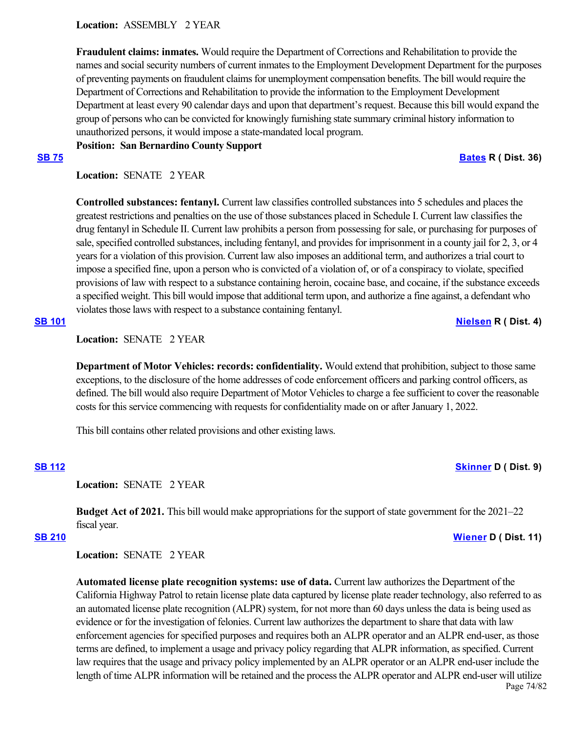**Location:**  ASSEMBLY 2 YEAR

**Fraudulent claims: inmates.** Would require the Department of Corrections and Rehabilitation to provide the names and social security numbers of current inmates to the Employment Development Department for the purposes of preventing payments on fraudulent claims for unemployment compensation benefits. The bill would require the Department of Corrections and Rehabilitation to provide the information to the Employment Development Department at least every 90 calendar days and upon that department's request. Because this bill would expand the group of persons who can be convicted for knowingly furnishing state summary criminal history information to unauthorized persons, it would impose a state-mandated local program.

**Position: San Bernardino County Support**

**[SB 75](https://ctweb.capitoltrack.com/public/publishbillinfo.aspx?bi=lySpRCXAtWFK79Ah5HnT6EfvkUIe6Ys1ulxaYkMnUGFbho%2BbidnpRvhJjodKv2PX) [Bates](https://bates.cssrc.us/) R ( Dist. 36)**

Location: **SENATE** 2 YEAR

**Controlled substances: fentanyl.** Current law classifies controlled substances into 5 schedules and places the greatest restrictions and penalties on the use of those substances placed in Schedule I. Current law classifies the drug fentanyl in Schedule II. Current law prohibits a person from possessing for sale, or purchasing for purposes of sale, specified controlled substances, including fentanyl, and provides for imprisonment in a county jail for 2, 3, or 4 years for a violation of this provision. Current law also imposes an additional term, and authorizes a trial court to impose a specified fine, upon a person who is convicted of a violation of, or of a conspiracy to violate, specified provisions of law with respect to a substance containing heroin, cocaine base, and cocaine, if the substance exceeds a specified weight. This bill would impose that additional term upon, and authorize a fine against, a defendant who violates those laws with respect to a substance containing fentanyl.

## **[SB 101](https://ctweb.capitoltrack.com/public/publishbillinfo.aspx?bi=PqG94B5vRaSGS7OJERfy0qBL2x0AJLELFxi4A9TlbQrwqNml08NG2XRQK2eveJmW) [Nielsen](http://nielsen.cssrc.us/) R ( Dist. 4)**

**Location:**  SENATE 2 YEAR

**Department of Motor Vehicles: records: confidentiality.** Would extend that prohibition, subject to those same exceptions, to the disclosure of the home addresses of code enforcement officers and parking control officers, as defined. The bill would also require Department of Motor Vehicles to charge a fee sufficient to cover the reasonable costs for this service commencing with requests for confidentiality made on or after January 1, 2022.

This bill contains other related provisions and other existing laws.

# **[SB 112](https://ctweb.capitoltrack.com/public/publishbillinfo.aspx?bi=DjmYG7bz92XDaVvNv%2B4%2FAty59QmYz%2BP7w6YJ8k%2BFc8ofXa00AMpDRC7netTvQRps) [Skinner](http://sd09.senate.ca.gov/) D ( Dist. 9)**

Location: **SENATE** 2 YEAR

**Budget Act of 2021.** This bill would make appropriations for the support of state government for the 2021–22 fiscal year.

## **[SB 210](https://ctweb.capitoltrack.com/public/publishbillinfo.aspx?bi=fePHxTh5GH9DlGUNrawymqA9S7Z%2F3%2FqcgLZJ8wEIimG0Oe%2BsLjIiUTrxd52u%2Fwny) [Wiener](http://sd11.senate.ca.gov/) D ( Dist. 11)**

**Location:**  SENATE 2 YEAR

**Automated license plate recognition systems: use of data.** Current law authorizes the Department of the California Highway Patrol to retain license plate data captured by license plate reader technology, also referred to as an automated license plate recognition (ALPR) system, for not more than 60 days unless the data is being used as evidence or for the investigation of felonies. Current law authorizes the department to share that data with law enforcement agencies for specified purposes and requires both an ALPR operator and an ALPR end-user, as those terms are defined, to implement a usage and privacy policy regarding that ALPR information, as specified. Current law requires that the usage and privacy policy implemented by an ALPR operator or an ALPR end-user include the length of time ALPR information will be retained and the process the ALPR operator and ALPR end-user will utilize Page 74/82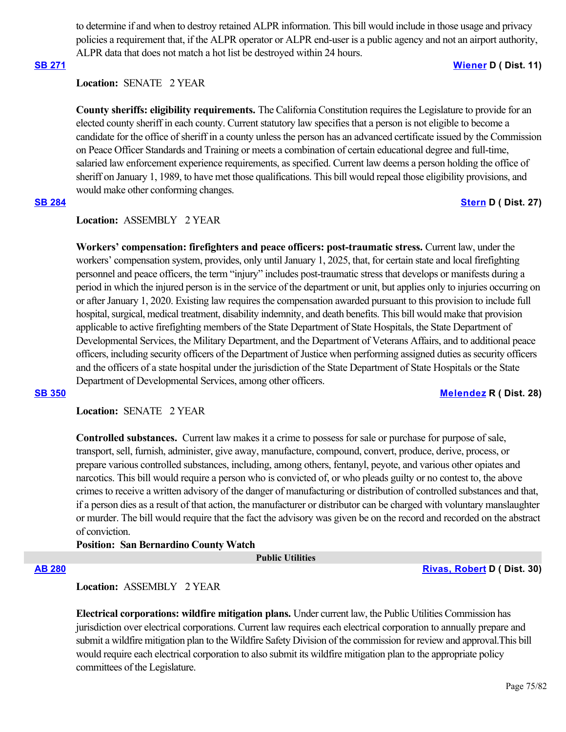to determine if and when to destroy retained ALPR information. This bill would include in those usage and privacy policies a requirement that, if the ALPR operator or ALPR end-user is a public agency and not an airport authority, ALPR data that does not match a hot list be destroyed within 24 hours.

### **[SB 271](https://ctweb.capitoltrack.com/public/publishbillinfo.aspx?bi=YS5yJcytcA423yIyUJEWN490ezcLJVWtQx%2Bovcc2oLORpyvlhhKv5cHmRVxBlOwU) [Wiener](http://sd11.senate.ca.gov/) D ( Dist. 11)**

# **Location:**  SENATE 2 YEAR

**County sheriffs: eligibility requirements.** The California Constitution requires the Legislature to provide for an elected county sheriff in each county. Current statutory law specifies that a person is not eligible to become a candidate for the office of sheriff in a county unless the person has an advanced certificate issued by the Commission on Peace Officer Standards and Training or meets a combination of certain educational degree and full-time, salaried law enforcement experience requirements, as specified. Current law deems a person holding the office of sheriff on January 1, 1989, to have met those qualifications. This bill would repeal those eligibility provisions, and would make other conforming changes.

### **[SB 284](https://ctweb.capitoltrack.com/public/publishbillinfo.aspx?bi=pfo59AaC5CcBlbAG1B14p2QyzY9s%2Fy6%2F4GGrAzrDy118E94jS7x9jr06vKUaTB3e) [Stern](http://sd27.senate.ca.gov/) D ( Dist. 27)**

# **Location:**  ASSEMBLY 2 YEAR

**Workers' compensation: firefighters and peace officers: post-traumatic stress.** Current law, under the workers' compensation system, provides, only until January 1, 2025, that, for certain state and local firefighting personnel and peace officers, the term "injury" includes post-traumatic stress that develops or manifests during a period in which the injured person is in the service of the department or unit, but applies only to injuries occurring on or after January 1, 2020. Existing law requires the compensation awarded pursuant to this provision to include full hospital, surgical, medical treatment, disability indemnity, and death benefits. This bill would make that provision applicable to active firefighting members of the State Department of State Hospitals, the State Department of Developmental Services, the Military Department, and the Department of Veterans Affairs, and to additional peace officers, including security officers of the Department of Justice when performing assigned duties as security officers and the officers of a state hospital under the jurisdiction of the State Department of State Hospitals or the State Department of Developmental Services, among other officers.

# **[SB 350](https://ctweb.capitoltrack.com/public/publishbillinfo.aspx?bi=LV8UTl7sqCxQyqSkjln784aEvFmB9BUuuJaIEca4Y%2ByzUcbFBChB5pom43%2Baarjd) [Melendez](https://melendez.cssrc.us/) R ( Dist. 28)**

# **Location:**  SENATE 2 YEAR

**Controlled substances.** Current law makes it a crime to possess for sale or purchase for purpose of sale, transport, sell, furnish, administer, give away, manufacture, compound, convert, produce, derive, process, or prepare various controlled substances, including, among others, fentanyl, peyote, and various other opiates and narcotics. This bill would require a person who is convicted of, or who pleads guilty or no contest to, the above crimes to receive a written advisory of the danger of manufacturing or distribution of controlled substances and that, if a person dies as a result of that action, the manufacturer or distributor can be charged with voluntary manslaughter or murder. The bill would require that the fact the advisory was given be on the record and recorded on the abstract of conviction.

# **Position: San Bernardino County Watch**

### **Public Utilities**

**[AB 280](https://ctweb.capitoltrack.com/public/publishbillinfo.aspx?bi=CF3aBg%2F5EW%2B%2BoUS9%2FCgN63FeABGCYxGMfzZDQu7kxdpFsoEbA6JTjlmbDBt%2BrgoU) [Rivas, Robert](https://a30.asmdc.org/) D ( Dist. 30)**

# **Location:**  ASSEMBLY 2 YEAR

**Electrical corporations: wildfire mitigation plans.** Under current law, the Public Utilities Commission has jurisdiction over electrical corporations. Current law requires each electrical corporation to annually prepare and submit a wildfire mitigation plan to the Wildfire Safety Division of the commission for review and approval.This bill would require each electrical corporation to also submit its wildfire mitigation plan to the appropriate policy committees of the Legislature.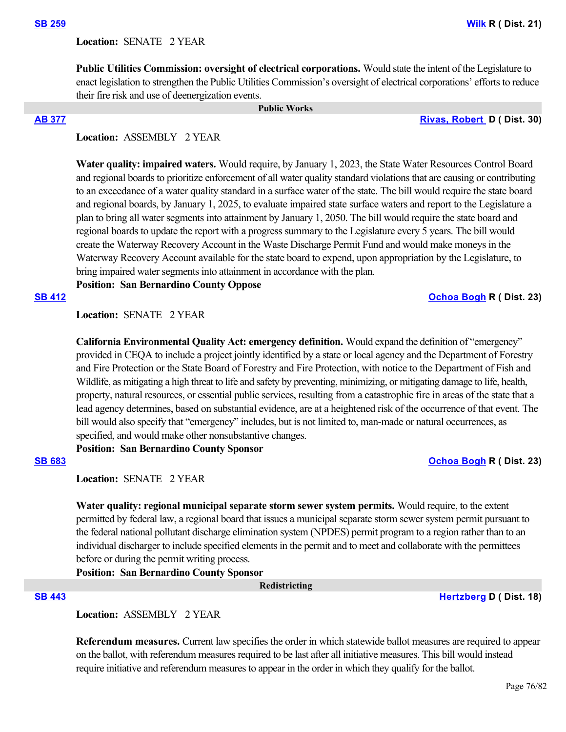Location: **SENATE 2 YEAR** 

**Public Utilities Commission: oversight of electrical corporations.** Would state the intent of the Legislature to enact legislation to strengthen the Public Utilities Commission's oversight of electrical corporations' efforts to reduce their fire risk and use of deenergization events.

### **Public Works**

**[AB 377](https://ctweb.capitoltrack.com/public/publishbillinfo.aspx?bi=QEAvUfo6evokACv3TccwZ1ucj8cFUibwrenQRa%2B9WfA5l16b2I%2F3Y1fa6Hj1%2BmTZ) [Rivas, Robert](https://a30.asmdc.org/)  D ( Dist. 30)**

# **Location:**  ASSEMBLY 2 YEAR

**Water quality: impaired waters.** Would require, by January 1, 2023, the State Water Resources Control Board and regional boards to prioritize enforcement of all water quality standard violations that are causing or contributing to an exceedance of a water quality standard in a surface water of the state. The bill would require the state board and regional boards, by January 1, 2025, to evaluate impaired state surface waters and report to the Legislature a plan to bring all water segments into attainment by January 1, 2050. The bill would require the state board and regional boards to update the report with a progress summary to the Legislature every 5 years. The bill would create the Waterway Recovery Account in the Waste Discharge Permit Fund and would make moneys in the Waterway Recovery Account available for the state board to expend, upon appropriation by the Legislature, to bring impaired water segments into attainment in accordance with the plan.

**Position: San Bernardino County Oppose**

## **[SB 412](https://ctweb.capitoltrack.com/public/publishbillinfo.aspx?bi=%2BEJv9IqldAiMj60ZGuXZNaiY5bPuf8Pfv61NIjVrx3EM0efG4B%2FmCRXkZc55uYX%2F) [Ochoa Bogh](https://ochoa-bogh.cssrc.us/) R ( Dist. 23)**

**Location:**  SENATE 2 YEAR

**California Environmental Quality Act: emergency definition.** Would expand the definition of "emergency" provided in CEQA to include a project jointly identified by a state or local agency and the Department of Forestry and Fire Protection or the State Board of Forestry and Fire Protection, with notice to the Department of Fish and Wildlife, as mitigating a high threat to life and safety by preventing, minimizing, or mitigating damage to life, health, property, natural resources, or essential public services, resulting from a catastrophic fire in areas of the state that a lead agency determines, based on substantial evidence, are at a heightened risk of the occurrence of that event. The bill would also specify that "emergency" includes, but is not limited to, man-made or natural occurrences, as specified, and would make other nonsubstantive changes.

**Position: San Bernardino County Sponsor**

### **[SB 683](https://ctweb.capitoltrack.com/public/publishbillinfo.aspx?bi=EI%2BbD68y85%2FaBrTJCoxMyciCkoYKI3BXN693ctDohHNMcOUUC1qGQE5AyQCp2c6o) [Ochoa Bogh](https://ochoa-bogh.cssrc.us/) R ( Dist. 23)**

**Location:**  SENATE 2 YEAR

**Water quality: regional municipal separate storm sewer system permits.** Would require, to the extent permitted by federal law, a regional board that issues a municipal separate storm sewer system permit pursuant to the federal national pollutant discharge elimination system (NPDES) permit program to a region rather than to an individual discharger to include specified elements in the permit and to meet and collaborate with the permittees before or during the permit writing process.

**Position: San Bernardino County Sponsor**

 **Redistricting**

## **[SB 443](https://ctweb.capitoltrack.com/public/publishbillinfo.aspx?bi=HIojWqTdpascDXzdrowFDmZfMBn6ikUpCG3ceZICtuNK6Drr9Vz38JPGnn2sEp40) [Hertzberg](https://sd18.senate.ca.gov/) D ( Dist. 18)**

**Location:**  ASSEMBLY 2 YEAR

**Referendum measures.** Current law specifies the order in which statewide ballot measures are required to appear on the ballot, with referendum measures required to be last after all initiative measures. This bill would instead require initiative and referendum measures to appear in the order in which they qualify for the ballot.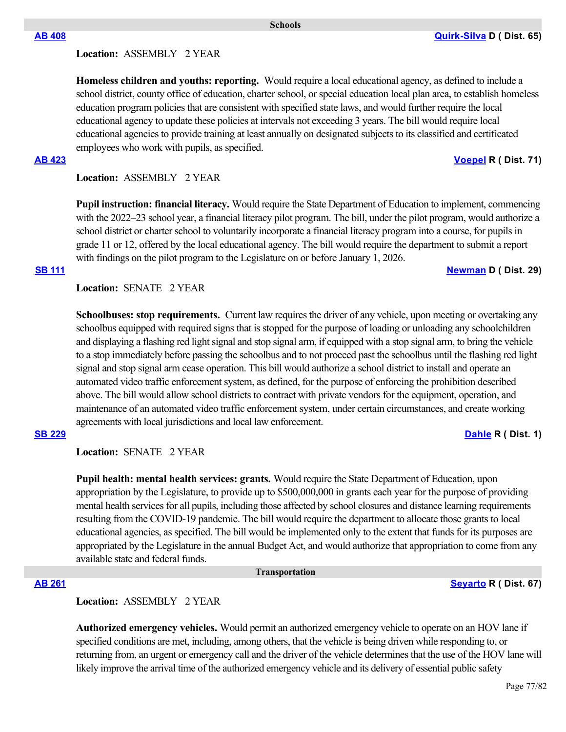# **Location:**  ASSEMBLY 2 YEAR

**Homeless children and youths: reporting.** Would require a local educational agency, as defined to include a school district, county office of education, charter school, or special education local plan area, to establish homeless education program policies that are consistent with specified state laws, and would further require the local educational agency to update these policies at intervals not exceeding 3 years. The bill would require local educational agencies to provide training at least annually on designated subjects to its classified and certificated employees who work with pupils, as specified.

# **Location:**  ASSEMBLY 2 YEAR

**Pupil instruction: financial literacy.** Would require the State Department of Education to implement, commencing with the 2022–23 school year, a financial literacy pilot program. The bill, under the pilot program, would authorize a school district or charter school to voluntarily incorporate a financial literacy program into a course, for pupils in grade 11 or 12, offered by the local educational agency. The bill would require the department to submit a report with findings on the pilot program to the Legislature on or before January 1, 2026.

### **[SB 111](https://ctweb.capitoltrack.com/public/publishbillinfo.aspx?bi=0LJ7xNe1POZibo7Ueo4mMFjPoIAkZnYXhZfIcXfVhJ7%2FnCOYkx7kW%2BH%2BHiDjSBJk) [Newman](https://sd29.senate.ca.gov/) D ( Dist. 29)**

## **Location:**  SENATE 2 YEAR

**Schoolbuses: stop requirements.** Current law requires the driver of any vehicle, upon meeting or overtaking any schoolbus equipped with required signs that is stopped for the purpose of loading or unloading any schoolchildren and displaying a flashing red light signal and stop signal arm, if equipped with a stop signal arm, to bring the vehicle to a stop immediately before passing the schoolbus and to not proceed past the schoolbus until the flashing red light signal and stop signal arm cease operation. This bill would authorize a school district to install and operate an automated video traffic enforcement system, as defined, for the purpose of enforcing the prohibition described above. The bill would allow school districts to contract with private vendors for the equipment, operation, and maintenance of an automated video traffic enforcement system, under certain circumstances, and create working agreements with local jurisdictions and local law enforcement.

### **[SB 229](https://ctweb.capitoltrack.com/public/publishbillinfo.aspx?bi=OSGxVphyAjG4JxSNgb5ZoamIdQvP1l7DIcC2wm7c7Syb8dlCjL%2BSsrAI8FFDDMr3) [Dahle](https://dahle.cssrc.us/) R ( Dist. 1)**

**Location:**  SENATE 2 YEAR

**Pupil health: mental health services: grants.** Would require the State Department of Education, upon appropriation by the Legislature, to provide up to \$500,000,000 in grants each year for the purpose of providing mental health services for all pupils, including those affected by school closures and distance learning requirements resulting from the COVID-19 pandemic. The bill would require the department to allocate those grants to local educational agencies, as specified. The bill would be implemented only to the extent that funds for its purposes are appropriated by the Legislature in the annual Budget Act, and would authorize that appropriation to come from any available state and federal funds.

 **Transportation**

# **Location:**  ASSEMBLY 2 YEAR

**Authorized emergency vehicles.** Would permit an authorized emergency vehicle to operate on an HOV lane if specified conditions are met, including, among others, that the vehicle is being driven while responding to, or returning from, an urgent or emergency call and the driver of the vehicle determines that the use of the HOV lane will likely improve the arrival time of the authorized emergency vehicle and its delivery of essential public safety

## **[AB 408](https://ctweb.capitoltrack.com/public/publishbillinfo.aspx?bi=m3m8rEkAcDZBKMwu3d7LNwvEQkFtgVtPg5HZ0KUQxJdi%2FpPLe0OhkVrxV0vi59Zr) [Quirk-Silva](https://a65.asmdc.org/) D ( Dist. 65)**

### **Schools**

# **[AB 423](https://ctweb.capitoltrack.com/public/publishbillinfo.aspx?bi=tYJG6QSDqWm8Ct%2BgtE%2FHDHUzXs243hboX3zhpqQYlRGWW%2F0S6gfc8vcylwIFoNzk) [Voepel](https://ad71.asmrc.org/) R ( Dist. 71)**

# **[AB 261](https://ctweb.capitoltrack.com/public/publishbillinfo.aspx?bi=oEt9A6a5HVAxZ4pUsnesUibV5o%2BjNL6w4GyV1Rg2AwN4mJG8sSe%2FBCiFHrt6dKWG) [Seyarto](https://ad67.asmrc.org/) R ( Dist. 67)**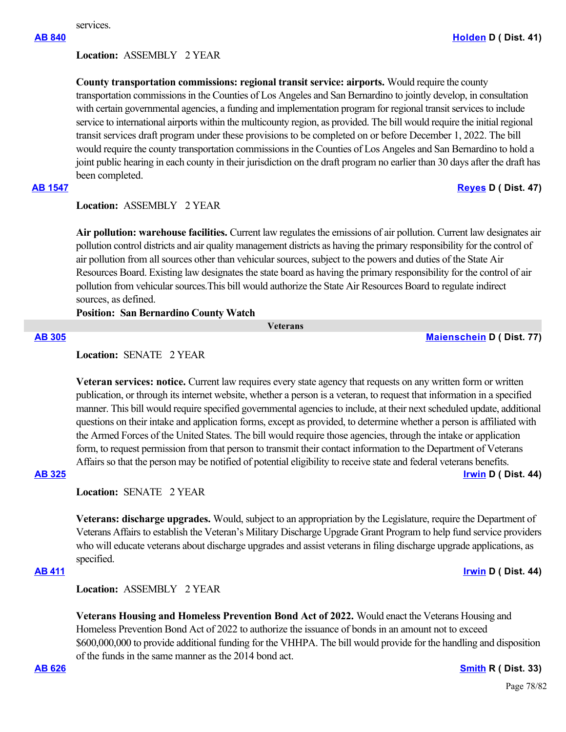# **Location:**  ASSEMBLY 2 YEAR

**County transportation commissions: regional transit service: airports.** Would require the county transportation commissions in the Counties of Los Angeles and San Bernardino to jointly develop, in consultation with certain governmental agencies, a funding and implementation program for regional transit services to include service to international airports within the multicounty region, as provided. The bill would require the initial regional transit services draft program under these provisions to be completed on or before December 1, 2022. The bill would require the county transportation commissions in the Counties of Los Angeles and San Bernardino to hold a joint public hearing in each county in their jurisdiction on the draft program no earlier than 30 days after the draft has been completed.

# **[AB 1547](https://ctweb.capitoltrack.com/public/publishbillinfo.aspx?bi=5OaFGvxlKFVLmqcnLtD1ztZ0F3uz2aknlRtyHt2UERQDoV%2BNfefT5eeuTy9aDHeE) [Reyes](https://a47.asmdc.org/) D ( Dist. 47)**

# **Location:**  ASSEMBLY 2 YEAR

**Air pollution: warehouse facilities.** Current law regulates the emissions of air pollution. Current law designates air pollution control districts and air quality management districts as having the primary responsibility for the control of air pollution from all sources other than vehicular sources, subject to the powers and duties of the State Air Resources Board. Existing law designates the state board as having the primary responsibility for the control of air pollution from vehicular sources.This bill would authorize the State Air Resources Board to regulate indirect sources, as defined.

### **Position: San Bernardino County Watch**

 **Veterans**

**[AB 305](https://ctweb.capitoltrack.com/public/publishbillinfo.aspx?bi=qbvKkBAf9ecArIhcDAXUlVGE6wjbPJnzsxcI6anzh4cafvWR8QvLfP1LwZ68qJOe) [Maienschein](https://a77.asmdc.org/) D ( Dist. 77)**

### **Location:**  SENATE 2 YEAR

**Veteran services: notice.** Current law requires every state agency that requests on any written form or written publication, or through its internet website, whether a person is a veteran, to request that information in a specified manner. This bill would require specified governmental agencies to include, at their next scheduled update, additional questions on their intake and application forms, except as provided, to determine whether a person is affiliated with the Armed Forces of the United States. The bill would require those agencies, through the intake or application form, to request permission from that person to transmit their contact information to the Department of Veterans Affairs so that the person may be notified of potential eligibility to receive state and federal veterans benefits.

# **[AB 325](https://ctweb.capitoltrack.com/public/publishbillinfo.aspx?bi=WeYjmgsEqjXuM4VU%2B%2BzNJjGMW68mpb%2BT1a7jtKSOweDfPgSidGvi4uADGyKTqHz1) [Irwin](https://a44.asmdc.org/) D ( Dist. 44)**

**Location:**  SENATE 2 YEAR

**Veterans: discharge upgrades.** Would, subject to an appropriation by the Legislature, require the Department of Veterans Affairs to establish the Veteran's Military Discharge Upgrade Grant Program to help fund service providers who will educate veterans about discharge upgrades and assist veterans in filing discharge upgrade applications, as specified.

# **[AB 411](https://ctweb.capitoltrack.com/public/publishbillinfo.aspx?bi=6IwhXVaxMzjl9v%2BGayCf4CP6tdK1hC14JWJSWj9pNaZK2MjOO4pqVVPP%2BlmhXeUY) [Irwin](https://a44.asmdc.org/) D ( Dist. 44)**

**Location:**  ASSEMBLY 2 YEAR

**Veterans Housing and Homeless Prevention Bond Act of 2022.** Would enact the Veterans Housing and Homeless Prevention Bond Act of 2022 to authorize the issuance of bonds in an amount not to exceed \$600,000,000 to provide additional funding for the VHHPA. The bill would provide for the handling and disposition of the funds in the same manner as the 2014 bond act.

**[AB 626](https://ctweb.capitoltrack.com/public/publishbillinfo.aspx?bi=c1X8f%2BTkb1%2FmE5iFvZ4omF3qNv5%2B1snDvOxWbCTpWlleMsKlLSKSStTp4gq%2FLZjB) [Smith](https://ad33.asmrc.org/) R ( Dist. 33)**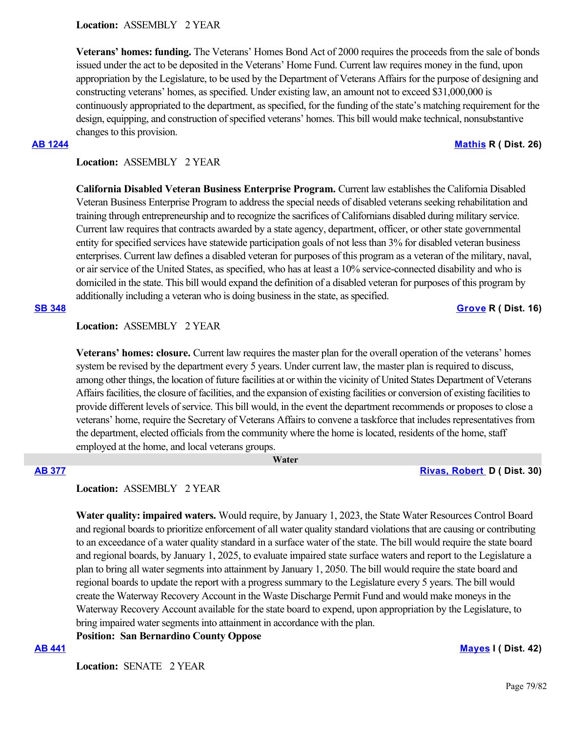**Veterans' homes: funding.** The Veterans' Homes Bond Act of 2000 requires the proceeds from the sale of bonds issued under the act to be deposited in the Veterans' Home Fund. Current law requires money in the fund, upon appropriation by the Legislature, to be used by the Department of Veterans Affairs for the purpose of designing and constructing veterans' homes, as specified. Under existing law, an amount not to exceed \$31,000,000 is continuously appropriated to the department, as specified, for the funding of the state's matching requirement for the design, equipping, and construction of specified veterans' homes. This bill would make technical, nonsubstantive changes to this provision.

## **[AB 1244](https://ctweb.capitoltrack.com/public/publishbillinfo.aspx?bi=K8cOWoQqNivTFuXAOKxV2IgdJ%2F%2Fcy9ZkwN15z1Lc1PfRfTuZxmKB9pRT3DR8GCQ%2B) [Mathis](http://ad26.asmrc.org/) R ( Dist. 26)**

# **Location:**  ASSEMBLY 2 YEAR

**California Disabled Veteran Business Enterprise Program.** Current law establishes the California Disabled Veteran Business Enterprise Program to address the special needs of disabled veterans seeking rehabilitation and training through entrepreneurship and to recognize the sacrifices of Californians disabled during military service. Current law requires that contracts awarded by a state agency, department, officer, or other state governmental entity for specified services have statewide participation goals of not less than 3% for disabled veteran business enterprises. Current law defines a disabled veteran for purposes of this program as a veteran of the military, naval, or air service of the United States, as specified, who has at least a 10% service-connected disability and who is domiciled in the state. This bill would expand the definition of a disabled veteran for purposes of this program by additionally including a veteran who is doing business in the state, as specified.

# **Location:**  ASSEMBLY 2 YEAR

**Veterans' homes: closure.** Current law requires the master plan for the overall operation of the veterans' homes system be revised by the department every 5 years. Under current law, the master plan is required to discuss, among other things, the location of future facilities at or within the vicinity of United States Department of Veterans Affairs facilities, the closure of facilities, and the expansion of existing facilities or conversion of existing facilities to provide different levels of service. This bill would, in the event the department recommends or proposes to close a veterans' home, require the Secretary of Veterans Affairs to convene a taskforce that includes representatives from the department, elected officials from the community where the home is located, residents of the home, staff employed at the home, and local veterans groups.

 **Water**

## **[AB 377](https://ctweb.capitoltrack.com/public/publishbillinfo.aspx?bi=QEAvUfo6evokACv3TccwZ1ucj8cFUibwrenQRa%2B9WfA5l16b2I%2F3Y1fa6Hj1%2BmTZ) [Rivas, Robert](https://a30.asmdc.org/)  D ( Dist. 30)**

# **Location:**  ASSEMBLY 2 YEAR

**Water quality: impaired waters.** Would require, by January 1, 2023, the State Water Resources Control Board and regional boards to prioritize enforcement of all water quality standard violations that are causing or contributing to an exceedance of a water quality standard in a surface water of the state. The bill would require the state board and regional boards, by January 1, 2025, to evaluate impaired state surface waters and report to the Legislature a plan to bring all water segments into attainment by January 1, 2050. The bill would require the state board and regional boards to update the report with a progress summary to the Legislature every 5 years. The bill would create the Waterway Recovery Account in the Waste Discharge Permit Fund and would make moneys in the Waterway Recovery Account available for the state board to expend, upon appropriation by the Legislature, to bring impaired water segments into attainment in accordance with the plan.

**Position: San Bernardino County Oppose**

# **[AB 441](https://ctweb.capitoltrack.com/public/publishbillinfo.aspx?bi=oqyp6GJ0p0sy9WvFZ2GTH%2FYL4lTm5%2B6CBmHGWmTfS%2FGDq1drB5MKBjVuoTtcFywR) [Mayes](https://www.assembly.ca.gov/assemblymemberchadmayes) I ( Dist. 42)**

**Location:**  SENATE 2 YEAR

**[SB 348](https://ctweb.capitoltrack.com/public/publishbillinfo.aspx?bi=nLXgUtIujQf8UKXVZS9hVdSm0hqz67MIYYZdXKGTKhPzpB31PxX1pHNLmmpxBZbu) [Grove](https://grove.cssrc.us/) R ( Dist. 16)**

Page 79/82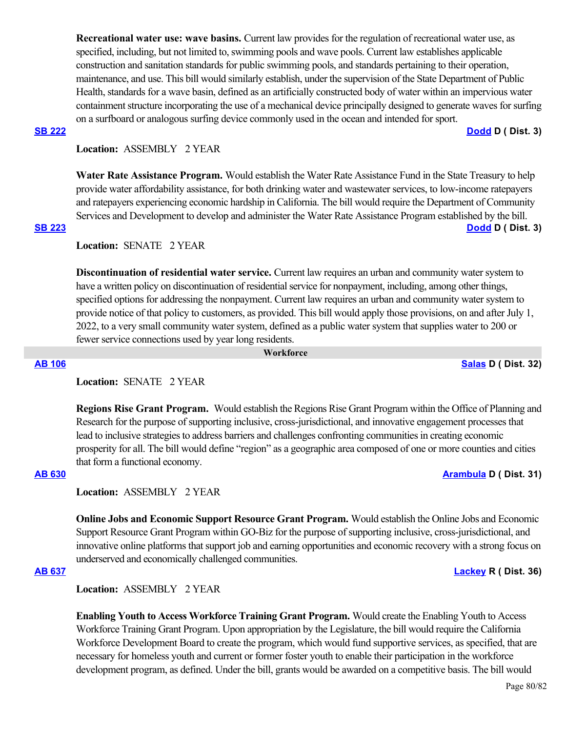**Recreational water use: wave basins.** Current law provides for the regulation of recreational water use, as specified, including, but not limited to, swimming pools and wave pools. Current law establishes applicable construction and sanitation standards for public swimming pools, and standards pertaining to their operation, maintenance, and use. This bill would similarly establish, under the supervision of the State Department of Public Health, standards for a wave basin, defined as an artificially constructed body of water within an impervious water containment structure incorporating the use of a mechanical device principally designed to generate waves for surfing on a surfboard or analogous surfing device commonly used in the ocean and intended for sport.

**[SB 222](https://ctweb.capitoltrack.com/public/publishbillinfo.aspx?bi=7sVgn2aW5KlbSu52Ipo6jKfrv%2B9UmFmFS%2F2T%2BTQ4qnAAuRJnojTSViiGLctcdCK5) [Dodd](http://sd03.senate.ca.gov/) D ( Dist. 3)**

# **Location:**  ASSEMBLY 2 YEAR

**Water Rate Assistance Program.** Would establish the Water Rate Assistance Fund in the State Treasury to help provide water affordability assistance, for both drinking water and wastewater services, to low-income ratepayers and ratepayers experiencing economic hardship in California. The bill would require the Department of Community Services and Development to develop and administer the Water Rate Assistance Program established by the bill. **[SB 223](https://ctweb.capitoltrack.com/public/publishbillinfo.aspx?bi=rqmP2zfqWo%2BlybO8aRT963ARTngKJa%2BFO2n224qrjQptgMsh86ckQv0XVrXM3Nbf) [Dodd](http://sd03.senate.ca.gov/) D ( Dist. 3)**

**Location:**  SENATE 2 YEAR

**Discontinuation of residential water service.** Current law requires an urban and community water system to have a written policy on discontinuation of residential service for nonpayment, including, among other things, specified options for addressing the nonpayment. Current law requires an urban and community water system to provide notice of that policy to customers, as provided. This bill would apply those provisions, on and after July 1, 2022, to a very small community water system, defined as a public water system that supplies water to 200 or fewer service connections used by year long residents.

 **Workforce**

### **[AB 106](https://ctweb.capitoltrack.com/public/publishbillinfo.aspx?bi=TSHJENppxbfSG53un6%2BUCngvhXso2lgVZ4pSYQx3GPXcEkM9Nfz4NFNaLhigTmpX) [Salas](https://a32.asmdc.org/) D ( Dist. 32)**

**Location:**  SENATE 2 YEAR

**Regions Rise Grant Program.** Would establish the Regions Rise Grant Program within the Office of Planning and Research for the purpose of supporting inclusive, cross-jurisdictional, and innovative engagement processes that lead to inclusive strategies to address barriers and challenges confronting communities in creating economic prosperity for all. The bill would define "region" as a geographic area composed of one or more counties and cities that form a functional economy.

### **[AB 630](https://ctweb.capitoltrack.com/public/publishbillinfo.aspx?bi=MGWSuEfMZXh%2B2NTw8bzjI4xEVV%2Bu6%2Foa7td3E1x7%2BfQe2TN4DWvWfljXLr0nymWV) [Arambula](https://a31.asmdc.org/) D ( Dist. 31)**

**Location:**  ASSEMBLY 2 YEAR

**Online Jobs and Economic Support Resource Grant Program.** Would establish the Online Jobs and Economic Support Resource Grant Program within GO-Biz for the purpose of supporting inclusive, cross-jurisdictional, and innovative online platforms that support job and earning opportunities and economic recovery with a strong focus on underserved and economically challenged communities.

## **[AB 637](https://ctweb.capitoltrack.com/public/publishbillinfo.aspx?bi=t5Vb2Io9rfac8XbVsjU6Yvd%2BsmATQ6yVIlZIovySQiWIGwt5aR9AL%2BCdbLSzlm7I) [Lackey](https://ad36.asmrc.org/) R ( Dist. 36)**

**Location:**  ASSEMBLY 2 YEAR

**Enabling Youth to Access Workforce Training Grant Program.** Would create the Enabling Youth to Access Workforce Training Grant Program. Upon appropriation by the Legislature, the bill would require the California Workforce Development Board to create the program, which would fund supportive services, as specified, that are necessary for homeless youth and current or former foster youth to enable their participation in the workforce development program, as defined. Under the bill, grants would be awarded on a competitive basis. The bill would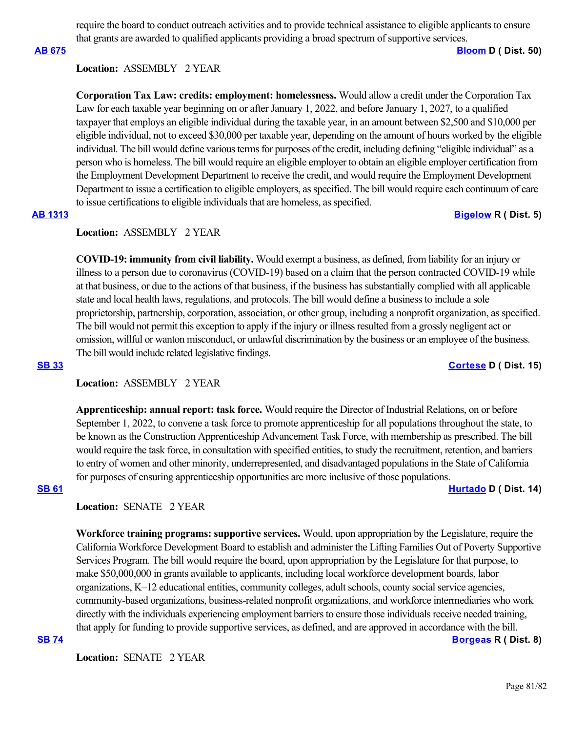require the board to conduct outreach activities and to provide technical assistance to eligible applicants to ensure that grants are awarded to qualified applicants providing a broad spectrum of supportive services.

**[AB 675](https://ctweb.capitoltrack.com/public/publishbillinfo.aspx?bi=heKAE7vBUyqJ%2BdX3peQkJbeV6yiZ2MQl6cons8Bys6pylIc9hs9vTg07OGte3kuI) [Bloom](https://a50.asmdc.org/) D ( Dist. 50)**

### **Location:**  ASSEMBLY 2 YEAR

**Corporation Tax Law: credits: employment: homelessness.** Would allow a credit under the Corporation Tax Law for each taxable year beginning on or after January 1, 2022, and before January 1, 2027, to a qualified taxpayer that employs an eligible individual during the taxable year, in an amount between \$2,500 and \$10,000 per eligible individual, not to exceed \$30,000 per taxable year, depending on the amount of hours worked by the eligible individual. The bill would define various terms for purposes of the credit, including defining "eligible individual" as a person who is homeless. The bill would require an eligible employer to obtain an eligible employer certification from the Employment Development Department to receive the credit, and would require the Employment Development Department to issue a certification to eligible employers, as specified. The bill would require each continuum of care to issue certifications to eligible individuals that are homeless, as specified.

# **[AB 1313](https://ctweb.capitoltrack.com/public/publishbillinfo.aspx?bi=2%2FraP3Q%2FMVl4TH8afX0UnkBRrptTHfxfKPScxNbZ2PEMQ5JIbnVWoh4LhHP%2FDvVB) [Bigelow](https://ad05.asmrc.org/) R ( Dist. 5)**

## **Location:**  ASSEMBLY 2 YEAR

**COVID-19: immunity from civil liability.** Would exempt a business, as defined, from liability for an injury or illness to a person due to coronavirus (COVID-19) based on a claim that the person contracted COVID-19 while at that business, or due to the actions of that business, if the business has substantially complied with all applicable state and local health laws, regulations, and protocols. The bill would define a business to include a sole proprietorship, partnership, corporation, association, or other group, including a nonprofit organization, as specified. The bill would not permit this exception to apply if the injury or illness resulted from a grossly negligent act or omission, willful or wanton misconduct, or unlawful discrimination by the business or an employee of the business. The bill would include related legislative findings.

# **[SB 33](https://ctweb.capitoltrack.com/public/publishbillinfo.aspx?bi=z2uhVZovYdQ5Rd5SBow7bxolla7xKqhJljdhJ%2BHhZkYiSCnpTQ9HmMwlSIIvhSnu) [Cortese](http://sd15.senate.ca.gov/) D ( Dist. 15)**

### **Location:**  ASSEMBLY 2 YEAR

**Apprenticeship: annual report: task force.** Would require the Director of Industrial Relations, on or before September 1, 2022, to convene a task force to promote apprenticeship for all populations throughout the state, to be known as the Construction Apprenticeship Advancement Task Force, with membership as prescribed. The bill would require the task force, in consultation with specified entities, to study the recruitment, retention, and barriers to entry of women and other minority, underrepresented, and disadvantaged populations in the State of California for purposes of ensuring apprenticeship opportunities are more inclusive of those populations.

**[SB 61](https://ctweb.capitoltrack.com/public/publishbillinfo.aspx?bi=Zt718%2FRWPr6%2FQBVx6hFcClquy1w8dCWFy3AQZZ7s9XYYz23WSzzsX5xcbv%2BRFkrq) [Hurtado](https://sd14.senate.ca.gov/) D ( Dist. 14)**

# **Location:**  SENATE 2 YEAR

**Workforce training programs: supportive services.** Would, upon appropriation by the Legislature, require the California Workforce Development Board to establish and administer the Lifting Families Out of Poverty Supportive Services Program. The bill would require the board, upon appropriation by the Legislature for that purpose, to make \$50,000,000 in grants available to applicants, including local workforce development boards, labor organizations, K–12 educational entities, community colleges, adult schools, county social service agencies, community-based organizations, business-related nonprofit organizations, and workforce intermediaries who work directly with the individuals experiencing employment barriers to ensure those individuals receive needed training, that apply for funding to provide supportive services, as defined, and are approved in accordance with the bill. **[SB 74](https://ctweb.capitoltrack.com/public/publishbillinfo.aspx?bi=J0wwdBYY2tOXt83hKf1LiCRQ6ye7bkbe84Ijfi1AcEq96QEAuGHVSC9ikcp%2FEVGn) [Borgeas](https://borgeas.cssrc.us/) R ( Dist. 8)**

Location: **SENATE 2 YEAR**